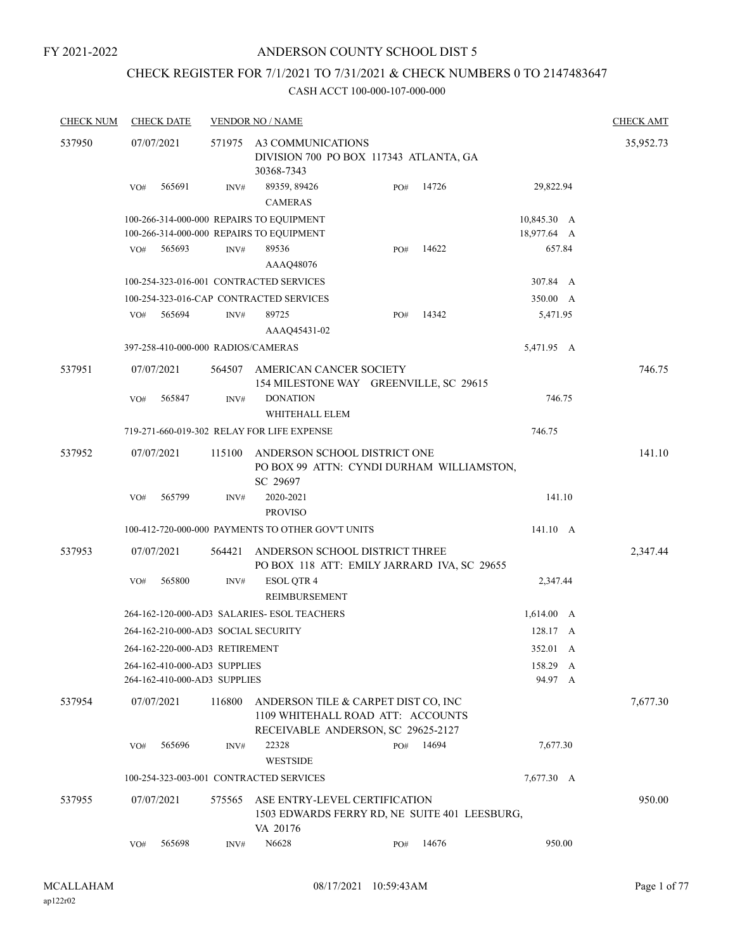# CHECK REGISTER FOR 7/1/2021 TO 7/31/2021 & CHECK NUMBERS 0 TO 2147483647

| <b>CHECK NUM</b> |     | <b>CHECK DATE</b>                                            |                  | <b>VENDOR NO / NAME</b>                                                                                        |     |       |                     |  | <b>CHECK AMT</b> |
|------------------|-----|--------------------------------------------------------------|------------------|----------------------------------------------------------------------------------------------------------------|-----|-------|---------------------|--|------------------|
| 537950           |     | 07/07/2021                                                   | 571975           | A3 COMMUNICATIONS<br>DIVISION 700 PO BOX 117343 ATLANTA, GA<br>30368-7343                                      |     |       |                     |  | 35,952.73        |
|                  | VO# | 565691                                                       | INV#             | 89359, 89426<br><b>CAMERAS</b>                                                                                 | PO# | 14726 | 29,822.94           |  |                  |
|                  |     |                                                              |                  | 100-266-314-000-000 REPAIRS TO EQUIPMENT                                                                       |     |       | 10,845.30 A         |  |                  |
|                  |     |                                                              |                  | 100-266-314-000-000 REPAIRS TO EQUIPMENT                                                                       |     |       | 18,977.64 A         |  |                  |
|                  | VO# | 565693                                                       | INV#             | 89536<br>AAAQ48076                                                                                             | PO# | 14622 | 657.84              |  |                  |
|                  |     |                                                              |                  | 100-254-323-016-001 CONTRACTED SERVICES                                                                        |     |       |                     |  |                  |
|                  |     |                                                              |                  | 100-254-323-016-CAP CONTRACTED SERVICES                                                                        |     |       | 350.00 A            |  |                  |
|                  | VO# | 565694                                                       | INV#             | 89725                                                                                                          | PO# | 14342 | 5,471.95            |  |                  |
|                  |     |                                                              |                  | AAAQ45431-02                                                                                                   |     |       |                     |  |                  |
|                  |     |                                                              |                  | 397-258-410-000-000 RADIOS/CAMERAS                                                                             |     |       | 5,471.95 A          |  |                  |
| 537951           |     | 07/07/2021                                                   | 564507           | AMERICAN CANCER SOCIETY<br>154 MILESTONE WAY GREENVILLE, SC 29615                                              |     |       |                     |  | 746.75           |
|                  | VO# | 565847                                                       | $\mathrm{INV}\#$ | <b>DONATION</b><br>WHITEHALL ELEM                                                                              |     |       | 746.75              |  |                  |
|                  |     |                                                              |                  | 719-271-660-019-302 RELAY FOR LIFE EXPENSE                                                                     |     |       | 746.75              |  |                  |
| 537952           |     | 07/07/2021                                                   | 115100           | ANDERSON SCHOOL DISTRICT ONE<br>PO BOX 99 ATTN: CYNDI DURHAM WILLIAMSTON,<br>SC 29697                          |     |       |                     |  | 141.10           |
|                  | VO# | 565799                                                       | INV#             | 2020-2021<br><b>PROVISO</b>                                                                                    |     |       | 141.10              |  |                  |
|                  |     |                                                              |                  | 100-412-720-000-000 PAYMENTS TO OTHER GOV'T UNITS                                                              |     |       | 141.10 A            |  |                  |
| 537953           |     | 07/07/2021                                                   | 564421           | ANDERSON SCHOOL DISTRICT THREE<br>PO BOX 118 ATT: EMILY JARRARD IVA, SC 29655                                  |     |       |                     |  | 2,347.44         |
|                  | VO# | 565800                                                       | INV#             | <b>ESOL QTR 4</b><br>REIMBURSEMENT                                                                             |     |       | 2,347.44            |  |                  |
|                  |     |                                                              |                  | 264-162-120-000-AD3 SALARIES- ESOL TEACHERS                                                                    |     |       | $1,614.00 \, A$     |  |                  |
|                  |     |                                                              |                  | 264-162-210-000-AD3 SOCIAL SECURITY                                                                            |     |       | 128.17 A            |  |                  |
|                  |     | 264-162-220-000-AD3 RETIREMENT                               |                  |                                                                                                                |     |       | 352.01 A            |  |                  |
|                  |     | 264-162-410-000-AD3 SUPPLIES<br>264-162-410-000-AD3 SUPPLIES |                  |                                                                                                                |     |       | 158.29 A<br>94.97 A |  |                  |
| 537954           |     | 07/07/2021                                                   | 116800           | ANDERSON TILE & CARPET DIST CO, INC<br>1109 WHITEHALL ROAD ATT: ACCOUNTS<br>RECEIVABLE ANDERSON, SC 29625-2127 |     |       |                     |  | 7,677.30         |
|                  | VO# | 565696                                                       | INV#             | 22328<br><b>WESTSIDE</b>                                                                                       | PO# | 14694 | 7,677.30            |  |                  |
|                  |     |                                                              |                  | 100-254-323-003-001 CONTRACTED SERVICES                                                                        |     |       | 7,677.30 A          |  |                  |
| 537955           |     | 07/07/2021                                                   | 575565           | ASE ENTRY-LEVEL CERTIFICATION<br>1503 EDWARDS FERRY RD, NE SUITE 401 LEESBURG,<br>VA 20176                     |     |       |                     |  | 950.00           |
|                  | VO# | 565698                                                       | INV#             | N6628                                                                                                          | PO# | 14676 | 950.00              |  |                  |
|                  |     |                                                              |                  |                                                                                                                |     |       |                     |  |                  |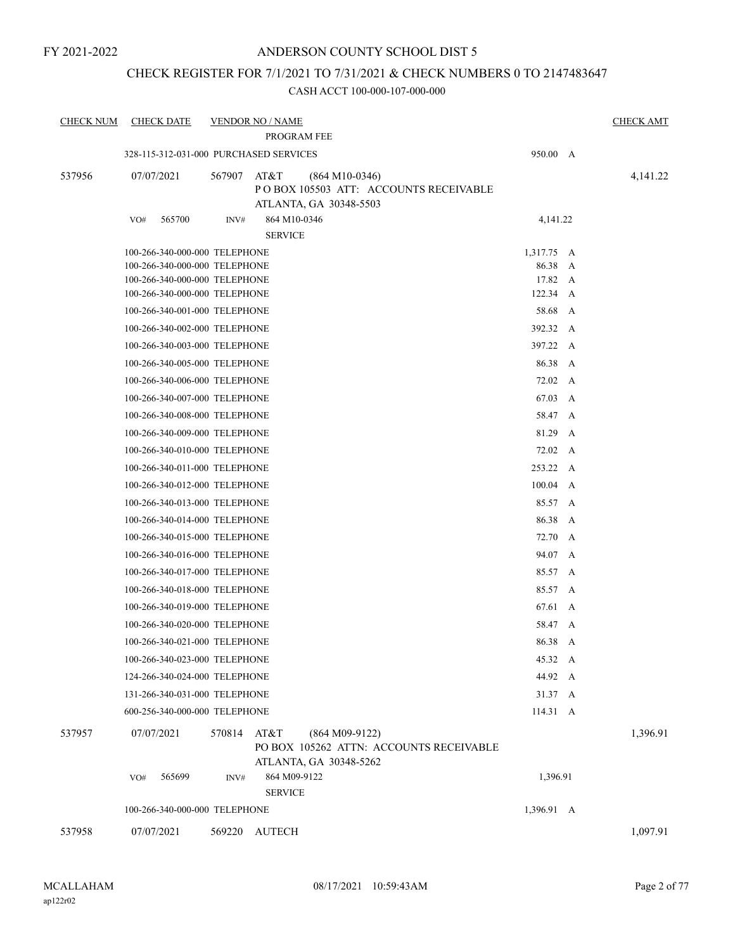## CHECK REGISTER FOR 7/1/2021 TO 7/31/2021 & CHECK NUMBERS 0 TO 2147483647

| <b>CHECK NUM</b> | <b>CHECK DATE</b>                      |        | <b>VENDOR NO / NAME</b><br>PROGRAM FEE                                                        |                  |   | <b>CHECK AMT</b> |
|------------------|----------------------------------------|--------|-----------------------------------------------------------------------------------------------|------------------|---|------------------|
|                  | 328-115-312-031-000 PURCHASED SERVICES |        |                                                                                               | 950.00 A         |   |                  |
| 537956           | 07/07/2021                             | 567907 | AT&T<br>$(864 M10-0346)$<br>PO BOX 105503 ATT: ACCOUNTS RECEIVABLE<br>ATLANTA, GA 30348-5503  |                  |   | 4,141.22         |
|                  | 565700<br>VO#                          | INV#   | 864 M10-0346<br><b>SERVICE</b>                                                                | 4,141.22         |   |                  |
|                  | 100-266-340-000-000 TELEPHONE          |        |                                                                                               | 1,317.75 A       |   |                  |
|                  | 100-266-340-000-000 TELEPHONE          |        |                                                                                               | 86.38 A          |   |                  |
|                  | 100-266-340-000-000 TELEPHONE          |        |                                                                                               | 17.82 A          |   |                  |
|                  | 100-266-340-000-000 TELEPHONE          |        |                                                                                               | $122.34 \quad A$ |   |                  |
|                  | 100-266-340-001-000 TELEPHONE          |        |                                                                                               | 58.68 A          |   |                  |
|                  | 100-266-340-002-000 TELEPHONE          |        |                                                                                               | 392.32 A         |   |                  |
|                  | 100-266-340-003-000 TELEPHONE          |        |                                                                                               | 397.22 A         |   |                  |
|                  | 100-266-340-005-000 TELEPHONE          |        |                                                                                               | 86.38 A          |   |                  |
|                  | 100-266-340-006-000 TELEPHONE          |        |                                                                                               | 72.02 A          |   |                  |
|                  | 100-266-340-007-000 TELEPHONE          |        |                                                                                               | 67.03 A          |   |                  |
|                  | 100-266-340-008-000 TELEPHONE          |        |                                                                                               | 58.47 A          |   |                  |
|                  | 100-266-340-009-000 TELEPHONE          |        |                                                                                               | 81.29            | A |                  |
|                  | 100-266-340-010-000 TELEPHONE          |        |                                                                                               | 72.02 A          |   |                  |
|                  | 100-266-340-011-000 TELEPHONE          |        |                                                                                               | 253.22 A         |   |                  |
|                  | 100-266-340-012-000 TELEPHONE          |        |                                                                                               | $100.04 \quad A$ |   |                  |
|                  | 100-266-340-013-000 TELEPHONE          |        |                                                                                               | 85.57 A          |   |                  |
|                  | 100-266-340-014-000 TELEPHONE          |        |                                                                                               | 86.38 A          |   |                  |
|                  | 100-266-340-015-000 TELEPHONE          |        |                                                                                               | 72.70 A          |   |                  |
|                  | 100-266-340-016-000 TELEPHONE          |        |                                                                                               | 94.07 A          |   |                  |
|                  | 100-266-340-017-000 TELEPHONE          |        |                                                                                               | 85.57 A          |   |                  |
|                  | 100-266-340-018-000 TELEPHONE          |        |                                                                                               | 85.57 A          |   |                  |
|                  | 100-266-340-019-000 TELEPHONE          |        |                                                                                               | 67.61            | A |                  |
|                  | 100-266-340-020-000 TELEPHONE          |        |                                                                                               | 58.47 A          |   |                  |
|                  | 100-266-340-021-000 TELEPHONE          |        |                                                                                               | 86.38 A          |   |                  |
|                  | 100-266-340-023-000 TELEPHONE          |        |                                                                                               | 45.32 A          |   |                  |
|                  | 124-266-340-024-000 TELEPHONE          |        |                                                                                               | 44.92 A          |   |                  |
|                  | 131-266-340-031-000 TELEPHONE          |        |                                                                                               | 31.37 A          |   |                  |
|                  | 600-256-340-000-000 TELEPHONE          |        |                                                                                               | 114.31 A         |   |                  |
| 537957           | 07/07/2021                             | 570814 | AT&T<br>$(864 M09-9122)$<br>PO BOX 105262 ATTN: ACCOUNTS RECEIVABLE<br>ATLANTA, GA 30348-5262 |                  |   | 1,396.91         |
|                  | 565699<br>VO#                          | INV#   | 864 M09-9122<br><b>SERVICE</b>                                                                | 1,396.91         |   |                  |
|                  | 100-266-340-000-000 TELEPHONE          |        |                                                                                               | 1,396.91 A       |   |                  |
| 537958           | 07/07/2021                             | 569220 | <b>AUTECH</b>                                                                                 |                  |   | 1,097.91         |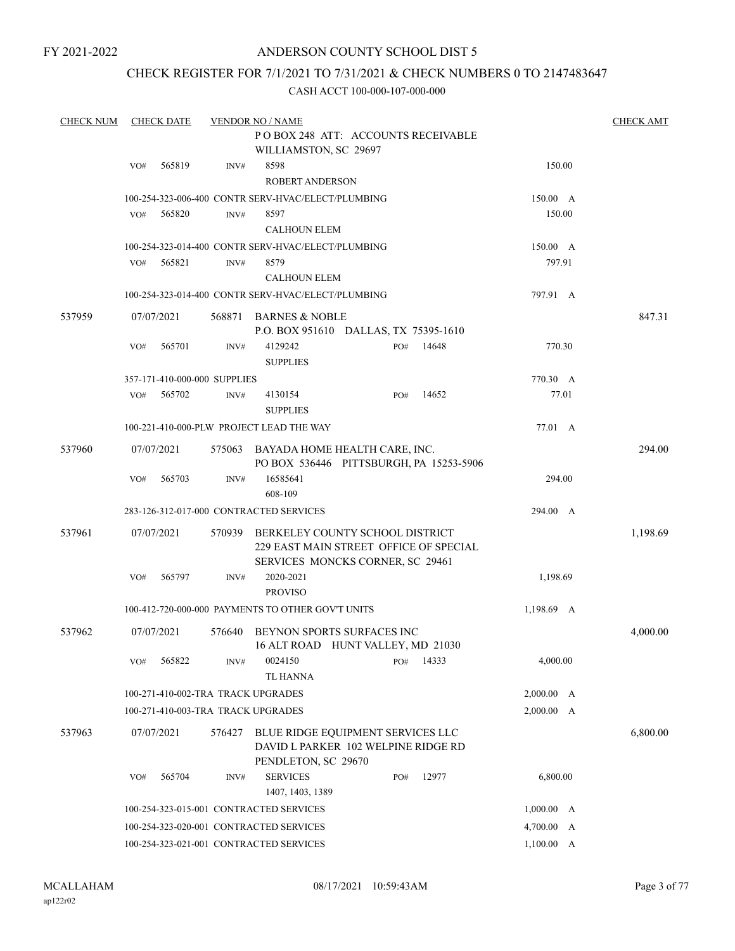# ANDERSON COUNTY SCHOOL DIST 5

## CHECK REGISTER FOR 7/1/2021 TO 7/31/2021 & CHECK NUMBERS 0 TO 2147483647

| <b>CHECK NUM</b> |            | <b>CHECK DATE</b> |                              | <b>VENDOR NO / NAME</b>                                                  |     |                                         |                 |  | <b>CHECK AMT</b> |
|------------------|------------|-------------------|------------------------------|--------------------------------------------------------------------------|-----|-----------------------------------------|-----------------|--|------------------|
|                  |            |                   |                              | POBOX 248 ATT: ACCOUNTS RECEIVABLE                                       |     |                                         |                 |  |                  |
|                  |            |                   |                              | WILLIAMSTON, SC 29697                                                    |     |                                         |                 |  |                  |
|                  | VO#        | 565819            | INV#                         | 8598                                                                     |     |                                         | 150.00          |  |                  |
|                  |            |                   |                              | <b>ROBERT ANDERSON</b>                                                   |     |                                         |                 |  |                  |
|                  |            |                   |                              | 100-254-323-006-400 CONTR SERV-HVAC/ELECT/PLUMBING                       |     |                                         | $150.00\quad A$ |  |                  |
|                  | VO#        | 565820            | INV#                         | 8597                                                                     |     |                                         | 150.00          |  |                  |
|                  |            |                   |                              | <b>CALHOUN ELEM</b>                                                      |     |                                         |                 |  |                  |
|                  |            |                   |                              | 100-254-323-014-400 CONTR SERV-HVAC/ELECT/PLUMBING                       |     |                                         | $150.00\quad A$ |  |                  |
|                  | VO#        | 565821            | INV#                         | 8579                                                                     |     |                                         | 797.91          |  |                  |
|                  |            |                   |                              | <b>CALHOUN ELEM</b>                                                      |     |                                         |                 |  |                  |
|                  |            |                   |                              | 100-254-323-014-400 CONTR SERV-HVAC/ELECT/PLUMBING                       |     |                                         | 797.91 A        |  |                  |
| 537959           | 07/07/2021 |                   | 568871                       | <b>BARNES &amp; NOBLE</b>                                                |     |                                         |                 |  | 847.31           |
|                  |            |                   |                              | P.O. BOX 951610 DALLAS, TX 75395-1610                                    |     |                                         |                 |  |                  |
|                  | VO#        | 565701            | INV#                         | 4129242                                                                  | PO# | 14648                                   | 770.30          |  |                  |
|                  |            |                   |                              | <b>SUPPLIES</b>                                                          |     |                                         |                 |  |                  |
|                  |            |                   | 357-171-410-000-000 SUPPLIES |                                                                          |     |                                         | 770.30 A        |  |                  |
|                  | VO#        | 565702            | INV#                         | 4130154                                                                  | PO# | 14652                                   | 77.01           |  |                  |
|                  |            |                   |                              | <b>SUPPLIES</b>                                                          |     |                                         |                 |  |                  |
|                  |            |                   |                              | 100-221-410-000-PLW PROJECT LEAD THE WAY                                 |     |                                         | 77.01 A         |  |                  |
| 537960           | 07/07/2021 |                   | 575063                       | BAYADA HOME HEALTH CARE, INC.                                            |     |                                         |                 |  | 294.00           |
|                  |            |                   |                              |                                                                          |     | PO BOX 536446 PITTSBURGH, PA 15253-5906 |                 |  |                  |
|                  | VO#        | 565703            | INV#                         | 16585641                                                                 |     |                                         | 294.00          |  |                  |
|                  |            |                   |                              | 608-109                                                                  |     |                                         |                 |  |                  |
|                  |            |                   |                              | 283-126-312-017-000 CONTRACTED SERVICES                                  |     |                                         | 294.00 A        |  |                  |
| 537961           | 07/07/2021 |                   | 570939                       | BERKELEY COUNTY SCHOOL DISTRICT                                          |     |                                         |                 |  | 1,198.69         |
|                  |            |                   |                              | 229 EAST MAIN STREET OFFICE OF SPECIAL                                   |     |                                         |                 |  |                  |
|                  |            |                   |                              | SERVICES MONCKS CORNER, SC 29461                                         |     |                                         |                 |  |                  |
|                  | VO#        | 565797            | INV#                         | 2020-2021                                                                |     |                                         | 1,198.69        |  |                  |
|                  |            |                   |                              | <b>PROVISO</b>                                                           |     |                                         |                 |  |                  |
|                  |            |                   |                              | 100-412-720-000-000 PAYMENTS TO OTHER GOV'T UNITS                        |     |                                         | 1,198.69 A      |  |                  |
| 537962           | 07/07/2021 |                   | 576640                       | BEYNON SPORTS SURFACES INC                                               |     |                                         |                 |  | 4,000.00         |
|                  |            |                   |                              | 16 ALT ROAD HUNT VALLEY, MD 21030                                        |     |                                         |                 |  |                  |
|                  | VO#        | 565822            | INV#                         | 0024150                                                                  | PO# | 14333                                   | 4,000.00        |  |                  |
|                  |            |                   |                              | <b>TL HANNA</b>                                                          |     |                                         |                 |  |                  |
|                  |            |                   |                              | 100-271-410-002-TRA TRACK UPGRADES                                       |     |                                         | 2,000.00 A      |  |                  |
|                  |            |                   |                              | 100-271-410-003-TRA TRACK UPGRADES                                       |     |                                         | 2,000.00 A      |  |                  |
|                  |            |                   |                              |                                                                          |     |                                         |                 |  |                  |
| 537963           | 07/07/2021 |                   | 576427                       | BLUE RIDGE EQUIPMENT SERVICES LLC<br>DAVID L PARKER 102 WELPINE RIDGE RD |     |                                         |                 |  | 6,800.00         |
|                  |            |                   |                              | PENDLETON, SC 29670                                                      |     |                                         |                 |  |                  |
|                  | VO#        | 565704            | INV#                         | <b>SERVICES</b>                                                          | PO# | 12977                                   | 6,800.00        |  |                  |
|                  |            |                   |                              | 1407, 1403, 1389                                                         |     |                                         |                 |  |                  |
|                  |            |                   |                              | 100-254-323-015-001 CONTRACTED SERVICES                                  |     |                                         | 1,000.00 A      |  |                  |
|                  |            |                   |                              | 100-254-323-020-001 CONTRACTED SERVICES                                  |     |                                         | 4,700.00 A      |  |                  |
|                  |            |                   |                              | 100-254-323-021-001 CONTRACTED SERVICES                                  |     |                                         | 1,100.00 A      |  |                  |
|                  |            |                   |                              |                                                                          |     |                                         |                 |  |                  |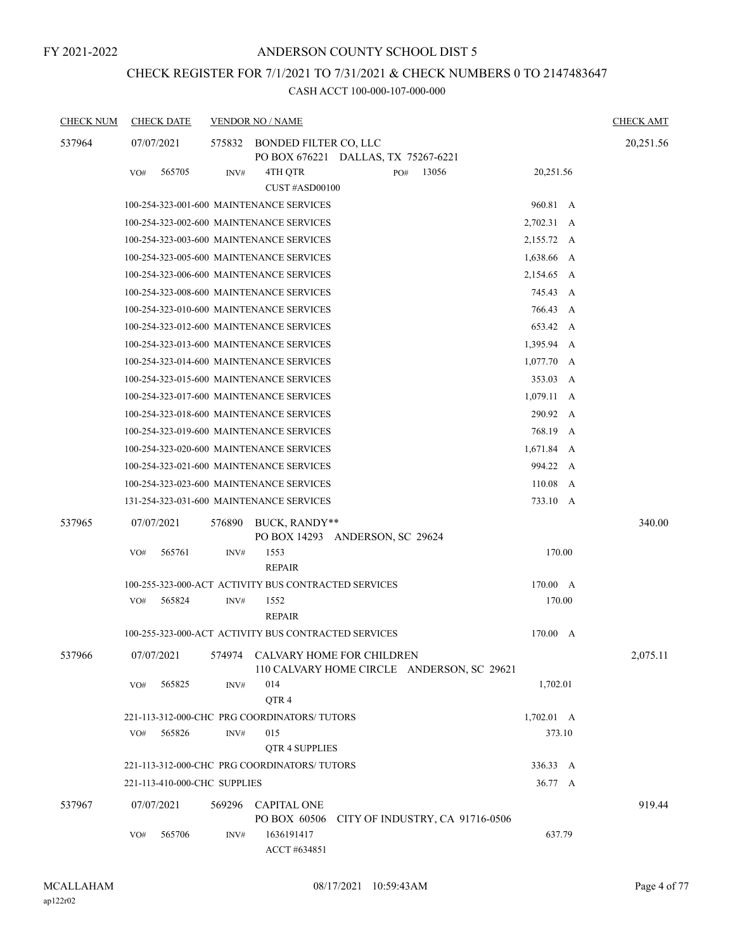# CHECK REGISTER FOR 7/1/2021 TO 7/31/2021 & CHECK NUMBERS 0 TO 2147483647

| <b>CHECK NUM</b> | <b>CHECK DATE</b>            |        | <b>VENDOR NO / NAME</b>                              |                                                                                           |                    | <b>CHECK AMT</b> |
|------------------|------------------------------|--------|------------------------------------------------------|-------------------------------------------------------------------------------------------|--------------------|------------------|
| 537964           | 07/07/2021                   | 575832 | BONDED FILTER CO, LLC                                | PO BOX 676221 DALLAS, TX 75267-6221                                                       |                    | 20,251.56        |
|                  | 565705<br>VO#                | INV#   | 4TH QTR                                              | 13056<br>PO#                                                                              | 20,251.56          |                  |
|                  |                              |        | CUST#ASD00100                                        |                                                                                           |                    |                  |
|                  |                              |        | 100-254-323-001-600 MAINTENANCE SERVICES             |                                                                                           | 960.81 A           |                  |
|                  |                              |        | 100-254-323-002-600 MAINTENANCE SERVICES             |                                                                                           | 2,702.31 A         |                  |
|                  |                              |        | 100-254-323-003-600 MAINTENANCE SERVICES             |                                                                                           | 2,155.72 A         |                  |
|                  |                              |        | 100-254-323-005-600 MAINTENANCE SERVICES             |                                                                                           | 1,638.66 A         |                  |
|                  |                              |        | 100-254-323-006-600 MAINTENANCE SERVICES             |                                                                                           | 2,154.65 A         |                  |
|                  |                              |        | 100-254-323-008-600 MAINTENANCE SERVICES             |                                                                                           | 745.43 A           |                  |
|                  |                              |        | 100-254-323-010-600 MAINTENANCE SERVICES             |                                                                                           | 766.43 A           |                  |
|                  |                              |        | 100-254-323-012-600 MAINTENANCE SERVICES             |                                                                                           | 653.42 A           |                  |
|                  |                              |        | 100-254-323-013-600 MAINTENANCE SERVICES             |                                                                                           | 1,395.94 A         |                  |
|                  |                              |        | 100-254-323-014-600 MAINTENANCE SERVICES             |                                                                                           | $1,077.70$ A       |                  |
|                  |                              |        | 100-254-323-015-600 MAINTENANCE SERVICES             |                                                                                           | 353.03 A           |                  |
|                  |                              |        | 100-254-323-017-600 MAINTENANCE SERVICES             |                                                                                           | $1,079.11 \quad A$ |                  |
|                  |                              |        | 100-254-323-018-600 MAINTENANCE SERVICES             |                                                                                           | 290.92 A           |                  |
|                  |                              |        | 100-254-323-019-600 MAINTENANCE SERVICES             |                                                                                           | 768.19 A           |                  |
|                  |                              |        | 100-254-323-020-600 MAINTENANCE SERVICES             |                                                                                           | 1,671.84 A         |                  |
|                  |                              |        | 100-254-323-021-600 MAINTENANCE SERVICES             |                                                                                           | 994.22 A           |                  |
|                  |                              |        | 100-254-323-023-600 MAINTENANCE SERVICES             |                                                                                           | 110.08 A           |                  |
|                  |                              |        | 131-254-323-031-600 MAINTENANCE SERVICES             |                                                                                           | 733.10 A           |                  |
| 537965           | 07/07/2021                   | 576890 | BUCK, RANDY**                                        | PO BOX 14293 ANDERSON, SC 29624                                                           |                    | 340.00           |
|                  | VO#<br>565761                | INV#   | 1553<br><b>REPAIR</b>                                |                                                                                           | 170.00             |                  |
|                  |                              |        | 100-255-323-000-ACT ACTIVITY BUS CONTRACTED SERVICES |                                                                                           | 170.00 A           |                  |
|                  | 565824<br>VO#                | INV#   | 1552<br><b>REPAIR</b>                                |                                                                                           | 170.00             |                  |
|                  |                              |        | 100-255-323-000-ACT ACTIVITY BUS CONTRACTED SERVICES |                                                                                           | 170.00 A           |                  |
| 537966           |                              |        |                                                      | 07/07/2021 574974 CALVARY HOME FOR CHILDREN<br>110 CALVARY HOME CIRCLE ANDERSON, SC 29621 |                    | 2,075.11         |
|                  | 565825<br>VO#                | INV#   | 014<br>QTR4                                          |                                                                                           | 1,702.01           |                  |
|                  |                              |        | 221-113-312-000-CHC PRG COORDINATORS/ TUTORS         |                                                                                           | $1,702.01 \quad A$ |                  |
|                  | 565826<br>VO#                | INV#   | 015<br>QTR 4 SUPPLIES                                |                                                                                           | 373.10             |                  |
|                  |                              |        | 221-113-312-000-CHC PRG COORDINATORS/ TUTORS         |                                                                                           | 336.33 A           |                  |
|                  | 221-113-410-000-CHC SUPPLIES |        |                                                      |                                                                                           | 36.77 A            |                  |
| 537967           | 07/07/2021                   | 569296 | <b>CAPITAL ONE</b>                                   | PO BOX 60506 CITY OF INDUSTRY, CA 91716-0506                                              |                    | 919.44           |
|                  | 565706<br>VO#                | INV#   | 1636191417<br>ACCT #634851                           |                                                                                           | 637.79             |                  |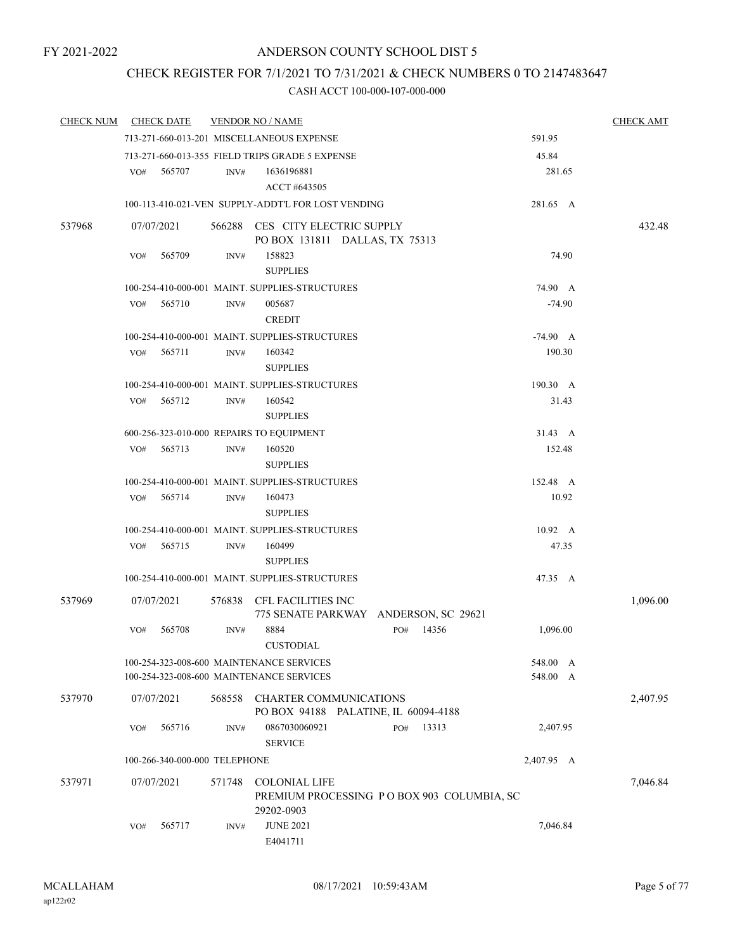# CHECK REGISTER FOR 7/1/2021 TO 7/31/2021 & CHECK NUMBERS 0 TO 2147483647

| <b>CHECK NUM</b> | <b>CHECK DATE</b>                        |        | <b>VENDOR NO / NAME</b>                                           |                                            |                 | <b>CHECK AMT</b> |
|------------------|------------------------------------------|--------|-------------------------------------------------------------------|--------------------------------------------|-----------------|------------------|
|                  |                                          |        | 713-271-660-013-201 MISCELLANEOUS EXPENSE                         |                                            | 591.95          |                  |
|                  |                                          |        | 713-271-660-013-355 FIELD TRIPS GRADE 5 EXPENSE                   |                                            | 45.84           |                  |
|                  | 565707<br>VO#                            | INV#   | 1636196881                                                        |                                            | 281.65          |                  |
|                  |                                          |        | ACCT #643505                                                      |                                            |                 |                  |
|                  |                                          |        | 100-113-410-021-VEN SUPPLY-ADDT'L FOR LOST VENDING                |                                            | 281.65 A        |                  |
| 537968           | 07/07/2021                               |        | 566288 CES CITY ELECTRIC SUPPLY<br>PO BOX 131811 DALLAS, TX 75313 |                                            |                 | 432.48           |
|                  | 565709<br>VO#                            | INV#   | 158823<br><b>SUPPLIES</b>                                         |                                            | 74.90           |                  |
|                  |                                          |        | 100-254-410-000-001 MAINT. SUPPLIES-STRUCTURES                    |                                            | 74.90 A         |                  |
|                  | 565710<br>VO#                            | INV#   | 005687<br><b>CREDIT</b>                                           |                                            | $-74.90$        |                  |
|                  |                                          |        | 100-254-410-000-001 MAINT. SUPPLIES-STRUCTURES                    |                                            | $-74.90 A$      |                  |
|                  | 565711<br>VO#                            | INV#   | 160342<br><b>SUPPLIES</b>                                         |                                            | 190.30          |                  |
|                  |                                          |        | 100-254-410-000-001 MAINT. SUPPLIES-STRUCTURES                    |                                            | 190.30 A        |                  |
|                  | 565712<br>VO#                            | INV#   | 160542                                                            |                                            | 31.43           |                  |
|                  |                                          |        | <b>SUPPLIES</b>                                                   |                                            |                 |                  |
|                  | 600-256-323-010-000 REPAIRS TO EQUIPMENT |        |                                                                   |                                            | 31.43 A         |                  |
|                  | 565713<br>VO#                            | INV#   | 160520<br><b>SUPPLIES</b>                                         |                                            | 152.48          |                  |
|                  |                                          |        | 100-254-410-000-001 MAINT. SUPPLIES-STRUCTURES                    |                                            | 152.48 A        |                  |
|                  | 565714<br>VO#                            | INV#   | 160473<br><b>SUPPLIES</b>                                         |                                            | 10.92           |                  |
|                  |                                          |        | 100-254-410-000-001 MAINT. SUPPLIES-STRUCTURES                    |                                            | $10.92 \quad A$ |                  |
|                  | VO# 565715                               | INV#   | 160499<br><b>SUPPLIES</b>                                         |                                            | 47.35           |                  |
|                  |                                          |        | 100-254-410-000-001 MAINT. SUPPLIES-STRUCTURES                    |                                            | 47.35 A         |                  |
| 537969           | 07/07/2021                               | 576838 | CFL FACILITIES INC                                                | 775 SENATE PARKWAY ANDERSON, SC 29621      |                 | 1,096.00         |
|                  | 565708<br>VO#                            | INV#   | 8884<br><b>CUSTODIAL</b>                                          | 14356<br>PO#                               | 1,096.00        |                  |
|                  |                                          |        | 100-254-323-008-600 MAINTENANCE SERVICES                          |                                            | 548.00 A        |                  |
|                  |                                          |        | 100-254-323-008-600 MAINTENANCE SERVICES                          |                                            | 548.00 A        |                  |
| 537970           | 07/07/2021                               | 568558 | CHARTER COMMUNICATIONS                                            | PO BOX 94188 PALATINE, IL 60094-4188       |                 | 2,407.95         |
|                  | 565716<br>VO#                            | INV#   | 0867030060921<br><b>SERVICE</b>                                   | 13313<br>PO#                               | 2,407.95        |                  |
|                  | 100-266-340-000-000 TELEPHONE            |        |                                                                   |                                            | 2,407.95 A      |                  |
| 537971           | 07/07/2021                               | 571748 | <b>COLONIAL LIFE</b><br>29202-0903                                | PREMIUM PROCESSING PO BOX 903 COLUMBIA, SC |                 | 7,046.84         |
|                  | 565717<br>VO#                            | INV#   | <b>JUNE 2021</b><br>E4041711                                      |                                            | 7,046.84        |                  |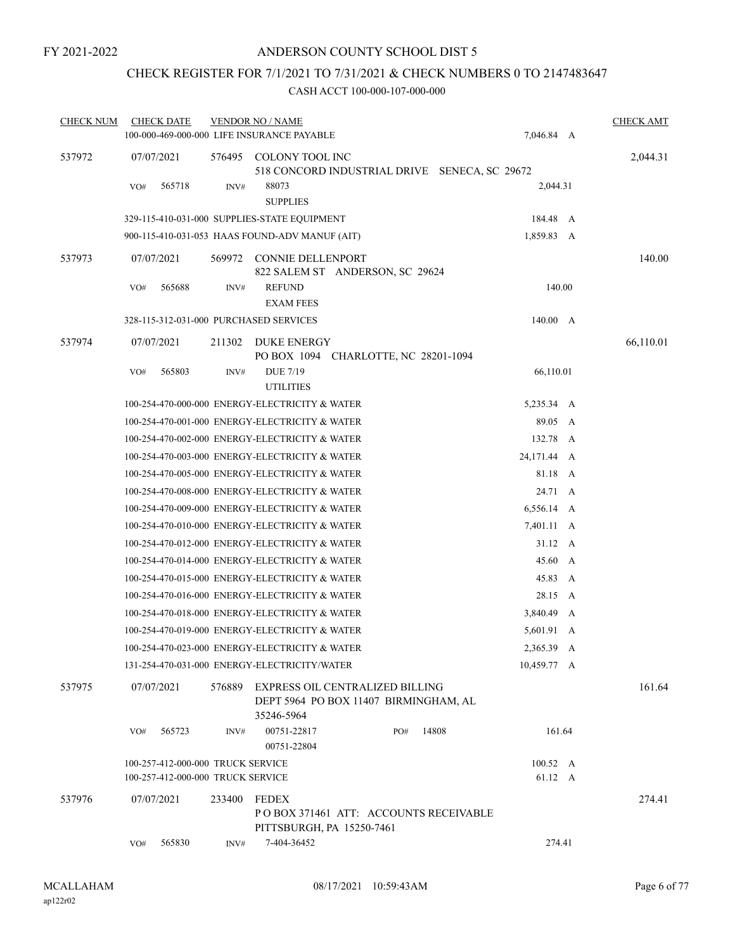# CHECK REGISTER FOR 7/1/2021 TO 7/31/2021 & CHECK NUMBERS 0 TO 2147483647

| <b>CHECK NUM</b> | <b>CHECK DATE</b>                                                      |        | <b>VENDOR NO / NAME</b>                        |                                                                          |                                               |        | <b>CHECK AMT</b> |
|------------------|------------------------------------------------------------------------|--------|------------------------------------------------|--------------------------------------------------------------------------|-----------------------------------------------|--------|------------------|
|                  |                                                                        |        | 100-000-469-000-000 LIFE INSURANCE PAYABLE     |                                                                          | 7,046.84 A                                    |        |                  |
| 537972           | 07/07/2021                                                             |        | 576495 COLONY TOOL INC                         |                                                                          | 518 CONCORD INDUSTRIAL DRIVE SENECA, SC 29672 |        | 2,044.31         |
|                  | 565718<br>VO#                                                          | INV#   | 88073<br><b>SUPPLIES</b>                       |                                                                          | 2,044.31                                      |        |                  |
|                  |                                                                        |        | 329-115-410-031-000 SUPPLIES-STATE EQUIPMENT   |                                                                          | 184.48 A                                      |        |                  |
|                  |                                                                        |        | 900-115-410-031-053 HAAS FOUND-ADV MANUF (AIT) |                                                                          | 1,859.83 A                                    |        |                  |
| 537973           | 07/07/2021                                                             |        | 569972 CONNIE DELLENPORT                       | 822 SALEM ST ANDERSON, SC 29624                                          |                                               |        | 140.00           |
|                  | 565688<br>VO#                                                          | INV#   | <b>REFUND</b><br><b>EXAM FEES</b>              |                                                                          | 140.00                                        |        |                  |
|                  | 328-115-312-031-000 PURCHASED SERVICES                                 |        |                                                |                                                                          | 140.00 A                                      |        |                  |
| 537974           | 07/07/2021                                                             | 211302 | DUKE ENERGY                                    | PO BOX 1094 CHARLOTTE, NC 28201-1094                                     |                                               |        | 66,110.01        |
|                  | 565803<br>VO#                                                          | INV#   | <b>DUE 7/19</b><br><b>UTILITIES</b>            |                                                                          | 66,110.01                                     |        |                  |
|                  |                                                                        |        | 100-254-470-000-000 ENERGY-ELECTRICITY & WATER |                                                                          | 5,235.34 A                                    |        |                  |
|                  |                                                                        |        | 100-254-470-001-000 ENERGY-ELECTRICITY & WATER |                                                                          | 89.05 A                                       |        |                  |
|                  |                                                                        |        | 100-254-470-002-000 ENERGY-ELECTRICITY & WATER |                                                                          | 132.78 A                                      |        |                  |
|                  |                                                                        |        | 100-254-470-003-000 ENERGY-ELECTRICITY & WATER |                                                                          | 24,171.44 A                                   |        |                  |
|                  |                                                                        |        | 100-254-470-005-000 ENERGY-ELECTRICITY & WATER |                                                                          | 81.18 A                                       |        |                  |
|                  |                                                                        |        | 100-254-470-008-000 ENERGY-ELECTRICITY & WATER |                                                                          | 24.71 A                                       |        |                  |
|                  |                                                                        |        | 100-254-470-009-000 ENERGY-ELECTRICITY & WATER |                                                                          | 6,556.14 A                                    |        |                  |
|                  |                                                                        |        | 100-254-470-010-000 ENERGY-ELECTRICITY & WATER |                                                                          | 7,401.11 A                                    |        |                  |
|                  |                                                                        |        | 100-254-470-012-000 ENERGY-ELECTRICITY & WATER |                                                                          | $31.12 \quad A$                               |        |                  |
|                  |                                                                        |        | 100-254-470-014-000 ENERGY-ELECTRICITY & WATER |                                                                          | 45.60 A                                       |        |                  |
|                  |                                                                        |        | 100-254-470-015-000 ENERGY-ELECTRICITY & WATER |                                                                          | 45.83 A                                       |        |                  |
|                  |                                                                        |        | 100-254-470-016-000 ENERGY-ELECTRICITY & WATER |                                                                          | 28.15 A                                       |        |                  |
|                  |                                                                        |        | 100-254-470-018-000 ENERGY-ELECTRICITY & WATER |                                                                          | 3,840.49 A                                    |        |                  |
|                  |                                                                        |        | 100-254-470-019-000 ENERGY-ELECTRICITY & WATER |                                                                          | 5,601.91 A                                    |        |                  |
|                  |                                                                        |        | 100-254-470-023-000 ENERGY-ELECTRICITY & WATER |                                                                          | 2,365.39 A                                    |        |                  |
|                  |                                                                        |        | 131-254-470-031-000 ENERGY-ELECTRICITY/WATER   |                                                                          | 10,459.77 A                                   |        |                  |
| 537975           | 07/07/2021                                                             | 576889 | 35246-5964                                     | EXPRESS OIL CENTRALIZED BILLING<br>DEPT 5964 PO BOX 11407 BIRMINGHAM, AL |                                               |        | 161.64           |
|                  | 565723<br>VO#                                                          | INV#   | 00751-22817<br>00751-22804                     | PO#                                                                      | 14808                                         | 161.64 |                  |
|                  | 100-257-412-000-000 TRUCK SERVICE<br>100-257-412-000-000 TRUCK SERVICE |        |                                                |                                                                          | $100.52 \quad A$<br>61.12 A                   |        |                  |
| 537976           | 07/07/2021                                                             | 233400 | FEDEX<br>PITTSBURGH, PA 15250-7461             | PO BOX 371461 ATT: ACCOUNTS RECEIVABLE                                   |                                               |        | 274.41           |
|                  | 565830<br>VO#                                                          | INV#   | 7-404-36452                                    |                                                                          | 274.41                                        |        |                  |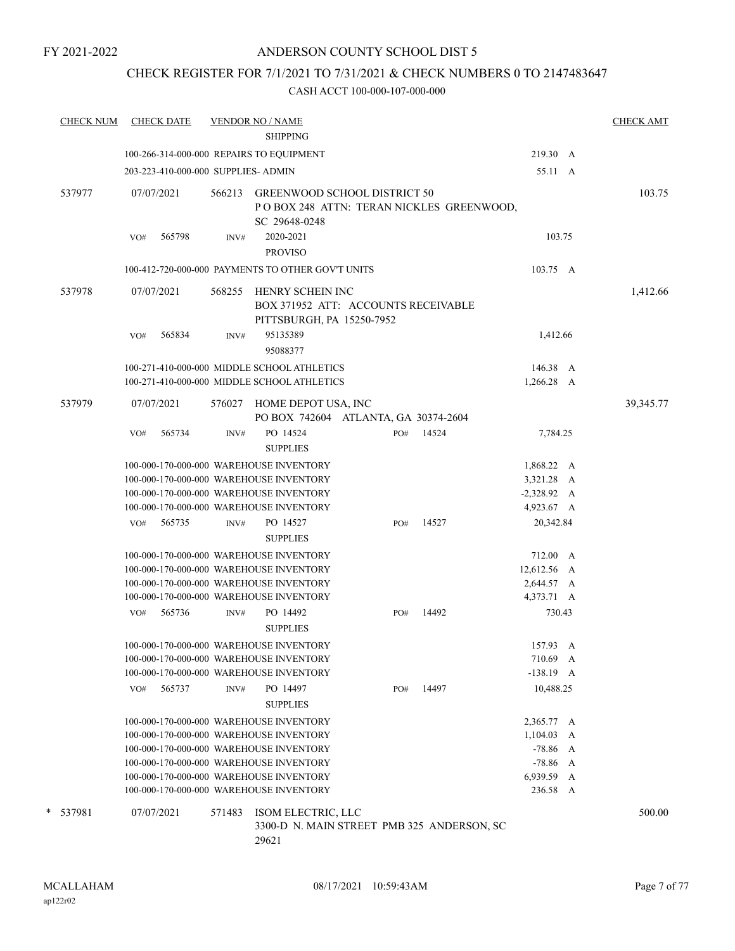# CHECK REGISTER FOR 7/1/2021 TO 7/31/2021 & CHECK NUMBERS 0 TO 2147483647

| <b>CHECK NUM</b> |            | <b>CHECK DATE</b>                   |        | <b>VENDOR NO / NAME</b><br><b>SHIPPING</b>                                           |     |       |               | <b>CHECK AMT</b> |
|------------------|------------|-------------------------------------|--------|--------------------------------------------------------------------------------------|-----|-------|---------------|------------------|
|                  |            |                                     |        | 100-266-314-000-000 REPAIRS TO EQUIPMENT                                             |     |       | 219.30 A      |                  |
|                  |            |                                     |        |                                                                                      |     |       |               |                  |
|                  |            | 203-223-410-000-000 SUPPLIES- ADMIN |        |                                                                                      |     |       | 55.11 A       |                  |
| 537977           | 07/07/2021 |                                     | 566213 | <b>GREENWOOD SCHOOL DISTRICT 50</b><br>POBOX 248 ATTN: TERAN NICKLES GREENWOOD,      |     |       |               | 103.75           |
|                  |            |                                     |        | SC 29648-0248                                                                        |     |       | 103.75        |                  |
|                  | VO#        | 565798                              | INV#   | 2020-2021                                                                            |     |       |               |                  |
|                  |            |                                     |        | <b>PROVISO</b>                                                                       |     |       |               |                  |
|                  |            |                                     |        | 100-412-720-000-000 PAYMENTS TO OTHER GOV'T UNITS                                    |     |       | 103.75 A      |                  |
| 537978           | 07/07/2021 |                                     | 568255 | HENRY SCHEIN INC<br>BOX 371952 ATT: ACCOUNTS RECEIVABLE<br>PITTSBURGH, PA 15250-7952 |     |       |               | 1,412.66         |
|                  | VO#        | 565834                              | INV#   | 95135389<br>95088377                                                                 |     |       | 1,412.66      |                  |
|                  |            |                                     |        | 100-271-410-000-000 MIDDLE SCHOOL ATHLETICS                                          |     |       | 146.38 A      |                  |
|                  |            |                                     |        | 100-271-410-000-000 MIDDLE SCHOOL ATHLETICS                                          |     |       | 1,266.28 A    |                  |
| 537979           |            | 07/07/2021                          | 576027 | HOME DEPOT USA, INC<br>PO BOX 742604 ATLANTA, GA 30374-2604                          |     |       |               | 39,345.77        |
|                  | VO#        | 565734                              | INV#   | PO 14524                                                                             | PO# | 14524 | 7,784.25      |                  |
|                  |            |                                     |        | <b>SUPPLIES</b>                                                                      |     |       |               |                  |
|                  |            |                                     |        | 100-000-170-000-000 WAREHOUSE INVENTORY                                              |     |       | 1,868.22 A    |                  |
|                  |            |                                     |        | 100-000-170-000-000 WAREHOUSE INVENTORY                                              |     |       | 3,321.28 A    |                  |
|                  |            |                                     |        | 100-000-170-000-000 WAREHOUSE INVENTORY                                              |     |       | $-2,328.92$ A |                  |
|                  |            |                                     |        | 100-000-170-000-000 WAREHOUSE INVENTORY                                              |     |       | 4,923.67 A    |                  |
|                  | VO#        | 565735                              | INV#   | PO 14527                                                                             | PO# | 14527 | 20,342.84     |                  |
|                  |            |                                     |        | <b>SUPPLIES</b>                                                                      |     |       |               |                  |
|                  |            |                                     |        | 100-000-170-000-000 WAREHOUSE INVENTORY                                              |     |       | 712.00 A      |                  |
|                  |            |                                     |        | 100-000-170-000-000 WAREHOUSE INVENTORY                                              |     |       | 12,612.56 A   |                  |
|                  |            |                                     |        | 100-000-170-000-000 WAREHOUSE INVENTORY                                              |     |       | 2,644.57 A    |                  |
|                  |            |                                     |        | 100-000-170-000-000 WAREHOUSE INVENTORY                                              |     |       | 4,373.71 A    |                  |
|                  | VO#        | 565736                              | INV#   | PO 14492<br><b>SUPPLIES</b>                                                          | PO# | 14492 | 730.43        |                  |
|                  |            |                                     |        | 100-000-170-000-000 WAREHOUSE INVENTORY                                              |     |       | 157.93 A      |                  |
|                  |            |                                     |        | 100-000-170-000-000 WAREHOUSE INVENTORY                                              |     |       | 710.69 A      |                  |
|                  |            |                                     |        | 100-000-170-000-000 WAREHOUSE INVENTORY                                              |     |       | $-138.19$ A   |                  |
|                  | VO#        | 565737                              | INV#   | PO 14497<br><b>SUPPLIES</b>                                                          | PO# | 14497 | 10,488.25     |                  |
|                  |            |                                     |        | 100-000-170-000-000 WAREHOUSE INVENTORY                                              |     |       | 2,365.77 A    |                  |
|                  |            |                                     |        | 100-000-170-000-000 WAREHOUSE INVENTORY                                              |     |       | $1,104.03$ A  |                  |
|                  |            |                                     |        | 100-000-170-000-000 WAREHOUSE INVENTORY                                              |     |       | $-78.86$ A    |                  |
|                  |            |                                     |        | 100-000-170-000-000 WAREHOUSE INVENTORY                                              |     |       | $-78.86$ A    |                  |
|                  |            |                                     |        | 100-000-170-000-000 WAREHOUSE INVENTORY                                              |     |       | 6,939.59 A    |                  |
|                  |            |                                     |        | 100-000-170-000-000 WAREHOUSE INVENTORY                                              |     |       | 236.58 A      |                  |
| * 537981         | 07/07/2021 |                                     | 571483 | ISOM ELECTRIC, LLC<br>3300-D N. MAIN STREET PMB 325 ANDERSON, SC                     |     |       |               | 500.00           |
|                  |            |                                     |        | 29621                                                                                |     |       |               |                  |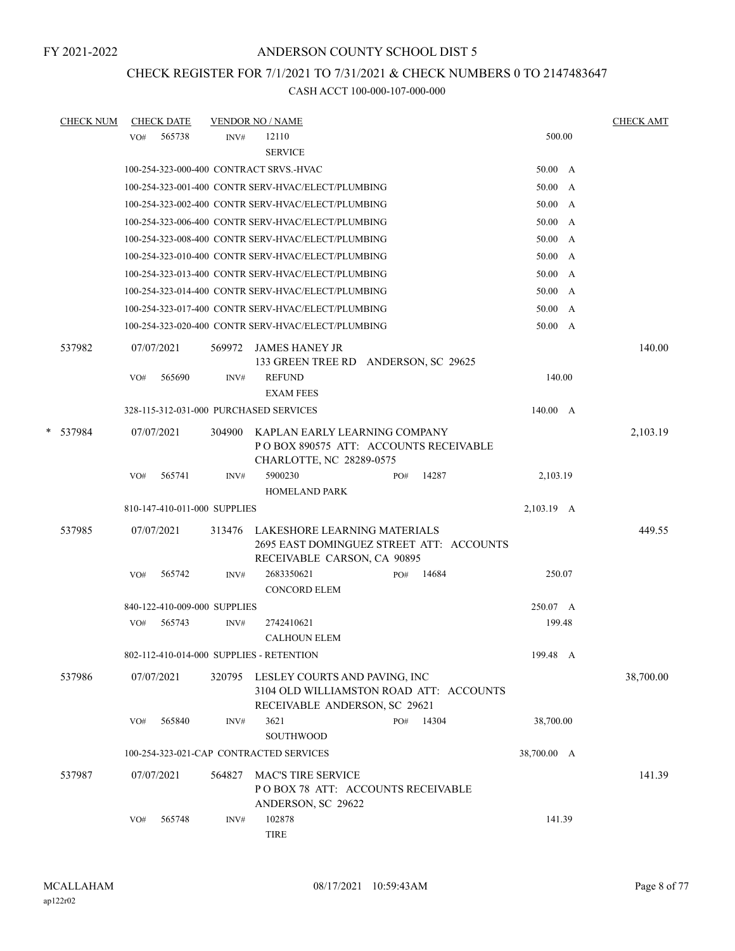# CHECK REGISTER FOR 7/1/2021 TO 7/31/2021 & CHECK NUMBERS 0 TO 2147483647

|        | <b>CHECK NUM</b> |     | <b>CHECK DATE</b>            |        | <b>VENDOR NO / NAME</b>                                                                                        |     |       |                | <b>CHECK AMT</b> |
|--------|------------------|-----|------------------------------|--------|----------------------------------------------------------------------------------------------------------------|-----|-------|----------------|------------------|
|        |                  | VO# | 565738                       | INV#   | 12110<br><b>SERVICE</b>                                                                                        |     |       | 500.00         |                  |
|        |                  |     |                              |        | 100-254-323-000-400 CONTRACT SRVS.-HVAC                                                                        |     |       | $50.00\quad A$ |                  |
|        |                  |     |                              |        | 100-254-323-001-400 CONTR SERV-HVAC/ELECT/PLUMBING                                                             |     |       | 50.00 A        |                  |
|        |                  |     |                              |        | 100-254-323-002-400 CONTR SERV-HVAC/ELECT/PLUMBING                                                             |     |       | 50.00 A        |                  |
|        |                  |     |                              |        | 100-254-323-006-400 CONTR SERV-HVAC/ELECT/PLUMBING                                                             |     |       | 50.00 A        |                  |
|        |                  |     |                              |        | 100-254-323-008-400 CONTR SERV-HVAC/ELECT/PLUMBING                                                             |     |       | 50.00 A        |                  |
|        |                  |     |                              |        | 100-254-323-010-400 CONTR SERV-HVAC/ELECT/PLUMBING                                                             |     |       | 50.00 A        |                  |
|        |                  |     |                              |        | 100-254-323-013-400 CONTR SERV-HVAC/ELECT/PLUMBING                                                             |     |       | 50.00 A        |                  |
|        |                  |     |                              |        | 100-254-323-014-400 CONTR SERV-HVAC/ELECT/PLUMBING                                                             |     |       | 50.00 A        |                  |
|        |                  |     |                              |        | 100-254-323-017-400 CONTR SERV-HVAC/ELECT/PLUMBING                                                             |     |       | $50.00\quad$ A |                  |
|        |                  |     |                              |        | 100-254-323-020-400 CONTR SERV-HVAC/ELECT/PLUMBING                                                             |     |       | 50.00 A        |                  |
|        | 537982           |     | 07/07/2021                   |        | 569972 JAMES HANEY JR                                                                                          |     |       |                | 140.00           |
|        |                  | VO# | 565690                       | INV#   | 133 GREEN TREE RD ANDERSON, SC 29625<br><b>REFUND</b>                                                          |     |       | 140.00         |                  |
|        |                  |     |                              |        | <b>EXAM FEES</b>                                                                                               |     |       |                |                  |
|        |                  |     |                              |        | 328-115-312-031-000 PURCHASED SERVICES                                                                         |     |       | 140.00 A       |                  |
|        |                  |     |                              |        |                                                                                                                |     |       |                |                  |
| $\ast$ | 537984           |     | 07/07/2021                   | 304900 | KAPLAN EARLY LEARNING COMPANY<br>PO BOX 890575 ATT: ACCOUNTS RECEIVABLE<br>CHARLOTTE, NC 28289-0575            |     |       |                | 2,103.19         |
|        |                  | VO# | 565741                       | INV#   | 5900230<br><b>HOMELAND PARK</b>                                                                                | PO# | 14287 | 2,103.19       |                  |
|        |                  |     | 810-147-410-011-000 SUPPLIES |        |                                                                                                                |     |       | 2,103.19 A     |                  |
|        |                  |     |                              |        |                                                                                                                |     |       |                |                  |
|        | 537985           |     | 07/07/2021                   |        | 313476 LAKESHORE LEARNING MATERIALS<br>2695 EAST DOMINGUEZ STREET ATT: ACCOUNTS<br>RECEIVABLE CARSON, CA 90895 |     |       |                | 449.55           |
|        |                  | VO# | 565742                       | INV#   | 2683350621<br><b>CONCORD ELEM</b>                                                                              | PO# | 14684 | 250.07         |                  |
|        |                  |     | 840-122-410-009-000 SUPPLIES |        |                                                                                                                |     |       | 250.07 A       |                  |
|        |                  | VO# | 565743                       | INV#   | 2742410621<br><b>CALHOUN ELEM</b>                                                                              |     |       | 199.48         |                  |
|        |                  |     |                              |        | 802-112-410-014-000 SUPPLIES - RETENTION                                                                       |     |       | 199.48 A       |                  |
|        | 537986           |     | 07/07/2021                   | 320795 | LESLEY COURTS AND PAVING, INC<br>3104 OLD WILLIAMSTON ROAD ATT: ACCOUNTS<br>RECEIVABLE ANDERSON, SC 29621      |     |       |                | 38,700.00        |
|        |                  | VO# | 565840                       | INV#   | 3621<br><b>SOUTHWOOD</b>                                                                                       | PO# | 14304 | 38,700.00      |                  |
|        |                  |     |                              |        | 100-254-323-021-CAP CONTRACTED SERVICES                                                                        |     |       | 38,700.00 A    |                  |
|        | 537987           |     | 07/07/2021                   | 564827 | MAC'S TIRE SERVICE                                                                                             |     |       |                | 141.39           |
|        |                  |     |                              |        | POBOX 78 ATT: ACCOUNTS RECEIVABLE<br>ANDERSON, SC 29622                                                        |     |       |                |                  |
|        |                  | VO# | 565748                       | INV#   | 102878<br><b>TIRE</b>                                                                                          |     |       | 141.39         |                  |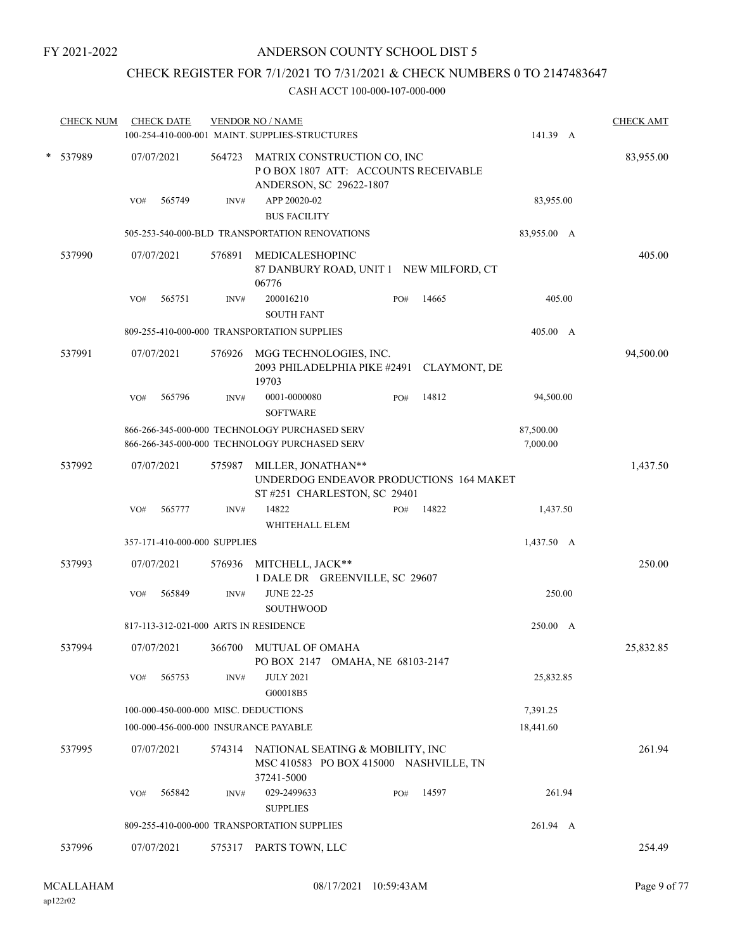# CHECK REGISTER FOR 7/1/2021 TO 7/31/2021 & CHECK NUMBERS 0 TO 2147483647

| <b>CHECK NUM</b> | <b>CHECK DATE</b>                     |        | <b>VENDOR NO / NAME</b><br>100-254-410-000-001 MAINT. SUPPLIES-STRUCTURES                      | 141.39 A              | <b>CHECK AMT</b> |  |  |  |
|------------------|---------------------------------------|--------|------------------------------------------------------------------------------------------------|-----------------------|------------------|--|--|--|
| * 537989         | 07/07/2021                            | 564723 | MATRIX CONSTRUCTION CO, INC<br>POBOX 1807 ATT: ACCOUNTS RECEIVABLE<br>ANDERSON, SC 29622-1807  | 83,955.00             |                  |  |  |  |
|                  | 565749<br>VO#                         | INV#   | APP 20020-02<br><b>BUS FACILITY</b>                                                            | 83,955.00             |                  |  |  |  |
|                  |                                       |        | 505-253-540-000-BLD TRANSPORTATION RENOVATIONS                                                 | 83,955.00 A           |                  |  |  |  |
| 537990           | 07/07/2021                            | 576891 | MEDICALESHOPINC<br>87 DANBURY ROAD, UNIT 1 NEW MILFORD, CT<br>06776                            |                       | 405.00           |  |  |  |
|                  | 565751<br>VO#                         | INV#   | 200016210<br>14665<br>PO#<br><b>SOUTH FANT</b>                                                 | 405.00                |                  |  |  |  |
|                  |                                       |        | 809-255-410-000-000 TRANSPORTATION SUPPLIES                                                    | 405.00 A              |                  |  |  |  |
| 537991           | 07/07/2021                            | 576926 | MGG TECHNOLOGIES, INC.<br>2093 PHILADELPHIA PIKE #2491 CLAYMONT, DE<br>19703                   |                       | 94,500.00        |  |  |  |
|                  | 565796<br>VO#                         | INV#   | 14812<br>0001-0000080<br>PO#<br><b>SOFTWARE</b>                                                | 94,500.00             |                  |  |  |  |
|                  |                                       |        | 866-266-345-000-000 TECHNOLOGY PURCHASED SERV<br>866-266-345-000-000 TECHNOLOGY PURCHASED SERV | 87,500.00<br>7,000.00 |                  |  |  |  |
| 537992           | 07/07/2021                            | 575987 | MILLER, JONATHAN**<br>UNDERDOG ENDEAVOR PRODUCTIONS 164 MAKET<br>ST #251 CHARLESTON, SC 29401  |                       | 1,437.50         |  |  |  |
|                  | 565777<br>VO#                         | INV#   | 14822<br>14822<br>PO#<br>WHITEHALL ELEM                                                        | 1,437.50              |                  |  |  |  |
|                  | 357-171-410-000-000 SUPPLIES          |        |                                                                                                | 1,437.50 A            |                  |  |  |  |
| 537993           | 07/07/2021                            | 576936 | MITCHELL, JACK**<br>1 DALE DR GREENVILLE, SC 29607                                             |                       | 250.00           |  |  |  |
|                  | VO#<br>565849                         | INV#   | <b>JUNE 22-25</b><br><b>SOUTHWOOD</b>                                                          | 250.00                |                  |  |  |  |
|                  | 817-113-312-021-000 ARTS IN RESIDENCE |        |                                                                                                | 250.00 A              |                  |  |  |  |
| 537994           | 07/07/2021                            | 366700 | <b>MUTUAL OF OMAHA</b><br>PO BOX 2147 OMAHA, NE 68103-2147                                     |                       | 25,832.85        |  |  |  |
|                  | 565753<br>VO#                         | INV#   | <b>JULY 2021</b><br>G00018B5                                                                   | 25,832.85             |                  |  |  |  |
|                  | 100-000-450-000-000 MISC. DEDUCTIONS  |        |                                                                                                | 7,391.25              |                  |  |  |  |
|                  | 100-000-456-000-000 INSURANCE PAYABLE |        |                                                                                                | 18,441.60             |                  |  |  |  |
| 537995           | 07/07/2021                            | 574314 | NATIONAL SEATING & MOBILITY, INC<br>MSC 410583 PO BOX 415000 NASHVILLE, TN<br>37241-5000       |                       | 261.94           |  |  |  |
|                  | 565842<br>VO#                         | INV#   | 14597<br>029-2499633<br>PO#<br><b>SUPPLIES</b>                                                 | 261.94                |                  |  |  |  |
|                  |                                       |        | 809-255-410-000-000 TRANSPORTATION SUPPLIES                                                    | 261.94 A              |                  |  |  |  |
| 537996           | 07/07/2021                            | 575317 | PARTS TOWN, LLC                                                                                |                       | 254.49           |  |  |  |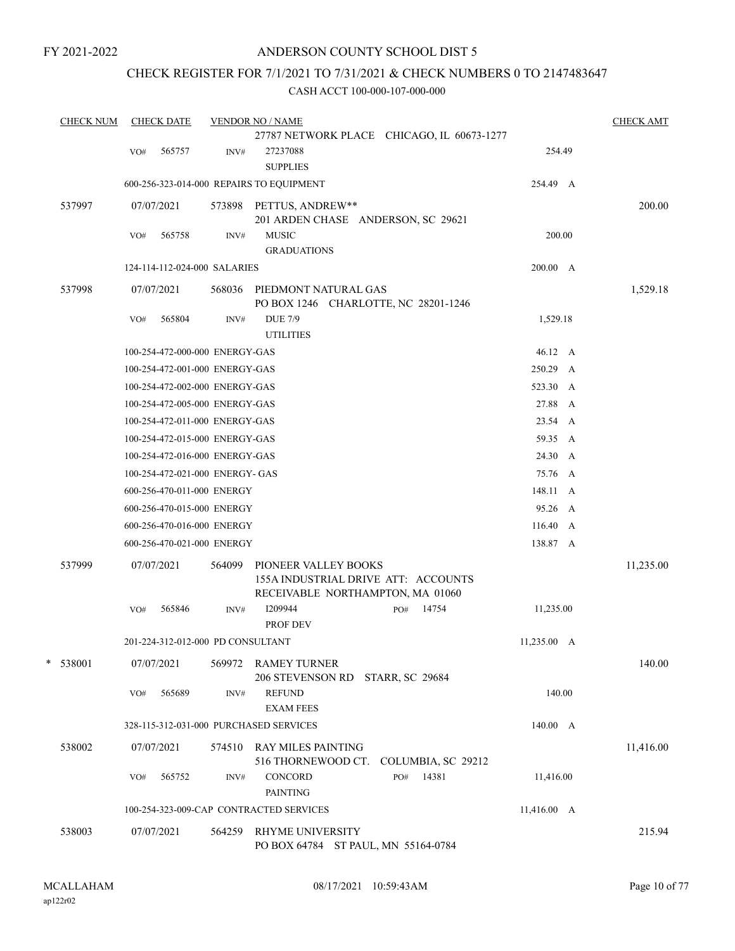# ANDERSON COUNTY SCHOOL DIST 5

# CHECK REGISTER FOR 7/1/2021 TO 7/31/2021 & CHECK NUMBERS 0 TO 2147483647

| <b>CHECK NUM</b> |     | <b>CHECK DATE</b>                 |        | <b>VENDOR NO / NAME</b>                                                                         |             | <b>CHECK AMT</b> |
|------------------|-----|-----------------------------------|--------|-------------------------------------------------------------------------------------------------|-------------|------------------|
|                  |     |                                   |        | 27787 NETWORK PLACE CHICAGO, IL 60673-1277                                                      |             |                  |
|                  | VO# | 565757                            | INV#   | 27237088                                                                                        | 254.49      |                  |
|                  |     |                                   |        | <b>SUPPLIES</b>                                                                                 |             |                  |
|                  |     |                                   |        | 600-256-323-014-000 REPAIRS TO EQUIPMENT                                                        | 254.49 A    |                  |
| 537997           |     | 07/07/2021                        | 573898 | PETTUS, ANDREW**<br>201 ARDEN CHASE ANDERSON, SC 29621                                          |             | 200.00           |
|                  | VO# | 565758                            | INV#   | <b>MUSIC</b>                                                                                    | 200.00      |                  |
|                  |     |                                   |        | <b>GRADUATIONS</b>                                                                              |             |                  |
|                  |     | 124-114-112-024-000 SALARIES      |        |                                                                                                 | 200.00 A    |                  |
| 537998           |     | 07/07/2021                        | 568036 | PIEDMONT NATURAL GAS<br>PO BOX 1246 CHARLOTTE, NC 28201-1246                                    |             | 1,529.18         |
|                  | VO# | 565804                            | INV#   | <b>DUE 7/9</b><br><b>UTILITIES</b>                                                              | 1,529.18    |                  |
|                  |     | 100-254-472-000-000 ENERGY-GAS    |        |                                                                                                 | 46.12 A     |                  |
|                  |     | 100-254-472-001-000 ENERGY-GAS    |        |                                                                                                 | 250.29 A    |                  |
|                  |     | 100-254-472-002-000 ENERGY-GAS    |        |                                                                                                 | 523.30 A    |                  |
|                  |     | 100-254-472-005-000 ENERGY-GAS    |        |                                                                                                 | 27.88 A     |                  |
|                  |     | 100-254-472-011-000 ENERGY-GAS    |        |                                                                                                 | 23.54 A     |                  |
|                  |     | 100-254-472-015-000 ENERGY-GAS    |        |                                                                                                 | 59.35 A     |                  |
|                  |     | 100-254-472-016-000 ENERGY-GAS    |        |                                                                                                 | 24.30 A     |                  |
|                  |     | 100-254-472-021-000 ENERGY- GAS   |        |                                                                                                 | 75.76 A     |                  |
|                  |     | 600-256-470-011-000 ENERGY        |        |                                                                                                 | 148.11 A    |                  |
|                  |     | 600-256-470-015-000 ENERGY        |        |                                                                                                 | 95.26 A     |                  |
|                  |     | 600-256-470-016-000 ENERGY        |        |                                                                                                 | 116.40 A    |                  |
|                  |     | 600-256-470-021-000 ENERGY        |        |                                                                                                 | 138.87 A    |                  |
| 537999           |     | 07/07/2021                        | 564099 | PIONEER VALLEY BOOKS<br>155A INDUSTRIAL DRIVE ATT: ACCOUNTS<br>RECEIVABLE NORTHAMPTON, MA 01060 |             | 11,235.00        |
|                  | VO# | 565846                            | INV#   | I209944<br>14754<br>PO#<br>PROF DEV                                                             | 11,235.00   |                  |
|                  |     | 201-224-312-012-000 PD CONSULTANT |        |                                                                                                 | 11,235.00 A |                  |
| $*$ 538001       |     | 07/07/2021                        | 569972 | <b>RAMEY TURNER</b><br>206 STEVENSON RD STARR, SC 29684                                         |             | 140.00           |
|                  | VO# | 565689                            | INV#   | <b>REFUND</b><br><b>EXAM FEES</b>                                                               | 140.00      |                  |
|                  |     |                                   |        | 328-115-312-031-000 PURCHASED SERVICES                                                          | 140.00 A    |                  |
| 538002           |     | 07/07/2021                        | 574510 | <b>RAY MILES PAINTING</b><br>516 THORNEWOOD CT.<br>COLUMBIA, SC 29212                           |             | 11,416.00        |
|                  | VO# | 565752                            | INV#   | CONCORD<br>14381<br>PO#<br><b>PAINTING</b>                                                      | 11,416.00   |                  |
|                  |     |                                   |        | 100-254-323-009-CAP CONTRACTED SERVICES                                                         | 11,416.00 A |                  |
| 538003           |     | 07/07/2021                        | 564259 | <b>RHYME UNIVERSITY</b><br>PO BOX 64784 ST PAUL, MN 55164-0784                                  |             | 215.94           |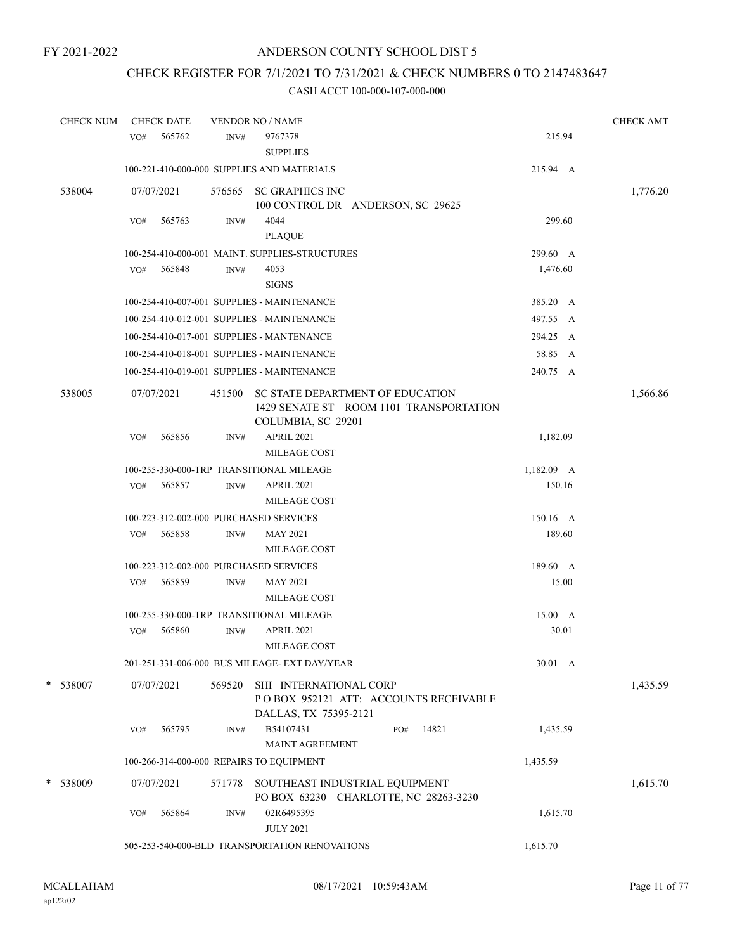# CHECK REGISTER FOR 7/1/2021 TO 7/31/2021 & CHECK NUMBERS 0 TO 2147483647

| <b>CHECK NUM</b> |     | <b>CHECK DATE</b> |        | <b>VENDOR NO / NAME</b>                                                                           |              | <b>CHECK AMT</b> |
|------------------|-----|-------------------|--------|---------------------------------------------------------------------------------------------------|--------------|------------------|
|                  | VO# | 565762            | INV#   | 9767378<br><b>SUPPLIES</b>                                                                        | 215.94       |                  |
|                  |     |                   |        | 100-221-410-000-000 SUPPLIES AND MATERIALS                                                        | 215.94 A     |                  |
| 538004           |     | 07/07/2021        |        | 576565 SC GRAPHICS INC<br>100 CONTROL DR ANDERSON, SC 29625                                       |              | 1,776.20         |
|                  | VO# | 565763            | INV#   | 4044<br><b>PLAQUE</b>                                                                             | 299.60       |                  |
|                  |     |                   |        | 100-254-410-000-001 MAINT, SUPPLIES-STRUCTURES                                                    | 299.60 A     |                  |
|                  | VO# | 565848            | INV#   | 4053<br><b>SIGNS</b>                                                                              | 1,476.60     |                  |
|                  |     |                   |        | 100-254-410-007-001 SUPPLIES - MAINTENANCE                                                        | 385.20 A     |                  |
|                  |     |                   |        | 100-254-410-012-001 SUPPLIES - MAINTENANCE                                                        | 497.55 A     |                  |
|                  |     |                   |        | 100-254-410-017-001 SUPPLIES - MANTENANCE                                                         | 294.25 A     |                  |
|                  |     |                   |        | 100-254-410-018-001 SUPPLIES - MAINTENANCE                                                        | 58.85 A      |                  |
|                  |     |                   |        | 100-254-410-019-001 SUPPLIES - MAINTENANCE                                                        | 240.75 A     |                  |
| 538005           |     | 07/07/2021        | 451500 | SC STATE DEPARTMENT OF EDUCATION<br>1429 SENATE ST ROOM 1101 TRANSPORTATION<br>COLUMBIA, SC 29201 |              | 1,566.86         |
|                  | VO# | 565856            | INV#   | <b>APRIL 2021</b><br>MILEAGE COST                                                                 | 1,182.09     |                  |
|                  |     |                   |        | 100-255-330-000-TRP TRANSITIONAL MILEAGE                                                          | $1,182.09$ A |                  |
|                  | VO# | 565857            | INV#   | <b>APRIL 2021</b>                                                                                 | 150.16       |                  |
|                  |     |                   |        | MILEAGE COST                                                                                      |              |                  |
|                  |     |                   |        | 100-223-312-002-000 PURCHASED SERVICES                                                            | 150.16 A     |                  |
|                  | VO# | 565858            | INV#   | <b>MAY 2021</b><br>MILEAGE COST                                                                   | 189.60       |                  |
|                  |     |                   |        | 100-223-312-002-000 PURCHASED SERVICES                                                            | 189.60 A     |                  |
|                  | VO# | 565859            | INV#   | <b>MAY 2021</b><br>MILEAGE COST                                                                   | 15.00        |                  |
|                  |     |                   |        | 100-255-330-000-TRP TRANSITIONAL MILEAGE                                                          | 15.00 A      |                  |
|                  | VO# | 565860            | INV#   | <b>APRIL 2021</b><br><b>MILEAGE COST</b>                                                          | 30.01        |                  |
|                  |     |                   |        | 201-251-331-006-000 BUS MILEAGE- EXT DAY/YEAR                                                     | 30.01 A      |                  |
| * 538007         |     | 07/07/2021        | 569520 | SHI INTERNATIONAL CORP<br>POBOX 952121 ATT: ACCOUNTS RECEIVABLE<br>DALLAS, TX 75395-2121          |              | 1,435.59         |
|                  | VO# | 565795            | INV#   | B54107431<br>14821<br>PO#<br>MAINT AGREEMENT                                                      | 1,435.59     |                  |
|                  |     |                   |        | 100-266-314-000-000 REPAIRS TO EQUIPMENT                                                          | 1,435.59     |                  |
| * 538009         |     | 07/07/2021        | 571778 | SOUTHEAST INDUSTRIAL EQUIPMENT<br>PO BOX 63230 CHARLOTTE, NC 28263-3230                           |              | 1,615.70         |
|                  | VO# | 565864            | INV#   | 02R6495395<br><b>JULY 2021</b>                                                                    | 1,615.70     |                  |
|                  |     |                   |        | 505-253-540-000-BLD TRANSPORTATION RENOVATIONS                                                    | 1,615.70     |                  |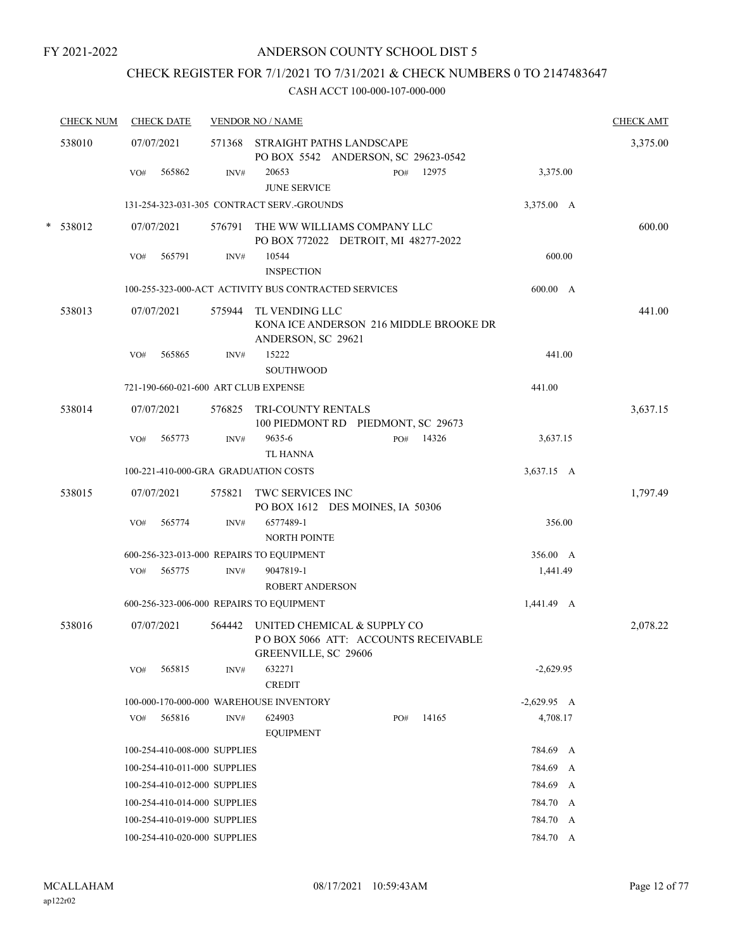# CHECK REGISTER FOR 7/1/2021 TO 7/31/2021 & CHECK NUMBERS 0 TO 2147483647

| <b>CHECK NUM</b> |            | <b>CHECK DATE</b>            |        | <b>VENDOR NO / NAME</b>                                                                     |     |       |               |        | <b>CHECK AMT</b> |
|------------------|------------|------------------------------|--------|---------------------------------------------------------------------------------------------|-----|-------|---------------|--------|------------------|
| 538010           | 07/07/2021 |                              |        | 571368 STRAIGHT PATHS LANDSCAPE<br>PO BOX 5542 ANDERSON, SC 29623-0542                      |     |       |               |        | 3,375.00         |
|                  | VO#        | 565862                       | INV#   | 20653<br><b>JUNE SERVICE</b>                                                                | PO# | 12975 | 3,375.00      |        |                  |
|                  |            |                              |        | 131-254-323-031-305 CONTRACT SERV.-GROUNDS                                                  |     |       | 3,375.00 A    |        |                  |
| * 538012         | 07/07/2021 |                              | 576791 | THE WW WILLIAMS COMPANY LLC<br>PO BOX 772022 DETROIT, MI 48277-2022                         |     |       |               |        | 600.00           |
|                  | VO#        | 565791                       | INV#   | 10544<br><b>INSPECTION</b>                                                                  |     |       |               | 600.00 |                  |
|                  |            |                              |        | 100-255-323-000-ACT ACTIVITY BUS CONTRACTED SERVICES                                        |     |       | 600.00 A      |        |                  |
| 538013           | 07/07/2021 |                              | 575944 | TL VENDING LLC<br>KONA ICE ANDERSON 216 MIDDLE BROOKE DR<br>ANDERSON, SC 29621              |     |       |               |        | 441.00           |
|                  | VO#        | 565865                       | INV#   | 15222<br><b>SOUTHWOOD</b>                                                                   |     |       | 441.00        |        |                  |
|                  |            |                              |        | 721-190-660-021-600 ART CLUB EXPENSE                                                        |     |       | 441.00        |        |                  |
| 538014           | 07/07/2021 |                              | 576825 | TRI-COUNTY RENTALS<br>100 PIEDMONT RD PIEDMONT, SC 29673                                    |     |       |               |        | 3,637.15         |
|                  | VO#        | 565773                       | INV#   | 9635-6<br><b>TL HANNA</b>                                                                   | PO# | 14326 | 3,637.15      |        |                  |
|                  |            |                              |        | 100-221-410-000-GRA GRADUATION COSTS                                                        |     |       | 3,637.15 A    |        |                  |
| 538015           | 07/07/2021 |                              | 575821 | TWC SERVICES INC<br>PO BOX 1612 DES MOINES, IA 50306                                        |     |       |               |        | 1,797.49         |
|                  | VO#        | 565774                       | INV#   | 6577489-1<br><b>NORTH POINTE</b>                                                            |     |       |               | 356.00 |                  |
|                  |            |                              |        | 600-256-323-013-000 REPAIRS TO EQUIPMENT                                                    |     |       | 356.00 A      |        |                  |
|                  | VO#        | 565775                       | INV#   | 9047819-1<br><b>ROBERT ANDERSON</b>                                                         |     |       | 1,441.49      |        |                  |
|                  |            |                              |        | 600-256-323-006-000 REPAIRS TO EQUIPMENT                                                    |     |       | 1,441.49 A    |        |                  |
| 538016           | 07/07/2021 |                              | 564442 | UNITED CHEMICAL & SUPPLY CO<br>PO BOX 5066 ATT: ACCOUNTS RECEIVABLE<br>GREENVILLE, SC 29606 |     |       |               |        | 2,078.22         |
|                  | VO#        | 565815                       | INV#   | 632271<br><b>CREDIT</b>                                                                     |     |       | $-2,629.95$   |        |                  |
|                  |            |                              |        | 100-000-170-000-000 WAREHOUSE INVENTORY                                                     |     |       | $-2,629.95$ A |        |                  |
|                  | VO#        | 565816                       | INV#   | 624903<br><b>EQUIPMENT</b>                                                                  | PO# | 14165 | 4,708.17      |        |                  |
|                  |            | 100-254-410-008-000 SUPPLIES |        |                                                                                             |     |       | 784.69 A      |        |                  |
|                  |            | 100-254-410-011-000 SUPPLIES |        |                                                                                             |     |       | 784.69 A      |        |                  |
|                  |            | 100-254-410-012-000 SUPPLIES |        |                                                                                             |     |       | 784.69 A      |        |                  |
|                  |            | 100-254-410-014-000 SUPPLIES |        |                                                                                             |     |       | 784.70 A      |        |                  |
|                  |            | 100-254-410-019-000 SUPPLIES |        |                                                                                             |     |       | 784.70 A      |        |                  |
|                  |            | 100-254-410-020-000 SUPPLIES |        |                                                                                             |     |       | 784.70 A      |        |                  |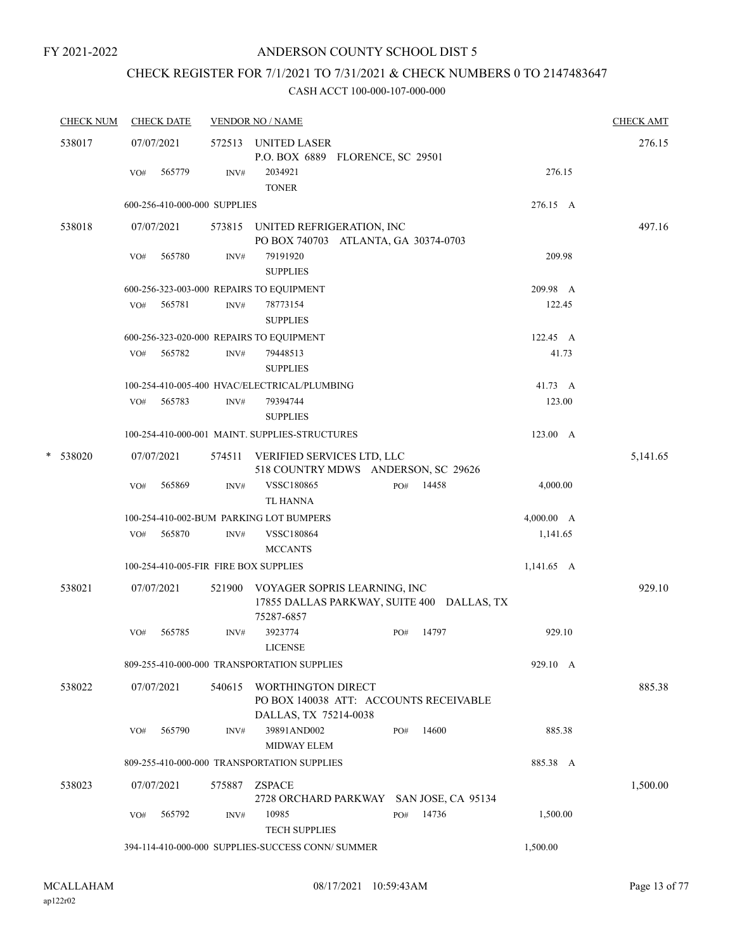# CHECK REGISTER FOR 7/1/2021 TO 7/31/2021 & CHECK NUMBERS 0 TO 2147483647

|  | <b>CHECK NUM</b> |     | <b>CHECK DATE</b>            |        | <b>VENDOR NO / NAME</b>                                                                         |              |              | <b>CHECK AMT</b> |
|--|------------------|-----|------------------------------|--------|-------------------------------------------------------------------------------------------------|--------------|--------------|------------------|
|  | 538017           |     | 07/07/2021                   |        | 572513 UNITED LASER<br>P.O. BOX 6889 FLORENCE, SC 29501                                         |              |              | 276.15           |
|  |                  | VO# | 565779                       | INV#   | 2034921<br><b>TONER</b>                                                                         |              | 276.15       |                  |
|  |                  |     | 600-256-410-000-000 SUPPLIES |        |                                                                                                 |              | 276.15 A     |                  |
|  | 538018           |     | 07/07/2021                   |        | 573815 UNITED REFRIGERATION, INC                                                                |              |              | 497.16           |
|  |                  |     |                              |        | PO BOX 740703 ATLANTA, GA 30374-0703                                                            |              |              |                  |
|  |                  | VO# | 565780                       | INV#   | 79191920<br><b>SUPPLIES</b>                                                                     |              | 209.98       |                  |
|  |                  |     |                              |        | 600-256-323-003-000 REPAIRS TO EQUIPMENT                                                        |              | 209.98 A     |                  |
|  |                  | VO# | 565781                       | INV#   | 78773154                                                                                        |              | 122.45       |                  |
|  |                  |     |                              |        | <b>SUPPLIES</b>                                                                                 |              |              |                  |
|  |                  |     |                              |        | 600-256-323-020-000 REPAIRS TO EQUIPMENT                                                        |              | 122.45 A     |                  |
|  |                  |     | VO# 565782                   | INV#   | 79448513<br><b>SUPPLIES</b>                                                                     |              | 41.73        |                  |
|  |                  |     |                              |        | 100-254-410-005-400 HVAC/ELECTRICAL/PLUMBING                                                    |              | 41.73 A      |                  |
|  |                  | VO# | 565783                       | INV#   | 79394744<br><b>SUPPLIES</b>                                                                     |              | 123.00       |                  |
|  |                  |     |                              |        | 100-254-410-000-001 MAINT. SUPPLIES-STRUCTURES                                                  |              | 123.00 A     |                  |
|  | * 538020         |     | 07/07/2021                   | 574511 | VERIFIED SERVICES LTD, LLC<br>518 COUNTRY MDWS ANDERSON, SC 29626                               |              |              | 5,141.65         |
|  |                  | VO# | 565869                       | INV#   | VSSC180865                                                                                      | 14458<br>PO# | 4,000.00     |                  |
|  |                  |     |                              |        | <b>TL HANNA</b>                                                                                 |              |              |                  |
|  |                  |     |                              |        | 100-254-410-002-BUM PARKING LOT BUMPERS                                                         |              | 4,000.00 A   |                  |
|  |                  | VO# | 565870                       | INV#   | VSSC180864                                                                                      |              | 1,141.65     |                  |
|  |                  |     |                              |        | <b>MCCANTS</b>                                                                                  |              |              |                  |
|  |                  |     |                              |        | 100-254-410-005-FIR FIRE BOX SUPPLIES                                                           |              | $1,141.65$ A |                  |
|  | 538021           |     | 07/07/2021                   |        | 521900 VOYAGER SOPRIS LEARNING, INC<br>17855 DALLAS PARKWAY, SUITE 400 DALLAS, TX<br>75287-6857 |              |              | 929.10           |
|  |                  | VO# | 565785                       | INV#   | 3923774<br><b>LICENSE</b>                                                                       | 14797<br>PO# | 929.10       |                  |
|  |                  |     |                              |        | 809-255-410-000-000 TRANSPORTATION SUPPLIES                                                     |              | 929.10 A     |                  |
|  | 538022           |     | 07/07/2021                   | 540615 | WORTHINGTON DIRECT<br>PO BOX 140038 ATT: ACCOUNTS RECEIVABLE<br>DALLAS, TX 75214-0038           |              |              | 885.38           |
|  |                  | VO# | 565790                       | INV#   | 39891AND002<br>MIDWAY ELEM                                                                      | 14600<br>PO# | 885.38       |                  |
|  |                  |     |                              |        | 809-255-410-000-000 TRANSPORTATION SUPPLIES                                                     |              | 885.38 A     |                  |
|  | 538023           |     | 07/07/2021                   | 575887 | <b>ZSPACE</b><br>2728 ORCHARD PARKWAY SAN JOSE, CA 95134                                        |              |              | 1,500.00         |
|  |                  | VO# | 565792                       | INV#   | 10985<br>TECH SUPPLIES                                                                          | 14736<br>PO# | 1,500.00     |                  |
|  |                  |     |                              |        | 394-114-410-000-000 SUPPLIES-SUCCESS CONN/ SUMMER                                               |              | 1,500.00     |                  |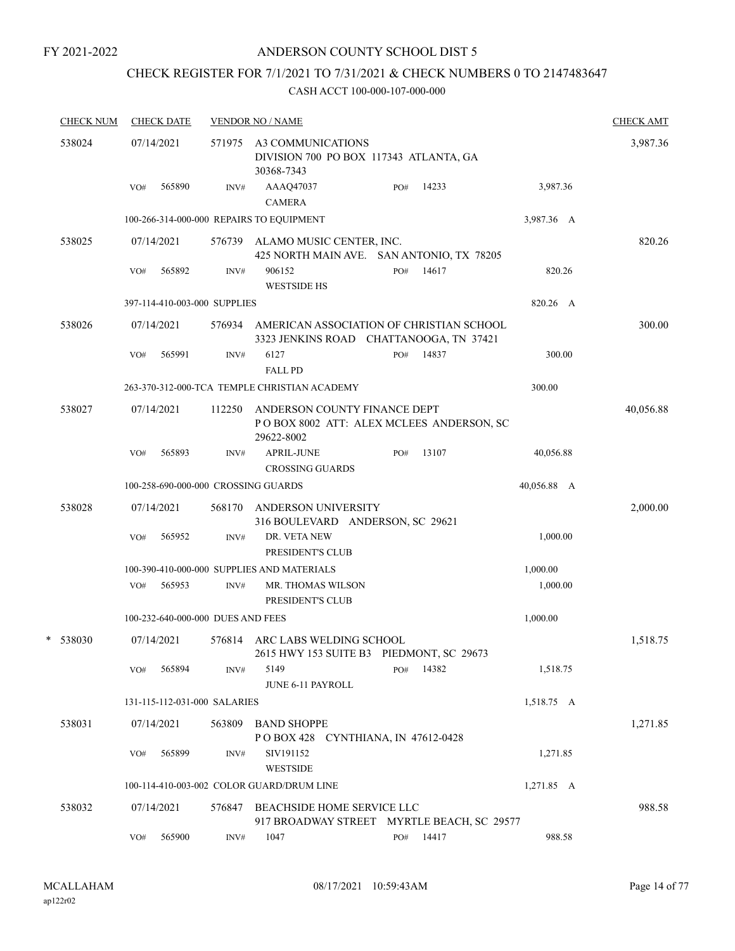# CHECK REGISTER FOR 7/1/2021 TO 7/31/2021 & CHECK NUMBERS 0 TO 2147483647

|  | <b>CHECK NUM</b> |                              | <b>CHECK DATE</b> |                                   | <b>VENDOR NO / NAME</b>                                                                |     |           |             | <b>CHECK AMT</b> |
|--|------------------|------------------------------|-------------------|-----------------------------------|----------------------------------------------------------------------------------------|-----|-----------|-------------|------------------|
|  | 538024           |                              | 07/14/2021        |                                   | 571975 A3 COMMUNICATIONS<br>DIVISION 700 PO BOX 117343 ATLANTA, GA<br>30368-7343       |     |           |             | 3,987.36         |
|  |                  | VO#                          | 565890            | INV#                              | AAAQ47037<br><b>CAMERA</b>                                                             | PO# | 14233     | 3,987.36    |                  |
|  |                  |                              |                   |                                   | 100-266-314-000-000 REPAIRS TO EQUIPMENT                                               |     |           | 3,987.36 A  |                  |
|  | 538025           |                              | 07/14/2021        | 576739                            | ALAMO MUSIC CENTER, INC.                                                               |     |           |             | 820.26           |
|  |                  |                              |                   |                                   | 425 NORTH MAIN AVE. SAN ANTONIO, TX 78205                                              |     |           |             |                  |
|  |                  | VO#                          | 565892            | INV#                              | 906152<br><b>WESTSIDE HS</b>                                                           | PO# | 14617     | 820.26      |                  |
|  |                  | 397-114-410-003-000 SUPPLIES |                   |                                   |                                                                                        |     |           |             |                  |
|  | 538026           |                              | 07/14/2021        | 576934                            | AMERICAN ASSOCIATION OF CHRISTIAN SCHOOL<br>3323 JENKINS ROAD CHATTANOOGA, TN 37421    |     |           |             | 300.00           |
|  |                  | VO#                          | 565991            | INV#                              | 6127<br><b>FALL PD</b>                                                                 | PO# | 14837     | 300.00      |                  |
|  |                  |                              |                   |                                   | 263-370-312-000-TCA TEMPLE CHRISTIAN ACADEMY                                           |     |           | 300.00      |                  |
|  | 538027           |                              | 07/14/2021        | 112250                            | ANDERSON COUNTY FINANCE DEPT<br>POBOX 8002 ATT: ALEX MCLEES ANDERSON, SC<br>29622-8002 |     |           |             | 40,056.88        |
|  |                  | VO#                          | 565893            | INV#                              | <b>APRIL-JUNE</b><br><b>CROSSING GUARDS</b>                                            | PO# | 13107     | 40,056.88   |                  |
|  |                  |                              |                   |                                   | 100-258-690-000-000 CROSSING GUARDS                                                    |     |           | 40,056.88 A |                  |
|  | 538028           |                              | 07/14/2021        | 568170                            | ANDERSON UNIVERSITY<br>316 BOULEVARD ANDERSON, SC 29621                                |     |           |             | 2,000.00         |
|  |                  | VO#                          | 565952            | INV#                              | DR. VETA NEW<br>PRESIDENT'S CLUB                                                       |     |           | 1,000.00    |                  |
|  |                  |                              |                   |                                   | 100-390-410-000-000 SUPPLIES AND MATERIALS                                             |     |           | 1,000.00    |                  |
|  |                  | VO#                          | 565953            | INV#                              | <b>MR. THOMAS WILSON</b><br>PRESIDENT'S CLUB                                           |     |           | 1,000.00    |                  |
|  |                  |                              |                   | 100-232-640-000-000 DUES AND FEES |                                                                                        |     |           | 1,000.00    |                  |
|  | * 538030         |                              | 07/14/2021        | 576814                            | ARC LABS WELDING SCHOOL<br>2615 HWY 153 SUITE B3 PIEDMONT, SC 29673                    |     |           |             | 1,518.75         |
|  |                  | VO#                          | 565894            | INV#                              | 5149<br>JUNE 6-11 PAYROLL                                                              | PO# | 14382     | 1,518.75    |                  |
|  |                  |                              |                   | 131-115-112-031-000 SALARIES      |                                                                                        |     |           | 1,518.75 A  |                  |
|  | 538031           |                              | 07/14/2021        | 563809                            | <b>BAND SHOPPE</b><br>POBOX 428 CYNTHIANA, IN 47612-0428                               |     |           |             | 1,271.85         |
|  |                  | VO#                          | 565899            | INV#                              | SIV191152<br><b>WESTSIDE</b>                                                           |     |           | 1,271.85    |                  |
|  |                  |                              |                   |                                   | 100-114-410-003-002 COLOR GUARD/DRUM LINE                                              |     |           | 1,271.85 A  |                  |
|  | 538032           |                              | 07/14/2021        | 576847                            | BEACHSIDE HOME SERVICE LLC<br>917 BROADWAY STREET MYRTLE BEACH, SC 29577               |     |           |             | 988.58           |
|  |                  | VO#                          | 565900            | INV#                              | 1047                                                                                   |     | PO# 14417 | 988.58      |                  |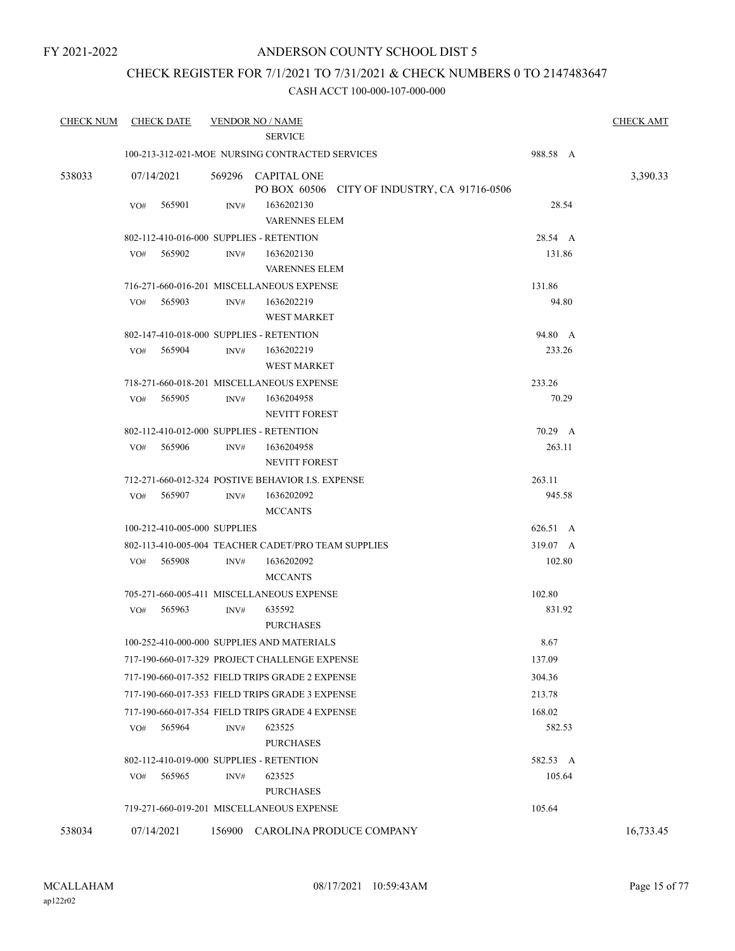# CHECK REGISTER FOR 7/1/2021 TO 7/31/2021 & CHECK NUMBERS 0 TO 2147483647

| <b>CHECK NUM</b> | <b>CHECK DATE</b>            | <b>VENDOR NO / NAME</b><br><b>SERVICE</b>                          |          | <b>CHECK AMT</b> |  |
|------------------|------------------------------|--------------------------------------------------------------------|----------|------------------|--|
|                  |                              | 100-213-312-021-MOE NURSING CONTRACTED SERVICES                    | 988.58 A |                  |  |
| 538033           | 07/14/2021                   | 569296 CAPITAL ONE<br>PO BOX 60506 CITY OF INDUSTRY, CA 91716-0506 |          | 3,390.33         |  |
|                  | VO#<br>565901                | 1636202130<br>INV#<br><b>VARENNES ELEM</b>                         | 28.54    |                  |  |
|                  |                              | 802-112-410-016-000 SUPPLIES - RETENTION                           | 28.54 A  |                  |  |
|                  | 565902<br>VO#                | 1636202130<br>INV#<br><b>VARENNES ELEM</b>                         | 131.86   |                  |  |
|                  |                              | 716-271-660-016-201 MISCELLANEOUS EXPENSE                          | 131.86   |                  |  |
|                  | 565903<br>VO#                | INV#<br>1636202219<br><b>WEST MARKET</b>                           | 94.80    |                  |  |
|                  |                              | 802-147-410-018-000 SUPPLIES - RETENTION                           | 94.80 A  |                  |  |
|                  | 565904<br>VO#                | 1636202219<br>INV#<br><b>WEST MARKET</b>                           | 233.26   |                  |  |
|                  |                              | 718-271-660-018-201 MISCELLANEOUS EXPENSE                          | 233.26   |                  |  |
|                  | 565905<br>VO#                | INV#<br>1636204958<br>NEVITT FOREST                                | 70.29    |                  |  |
|                  |                              | 802-112-410-012-000 SUPPLIES - RETENTION                           | 70.29 A  |                  |  |
|                  | 565906<br>VO#                | INV#<br>1636204958<br><b>NEVITT FOREST</b>                         | 263.11   |                  |  |
|                  |                              | 712-271-660-012-324 POSTIVE BEHAVIOR I.S. EXPENSE                  | 263.11   |                  |  |
|                  | 565907<br>VO#                | INV#<br>1636202092<br><b>MCCANTS</b>                               | 945.58   |                  |  |
|                  | 100-212-410-005-000 SUPPLIES |                                                                    | 626.51 A |                  |  |
|                  |                              | 802-113-410-005-004 TEACHER CADET/PRO TEAM SUPPLIES                | 319.07 A |                  |  |
|                  | 565908<br>VO#                | INV#<br>1636202092<br><b>MCCANTS</b>                               | 102.80   |                  |  |
|                  |                              | 705-271-660-005-411 MISCELLANEOUS EXPENSE                          | 102.80   |                  |  |
|                  | 565963<br>VO#                | 635592<br>INV#<br><b>PURCHASES</b>                                 | 831.92   |                  |  |
|                  |                              | 100-252-410-000-000 SUPPLIES AND MATERIALS                         | 8.67     |                  |  |
|                  |                              | 717-190-660-017-329 PROJECT CHALLENGE EXPENSE                      | 137.09   |                  |  |
|                  |                              | 717-190-660-017-352 FIELD TRIPS GRADE 2 EXPENSE                    | 304.36   |                  |  |
|                  |                              | 717-190-660-017-353 FIELD TRIPS GRADE 3 EXPENSE                    | 213.78   |                  |  |
|                  |                              | 717-190-660-017-354 FIELD TRIPS GRADE 4 EXPENSE                    | 168.02   |                  |  |
|                  | 565964<br>VO#                | 623525<br>INV#<br><b>PURCHASES</b>                                 | 582.53   |                  |  |
|                  |                              | 802-112-410-019-000 SUPPLIES - RETENTION                           | 582.53 A |                  |  |
|                  | 565965<br>VO#                | 623525<br>INV#<br><b>PURCHASES</b>                                 | 105.64   |                  |  |
|                  |                              | 719-271-660-019-201 MISCELLANEOUS EXPENSE                          | 105.64   |                  |  |
| 538034           | 07/14/2021                   | CAROLINA PRODUCE COMPANY<br>156900                                 |          | 16,733.45        |  |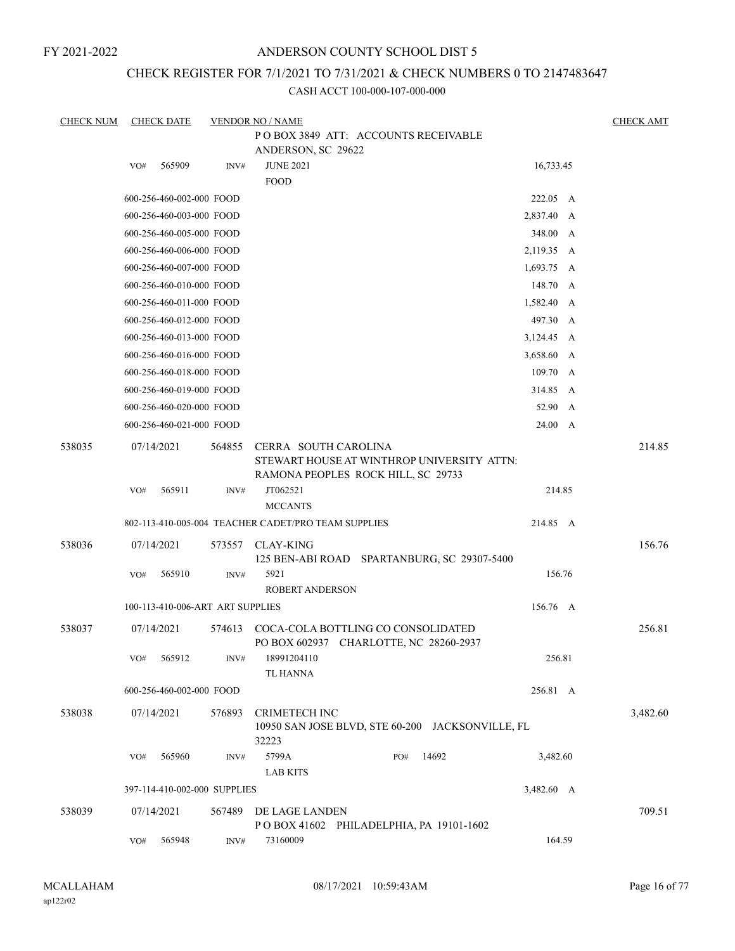# ANDERSON COUNTY SCHOOL DIST 5

# CHECK REGISTER FOR 7/1/2021 TO 7/31/2021 & CHECK NUMBERS 0 TO 2147483647

| <b>CHECK NUM</b> |     | <b>CHECK DATE</b>                |        | <b>VENDOR NO / NAME</b>                             |                                                  |            | <b>CHECK AMT</b> |
|------------------|-----|----------------------------------|--------|-----------------------------------------------------|--------------------------------------------------|------------|------------------|
|                  |     |                                  |        |                                                     | POBOX 3849 ATT: ACCOUNTS RECEIVABLE              |            |                  |
|                  |     |                                  |        | ANDERSON, SC 29622                                  |                                                  |            |                  |
|                  | VO# | 565909                           | INV#   | <b>JUNE 2021</b>                                    |                                                  | 16,733.45  |                  |
|                  |     |                                  |        | <b>FOOD</b>                                         |                                                  |            |                  |
|                  |     | 600-256-460-002-000 FOOD         |        |                                                     |                                                  | 222.05 A   |                  |
|                  |     | 600-256-460-003-000 FOOD         |        |                                                     |                                                  | 2,837.40 A |                  |
|                  |     | 600-256-460-005-000 FOOD         |        |                                                     |                                                  | 348.00 A   |                  |
|                  |     | 600-256-460-006-000 FOOD         |        |                                                     |                                                  | 2,119.35 A |                  |
|                  |     | 600-256-460-007-000 FOOD         |        |                                                     |                                                  | 1,693.75 A |                  |
|                  |     | 600-256-460-010-000 FOOD         |        |                                                     |                                                  | 148.70 A   |                  |
|                  |     | 600-256-460-011-000 FOOD         |        |                                                     |                                                  | 1,582.40 A |                  |
|                  |     | 600-256-460-012-000 FOOD         |        |                                                     |                                                  | 497.30 A   |                  |
|                  |     | 600-256-460-013-000 FOOD         |        |                                                     |                                                  | 3,124.45 A |                  |
|                  |     | 600-256-460-016-000 FOOD         |        |                                                     |                                                  | 3,658.60 A |                  |
|                  |     | 600-256-460-018-000 FOOD         |        |                                                     |                                                  | 109.70 A   |                  |
|                  |     | 600-256-460-019-000 FOOD         |        |                                                     |                                                  | 314.85 A   |                  |
|                  |     | 600-256-460-020-000 FOOD         |        |                                                     |                                                  | 52.90 A    |                  |
|                  |     | 600-256-460-021-000 FOOD         |        |                                                     |                                                  | 24.00 A    |                  |
|                  |     |                                  |        |                                                     |                                                  |            | 214.85           |
| 538035           |     | 07/14/2021                       | 564855 | CERRA SOUTH CAROLINA                                | STEWART HOUSE AT WINTHROP UNIVERSITY ATTN:       |            |                  |
|                  |     |                                  |        |                                                     | RAMONA PEOPLES ROCK HILL, SC 29733               |            |                  |
|                  | VO# | 565911                           | INV#   | JT062521                                            |                                                  | 214.85     |                  |
|                  |     |                                  |        | <b>MCCANTS</b>                                      |                                                  |            |                  |
|                  |     |                                  |        | 802-113-410-005-004 TEACHER CADET/PRO TEAM SUPPLIES |                                                  | 214.85 A   |                  |
| 538036           |     | 07/14/2021                       | 573557 | <b>CLAY-KING</b>                                    |                                                  |            | 156.76           |
|                  |     |                                  |        |                                                     | 125 BEN-ABI ROAD SPARTANBURG, SC 29307-5400      |            |                  |
|                  | VO# | 565910                           | INV#   | 5921                                                |                                                  | 156.76     |                  |
|                  |     |                                  |        | <b>ROBERT ANDERSON</b>                              |                                                  |            |                  |
|                  |     | 100-113-410-006-ART ART SUPPLIES |        |                                                     |                                                  | 156.76 A   |                  |
| 538037           |     | 07/14/2021                       | 574613 |                                                     | COCA-COLA BOTTLING CO CONSOLIDATED               |            | 256.81           |
|                  |     |                                  |        |                                                     | PO BOX 602937 CHARLOTTE, NC 28260-2937           |            |                  |
|                  | VO# | 565912                           | INV#   | 18991204110                                         |                                                  | 256.81     |                  |
|                  |     |                                  |        | <b>TL HANNA</b>                                     |                                                  |            |                  |
|                  |     | 600-256-460-002-000 FOOD         |        |                                                     |                                                  | 256.81 A   |                  |
| 538038           |     | 07/14/2021                       | 576893 | <b>CRIMETECH INC</b>                                |                                                  |            | 3,482.60         |
|                  |     |                                  |        |                                                     | 10950 SAN JOSE BLVD, STE 60-200 JACKSONVILLE, FL |            |                  |
|                  |     |                                  |        | 32223                                               |                                                  |            |                  |
|                  | VO# | 565960                           | INV#   | 5799A                                               | 14692<br>PO#                                     | 3,482.60   |                  |
|                  |     |                                  |        | <b>LAB KITS</b>                                     |                                                  |            |                  |
|                  |     | 397-114-410-002-000 SUPPLIES     |        |                                                     |                                                  | 3,482.60 A |                  |
| 538039           |     | 07/14/2021                       | 567489 | DE LAGE LANDEN                                      |                                                  |            | 709.51           |
|                  |     |                                  |        |                                                     | POBOX 41602 PHILADELPHIA, PA 19101-1602          |            |                  |
|                  | VO# | 565948                           | INV#   | 73160009                                            |                                                  | 164.59     |                  |
|                  |     |                                  |        |                                                     |                                                  |            |                  |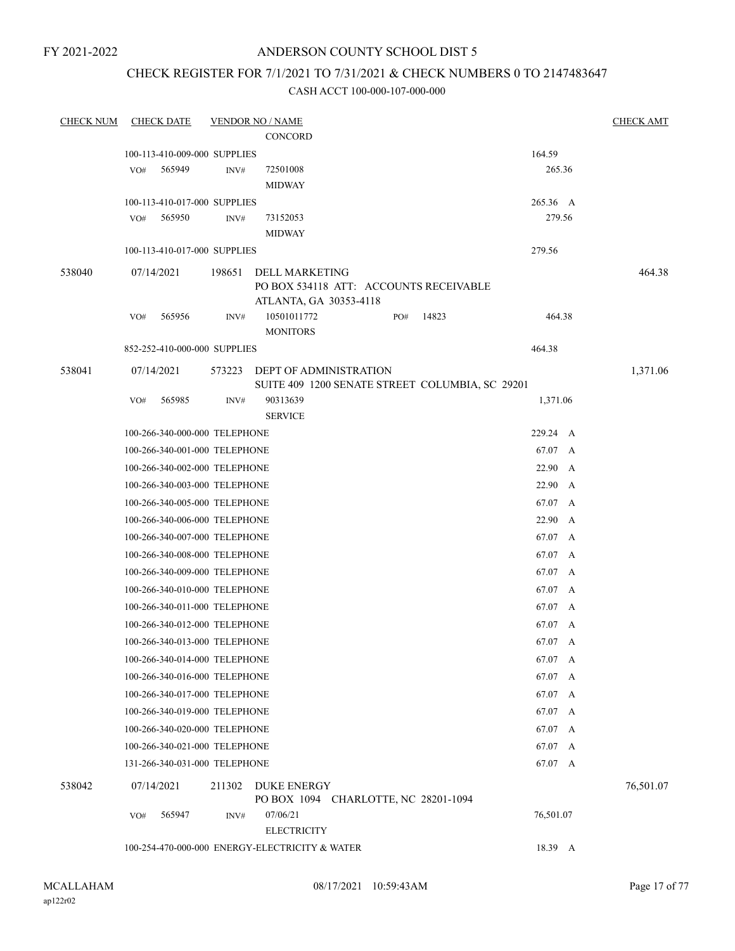# ANDERSON COUNTY SCHOOL DIST 5

# CHECK REGISTER FOR 7/1/2021 TO 7/31/2021 & CHECK NUMBERS 0 TO 2147483647

| <b>CHECK NUM</b> |     | <b>CHECK DATE</b>             |        | <b>VENDOR NO / NAME</b>                        |     |                                                 |           | <b>CHECK AMT</b> |
|------------------|-----|-------------------------------|--------|------------------------------------------------|-----|-------------------------------------------------|-----------|------------------|
|                  |     |                               |        | CONCORD                                        |     |                                                 |           |                  |
|                  |     | 100-113-410-009-000 SUPPLIES  |        |                                                |     |                                                 | 164.59    |                  |
|                  | VO# | 565949                        | INV#   | 72501008                                       |     |                                                 | 265.36    |                  |
|                  |     |                               |        | <b>MIDWAY</b>                                  |     |                                                 |           |                  |
|                  |     | 100-113-410-017-000 SUPPLIES  |        |                                                |     |                                                 | 265.36 A  |                  |
|                  | VO# | 565950                        | INV#   | 73152053                                       |     |                                                 | 279.56    |                  |
|                  |     |                               |        | <b>MIDWAY</b>                                  |     |                                                 |           |                  |
|                  |     | 100-113-410-017-000 SUPPLIES  |        |                                                |     |                                                 | 279.56    |                  |
| 538040           |     | 07/14/2021                    | 198651 | DELL MARKETING                                 |     |                                                 |           | 464.38           |
|                  |     |                               |        |                                                |     | PO BOX 534118 ATT: ACCOUNTS RECEIVABLE          |           |                  |
|                  |     |                               |        | ATLANTA, GA 30353-4118                         |     |                                                 |           |                  |
|                  | VO# | 565956                        | INV#   | 10501011772                                    | PO# | 14823                                           | 464.38    |                  |
|                  |     |                               |        | <b>MONITORS</b>                                |     |                                                 |           |                  |
|                  |     | 852-252-410-000-000 SUPPLIES  |        |                                                |     |                                                 | 464.38    |                  |
| 538041           |     | 07/14/2021                    | 573223 | <b>DEPT OF ADMINISTRATION</b>                  |     |                                                 |           | 1,371.06         |
|                  |     |                               |        |                                                |     | SUITE 409 1200 SENATE STREET COLUMBIA, SC 29201 |           |                  |
|                  | VO# | 565985                        | INV#   | 90313639<br><b>SERVICE</b>                     |     |                                                 | 1,371.06  |                  |
|                  |     | 100-266-340-000-000 TELEPHONE |        |                                                |     |                                                 | 229.24 A  |                  |
|                  |     | 100-266-340-001-000 TELEPHONE |        |                                                |     |                                                 | 67.07 A   |                  |
|                  |     | 100-266-340-002-000 TELEPHONE |        |                                                |     |                                                 | 22.90 A   |                  |
|                  |     | 100-266-340-003-000 TELEPHONE |        |                                                |     |                                                 | 22.90 A   |                  |
|                  |     |                               |        |                                                |     |                                                 | 67.07 A   |                  |
|                  |     | 100-266-340-005-000 TELEPHONE |        |                                                |     |                                                 | 22.90 A   |                  |
|                  |     | 100-266-340-006-000 TELEPHONE |        |                                                |     |                                                 |           |                  |
|                  |     | 100-266-340-007-000 TELEPHONE |        |                                                |     |                                                 | 67.07 A   |                  |
|                  |     | 100-266-340-008-000 TELEPHONE |        |                                                |     |                                                 | 67.07 A   |                  |
|                  |     | 100-266-340-009-000 TELEPHONE |        |                                                |     |                                                 | 67.07 A   |                  |
|                  |     | 100-266-340-010-000 TELEPHONE |        |                                                |     |                                                 | 67.07 A   |                  |
|                  |     | 100-266-340-011-000 TELEPHONE |        |                                                |     |                                                 | 67.07 A   |                  |
|                  |     | 100-266-340-012-000 TELEPHONE |        |                                                |     |                                                 | 67.07 A   |                  |
|                  |     | 100-266-340-013-000 TELEPHONE |        |                                                |     |                                                 | 67.07 A   |                  |
|                  |     | 100-266-340-014-000 TELEPHONE |        |                                                |     |                                                 | 67.07 A   |                  |
|                  |     | 100-266-340-016-000 TELEPHONE |        |                                                |     |                                                 | 67.07 A   |                  |
|                  |     | 100-266-340-017-000 TELEPHONE |        |                                                |     |                                                 | 67.07 A   |                  |
|                  |     | 100-266-340-019-000 TELEPHONE |        |                                                |     |                                                 | 67.07 A   |                  |
|                  |     | 100-266-340-020-000 TELEPHONE |        |                                                |     |                                                 | 67.07 A   |                  |
|                  |     | 100-266-340-021-000 TELEPHONE |        |                                                |     |                                                 | 67.07 A   |                  |
|                  |     | 131-266-340-031-000 TELEPHONE |        |                                                |     |                                                 | 67.07 A   |                  |
| 538042           |     | 07/14/2021                    | 211302 | <b>DUKE ENERGY</b>                             |     |                                                 |           | 76,501.07        |
|                  |     |                               |        | PO BOX 1094 CHARLOTTE, NC 28201-1094           |     |                                                 |           |                  |
|                  | VO# | 565947                        | INV#   | 07/06/21                                       |     |                                                 | 76,501.07 |                  |
|                  |     |                               |        | <b>ELECTRICITY</b>                             |     |                                                 |           |                  |
|                  |     |                               |        | 100-254-470-000-000 ENERGY-ELECTRICITY & WATER |     |                                                 | 18.39 A   |                  |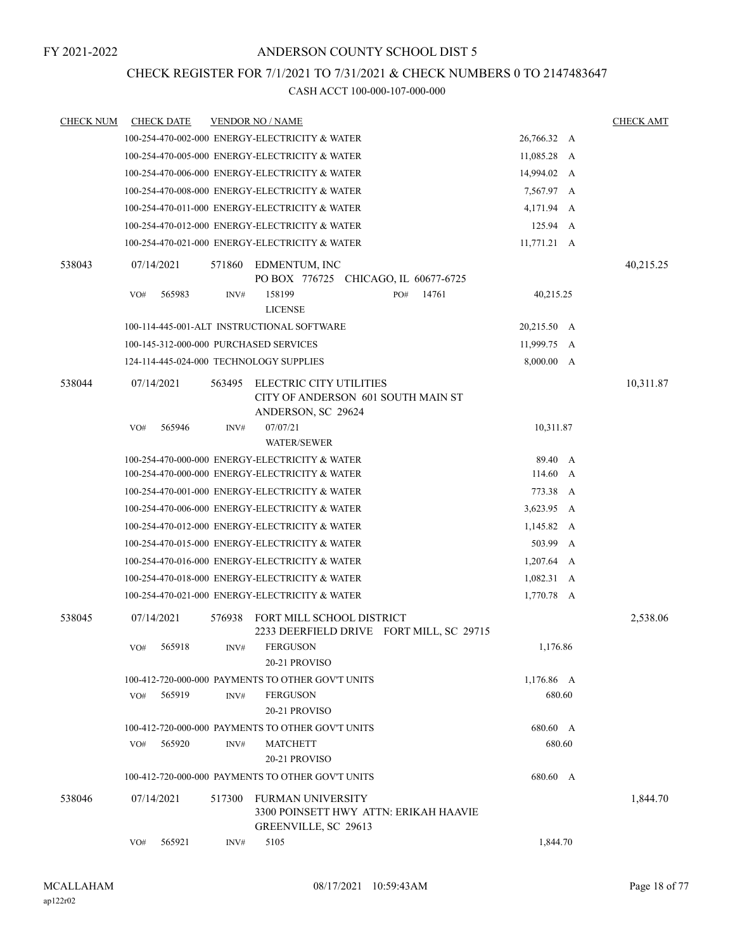# CHECK REGISTER FOR 7/1/2021 TO 7/31/2021 & CHECK NUMBERS 0 TO 2147483647

| <b>CHECK NUM</b> | <b>CHECK DATE</b>                       |        | <b>VENDOR NO / NAME</b>                                                                   |                     |   | <b>CHECK AMT</b> |
|------------------|-----------------------------------------|--------|-------------------------------------------------------------------------------------------|---------------------|---|------------------|
|                  |                                         |        | 100-254-470-002-000 ENERGY-ELECTRICITY & WATER                                            | 26,766.32 A         |   |                  |
|                  |                                         |        | 100-254-470-005-000 ENERGY-ELECTRICITY & WATER                                            | 11,085.28 A         |   |                  |
|                  |                                         |        | 100-254-470-006-000 ENERGY-ELECTRICITY & WATER                                            | 14,994.02 A         |   |                  |
|                  |                                         |        | 100-254-470-008-000 ENERGY-ELECTRICITY & WATER                                            | 7,567.97 A          |   |                  |
|                  |                                         |        | 100-254-470-011-000 ENERGY-ELECTRICITY & WATER                                            | 4,171.94 A          |   |                  |
|                  |                                         |        | 100-254-470-012-000 ENERGY-ELECTRICITY & WATER                                            | $125.94 \quad A$    |   |                  |
|                  |                                         |        | 100-254-470-021-000 ENERGY-ELECTRICITY & WATER                                            | $11,771.21 \quad A$ |   |                  |
| 538043           | 07/14/2021                              | 571860 | EDMENTUM, INC<br>PO BOX 776725 CHICAGO, IL 60677-6725                                     |                     |   | 40,215.25        |
|                  | 565983<br>VO#                           | INV#   | 14761<br>158199<br>PO#<br><b>LICENSE</b>                                                  | 40,215.25           |   |                  |
|                  |                                         |        | 100-114-445-001-ALT INSTRUCTIONAL SOFTWARE                                                | 20,215.50 A         |   |                  |
|                  | 100-145-312-000-000 PURCHASED SERVICES  |        |                                                                                           | 11,999.75 A         |   |                  |
|                  | 124-114-445-024-000 TECHNOLOGY SUPPLIES |        |                                                                                           | 8,000.00 A          |   |                  |
| 538044           | 07/14/2021                              | 563495 | ELECTRIC CITY UTILITIES<br>CITY OF ANDERSON 601 SOUTH MAIN ST<br>ANDERSON, SC 29624       |                     |   | 10,311.87        |
|                  | 565946<br>VO#                           | INV#   | 07/07/21<br><b>WATER/SEWER</b>                                                            | 10,311.87           |   |                  |
|                  |                                         |        | 100-254-470-000-000 ENERGY-ELECTRICITY & WATER                                            | 89.40 A             |   |                  |
|                  |                                         |        | 100-254-470-000-000 ENERGY-ELECTRICITY & WATER                                            | $114.60 \, A$       |   |                  |
|                  |                                         |        | 100-254-470-001-000 ENERGY-ELECTRICITY & WATER                                            | 773.38              | A |                  |
|                  |                                         |        | 100-254-470-006-000 ENERGY-ELECTRICITY & WATER                                            | 3,623.95 A          |   |                  |
|                  |                                         |        | 100-254-470-012-000 ENERGY-ELECTRICITY & WATER                                            | $1,145.82 \, A$     |   |                  |
|                  |                                         |        | 100-254-470-015-000 ENERGY-ELECTRICITY & WATER                                            | 503.99 A            |   |                  |
|                  |                                         |        | 100-254-470-016-000 ENERGY-ELECTRICITY & WATER                                            | $1,207.64 \quad A$  |   |                  |
|                  |                                         |        | 100-254-470-018-000 ENERGY-ELECTRICITY & WATER                                            | $1,082.31 \quad A$  |   |                  |
|                  |                                         |        | 100-254-470-021-000 ENERGY-ELECTRICITY & WATER                                            | 1,770.78 A          |   |                  |
| 538045           | 07/14/2021                              | 576938 | FORT MILL SCHOOL DISTRICT<br>2233 DEERFIELD DRIVE FORT MILL, SC 29715                     |                     |   | 2,538.06         |
|                  | 565918<br>VO#                           | INV#   | <b>FERGUSON</b><br>20-21 PROVISO                                                          | 1,176.86            |   |                  |
|                  |                                         |        | 100-412-720-000-000 PAYMENTS TO OTHER GOV'T UNITS                                         | 1,176.86 A          |   |                  |
|                  | 565919<br>VO#                           | INV#   | <b>FERGUSON</b><br>20-21 PROVISO                                                          | 680.60              |   |                  |
|                  |                                         |        | 100-412-720-000-000 PAYMENTS TO OTHER GOV'T UNITS                                         | 680.60 A            |   |                  |
|                  | 565920<br>VO#                           | INV#   | <b>MATCHETT</b><br>20-21 PROVISO                                                          | 680.60              |   |                  |
|                  |                                         |        | 100-412-720-000-000 PAYMENTS TO OTHER GOV'T UNITS                                         | 680.60 A            |   |                  |
| 538046           | 07/14/2021                              | 517300 | <b>FURMAN UNIVERSITY</b><br>3300 POINSETT HWY ATTN: ERIKAH HAAVIE<br>GREENVILLE, SC 29613 |                     |   | 1,844.70         |
|                  | 565921<br>VO#                           | INV#   | 5105                                                                                      | 1,844.70            |   |                  |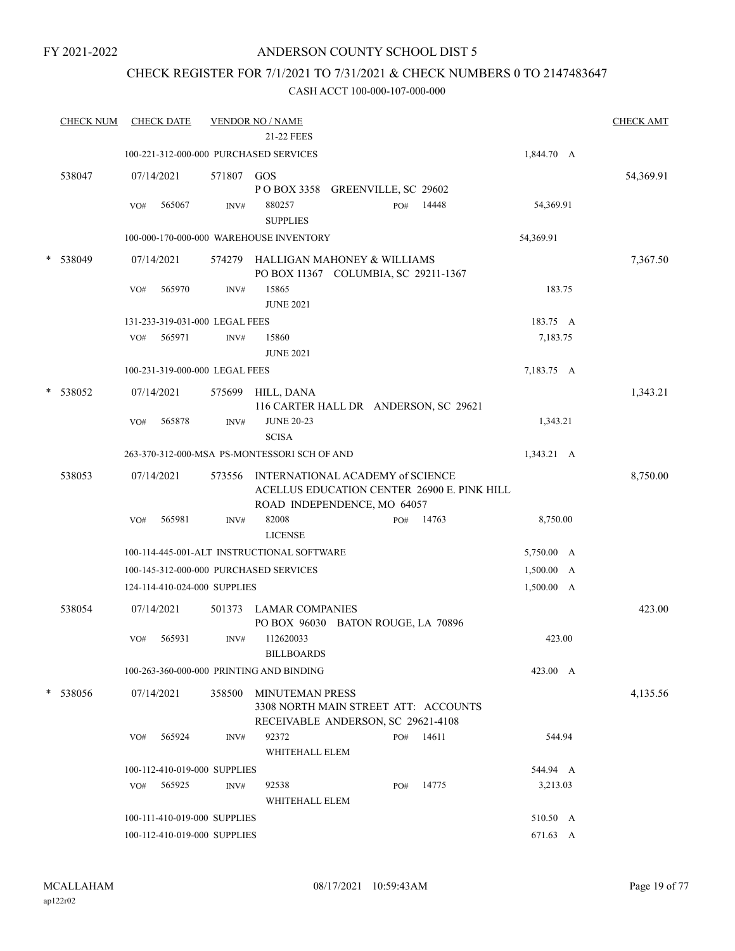# ANDERSON COUNTY SCHOOL DIST 5

# CHECK REGISTER FOR 7/1/2021 TO 7/31/2021 & CHECK NUMBERS 0 TO 2147483647

|   | <b>CHECK NUM</b> |     | <b>CHECK DATE</b> |                                | <b>VENDOR NO / NAME</b><br>21-22 FEES               |     |       |                 | <b>CHECK AMT</b> |
|---|------------------|-----|-------------------|--------------------------------|-----------------------------------------------------|-----|-------|-----------------|------------------|
|   |                  |     |                   |                                | 100-221-312-000-000 PURCHASED SERVICES              |     |       | 1,844.70 A      |                  |
|   |                  |     |                   |                                |                                                     |     |       |                 |                  |
|   | 538047           |     | 07/14/2021        | 571807 GOS                     |                                                     |     |       |                 | 54,369.91        |
|   |                  |     |                   |                                | POBOX 3358 GREENVILLE, SC 29602                     |     |       |                 |                  |
|   |                  | VO# | 565067            | INV#                           | 880257<br><b>SUPPLIES</b>                           | PO# | 14448 | 54,369.91       |                  |
|   |                  |     |                   |                                | 100-000-170-000-000 WAREHOUSE INVENTORY             |     |       | 54,369.91       |                  |
|   |                  |     |                   |                                |                                                     |     |       |                 |                  |
| * | 538049           |     | 07/14/2021        |                                | 574279 HALLIGAN MAHONEY & WILLIAMS                  |     |       |                 | 7,367.50         |
|   |                  |     |                   |                                | PO BOX 11367 COLUMBIA, SC 29211-1367                |     |       |                 |                  |
|   |                  | VO# | 565970            | INV#                           | 15865<br><b>JUNE 2021</b>                           |     |       | 183.75          |                  |
|   |                  |     |                   | 131-233-319-031-000 LEGAL FEES |                                                     |     |       | 183.75 A        |                  |
|   |                  | VO# | 565971            | INV#                           | 15860                                               |     |       | 7,183.75        |                  |
|   |                  |     |                   |                                | <b>JUNE 2021</b>                                    |     |       |                 |                  |
|   |                  |     |                   | 100-231-319-000-000 LEGAL FEES |                                                     |     |       | 7,183.75 A      |                  |
|   |                  |     |                   |                                |                                                     |     |       |                 |                  |
|   | * 538052         |     | 07/14/2021        | 575699                         | HILL, DANA<br>116 CARTER HALL DR ANDERSON, SC 29621 |     |       |                 | 1,343.21         |
|   |                  | VO# | 565878            | INV#                           | <b>JUNE 20-23</b>                                   |     |       | 1,343.21        |                  |
|   |                  |     |                   |                                | <b>SCISA</b>                                        |     |       |                 |                  |
|   |                  |     |                   |                                | 263-370-312-000-MSA PS-MONTESSORI SCH OF AND        |     |       | $1,343.21 \, A$ |                  |
|   | 538053           |     | 07/14/2021        | 573556                         | INTERNATIONAL ACADEMY of SCIENCE                    |     |       |                 | 8,750.00         |
|   |                  |     |                   |                                | ACELLUS EDUCATION CENTER 26900 E. PINK HILL         |     |       |                 |                  |
|   |                  |     |                   |                                | ROAD INDEPENDENCE, MO 64057                         |     |       |                 |                  |
|   |                  | VO# | 565981            | INV#                           | 82008                                               | PO# | 14763 | 8,750.00        |                  |
|   |                  |     |                   |                                | <b>LICENSE</b>                                      |     |       |                 |                  |
|   |                  |     |                   |                                | 100-114-445-001-ALT INSTRUCTIONAL SOFTWARE          |     |       | 5,750.00 A      |                  |
|   |                  |     |                   |                                | 100-145-312-000-000 PURCHASED SERVICES              |     |       | 1,500.00 A      |                  |
|   |                  |     |                   | 124-114-410-024-000 SUPPLIES   |                                                     |     |       | 1,500.00 A      |                  |
|   | 538054           |     | 07/14/2021        | 501373                         | LAMAR COMPANIES                                     |     |       |                 | 423.00           |
|   |                  |     |                   |                                | PO BOX 96030 BATON ROUGE, LA 70896                  |     |       |                 |                  |
|   |                  | VO# | 565931            | INV#                           | 112620033                                           |     |       | 423.00          |                  |
|   |                  |     |                   |                                | <b>BILLBOARDS</b>                                   |     |       |                 |                  |
|   |                  |     |                   |                                | 100-263-360-000-000 PRINTING AND BINDING            |     |       | 423.00 A        |                  |
|   | * 538056         |     | 07/14/2021        | 358500                         | <b>MINUTEMAN PRESS</b>                              |     |       |                 | 4,135.56         |
|   |                  |     |                   |                                | 3308 NORTH MAIN STREET ATT: ACCOUNTS                |     |       |                 |                  |
|   |                  |     |                   |                                | RECEIVABLE ANDERSON, SC 29621-4108                  |     |       |                 |                  |
|   |                  | VO# | 565924            | INV#                           | 92372                                               | PO# | 14611 | 544.94          |                  |
|   |                  |     |                   |                                | WHITEHALL ELEM                                      |     |       |                 |                  |
|   |                  |     |                   | 100-112-410-019-000 SUPPLIES   |                                                     |     |       | 544.94 A        |                  |
|   |                  | VO# | 565925            | INV#                           | 92538<br>WHITEHALL ELEM                             | PO# | 14775 | 3,213.03        |                  |
|   |                  |     |                   | 100-111-410-019-000 SUPPLIES   |                                                     |     |       | 510.50 A        |                  |
|   |                  |     |                   | 100-112-410-019-000 SUPPLIES   |                                                     |     |       | 671.63 A        |                  |
|   |                  |     |                   |                                |                                                     |     |       |                 |                  |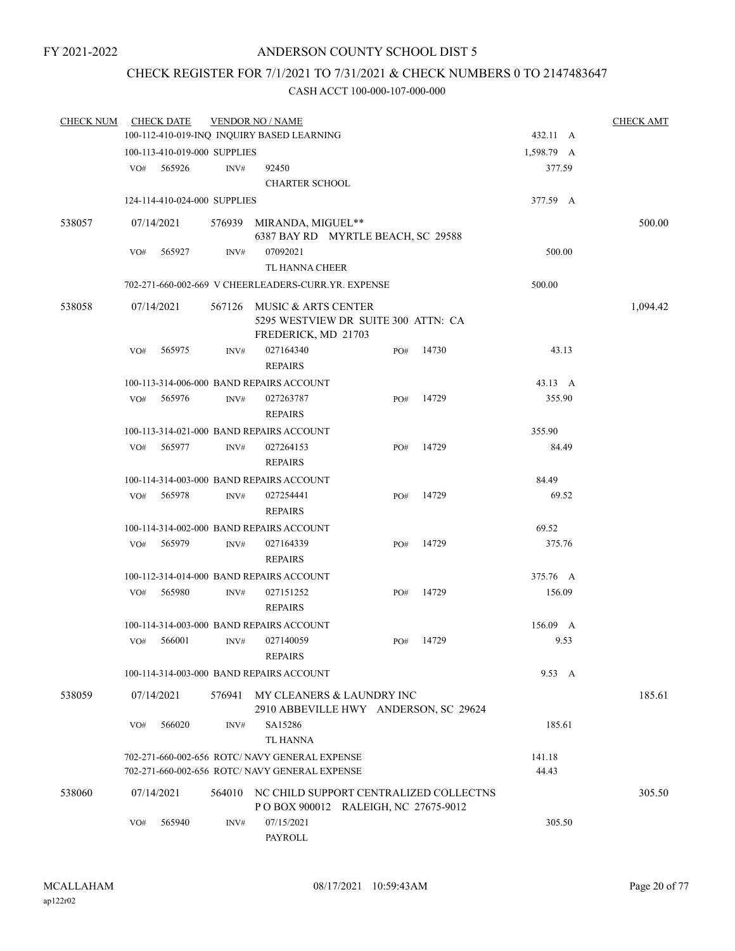# CHECK REGISTER FOR 7/1/2021 TO 7/31/2021 & CHECK NUMBERS 0 TO 2147483647

| <b>CHECK NUM</b> |     | <b>CHECK DATE</b>            |        | <b>VENDOR NO / NAME</b>                                                           |     |                                       |                |      | <b>CHECK AMT</b> |
|------------------|-----|------------------------------|--------|-----------------------------------------------------------------------------------|-----|---------------------------------------|----------------|------|------------------|
|                  |     |                              |        | 100-112-410-019-INQ INQUIRY BASED LEARNING                                        |     |                                       | 432.11 A       |      |                  |
|                  |     | 100-113-410-019-000 SUPPLIES |        |                                                                                   |     |                                       | 1,598.79 A     |      |                  |
|                  | VO# | 565926                       | INV#   | 92450                                                                             |     |                                       | 377.59         |      |                  |
|                  |     |                              |        | <b>CHARTER SCHOOL</b>                                                             |     |                                       |                |      |                  |
|                  |     | 124-114-410-024-000 SUPPLIES |        |                                                                                   |     |                                       | 377.59 A       |      |                  |
| 538057           |     | 07/14/2021                   |        | 576939 MIRANDA, MIGUEL**<br>6387 BAY RD MYRTLE BEACH, SC 29588                    |     |                                       |                |      | 500.00           |
|                  | VO# | 565927                       | INV#   | 07092021<br>TL HANNA CHEER                                                        |     |                                       | 500.00         |      |                  |
|                  |     |                              |        | 702-271-660-002-669 V CHEERLEADERS-CURR.YR. EXPENSE                               |     |                                       | 500.00         |      |                  |
| 538058           |     | 07/14/2021                   | 567126 | MUSIC & ARTS CENTER<br>5295 WESTVIEW DR SUITE 300 ATTN: CA<br>FREDERICK, MD 21703 |     |                                       |                |      | 1,094.42         |
|                  | VO# | 565975                       | INV#   | 027164340<br><b>REPAIRS</b>                                                       | PO# | 14730                                 | 43.13          |      |                  |
|                  |     |                              |        | 100-113-314-006-000 BAND REPAIRS ACCOUNT                                          |     |                                       | 43.13 A        |      |                  |
|                  | VO# | 565976                       | INV#   | 027263787<br><b>REPAIRS</b>                                                       | PO# | 14729                                 | 355.90         |      |                  |
|                  |     |                              |        | 100-113-314-021-000 BAND REPAIRS ACCOUNT                                          |     |                                       | 355.90         |      |                  |
|                  | VO# | 565977                       | INV#   | 027264153<br><b>REPAIRS</b>                                                       | PO# | 14729                                 | 84.49          |      |                  |
|                  |     |                              |        | 100-114-314-003-000 BAND REPAIRS ACCOUNT                                          |     |                                       | 84.49          |      |                  |
|                  | VO# | 565978                       | INV#   | 027254441<br><b>REPAIRS</b>                                                       | PO# | 14729                                 | 69.52          |      |                  |
|                  |     |                              |        | 100-114-314-002-000 BAND REPAIRS ACCOUNT                                          |     |                                       | 69.52          |      |                  |
|                  | VO# | 565979                       | INV#   | 027164339                                                                         | PO# | 14729                                 | 375.76         |      |                  |
|                  |     |                              |        | <b>REPAIRS</b>                                                                    |     |                                       |                |      |                  |
|                  |     |                              |        | 100-112-314-014-000 BAND REPAIRS ACCOUNT                                          |     |                                       | 375.76 A       |      |                  |
|                  | VO# | 565980                       | INV#   | 027151252<br><b>REPAIRS</b>                                                       | PO# | 14729                                 | 156.09         |      |                  |
|                  |     |                              |        | 100-114-314-003-000 BAND REPAIRS ACCOUNT                                          |     |                                       | $156.09$ A     |      |                  |
|                  | VO# | 566001                       | INV#   | 027140059<br><b>REPAIRS</b>                                                       | PO# | 14729                                 |                | 9.53 |                  |
|                  |     |                              |        | 100-114-314-003-000 BAND REPAIRS ACCOUNT                                          |     |                                       | $9.53 \quad A$ |      |                  |
| 538059           |     | 07/14/2021                   | 576941 | MY CLEANERS & LAUNDRY INC                                                         |     | 2910 ABBEVILLE HWY ANDERSON, SC 29624 |                |      | 185.61           |
|                  | VO# | 566020                       | INV#   | SA15286<br>TL HANNA                                                               |     |                                       | 185.61         |      |                  |
|                  |     |                              |        | 702-271-660-002-656 ROTC/ NAVY GENERAL EXPENSE                                    |     |                                       | 141.18         |      |                  |
|                  |     |                              |        | 702-271-660-002-656 ROTC/ NAVY GENERAL EXPENSE                                    |     |                                       | 44.43          |      |                  |
| 538060           |     | 07/14/2021                   | 564010 | NC CHILD SUPPORT CENTRALIZED COLLECTNS<br>POBOX 900012 RALEIGH, NC 27675-9012     |     |                                       |                |      | 305.50           |
|                  | VO# | 565940                       | INV#   | 07/15/2021<br>PAYROLL                                                             |     |                                       | 305.50         |      |                  |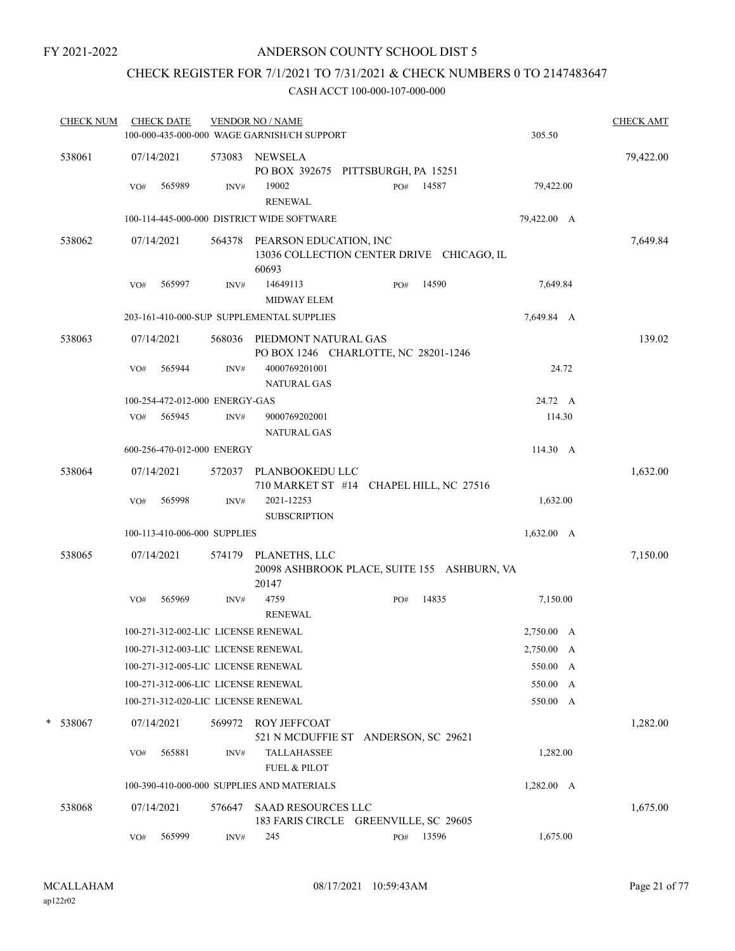# ANDERSON COUNTY SCHOOL DIST 5

# CHECK REGISTER FOR 7/1/2021 TO 7/31/2021 & CHECK NUMBERS 0 TO 2147483647

|  | <b>CHECK NUM</b> |     | <b>CHECK DATE</b> |                                | <b>VENDOR NO / NAME</b><br>100-000-435-000-000 WAGE GARNISH/CH SUPPORT              |     |       | 305.50             | <b>CHECK AMT</b> |
|--|------------------|-----|-------------------|--------------------------------|-------------------------------------------------------------------------------------|-----|-------|--------------------|------------------|
|  | 538061           |     | 07/14/2021        |                                | 573083 NEWSELA<br>PO BOX 392675 PITTSBURGH, PA 15251                                |     |       |                    | 79,422.00        |
|  |                  | VO# | 565989            | INV#                           | 19002<br><b>RENEWAL</b>                                                             | PO# | 14587 | 79,422.00          |                  |
|  |                  |     |                   |                                | 100-114-445-000-000 DISTRICT WIDE SOFTWARE                                          |     |       | 79,422.00 A        |                  |
|  | 538062           |     | 07/14/2021        |                                | 564378 PEARSON EDUCATION, INC<br>13036 COLLECTION CENTER DRIVE CHICAGO, IL<br>60693 |     |       |                    | 7,649.84         |
|  |                  | VO# | 565997            | INV#                           | 14649113                                                                            | PO# | 14590 | 7,649.84           |                  |
|  |                  |     |                   |                                | <b>MIDWAY ELEM</b>                                                                  |     |       |                    |                  |
|  |                  |     |                   |                                | 203-161-410-000-SUP SUPPLEMENTAL SUPPLIES                                           |     |       | 7,649.84 A         |                  |
|  | 538063           |     | 07/14/2021        |                                | 568036 PIEDMONT NATURAL GAS<br>PO BOX 1246 CHARLOTTE, NC 28201-1246                 |     |       |                    | 139.02           |
|  |                  | VO# | 565944            | INV#                           | 4000769201001<br><b>NATURAL GAS</b>                                                 |     |       | 24.72              |                  |
|  |                  |     |                   | 100-254-472-012-000 ENERGY-GAS |                                                                                     |     |       | 24.72 A            |                  |
|  |                  |     | VO# 565945        | INV#                           | 9000769202001<br>NATURAL GAS                                                        |     |       | 114.30             |                  |
|  |                  |     |                   | 600-256-470-012-000 ENERGY     |                                                                                     |     |       | 114.30 A           |                  |
|  | 538064           |     | 07/14/2021        |                                | 572037 PLANBOOKEDU LLC<br>710 MARKET ST #14 CHAPEL HILL, NC 27516                   |     |       |                    | 1,632.00         |
|  |                  | VO# | 565998            | INV#                           | 2021-12253<br><b>SUBSCRIPTION</b>                                                   |     |       | 1,632.00           |                  |
|  |                  |     |                   | 100-113-410-006-000 SUPPLIES   |                                                                                     |     |       | 1,632.00 A         |                  |
|  | 538065           |     | 07/14/2021        |                                | 574179 PLANETHS, LLC<br>20098 ASHBROOK PLACE, SUITE 155 ASHBURN, VA<br>20147        |     |       |                    | 7,150.00         |
|  |                  | VO# | 565969            | INV#                           | 4759<br><b>RENEWAL</b>                                                              | PO# | 14835 | 7,150.00           |                  |
|  |                  |     |                   |                                | 100-271-312-002-LIC LICENSE RENEWAL                                                 |     |       | 2,750.00 A         |                  |
|  |                  |     |                   |                                | 100-271-312-003-LIC LICENSE RENEWAL                                                 |     |       | 2,750.00 A         |                  |
|  |                  |     |                   |                                | 100-271-312-005-LIC LICENSE RENEWAL                                                 |     |       | 550.00 A           |                  |
|  |                  |     |                   |                                | 100-271-312-006-LIC LICENSE RENEWAL                                                 |     |       | 550.00<br>A        |                  |
|  |                  |     |                   |                                | 100-271-312-020-LIC LICENSE RENEWAL                                                 |     |       | 550.00 A           |                  |
|  | * 538067         |     | 07/14/2021        | 569972                         | <b>ROY JEFFCOAT</b><br>521 N MCDUFFIE ST ANDERSON, SC 29621                         |     |       |                    | 1,282.00         |
|  |                  | VO# | 565881            | INV#                           | <b>TALLAHASSEE</b><br><b>FUEL &amp; PILOT</b>                                       |     |       | 1,282.00           |                  |
|  |                  |     |                   |                                | 100-390-410-000-000 SUPPLIES AND MATERIALS                                          |     |       | $1,282.00 \quad A$ |                  |
|  | 538068           |     | 07/14/2021        | 576647                         | <b>SAAD RESOURCES LLC</b><br>183 FARIS CIRCLE GREENVILLE, SC 29605                  |     |       |                    | 1,675.00         |
|  |                  | VO# | 565999            | INV#                           | 245                                                                                 | PO# | 13596 | 1,675.00           |                  |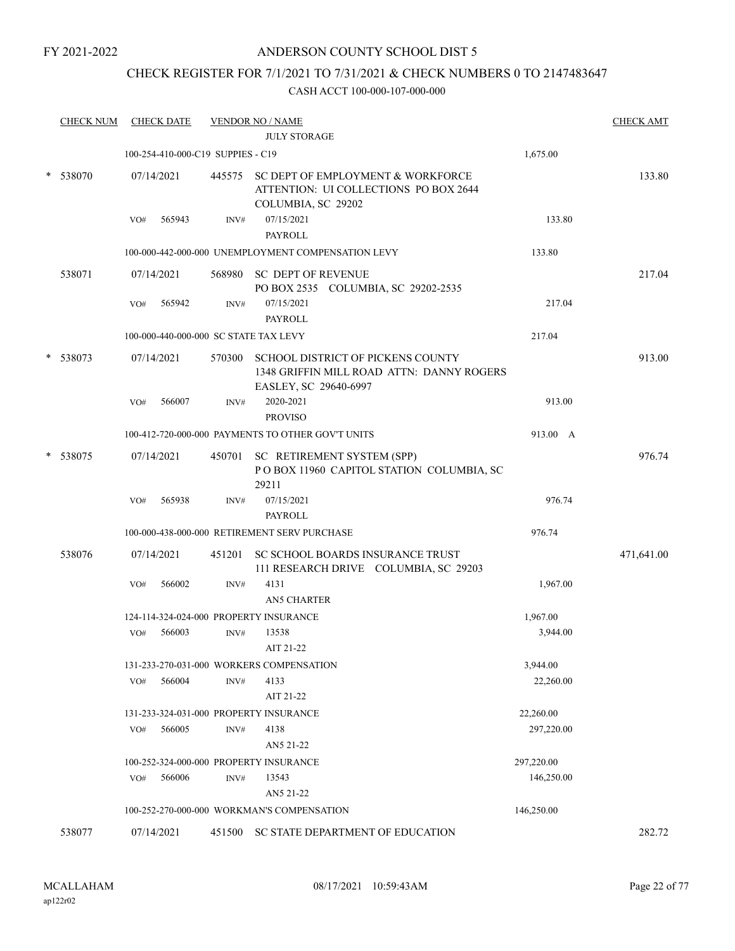# ANDERSON COUNTY SCHOOL DIST 5

# CHECK REGISTER FOR 7/1/2021 TO 7/31/2021 & CHECK NUMBERS 0 TO 2147483647

| <b>CHECK NUM</b> |                              |                   |                                                                                                                                     |                                                                                                                |                                                                                                                                                                                                                                                                                                                                                                                                                                                                                                                                                                                                                                                                                                                                                                                  | <b>CHECK AMT</b>                                                |
|------------------|------------------------------|-------------------|-------------------------------------------------------------------------------------------------------------------------------------|----------------------------------------------------------------------------------------------------------------|----------------------------------------------------------------------------------------------------------------------------------------------------------------------------------------------------------------------------------------------------------------------------------------------------------------------------------------------------------------------------------------------------------------------------------------------------------------------------------------------------------------------------------------------------------------------------------------------------------------------------------------------------------------------------------------------------------------------------------------------------------------------------------|-----------------------------------------------------------------|
|                  |                              |                   |                                                                                                                                     |                                                                                                                |                                                                                                                                                                                                                                                                                                                                                                                                                                                                                                                                                                                                                                                                                                                                                                                  |                                                                 |
|                  |                              |                   |                                                                                                                                     |                                                                                                                | 1,675.00                                                                                                                                                                                                                                                                                                                                                                                                                                                                                                                                                                                                                                                                                                                                                                         |                                                                 |
|                  |                              |                   |                                                                                                                                     | ATTENTION: UI COLLECTIONS PO BOX 2644                                                                          |                                                                                                                                                                                                                                                                                                                                                                                                                                                                                                                                                                                                                                                                                                                                                                                  | 133.80                                                          |
|                  | VO#                          | 565943            | INV#                                                                                                                                | 07/15/2021                                                                                                     | 133.80                                                                                                                                                                                                                                                                                                                                                                                                                                                                                                                                                                                                                                                                                                                                                                           |                                                                 |
|                  |                              |                   |                                                                                                                                     | PAYROLL                                                                                                        |                                                                                                                                                                                                                                                                                                                                                                                                                                                                                                                                                                                                                                                                                                                                                                                  |                                                                 |
|                  |                              |                   |                                                                                                                                     |                                                                                                                | 133.80                                                                                                                                                                                                                                                                                                                                                                                                                                                                                                                                                                                                                                                                                                                                                                           |                                                                 |
| 538071           |                              |                   | 568980                                                                                                                              | <b>SC DEPT OF REVENUE</b><br>PO BOX 2535 COLUMBIA, SC 29202-2535                                               |                                                                                                                                                                                                                                                                                                                                                                                                                                                                                                                                                                                                                                                                                                                                                                                  | 217.04                                                          |
|                  | VO#                          | 565942            | INV#                                                                                                                                | 07/15/2021<br>PAYROLL                                                                                          | 217.04                                                                                                                                                                                                                                                                                                                                                                                                                                                                                                                                                                                                                                                                                                                                                                           |                                                                 |
|                  |                              |                   |                                                                                                                                     |                                                                                                                | 217.04                                                                                                                                                                                                                                                                                                                                                                                                                                                                                                                                                                                                                                                                                                                                                                           |                                                                 |
|                  |                              |                   |                                                                                                                                     | <b>SCHOOL DISTRICT OF PICKENS COUNTY</b><br>1348 GRIFFIN MILL ROAD ATTN: DANNY ROGERS<br>EASLEY, SC 29640-6997 |                                                                                                                                                                                                                                                                                                                                                                                                                                                                                                                                                                                                                                                                                                                                                                                  | 913.00                                                          |
|                  | VO#                          | 566007            | INV#                                                                                                                                | 2020-2021                                                                                                      | 913.00                                                                                                                                                                                                                                                                                                                                                                                                                                                                                                                                                                                                                                                                                                                                                                           |                                                                 |
|                  |                              |                   |                                                                                                                                     | <b>PROVISO</b>                                                                                                 |                                                                                                                                                                                                                                                                                                                                                                                                                                                                                                                                                                                                                                                                                                                                                                                  |                                                                 |
|                  |                              |                   |                                                                                                                                     |                                                                                                                | 913.00 A                                                                                                                                                                                                                                                                                                                                                                                                                                                                                                                                                                                                                                                                                                                                                                         |                                                                 |
| 538075           |                              |                   |                                                                                                                                     | POBOX 11960 CAPITOL STATION COLUMBIA, SC<br>29211                                                              |                                                                                                                                                                                                                                                                                                                                                                                                                                                                                                                                                                                                                                                                                                                                                                                  | 976.74                                                          |
|                  | VO#                          | 565938            | INV#                                                                                                                                | 07/15/2021                                                                                                     | 976.74                                                                                                                                                                                                                                                                                                                                                                                                                                                                                                                                                                                                                                                                                                                                                                           |                                                                 |
|                  |                              |                   |                                                                                                                                     |                                                                                                                | 976.74                                                                                                                                                                                                                                                                                                                                                                                                                                                                                                                                                                                                                                                                                                                                                                           |                                                                 |
| 538076           |                              |                   | 451201                                                                                                                              | SC SCHOOL BOARDS INSURANCE TRUST                                                                               |                                                                                                                                                                                                                                                                                                                                                                                                                                                                                                                                                                                                                                                                                                                                                                                  | 471,641.00                                                      |
|                  |                              |                   |                                                                                                                                     | 4131                                                                                                           |                                                                                                                                                                                                                                                                                                                                                                                                                                                                                                                                                                                                                                                                                                                                                                                  |                                                                 |
|                  |                              |                   |                                                                                                                                     | <b>AN5 CHARTER</b>                                                                                             |                                                                                                                                                                                                                                                                                                                                                                                                                                                                                                                                                                                                                                                                                                                                                                                  |                                                                 |
|                  |                              |                   |                                                                                                                                     |                                                                                                                | 1,967.00                                                                                                                                                                                                                                                                                                                                                                                                                                                                                                                                                                                                                                                                                                                                                                         |                                                                 |
|                  | VO#                          | 566003            | INV#                                                                                                                                | 13538                                                                                                          | 3,944.00                                                                                                                                                                                                                                                                                                                                                                                                                                                                                                                                                                                                                                                                                                                                                                         |                                                                 |
|                  |                              |                   |                                                                                                                                     | AIT 21-22                                                                                                      |                                                                                                                                                                                                                                                                                                                                                                                                                                                                                                                                                                                                                                                                                                                                                                                  |                                                                 |
|                  |                              |                   |                                                                                                                                     |                                                                                                                | 3,944.00                                                                                                                                                                                                                                                                                                                                                                                                                                                                                                                                                                                                                                                                                                                                                                         |                                                                 |
|                  | VO#                          | 566004            | $\text{INV}\#$                                                                                                                      | 4133                                                                                                           | 22,260.00                                                                                                                                                                                                                                                                                                                                                                                                                                                                                                                                                                                                                                                                                                                                                                        |                                                                 |
|                  |                              |                   |                                                                                                                                     |                                                                                                                |                                                                                                                                                                                                                                                                                                                                                                                                                                                                                                                                                                                                                                                                                                                                                                                  |                                                                 |
|                  |                              |                   |                                                                                                                                     |                                                                                                                |                                                                                                                                                                                                                                                                                                                                                                                                                                                                                                                                                                                                                                                                                                                                                                                  |                                                                 |
|                  |                              |                   |                                                                                                                                     |                                                                                                                |                                                                                                                                                                                                                                                                                                                                                                                                                                                                                                                                                                                                                                                                                                                                                                                  |                                                                 |
|                  |                              |                   |                                                                                                                                     |                                                                                                                |                                                                                                                                                                                                                                                                                                                                                                                                                                                                                                                                                                                                                                                                                                                                                                                  |                                                                 |
|                  |                              |                   |                                                                                                                                     |                                                                                                                |                                                                                                                                                                                                                                                                                                                                                                                                                                                                                                                                                                                                                                                                                                                                                                                  |                                                                 |
|                  |                              |                   |                                                                                                                                     |                                                                                                                |                                                                                                                                                                                                                                                                                                                                                                                                                                                                                                                                                                                                                                                                                                                                                                                  |                                                                 |
|                  |                              |                   |                                                                                                                                     |                                                                                                                | 146,250.00                                                                                                                                                                                                                                                                                                                                                                                                                                                                                                                                                                                                                                                                                                                                                                       |                                                                 |
|                  |                              |                   |                                                                                                                                     |                                                                                                                |                                                                                                                                                                                                                                                                                                                                                                                                                                                                                                                                                                                                                                                                                                                                                                                  | 282.72                                                          |
|                  | 538070<br>* 538073<br>538077 | VO#<br>VO#<br>VO# | <b>CHECK DATE</b><br>07/14/2021<br>07/14/2021<br>07/14/2021<br>07/14/2021<br>07/14/2021<br>566002<br>566005<br>566006<br>07/14/2021 | INV#<br>INV#<br>INV#<br>451500                                                                                 | <b>VENDOR NO / NAME</b><br><b>JULY STORAGE</b><br>100-254-410-000-C19 SUPPIES - C19<br>445575 SC DEPT OF EMPLOYMENT & WORKFORCE<br>COLUMBIA, SC 29202<br>100-000-442-000-000 UNEMPLOYMENT COMPENSATION LEVY<br>100-000-440-000-000 SC STATE TAX LEVY<br>570300<br>100-412-720-000-000 PAYMENTS TO OTHER GOV'T UNITS<br>450701 SC RETIREMENT SYSTEM (SPP)<br>PAYROLL<br>100-000-438-000-000 RETIREMENT SERV PURCHASE<br>111 RESEARCH DRIVE COLUMBIA, SC 29203<br>124-114-324-024-000 PROPERTY INSURANCE<br>131-233-270-031-000 WORKERS COMPENSATION<br>AIT 21-22<br>131-233-324-031-000 PROPERTY INSURANCE<br>4138<br>AN5 21-22<br>100-252-324-000-000 PROPERTY INSURANCE<br>13543<br>AN5 21-22<br>100-252-270-000-000 WORKMAN'S COMPENSATION<br>SC STATE DEPARTMENT OF EDUCATION | 1,967.00<br>22,260.00<br>297,220.00<br>297,220.00<br>146,250.00 |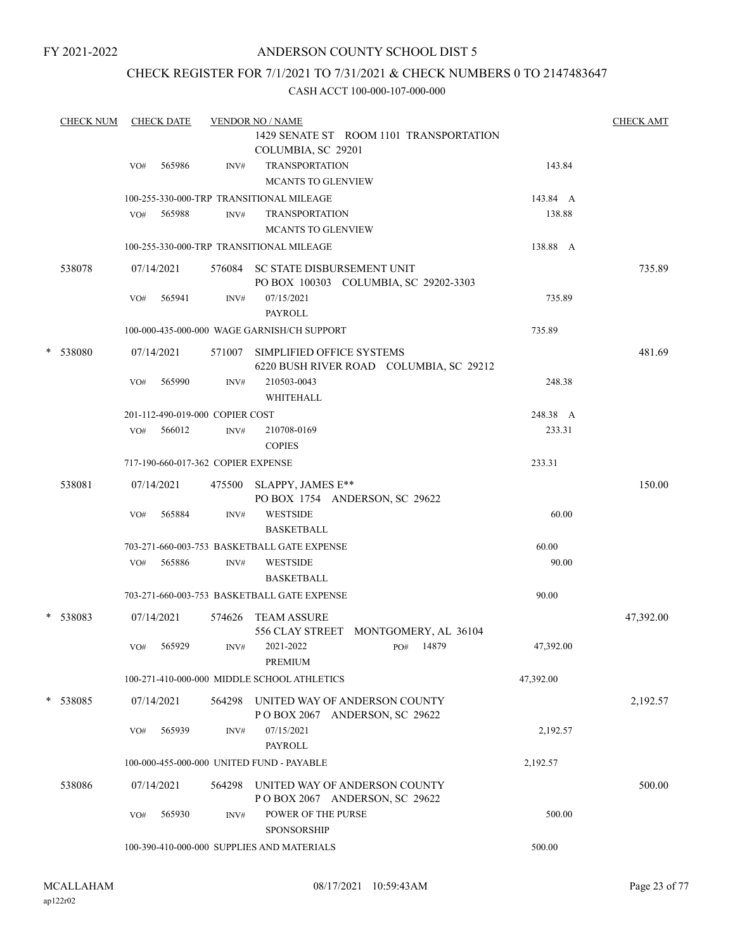# ANDERSON COUNTY SCHOOL DIST 5

# CHECK REGISTER FOR 7/1/2021 TO 7/31/2021 & CHECK NUMBERS 0 TO 2147483647

| <b>CHECK NUM</b> |     | <b>CHECK DATE</b>                         |                                    | <b>VENDOR NO / NAME</b>                                                             |           | <b>CHECK AMT</b> |
|------------------|-----|-------------------------------------------|------------------------------------|-------------------------------------------------------------------------------------|-----------|------------------|
|                  |     |                                           |                                    | 1429 SENATE ST ROOM 1101 TRANSPORTATION<br>COLUMBIA, SC 29201                       |           |                  |
|                  | VO# | 565986                                    | INV#                               | <b>TRANSPORTATION</b>                                                               | 143.84    |                  |
|                  |     |                                           |                                    | <b>MCANTS TO GLENVIEW</b>                                                           |           |                  |
|                  |     |                                           |                                    | 100-255-330-000-TRP TRANSITIONAL MILEAGE                                            | 143.84 A  |                  |
|                  | VO# | 565988                                    | INV#                               | <b>TRANSPORTATION</b><br><b>MCANTS TO GLENVIEW</b>                                  | 138.88    |                  |
|                  |     |                                           |                                    | 100-255-330-000-TRP TRANSITIONAL MILEAGE                                            | 138.88 A  |                  |
| 538078           |     | 07/14/2021                                |                                    | 576084 SC STATE DISBURSEMENT UNIT<br>PO BOX 100303 COLUMBIA, SC 29202-3303          |           | 735.89           |
|                  | VO# | 565941                                    | INV#                               | 07/15/2021                                                                          | 735.89    |                  |
|                  |     |                                           |                                    | <b>PAYROLL</b>                                                                      |           |                  |
|                  |     |                                           |                                    | 100-000-435-000-000 WAGE GARNISH/CH SUPPORT                                         | 735.89    |                  |
| * 538080         |     | 07/14/2021                                | 571007                             | SIMPLIFIED OFFICE SYSTEMS<br>6220 BUSH RIVER ROAD COLUMBIA, SC 29212                |           | 481.69           |
|                  | VO# | 565990                                    | INV#                               | 210503-0043<br>WHITEHALL                                                            | 248.38    |                  |
|                  |     |                                           | 201-112-490-019-000 COPIER COST    |                                                                                     | 248.38 A  |                  |
|                  | VO# | 566012                                    | INV#                               | 210708-0169<br><b>COPIES</b>                                                        | 233.31    |                  |
|                  |     |                                           | 717-190-660-017-362 COPIER EXPENSE |                                                                                     | 233.31    |                  |
| 538081           |     | 07/14/2021                                |                                    | 475500 SLAPPY, JAMES E**<br>PO BOX 1754 ANDERSON, SC 29622                          |           | 150.00           |
|                  | VO# | 565884                                    | INV#                               | <b>WESTSIDE</b><br><b>BASKETBALL</b>                                                | 60.00     |                  |
|                  |     |                                           |                                    | 703-271-660-003-753 BASKETBALL GATE EXPENSE                                         | 60.00     |                  |
|                  | VO# | 565886                                    | INV#                               | <b>WESTSIDE</b><br><b>BASKETBALL</b>                                                | 90.00     |                  |
|                  |     |                                           |                                    | 703-271-660-003-753 BASKETBALL GATE EXPENSE                                         | 90.00     |                  |
| * 538083         |     | 07/14/2021                                |                                    | 574626 TEAM ASSURE                                                                  |           | 47,392.00        |
|                  | VO# | 565929                                    | INV#                               | 556 CLAY STREET MONTGOMERY, AL 36104<br>2021-2022<br>14879<br>PO#<br><b>PREMIUM</b> | 47,392.00 |                  |
|                  |     |                                           |                                    | 100-271-410-000-000 MIDDLE SCHOOL ATHLETICS                                         | 47,392.00 |                  |
| * 538085         |     | 07/14/2021                                |                                    | 564298 UNITED WAY OF ANDERSON COUNTY<br>POBOX 2067 ANDERSON, SC 29622               |           | 2,192.57         |
|                  | VO# | 565939                                    | INV#                               | 07/15/2021<br><b>PAYROLL</b>                                                        | 2,192.57  |                  |
|                  |     | 100-000-455-000-000 UNITED FUND - PAYABLE | 2,192.57                           |                                                                                     |           |                  |
| 538086           |     | 07/14/2021                                | 564298                             | UNITED WAY OF ANDERSON COUNTY<br>POBOX 2067 ANDERSON, SC 29622                      |           | 500.00           |
|                  | VO# | 565930                                    | INV#                               | POWER OF THE PURSE<br><b>SPONSORSHIP</b>                                            | 500.00    |                  |
|                  |     |                                           |                                    | 100-390-410-000-000 SUPPLIES AND MATERIALS                                          | 500.00    |                  |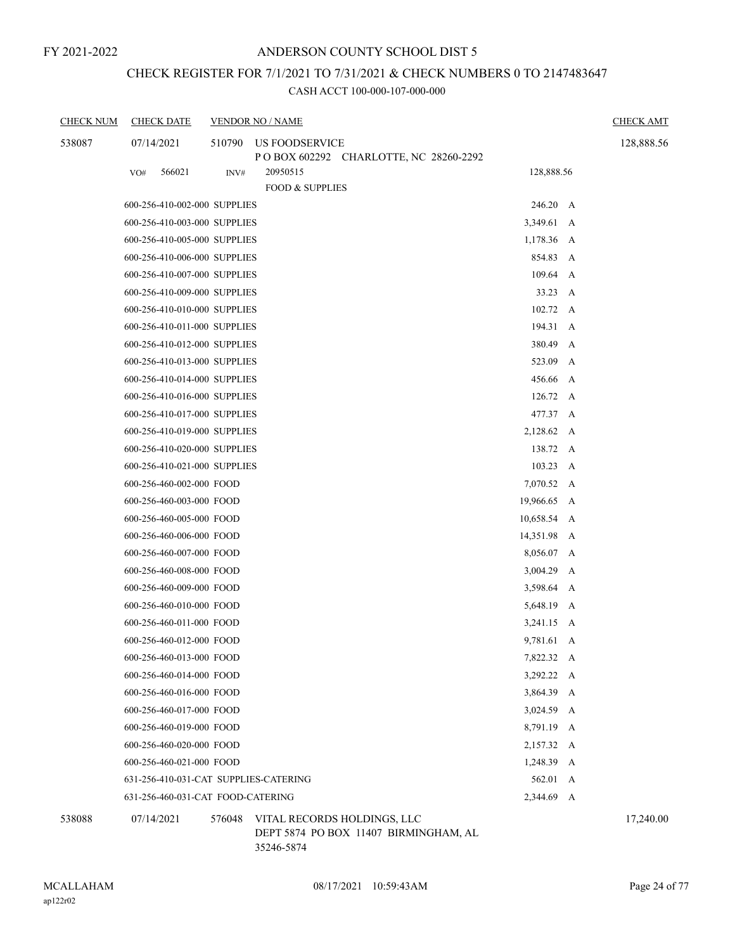# CHECK REGISTER FOR 7/1/2021 TO 7/31/2021 & CHECK NUMBERS 0 TO 2147483647

| <b>CHECK NUM</b> | <b>CHECK DATE</b>                     |        | <b>VENDOR NO / NAME</b>                                              |                  |   | <b>CHECK AMT</b> |
|------------------|---------------------------------------|--------|----------------------------------------------------------------------|------------------|---|------------------|
| 538087           | 07/14/2021                            | 510790 | US FOODSERVICE<br>POBOX 602292 CHARLOTTE, NC 28260-2292              |                  |   | 128,888.56       |
|                  | 566021<br>VO#                         | INV#   | 20950515                                                             | 128,888.56       |   |                  |
|                  |                                       |        | <b>FOOD &amp; SUPPLIES</b>                                           |                  |   |                  |
|                  | 600-256-410-002-000 SUPPLIES          |        |                                                                      | 246.20 A         |   |                  |
|                  | 600-256-410-003-000 SUPPLIES          |        |                                                                      | 3,349.61 A       |   |                  |
|                  | 600-256-410-005-000 SUPPLIES          |        |                                                                      | 1,178.36         | A |                  |
|                  | 600-256-410-006-000 SUPPLIES          |        |                                                                      | 854.83 A         |   |                  |
|                  | 600-256-410-007-000 SUPPLIES          |        |                                                                      | $109.64 \, A$    |   |                  |
|                  | 600-256-410-009-000 SUPPLIES          |        |                                                                      | 33.23 A          |   |                  |
|                  | 600-256-410-010-000 SUPPLIES          |        |                                                                      | 102.72           | A |                  |
|                  | 600-256-410-011-000 SUPPLIES          |        |                                                                      | 194.31           | A |                  |
|                  | 600-256-410-012-000 SUPPLIES          |        |                                                                      | 380.49           | A |                  |
|                  | 600-256-410-013-000 SUPPLIES          |        |                                                                      | 523.09           | A |                  |
|                  | 600-256-410-014-000 SUPPLIES          |        |                                                                      | 456.66           | A |                  |
|                  | 600-256-410-016-000 SUPPLIES          |        |                                                                      | $126.72 \quad A$ |   |                  |
|                  | 600-256-410-017-000 SUPPLIES          |        |                                                                      | 477.37 A         |   |                  |
|                  | 600-256-410-019-000 SUPPLIES          |        |                                                                      | 2,128.62 A       |   |                  |
|                  | 600-256-410-020-000 SUPPLIES          |        |                                                                      | 138.72 A         |   |                  |
|                  | 600-256-410-021-000 SUPPLIES          |        |                                                                      | 103.23 A         |   |                  |
|                  | 600-256-460-002-000 FOOD              |        |                                                                      | 7,070.52 A       |   |                  |
|                  | 600-256-460-003-000 FOOD              |        |                                                                      | 19,966.65 A      |   |                  |
|                  | 600-256-460-005-000 FOOD              |        |                                                                      | 10,658.54 A      |   |                  |
|                  | 600-256-460-006-000 FOOD              |        |                                                                      | 14,351.98 A      |   |                  |
|                  | 600-256-460-007-000 FOOD              |        |                                                                      | 8,056.07 A       |   |                  |
|                  | 600-256-460-008-000 FOOD              |        |                                                                      | 3,004.29         | A |                  |
|                  | 600-256-460-009-000 FOOD              |        |                                                                      | 3,598.64 A       |   |                  |
|                  | 600-256-460-010-000 FOOD              |        |                                                                      | 5,648.19 A       |   |                  |
|                  | 600-256-460-011-000 FOOD              |        |                                                                      | 3,241.15 A       |   |                  |
|                  | 600-256-460-012-000 FOOD              |        |                                                                      | 9,781.61 A       |   |                  |
|                  | 600-256-460-013-000 FOOD              |        |                                                                      | 7,822.32 A       |   |                  |
|                  | 600-256-460-014-000 FOOD              |        |                                                                      | 3,292.22 A       |   |                  |
|                  | 600-256-460-016-000 FOOD              |        |                                                                      | 3,864.39 A       |   |                  |
|                  | 600-256-460-017-000 FOOD              |        |                                                                      | 3,024.59 A       |   |                  |
|                  | 600-256-460-019-000 FOOD              |        |                                                                      | 8,791.19 A       |   |                  |
|                  | 600-256-460-020-000 FOOD              |        |                                                                      | 2,157.32 A       |   |                  |
|                  | 600-256-460-021-000 FOOD              |        |                                                                      | 1,248.39 A       |   |                  |
|                  | 631-256-410-031-CAT SUPPLIES-CATERING |        |                                                                      | 562.01           | A |                  |
|                  | 631-256-460-031-CAT FOOD-CATERING     |        |                                                                      | 2,344.69         | A |                  |
| 538088           | 07/14/2021                            | 576048 | VITAL RECORDS HOLDINGS, LLC<br>DEPT 5874 PO BOX 11407 BIRMINGHAM, AL |                  |   | 17,240.00        |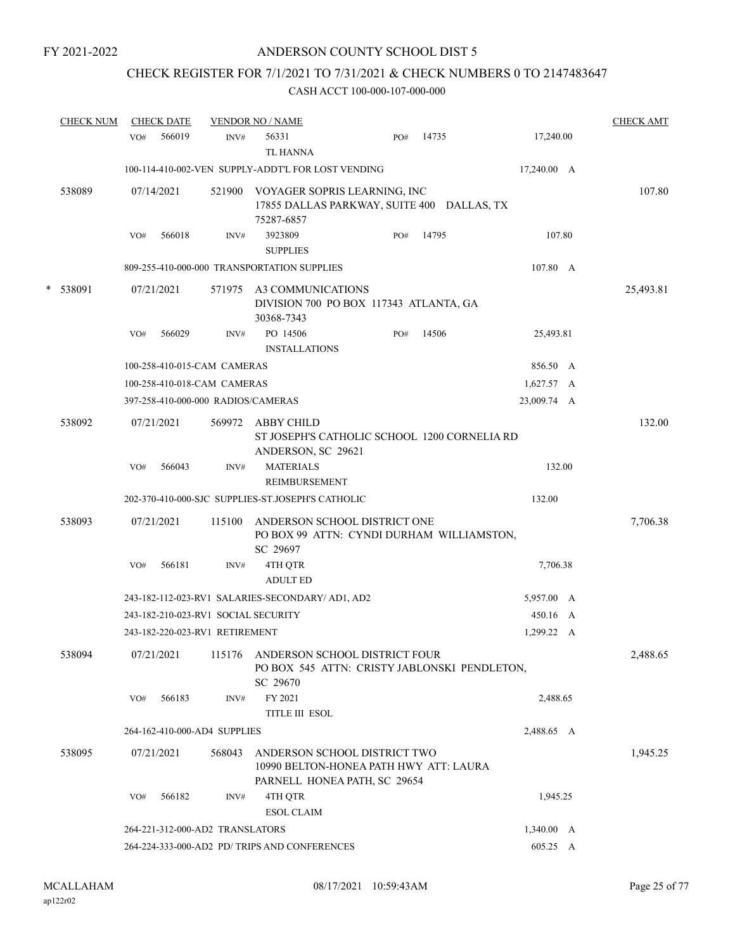# CHECK REGISTER FOR 7/1/2021 TO 7/31/2021 & CHECK NUMBERS 0 TO 2147483647

|   | <b>CHECK NUM</b> |     | <b>CHECK DATE</b> |                                    | <b>VENDOR NO / NAME</b>                                                                                     |     |       |                    | <b>CHECK AMT</b> |
|---|------------------|-----|-------------------|------------------------------------|-------------------------------------------------------------------------------------------------------------|-----|-------|--------------------|------------------|
|   |                  | VO# | 566019            | INV#                               | 56331<br><b>TL HANNA</b>                                                                                    | PO# | 14735 | 17,240.00          |                  |
|   |                  |     |                   |                                    | 100-114-410-002-VEN SUPPLY-ADDT'L FOR LOST VENDING                                                          |     |       | 17,240.00 A        |                  |
|   | 538089           |     | 07/14/2021        | 521900                             | VOYAGER SOPRIS LEARNING, INC<br>17855 DALLAS PARKWAY, SUITE 400 DALLAS, TX<br>75287-6857                    |     |       |                    | 107.80           |
|   |                  | VO# | 566018            | INV#                               | 3923809<br><b>SUPPLIES</b>                                                                                  | PO# | 14795 | 107.80             |                  |
|   |                  |     |                   |                                    | 809-255-410-000-000 TRANSPORTATION SUPPLIES                                                                 |     |       | 107.80 A           |                  |
| * | 538091           |     | 07/21/2021        | 571975                             | A3 COMMUNICATIONS<br>DIVISION 700 PO BOX 117343 ATLANTA, GA<br>30368-7343                                   |     |       |                    | 25,493.81        |
|   |                  | VO# | 566029            | INV#                               | PO 14506<br><b>INSTALLATIONS</b>                                                                            | PO# | 14506 | 25,493.81          |                  |
|   |                  |     |                   | 100-258-410-015-CAM CAMERAS        |                                                                                                             |     |       | 856.50 A           |                  |
|   |                  |     |                   | 100-258-410-018-CAM CAMERAS        |                                                                                                             |     |       | 1,627.57 A         |                  |
|   |                  |     |                   | 397-258-410-000-000 RADIOS/CAMERAS |                                                                                                             |     |       | 23,009.74 A        |                  |
|   | 538092           |     | 07/21/2021        | 569972                             | ABBY CHILD<br>ST JOSEPH'S CATHOLIC SCHOOL 1200 CORNELIA RD<br>ANDERSON, SC 29621                            |     |       |                    | 132.00           |
|   |                  | VO# | 566043            | INV#                               | <b>MATERIALS</b><br>REIMBURSEMENT                                                                           |     |       | 132.00             |                  |
|   |                  |     |                   |                                    | 202-370-410-000-SJC SUPPLIES-ST.JOSEPH'S CATHOLIC                                                           |     |       | 132.00             |                  |
|   | 538093           |     | 07/21/2021        | 115100                             | ANDERSON SCHOOL DISTRICT ONE<br>PO BOX 99 ATTN: CYNDI DURHAM WILLIAMSTON,<br>SC 29697                       |     |       |                    | 7,706.38         |
|   |                  | VO# | 566181            | INV#                               | 4TH QTR<br><b>ADULT ED</b>                                                                                  |     |       | 7,706.38           |                  |
|   |                  |     |                   |                                    | 243-182-112-023-RV1 SALARIES-SECONDARY/ AD1, AD2                                                            |     |       | 5,957.00 A         |                  |
|   |                  |     |                   |                                    | 243-182-210-023-RV1 SOCIAL SECURITY                                                                         |     |       | 450.16 A           |                  |
|   |                  |     |                   | 243-182-220-023-RV1 RETIREMENT     |                                                                                                             |     |       | 1,299.22 A         |                  |
|   | 538094           |     |                   |                                    | 07/21/2021 115176 ANDERSON SCHOOL DISTRICT FOUR<br>PO BOX 545 ATTN: CRISTY JABLONSKI PENDLETON,<br>SC 29670 |     |       |                    | 2,488.65         |
|   |                  | VO# | 566183            | INV#                               | FY 2021<br><b>TITLE III ESOL</b>                                                                            |     |       | 2,488.65           |                  |
|   |                  |     |                   | 264-162-410-000-AD4 SUPPLIES       |                                                                                                             |     |       | 2,488.65 A         |                  |
|   | 538095           |     | 07/21/2021        | 568043                             | ANDERSON SCHOOL DISTRICT TWO<br>10990 BELTON-HONEA PATH HWY ATT: LAURA<br>PARNELL HONEA PATH, SC 29654      |     |       |                    | 1,945.25         |
|   |                  | VO# | 566182            | INV#                               | 4TH QTR<br><b>ESOL CLAIM</b>                                                                                |     |       | 1,945.25           |                  |
|   |                  |     |                   | 264-221-312-000-AD2 TRANSLATORS    |                                                                                                             |     |       | $1,340.00 \quad A$ |                  |
|   |                  |     |                   |                                    | 264-224-333-000-AD2 PD/ TRIPS AND CONFERENCES                                                               |     |       | 605.25 A           |                  |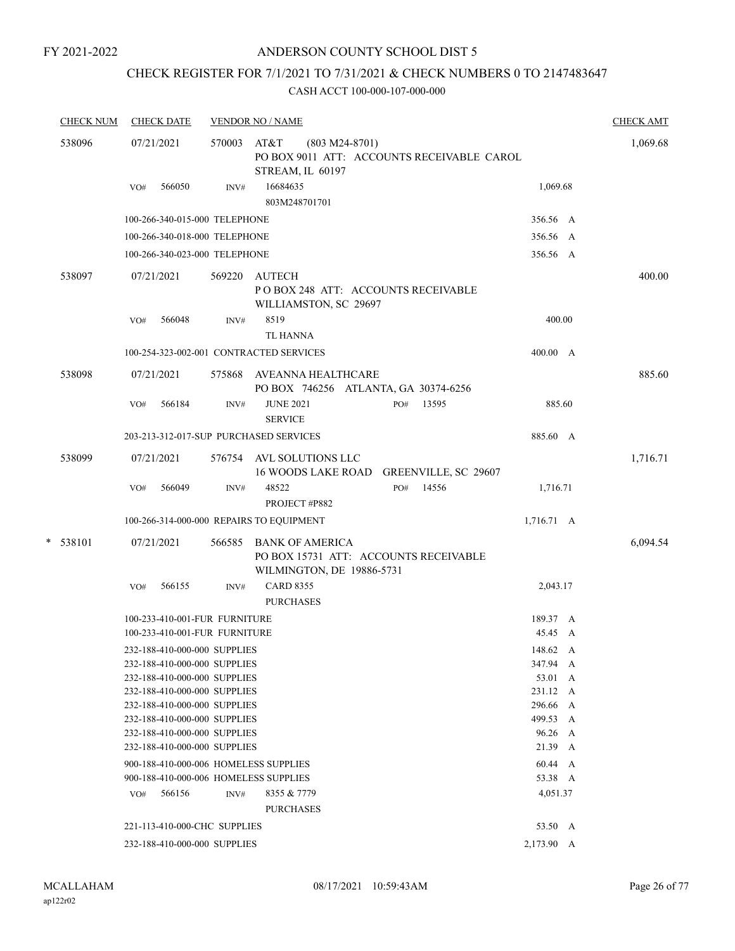# ANDERSON COUNTY SCHOOL DIST 5

# CHECK REGISTER FOR 7/1/2021 TO 7/31/2021 & CHECK NUMBERS 0 TO 2147483647

| <b>CHECK NUM</b> |            |     | <b>CHECK DATE</b> |                                                              | <b>VENDOR NO / NAME</b>                                                                      |  |     |       |                     |   |          |
|------------------|------------|-----|-------------------|--------------------------------------------------------------|----------------------------------------------------------------------------------------------|--|-----|-------|---------------------|---|----------|
| 538096           |            |     | 07/21/2021        | 570003                                                       | AT&T<br>$(803 M24-8701)$<br>PO BOX 9011 ATT: ACCOUNTS RECEIVABLE CAROL<br>STREAM, IL 60197   |  |     |       |                     |   | 1,069.68 |
|                  |            | VO# | 566050            | INV#                                                         | 16684635<br>803M248701701                                                                    |  |     |       | 1,069.68            |   |          |
|                  |            |     |                   | 100-266-340-015-000 TELEPHONE                                |                                                                                              |  |     |       | 356.56 A            |   |          |
|                  |            |     |                   | 100-266-340-018-000 TELEPHONE                                |                                                                                              |  |     |       | 356.56 A            |   |          |
|                  |            |     |                   | 100-266-340-023-000 TELEPHONE                                |                                                                                              |  |     |       | 356.56 A            |   |          |
|                  | 538097     |     | 07/21/2021        | 569220                                                       | AUTECH<br>POBOX 248 ATT: ACCOUNTS RECEIVABLE<br>WILLIAMSTON, SC 29697                        |  |     |       |                     |   | 400.00   |
|                  |            | VO# | 566048            | INV#                                                         | 8519<br><b>TL HANNA</b>                                                                      |  |     |       | 400.00              |   |          |
|                  |            |     |                   |                                                              | 100-254-323-002-001 CONTRACTED SERVICES                                                      |  |     |       | 400.00 A            |   |          |
|                  | 538098     |     | 07/21/2021        |                                                              | 575868 AVEANNA HEALTHCARE<br>PO BOX 746256 ATLANTA, GA 30374-6256                            |  |     |       |                     |   | 885.60   |
|                  |            | VO# | 566184            | INV#                                                         | <b>JUNE 2021</b><br><b>SERVICE</b>                                                           |  | PO# | 13595 | 885.60              |   |          |
|                  |            |     |                   |                                                              | 203-213-312-017-SUP PURCHASED SERVICES                                                       |  |     |       | 885.60 A            |   |          |
|                  | 538099     |     | 07/21/2021        |                                                              | 576754 AVL SOLUTIONS LLC<br>16 WOODS LAKE ROAD GREENVILLE, SC 29607                          |  |     |       |                     |   | 1,716.71 |
|                  |            | VO# | 566049            | INV#                                                         | 48522<br>PROJECT #P882                                                                       |  | PO# | 14556 | 1,716.71            |   |          |
|                  |            |     |                   |                                                              | 100-266-314-000-000 REPAIRS TO EQUIPMENT                                                     |  |     |       | $1,716.71 \, A$     |   |          |
|                  | $* 538101$ |     | 07/21/2021        | 566585                                                       | <b>BANK OF AMERICA</b><br>PO BOX 15731 ATT: ACCOUNTS RECEIVABLE<br>WILMINGTON, DE 19886-5731 |  |     |       |                     |   | 6,094.54 |
|                  |            | VO# | 566155            | INV#                                                         | <b>CARD 8355</b><br><b>PURCHASES</b>                                                         |  |     |       | 2,043.17            |   |          |
|                  |            |     |                   | 100-233-410-001-FUR FURNITURE                                |                                                                                              |  |     |       | 189.37 A            |   |          |
|                  |            |     |                   | 100-233-410-001-FUR FURNITURE                                |                                                                                              |  |     |       | 45.45 A             |   |          |
|                  |            |     |                   | 232-188-410-000-000 SUPPLIES                                 |                                                                                              |  |     |       | 148.62 A            |   |          |
|                  |            |     |                   | 232-188-410-000-000 SUPPLIES                                 |                                                                                              |  |     |       | 347.94 A            |   |          |
|                  |            |     |                   | 232-188-410-000-000 SUPPLIES<br>232-188-410-000-000 SUPPLIES |                                                                                              |  |     |       | 53.01 A<br>231.12 A |   |          |
|                  |            |     |                   | 232-188-410-000-000 SUPPLIES                                 |                                                                                              |  |     |       | 296.66              | A |          |
|                  |            |     |                   | 232-188-410-000-000 SUPPLIES                                 |                                                                                              |  |     |       | 499.53 A            |   |          |
|                  |            |     |                   | 232-188-410-000-000 SUPPLIES                                 |                                                                                              |  |     |       | 96.26 A             |   |          |
|                  |            |     |                   | 232-188-410-000-000 SUPPLIES                                 |                                                                                              |  |     |       | 21.39 A             |   |          |
|                  |            |     |                   |                                                              | 900-188-410-000-006 HOMELESS SUPPLIES                                                        |  |     |       | 60.44 A             |   |          |
|                  |            |     |                   |                                                              | 900-188-410-000-006 HOMELESS SUPPLIES                                                        |  |     |       | 53.38 A             |   |          |
|                  |            | VO# | 566156            | INV#                                                         | 8355 & 7779<br><b>PURCHASES</b>                                                              |  |     |       | 4,051.37            |   |          |
|                  |            |     |                   | 221-113-410-000-CHC SUPPLIES                                 |                                                                                              |  |     |       | 53.50 A             |   |          |
|                  |            |     |                   | 232-188-410-000-000 SUPPLIES                                 |                                                                                              |  |     |       | 2,173.90 A          |   |          |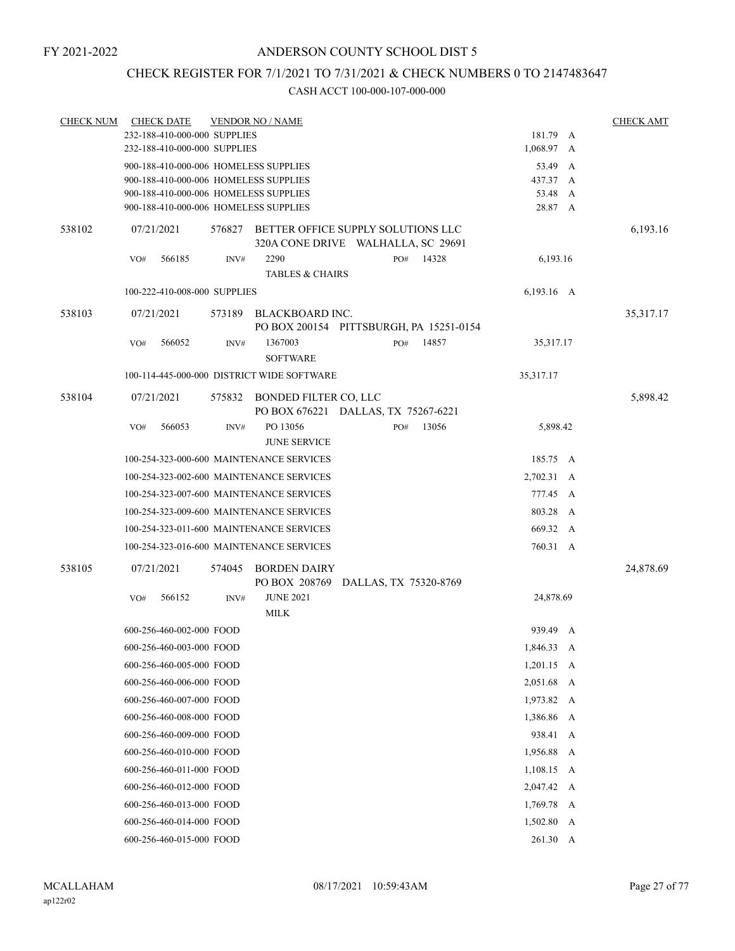# CHECK REGISTER FOR 7/1/2021 TO 7/31/2021 & CHECK NUMBERS 0 TO 2147483647

| <b>CHECK NUM</b> | <b>CHECK DATE</b>                                                              |        | <b>VENDOR NO / NAME</b>                    |                                         |       |                     |   | <b>CHECK AMT</b> |
|------------------|--------------------------------------------------------------------------------|--------|--------------------------------------------|-----------------------------------------|-------|---------------------|---|------------------|
|                  | 232-188-410-000-000 SUPPLIES                                                   |        |                                            |                                         |       | 181.79 A            |   |                  |
|                  | 232-188-410-000-000 SUPPLIES                                                   |        |                                            |                                         |       | 1,068.97 A          |   |                  |
|                  | 900-188-410-000-006 HOMELESS SUPPLIES                                          |        |                                            |                                         |       | 53.49 A<br>437.37 A |   |                  |
|                  | 900-188-410-000-006 HOMELESS SUPPLIES<br>900-188-410-000-006 HOMELESS SUPPLIES |        |                                            |                                         |       | 53.48 A             |   |                  |
|                  | 900-188-410-000-006 HOMELESS SUPPLIES                                          |        |                                            |                                         |       | 28.87 A             |   |                  |
| 538102           | 07/21/2021                                                                     | 576827 |                                            | BETTER OFFICE SUPPLY SOLUTIONS LLC      |       |                     |   | 6,193.16         |
|                  |                                                                                |        |                                            | 320A CONE DRIVE WALHALLA, SC 29691      |       |                     |   |                  |
|                  | 566185<br>VO#                                                                  | INV#   | 2290                                       | PO#                                     | 14328 | 6,193.16            |   |                  |
|                  |                                                                                |        | <b>TABLES &amp; CHAIRS</b>                 |                                         |       |                     |   |                  |
|                  | 100-222-410-008-000 SUPPLIES                                                   |        |                                            |                                         |       | $6,193.16$ A        |   |                  |
| 538103           | 07/21/2021                                                                     | 573189 | BLACKBOARD INC.                            | PO BOX 200154 PITTSBURGH, PA 15251-0154 |       |                     |   | 35,317.17        |
|                  | 566052<br>VO#                                                                  | INV#   | 1367003                                    | PO#                                     | 14857 | 35,317.17           |   |                  |
|                  |                                                                                |        | <b>SOFTWARE</b>                            |                                         |       |                     |   |                  |
|                  |                                                                                |        | 100-114-445-000-000 DISTRICT WIDE SOFTWARE |                                         |       | 35,317.17           |   |                  |
| 538104           | 07/21/2021                                                                     | 575832 | BONDED FILTER CO, LLC                      | PO BOX 676221 DALLAS, TX 75267-6221     |       |                     |   | 5,898.42         |
|                  | 566053<br>VO#                                                                  | INV#   | PO 13056<br><b>JUNE SERVICE</b>            | PO#                                     | 13056 | 5,898.42            |   |                  |
|                  |                                                                                |        | 100-254-323-000-600 MAINTENANCE SERVICES   |                                         |       | 185.75 A            |   |                  |
|                  |                                                                                |        | 100-254-323-002-600 MAINTENANCE SERVICES   |                                         |       | 2,702.31 A          |   |                  |
|                  |                                                                                |        | 100-254-323-007-600 MAINTENANCE SERVICES   |                                         |       | 777.45 A            |   |                  |
|                  |                                                                                |        | 100-254-323-009-600 MAINTENANCE SERVICES   |                                         |       | 803.28              | A |                  |
|                  |                                                                                |        | 100-254-323-011-600 MAINTENANCE SERVICES   |                                         |       | 669.32 A            |   |                  |
|                  |                                                                                |        | 100-254-323-016-600 MAINTENANCE SERVICES   |                                         |       | 760.31 A            |   |                  |
| 538105           | 07/21/2021                                                                     | 574045 | <b>BORDEN DAIRY</b>                        | PO BOX 208769 DALLAS, TX 75320-8769     |       |                     |   | 24,878.69        |
|                  | 566152<br>VO#                                                                  | INV#   | <b>JUNE 2021</b>                           |                                         |       | 24,878.69           |   |                  |
|                  |                                                                                |        | <b>MILK</b>                                |                                         |       |                     |   |                  |
|                  | 600-256-460-002-000 FOOD                                                       |        |                                            |                                         |       | 939.49 A            |   |                  |
|                  | 600-256-460-003-000 FOOD                                                       |        |                                            |                                         |       | 1,846.33 A          |   |                  |
|                  | 600-256-460-005-000 FOOD                                                       |        |                                            |                                         |       | $1,201.15$ A        |   |                  |
|                  | 600-256-460-006-000 FOOD                                                       |        |                                            |                                         |       | 2,051.68 A          |   |                  |
|                  | 600-256-460-007-000 FOOD                                                       |        |                                            |                                         |       | 1,973.82 A          |   |                  |
|                  | 600-256-460-008-000 FOOD                                                       |        |                                            |                                         |       | 1,386.86            | A |                  |
|                  | 600-256-460-009-000 FOOD                                                       |        |                                            |                                         |       | 938.41 A            |   |                  |
|                  | 600-256-460-010-000 FOOD                                                       |        |                                            |                                         |       | 1,956.88 A          |   |                  |
|                  | 600-256-460-011-000 FOOD                                                       |        |                                            |                                         |       | $1,108.15$ A        |   |                  |
|                  | 600-256-460-012-000 FOOD                                                       |        |                                            |                                         |       | 2,047.42 A          |   |                  |
|                  | 600-256-460-013-000 FOOD                                                       |        |                                            |                                         |       | 1,769.78 A          |   |                  |
|                  | 600-256-460-014-000 FOOD                                                       |        |                                            |                                         |       | $1,502.80$ A        |   |                  |
|                  | 600-256-460-015-000 FOOD                                                       |        |                                            |                                         |       | 261.30 A            |   |                  |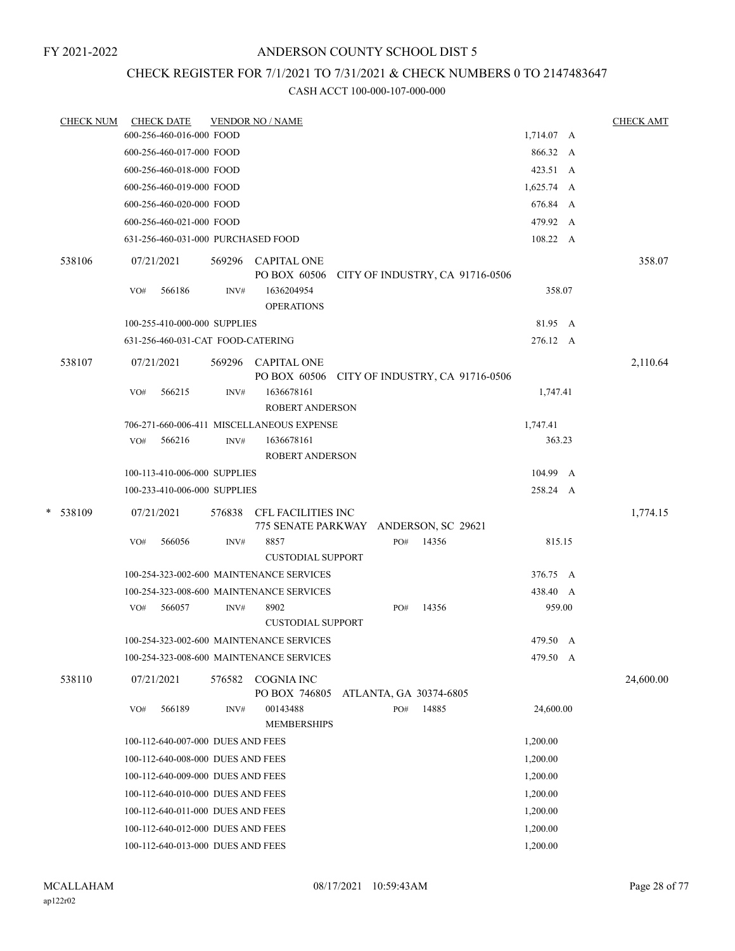# ANDERSON COUNTY SCHOOL DIST 5

# CHECK REGISTER FOR 7/1/2021 TO 7/31/2021 & CHECK NUMBERS 0 TO 2147483647

| <b>CHECK NUM</b> | <b>CHECK DATE</b><br><b>VENDOR NO / NAME</b>                                        |                                 | <b>CHECK AMT</b> |
|------------------|-------------------------------------------------------------------------------------|---------------------------------|------------------|
|                  | 600-256-460-016-000 FOOD                                                            | 1,714.07 A                      |                  |
|                  | 600-256-460-017-000 FOOD                                                            | 866.32 A                        |                  |
|                  | 600-256-460-018-000 FOOD                                                            | 423.51 A                        |                  |
|                  | 600-256-460-019-000 FOOD                                                            | $1,625.74 \quad A$              |                  |
|                  | 600-256-460-020-000 FOOD                                                            | 676.84 A                        |                  |
|                  | 600-256-460-021-000 FOOD                                                            | 479.92 A                        |                  |
|                  | 631-256-460-031-000 PURCHASED FOOD                                                  | 108.22 A                        |                  |
| 538106           | 569296 CAPITAL ONE<br>07/21/2021                                                    |                                 | 358.07           |
|                  | PO BOX 60506                                                                        | CITY OF INDUSTRY, CA 91716-0506 |                  |
|                  | 566186<br>1636204954<br>VO#<br>INV#<br><b>OPERATIONS</b>                            | 358.07                          |                  |
|                  | 100-255-410-000-000 SUPPLIES                                                        | 81.95 A                         |                  |
|                  | 631-256-460-031-CAT FOOD-CATERING                                                   | 276.12 A                        |                  |
| 538107           | 07/21/2021<br>569296 CAPITAL ONE<br>PO BOX 60506 CITY OF INDUSTRY, CA 91716-0506    |                                 | 2,110.64         |
|                  | 1636678161<br>566215<br>INV#<br>VO#<br><b>ROBERT ANDERSON</b>                       | 1,747.41                        |                  |
|                  | 706-271-660-006-411 MISCELLANEOUS EXPENSE                                           | 1,747.41                        |                  |
|                  | 566216<br>1636678161<br>VO#<br>INV#                                                 | 363.23                          |                  |
|                  | <b>ROBERT ANDERSON</b>                                                              |                                 |                  |
|                  | 100-113-410-006-000 SUPPLIES                                                        | 104.99 A                        |                  |
|                  | 100-233-410-006-000 SUPPLIES                                                        | 258.24 A                        |                  |
| * 538109         | 07/21/2021<br>576838<br>CFL FACILITIES INC<br>775 SENATE PARKWAY ANDERSON, SC 29621 |                                 | 1,774.15         |
|                  | 566056<br>8857<br>VO#<br>INV#<br><b>CUSTODIAL SUPPORT</b>                           | 815.15<br>14356<br>PO#          |                  |
|                  | 100-254-323-002-600 MAINTENANCE SERVICES                                            | 376.75 A                        |                  |
|                  | 100-254-323-008-600 MAINTENANCE SERVICES                                            | 438.40 A                        |                  |
|                  | 566057<br>8902<br>INV#<br>VO#                                                       | 14356<br>959.00<br>PO#          |                  |
|                  | <b>CUSTODIAL SUPPORT</b>                                                            |                                 |                  |
|                  | 100-254-323-002-600 MAINTENANCE SERVICES                                            | 479.50 A                        |                  |
|                  | 100-254-323-008-600 MAINTENANCE SERVICES                                            | 479.50 A                        |                  |
| 538110           | <b>COGNIA INC</b><br>07/21/2021<br>576582<br>PO BOX 746805                          | ATLANTA, GA 30374-6805          | 24,600.00        |
|                  | 566189<br>00143488<br>VO#<br>INV#<br><b>MEMBERSHIPS</b>                             | 14885<br>24,600.00<br>PO#       |                  |
|                  | 100-112-640-007-000 DUES AND FEES                                                   | 1,200.00                        |                  |
|                  | 100-112-640-008-000 DUES AND FEES                                                   | 1,200.00                        |                  |
|                  | 100-112-640-009-000 DUES AND FEES                                                   | 1,200.00                        |                  |
|                  | 100-112-640-010-000 DUES AND FEES                                                   | 1,200.00                        |                  |
|                  | 100-112-640-011-000 DUES AND FEES                                                   | 1,200.00                        |                  |
|                  | 100-112-640-012-000 DUES AND FEES                                                   | 1,200.00                        |                  |
|                  | 100-112-640-013-000 DUES AND FEES                                                   | 1,200.00                        |                  |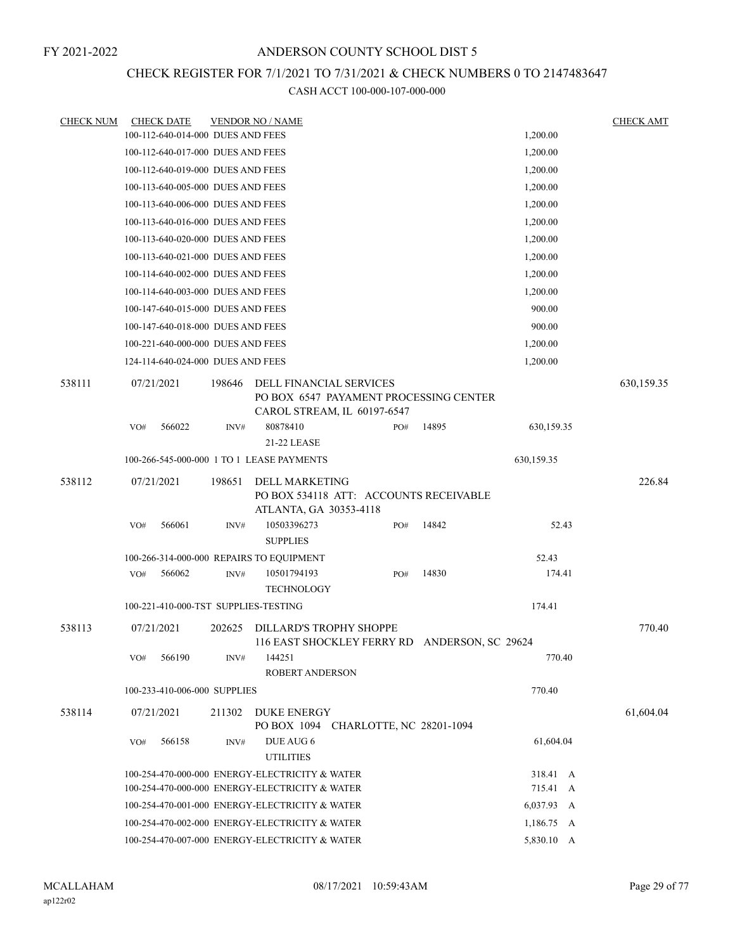# CHECK REGISTER FOR 7/1/2021 TO 7/31/2021 & CHECK NUMBERS 0 TO 2147483647

| <b>CHECK NUM</b> |            | <b>CHECK DATE</b>                 |                | <b>VENDOR NO / NAME</b>                                    |     |                                               |            | <b>CHECK AMT</b> |
|------------------|------------|-----------------------------------|----------------|------------------------------------------------------------|-----|-----------------------------------------------|------------|------------------|
|                  |            | 100-112-640-014-000 DUES AND FEES |                |                                                            |     |                                               | 1,200.00   |                  |
|                  |            | 100-112-640-017-000 DUES AND FEES |                |                                                            |     |                                               | 1,200.00   |                  |
|                  |            | 100-112-640-019-000 DUES AND FEES |                |                                                            |     |                                               | 1,200.00   |                  |
|                  |            | 100-113-640-005-000 DUES AND FEES |                |                                                            |     |                                               | 1,200.00   |                  |
|                  |            | 100-113-640-006-000 DUES AND FEES |                |                                                            |     |                                               | 1,200.00   |                  |
|                  |            | 100-113-640-016-000 DUES AND FEES |                |                                                            |     |                                               | 1,200.00   |                  |
|                  |            | 100-113-640-020-000 DUES AND FEES |                |                                                            |     |                                               | 1,200.00   |                  |
|                  |            | 100-113-640-021-000 DUES AND FEES |                |                                                            |     |                                               | 1,200.00   |                  |
|                  |            | 100-114-640-002-000 DUES AND FEES |                |                                                            |     |                                               | 1,200.00   |                  |
|                  |            | 100-114-640-003-000 DUES AND FEES |                |                                                            |     |                                               | 1,200.00   |                  |
|                  |            | 100-147-640-015-000 DUES AND FEES |                |                                                            |     |                                               | 900.00     |                  |
|                  |            | 100-147-640-018-000 DUES AND FEES |                |                                                            |     |                                               | 900.00     |                  |
|                  |            | 100-221-640-000-000 DUES AND FEES |                |                                                            |     |                                               | 1,200.00   |                  |
|                  |            | 124-114-640-024-000 DUES AND FEES |                |                                                            |     |                                               | 1,200.00   |                  |
| 538111           |            |                                   |                |                                                            |     |                                               |            |                  |
|                  | 07/21/2021 |                                   | 198646         | DELL FINANCIAL SERVICES<br>CAROL STREAM, IL 60197-6547     |     | PO BOX 6547 PAYAMENT PROCESSING CENTER        |            | 630,159.35       |
|                  | VO#        | 566022                            | INV#           | 80878410<br>21-22 LEASE                                    | PO# | 14895                                         | 630,159.35 |                  |
|                  |            |                                   |                | 100-266-545-000-000 1 TO 1 LEASE PAYMENTS                  |     |                                               | 630,159.35 |                  |
| 538112           | 07/21/2021 |                                   | 198651         | <b>DELL MARKETING</b><br>ATLANTA, GA 30353-4118            |     | PO BOX 534118 ATT: ACCOUNTS RECEIVABLE        |            | 226.84           |
|                  | VO#        | 566061                            | INV#           | 10503396273<br><b>SUPPLIES</b>                             | PO# | 14842                                         | 52.43      |                  |
|                  |            |                                   |                | 100-266-314-000-000 REPAIRS TO EQUIPMENT                   |     |                                               | 52.43      |                  |
|                  | VO#        | 566062                            | $\text{INV}\#$ | 10501794193<br><b>TECHNOLOGY</b>                           | PO# | 14830                                         | 174.41     |                  |
|                  |            |                                   |                | 100-221-410-000-TST SUPPLIES-TESTING                       |     |                                               | 174.41     |                  |
| 538113           | 07/21/2021 |                                   | 202625         | DILLARD'S TROPHY SHOPPE                                    |     | 116 EAST SHOCKLEY FERRY RD ANDERSON, SC 29624 |            | 770.40           |
|                  | VO#        | 566190                            | INV#           | 144251<br><b>ROBERT ANDERSON</b>                           |     |                                               | 770.40     |                  |
|                  |            | 100-233-410-006-000 SUPPLIES      |                |                                                            |     |                                               | 770.40     |                  |
| 538114           |            | 07/21/2021                        | 211302         | <b>DUKE ENERGY</b><br>PO BOX 1094 CHARLOTTE, NC 28201-1094 |     |                                               |            | 61,604.04        |
|                  | VO#        | 566158                            | INV#           | DUE AUG 6<br><b>UTILITIES</b>                              |     |                                               | 61,604.04  |                  |
|                  |            |                                   |                | 100-254-470-000-000 ENERGY-ELECTRICITY & WATER             |     |                                               | 318.41 A   |                  |
|                  |            |                                   |                | 100-254-470-000-000 ENERGY-ELECTRICITY & WATER             |     |                                               | 715.41 A   |                  |
|                  |            |                                   |                | 100-254-470-001-000 ENERGY-ELECTRICITY & WATER             |     |                                               | 6,037.93 A |                  |
|                  |            |                                   |                | 100-254-470-002-000 ENERGY-ELECTRICITY & WATER             |     |                                               | 1,186.75 A |                  |
|                  |            |                                   |                | 100-254-470-007-000 ENERGY-ELECTRICITY & WATER             |     |                                               | 5,830.10 A |                  |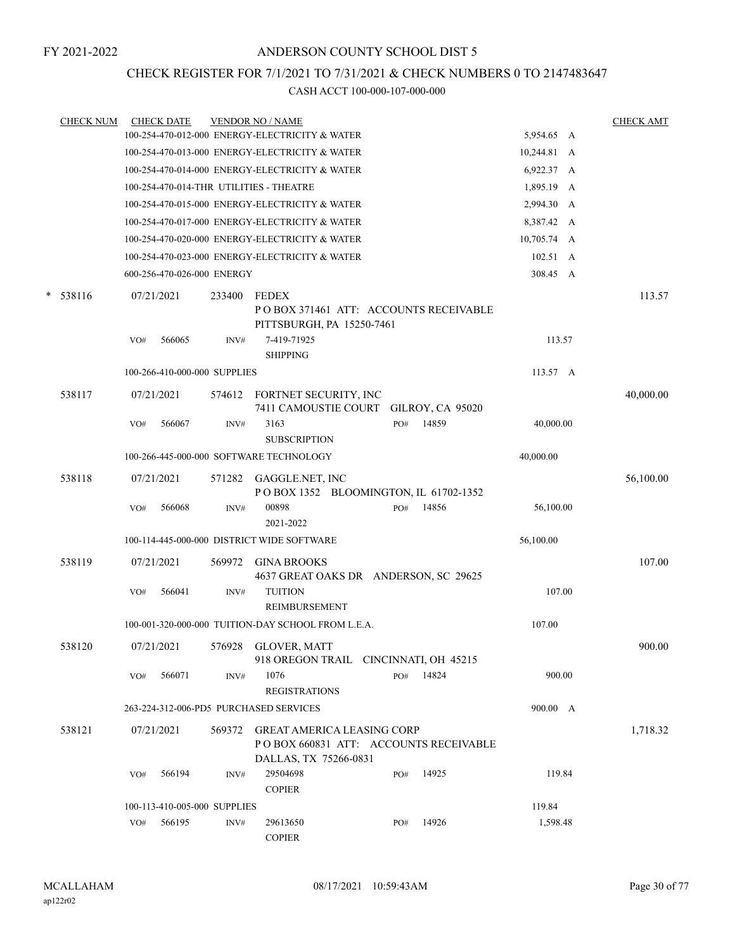# CHECK REGISTER FOR 7/1/2021 TO 7/31/2021 & CHECK NUMBERS 0 TO 2147483647

| <b>CHECK NUM</b> |     | <b>CHECK DATE</b>            |        | <b>VENDOR NO / NAME</b>                                                                              |     |       |                    | <b>CHECK AMT</b> |
|------------------|-----|------------------------------|--------|------------------------------------------------------------------------------------------------------|-----|-------|--------------------|------------------|
|                  |     |                              |        | 100-254-470-012-000 ENERGY-ELECTRICITY & WATER                                                       |     |       | 5,954.65 A         |                  |
|                  |     |                              |        | 100-254-470-013-000 ENERGY-ELECTRICITY & WATER                                                       |     |       | 10,244.81 A        |                  |
|                  |     |                              |        | 100-254-470-014-000 ENERGY-ELECTRICITY & WATER                                                       |     |       | 6,922.37 A         |                  |
|                  |     |                              |        | 100-254-470-014-THR UTILITIES - THEATRE                                                              |     |       | 1,895.19 A         |                  |
|                  |     |                              |        | 100-254-470-015-000 ENERGY-ELECTRICITY & WATER                                                       |     |       | 2,994.30 A         |                  |
|                  |     |                              |        | 100-254-470-017-000 ENERGY-ELECTRICITY & WATER                                                       |     |       | 8,387.42 A         |                  |
|                  |     |                              |        | 100-254-470-020-000 ENERGY-ELECTRICITY & WATER                                                       |     |       | 10,705.74 A        |                  |
|                  |     |                              |        | 100-254-470-023-000 ENERGY-ELECTRICITY & WATER                                                       |     |       | 102.51 A           |                  |
|                  |     | 600-256-470-026-000 ENERGY   |        |                                                                                                      |     |       | 308.45 A           |                  |
| $*$ 538116       |     | 07/21/2021                   | 233400 | <b>FEDEX</b><br>PO BOX 371461 ATT: ACCOUNTS RECEIVABLE<br>PITTSBURGH, PA 15250-7461                  |     |       |                    | 113.57           |
|                  | VO# | 566065                       | INV#   | 7-419-71925                                                                                          |     |       | 113.57             |                  |
|                  |     |                              |        | <b>SHIPPING</b>                                                                                      |     |       |                    |                  |
|                  |     | 100-266-410-000-000 SUPPLIES |        |                                                                                                      |     |       | $113.57 \text{ A}$ |                  |
| 538117           |     | 07/21/2021                   |        | 574612 FORTNET SECURITY, INC<br>7411 CAMOUSTIE COURT GILROY, CA 95020                                |     |       |                    | 40,000.00        |
|                  | VO# | 566067                       | INV#   | 3163<br><b>SUBSCRIPTION</b>                                                                          | PO# | 14859 | 40,000.00          |                  |
|                  |     |                              |        | 100-266-445-000-000 SOFTWARE TECHNOLOGY                                                              |     |       | 40,000.00          |                  |
| 538118           |     | 07/21/2021                   | 571282 |                                                                                                      |     |       |                    | 56,100.00        |
|                  |     |                              |        | GAGGLE.NET, INC<br>POBOX 1352 BLOOMINGTON, IL 61702-1352                                             |     |       |                    |                  |
|                  | VO# | 566068                       | INV#   | 00898<br>2021-2022                                                                                   | PO# | 14856 | 56,100.00          |                  |
|                  |     |                              |        | 100-114-445-000-000 DISTRICT WIDE SOFTWARE                                                           |     |       | 56,100.00          |                  |
| 538119           |     | 07/21/2021                   |        | <b>GINA BROOKS</b>                                                                                   |     |       |                    | 107.00           |
|                  |     |                              | 569972 | 4637 GREAT OAKS DR ANDERSON, SC 29625                                                                |     |       |                    |                  |
|                  | VO# | 566041                       | INV#   | <b>TUITION</b><br>REIMBURSEMENT                                                                      |     |       | 107.00             |                  |
|                  |     |                              |        | 100-001-320-000-000 TUITION-DAY SCHOOL FROM L.E.A.                                                   |     |       | 107.00             |                  |
|                  |     |                              |        |                                                                                                      |     |       |                    |                  |
| 538120           |     | 07/21/2021                   | 576928 | <b>GLOVER, MATT</b><br>918 OREGON TRAIL CINCINNATI, OH 45215                                         |     |       |                    | 900.00           |
|                  | VO# | 566071                       | INV#   | 1076<br><b>REGISTRATIONS</b>                                                                         | PO# | 14824 | 900.00             |                  |
|                  |     |                              |        | 263-224-312-006-PD5 PURCHASED SERVICES                                                               |     |       | 900.00 A           |                  |
|                  |     |                              |        |                                                                                                      |     |       |                    |                  |
| 538121           |     | 07/21/2021                   | 569372 | <b>GREAT AMERICA LEASING CORP</b><br>PO BOX 660831 ATT: ACCOUNTS RECEIVABLE<br>DALLAS, TX 75266-0831 |     |       |                    | 1,718.32         |
|                  | VO# | 566194                       | INV#   | 29504698                                                                                             | PO# | 14925 | 119.84             |                  |
|                  |     |                              |        | <b>COPIER</b>                                                                                        |     |       |                    |                  |
|                  |     | 100-113-410-005-000 SUPPLIES |        |                                                                                                      |     |       | 119.84             |                  |
|                  | VO# | 566195                       | INV#   | 29613650<br><b>COPIER</b>                                                                            | PO# | 14926 | 1,598.48           |                  |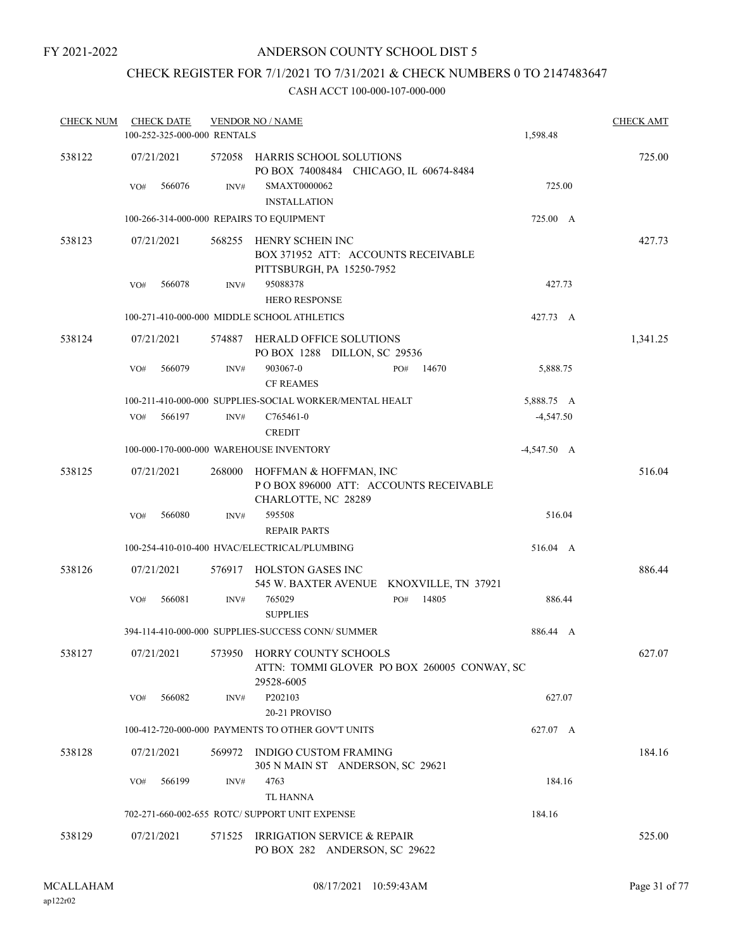# ANDERSON COUNTY SCHOOL DIST 5

# CHECK REGISTER FOR 7/1/2021 TO 7/31/2021 & CHECK NUMBERS 0 TO 2147483647

| <b>CHECK NUM</b> | <b>CHECK DATE</b><br>100-252-325-000-000 RENTALS |        | <b>VENDOR NO / NAME</b>                                                                             | 1,598.48      | <b>CHECK AMT</b> |
|------------------|--------------------------------------------------|--------|-----------------------------------------------------------------------------------------------------|---------------|------------------|
| 538122           | 07/21/2021                                       |        | 572058 HARRIS SCHOOL SOLUTIONS<br>PO BOX 74008484 CHICAGO, IL 60674-8484                            |               | 725.00           |
|                  | 566076<br>VO#                                    | INV#   | SMAXT0000062<br><b>INSTALLATION</b>                                                                 | 725.00        |                  |
|                  | 100-266-314-000-000 REPAIRS TO EQUIPMENT         |        |                                                                                                     | 725.00 A      |                  |
| 538123           | 07/21/2021                                       |        | 568255 HENRY SCHEIN INC<br>BOX 371952 ATT: ACCOUNTS RECEIVABLE<br>PITTSBURGH, PA 15250-7952         |               | 427.73           |
|                  | 566078<br>VO#                                    | INV#   | 95088378                                                                                            | 427.73        |                  |
|                  |                                                  |        | <b>HERO RESPONSE</b>                                                                                |               |                  |
|                  |                                                  |        | 100-271-410-000-000 MIDDLE SCHOOL ATHLETICS                                                         | 427.73 A      |                  |
| 538124           | 07/21/2021                                       |        | 574887 HERALD OFFICE SOLUTIONS<br>PO BOX 1288 DILLON, SC 29536                                      |               | 1,341.25         |
|                  | 566079<br>VO#                                    | INV#   | 903067-0<br>14670<br>PO#<br><b>CF REAMES</b>                                                        | 5,888.75      |                  |
|                  |                                                  |        | 100-211-410-000-000 SUPPLIES-SOCIAL WORKER/MENTAL HEALT                                             | 5,888.75 A    |                  |
|                  | 566197<br>VO#                                    | INV#   | C765461-0<br><b>CREDIT</b>                                                                          | $-4,547.50$   |                  |
|                  | 100-000-170-000-000 WAREHOUSE INVENTORY          |        |                                                                                                     | $-4,547.50$ A |                  |
| 538125           | 07/21/2021                                       | 268000 | HOFFMAN & HOFFMAN, INC<br>PO BOX 896000 ATT: ACCOUNTS RECEIVABLE<br>CHARLOTTE, NC 28289             |               | 516.04           |
|                  | 566080<br>VO#                                    | INV#   | 595508<br><b>REPAIR PARTS</b>                                                                       | 516.04        |                  |
|                  |                                                  |        | 100-254-410-010-400 HVAC/ELECTRICAL/PLUMBING                                                        | 516.04 A      |                  |
| 538126           | 07/21/2021                                       |        | 576917 HOLSTON GASES INC<br>545 W. BAXTER AVENUE KNOXVILLE, TN 37921                                |               | 886.44           |
|                  | VO#<br>566081                                    | INV#   | 765029<br>PO#<br>14805<br><b>SUPPLIES</b>                                                           | 886.44        |                  |
|                  |                                                  |        | 394-114-410-000-000 SUPPLIES-SUCCESS CONN/ SUMMER                                                   | 886.44 A      |                  |
| 538127           |                                                  |        | 07/21/2021 573950 HORRY COUNTY SCHOOLS<br>ATTN: TOMMI GLOVER PO BOX 260005 CONWAY, SC<br>29528-6005 |               | 627.07           |
|                  | 566082<br>VO#                                    | INV#   | P202103                                                                                             | 627.07        |                  |
|                  |                                                  |        | 20-21 PROVISO                                                                                       |               |                  |
|                  |                                                  |        | 100-412-720-000-000 PAYMENTS TO OTHER GOV'T UNITS                                                   | 627.07 A      |                  |
| 538128           | 07/21/2021                                       | 569972 | INDIGO CUSTOM FRAMING<br>305 N MAIN ST ANDERSON, SC 29621                                           |               | 184.16           |
|                  | 566199<br>VO#                                    | INV#   | 4763<br><b>TL HANNA</b>                                                                             | 184.16        |                  |
|                  |                                                  |        | 702-271-660-002-655 ROTC/ SUPPORT UNIT EXPENSE                                                      | 184.16        |                  |
| 538129           | 07/21/2021                                       | 571525 | IRRIGATION SERVICE & REPAIR<br>PO BOX 282 ANDERSON, SC 29622                                        |               | 525.00           |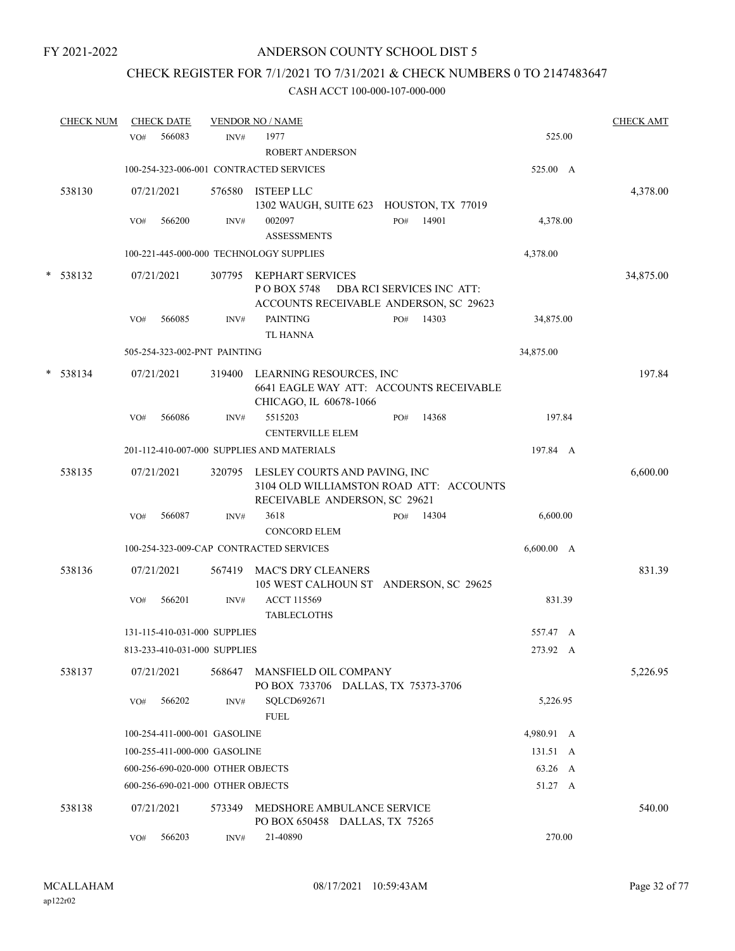# CHECK REGISTER FOR 7/1/2021 TO 7/31/2021 & CHECK NUMBERS 0 TO 2147483647

|   | <b>CHECK NUM</b> |     | <b>CHECK DATE</b> |                                   | <b>VENDOR NO / NAME</b>                                                                                          |     |                           |            | <b>CHECK AMT</b> |
|---|------------------|-----|-------------------|-----------------------------------|------------------------------------------------------------------------------------------------------------------|-----|---------------------------|------------|------------------|
|   |                  | VO# | 566083            | INV#                              | 1977<br><b>ROBERT ANDERSON</b>                                                                                   |     |                           | 525.00     |                  |
|   |                  |     |                   |                                   | 100-254-323-006-001 CONTRACTED SERVICES                                                                          |     |                           | 525.00 A   |                  |
|   | 538130           |     | 07/21/2021        | 576580                            | <b>ISTEEP LLC</b><br>1302 WAUGH, SUITE 623 HOUSTON, TX 77019                                                     |     |                           |            | 4,378.00         |
|   |                  | VO# | 566200            | INV#                              | 002097<br><b>ASSESSMENTS</b>                                                                                     | PO# | 14901                     | 4,378.00   |                  |
|   |                  |     |                   |                                   | 100-221-445-000-000 TECHNOLOGY SUPPLIES                                                                          |     |                           | 4,378.00   |                  |
| * | 538132           |     | 07/21/2021        | 307795                            | <b>KEPHART SERVICES</b><br>POBOX 5748<br>ACCOUNTS RECEIVABLE ANDERSON, SC 29623                                  |     | DBA RCI SERVICES INC ATT: |            | 34,875.00        |
|   |                  | VO# | 566085            | INV#                              | <b>PAINTING</b><br><b>TL HANNA</b>                                                                               | PO# | 14303                     | 34,875.00  |                  |
|   |                  |     |                   | 505-254-323-002-PNT PAINTING      |                                                                                                                  |     |                           | 34,875.00  |                  |
| * | 538134           |     | 07/21/2021        |                                   | 319400 LEARNING RESOURCES, INC<br>6641 EAGLE WAY ATT: ACCOUNTS RECEIVABLE<br>CHICAGO, IL 60678-1066              |     |                           |            | 197.84           |
|   |                  | VO# | 566086            | INV#                              | 5515203<br><b>CENTERVILLE ELEM</b>                                                                               | PO# | 14368                     | 197.84     |                  |
|   |                  |     |                   |                                   | 201-112-410-007-000 SUPPLIES AND MATERIALS                                                                       |     |                           | 197.84 A   |                  |
|   | 538135           |     | 07/21/2021        |                                   | 320795 LESLEY COURTS AND PAVING, INC<br>3104 OLD WILLIAMSTON ROAD ATT: ACCOUNTS<br>RECEIVABLE ANDERSON, SC 29621 |     |                           |            | 6,600.00         |
|   |                  | VO# | 566087            | INV#                              | 3618<br><b>CONCORD ELEM</b>                                                                                      | PO# | 14304                     | 6,600.00   |                  |
|   |                  |     |                   |                                   | 100-254-323-009-CAP CONTRACTED SERVICES                                                                          |     |                           | 6,600.00 A |                  |
|   | 538136           |     | 07/21/2021        | 567419                            | MAC'S DRY CLEANERS<br>105 WEST CALHOUN ST ANDERSON, SC 29625                                                     |     |                           |            | 831.39           |
|   |                  | VO# | 566201            | INV#                              | <b>ACCT 115569</b><br><b>TABLECLOTHS</b>                                                                         |     |                           | 831.39     |                  |
|   |                  |     |                   | 131-115-410-031-000 SUPPLIES      |                                                                                                                  |     |                           | 557.47 A   |                  |
|   |                  |     |                   | 813-233-410-031-000 SUPPLIES      |                                                                                                                  |     |                           | 273.92 A   |                  |
|   | 538137           |     | 07/21/2021        | 568647                            | MANSFIELD OIL COMPANY<br>PO BOX 733706 DALLAS, TX 75373-3706                                                     |     |                           |            | 5,226.95         |
|   |                  | VO# | 566202            | INV#                              | SQLCD692671<br><b>FUEL</b>                                                                                       |     |                           | 5,226.95   |                  |
|   |                  |     |                   | 100-254-411-000-001 GASOLINE      |                                                                                                                  |     |                           | 4,980.91 A |                  |
|   |                  |     |                   | 100-255-411-000-000 GASOLINE      |                                                                                                                  |     |                           | 131.51 A   |                  |
|   |                  |     |                   | 600-256-690-020-000 OTHER OBJECTS |                                                                                                                  |     |                           | 63.26 A    |                  |
|   |                  |     |                   | 600-256-690-021-000 OTHER OBJECTS |                                                                                                                  |     |                           | 51.27 A    |                  |
|   | 538138           |     | 07/21/2021        | 573349                            | MEDSHORE AMBULANCE SERVICE<br>PO BOX 650458 DALLAS, TX 75265                                                     |     |                           |            | 540.00           |
|   |                  | VO# | 566203            | INV#                              | 21-40890                                                                                                         |     |                           | 270.00     |                  |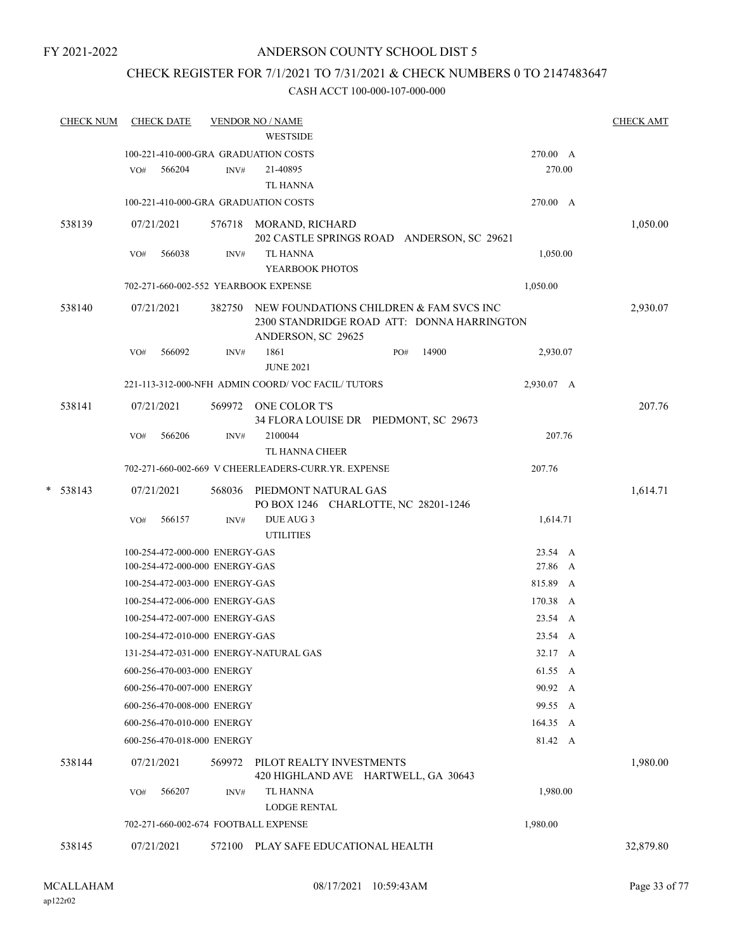# ANDERSON COUNTY SCHOOL DIST 5

# CHECK REGISTER FOR 7/1/2021 TO 7/31/2021 & CHECK NUMBERS 0 TO 2147483647

|   | <b>CHECK NUM</b> |     | <b>CHECK DATE</b>              |        | <b>VENDOR NO / NAME</b><br><b>WESTSIDE</b>                   |                                                                                       |            | <b>CHECK AMT</b> |
|---|------------------|-----|--------------------------------|--------|--------------------------------------------------------------|---------------------------------------------------------------------------------------|------------|------------------|
|   |                  |     |                                |        | 100-221-410-000-GRA GRADUATION COSTS                         |                                                                                       | 270.00 A   |                  |
|   |                  | VO# | 566204                         | INV#   | 21-40895                                                     |                                                                                       | 270.00     |                  |
|   |                  |     |                                |        | <b>TL HANNA</b>                                              |                                                                                       |            |                  |
|   |                  |     |                                |        |                                                              |                                                                                       |            |                  |
|   |                  |     |                                |        | 100-221-410-000-GRA GRADUATION COSTS                         |                                                                                       | 270.00 A   |                  |
|   | 538139           |     | 07/21/2021                     |        | 576718 MORAND, RICHARD                                       | 202 CASTLE SPRINGS ROAD ANDERSON, SC 29621                                            |            | 1,050.00         |
|   |                  | VO# | 566038                         | INV#   | <b>TL HANNA</b>                                              |                                                                                       | 1,050.00   |                  |
|   |                  |     |                                |        | YEARBOOK PHOTOS                                              |                                                                                       |            |                  |
|   |                  |     |                                |        | 702-271-660-002-552 YEARBOOK EXPENSE                         |                                                                                       | 1,050.00   |                  |
|   | 538140           |     | 07/21/2021                     | 382750 | ANDERSON, SC 29625                                           | NEW FOUNDATIONS CHILDREN & FAM SVCS INC<br>2300 STANDRIDGE ROAD ATT: DONNA HARRINGTON |            | 2,930.07         |
|   |                  | VO# | 566092                         | INV#   | 1861                                                         | 14900<br>PO#                                                                          | 2,930.07   |                  |
|   |                  |     |                                |        | <b>JUNE 2021</b>                                             |                                                                                       |            |                  |
|   |                  |     |                                |        | 221-113-312-000-NFH ADMIN COORD/VOC FACIL/TUTORS             |                                                                                       | 2,930.07 A |                  |
|   | 538141           |     | 07/21/2021                     |        | 569972 ONE COLOR T'S                                         |                                                                                       |            | 207.76           |
|   |                  |     |                                |        |                                                              | 34 FLORA LOUISE DR PIEDMONT, SC 29673                                                 |            |                  |
|   |                  | VO# | 566206                         | INV#   | 2100044                                                      |                                                                                       | 207.76     |                  |
|   |                  |     |                                |        | <b>TL HANNA CHEER</b>                                        |                                                                                       |            |                  |
|   |                  |     |                                |        | 702-271-660-002-669 V CHEERLEADERS-CURR.YR. EXPENSE          |                                                                                       | 207.76     |                  |
|   |                  |     |                                |        |                                                              |                                                                                       |            |                  |
| * | 538143           |     | 07/21/2021                     | 568036 | PIEDMONT NATURAL GAS<br>PO BOX 1246 CHARLOTTE, NC 28201-1246 |                                                                                       |            | 1,614.71         |
|   |                  | VO# | 566157                         | INV#   | DUE AUG 3                                                    |                                                                                       | 1,614.71   |                  |
|   |                  |     |                                |        | <b>UTILITIES</b>                                             |                                                                                       |            |                  |
|   |                  |     | 100-254-472-000-000 ENERGY-GAS |        |                                                              |                                                                                       | 23.54 A    |                  |
|   |                  |     | 100-254-472-000-000 ENERGY-GAS |        |                                                              |                                                                                       | 27.86 A    |                  |
|   |                  |     | 100-254-472-003-000 ENERGY-GAS |        |                                                              |                                                                                       | 815.89 A   |                  |
|   |                  |     | 100-254-472-006-000 ENERGY-GAS |        |                                                              |                                                                                       | 170.38 A   |                  |
|   |                  |     | 100-254-472-007-000 ENERGY-GAS |        |                                                              |                                                                                       | 23.54 A    |                  |
|   |                  |     | 100-254-472-010-000 ENERGY-GAS |        |                                                              |                                                                                       | 23.54 A    |                  |
|   |                  |     |                                |        | 131-254-472-031-000 ENERGY-NATURAL GAS                       |                                                                                       | 32.17 A    |                  |
|   |                  |     | 600-256-470-003-000 ENERGY     |        |                                                              |                                                                                       |            |                  |
|   |                  |     |                                |        |                                                              |                                                                                       | 61.55 A    |                  |
|   |                  |     | 600-256-470-007-000 ENERGY     |        |                                                              |                                                                                       | 90.92 A    |                  |
|   |                  |     | 600-256-470-008-000 ENERGY     |        |                                                              |                                                                                       | 99.55 A    |                  |
|   |                  |     | 600-256-470-010-000 ENERGY     |        |                                                              |                                                                                       | 164.35 A   |                  |
|   |                  |     | 600-256-470-018-000 ENERGY     |        |                                                              |                                                                                       | 81.42 A    |                  |
|   | 538144           |     | 07/21/2021                     | 569972 | PILOT REALTY INVESTMENTS                                     | 420 HIGHLAND AVE HARTWELL, GA 30643                                                   |            | 1,980.00         |
|   |                  | VO# | 566207                         | INV#   | <b>TL HANNA</b>                                              |                                                                                       | 1,980.00   |                  |
|   |                  |     |                                |        | <b>LODGE RENTAL</b>                                          |                                                                                       |            |                  |
|   |                  |     |                                |        | 702-271-660-002-674 FOOTBALL EXPENSE                         |                                                                                       | 1,980.00   |                  |
|   | 538145           |     | 07/21/2021                     | 572100 | PLAY SAFE EDUCATIONAL HEALTH                                 |                                                                                       |            | 32,879.80        |
|   |                  |     |                                |        |                                                              |                                                                                       |            |                  |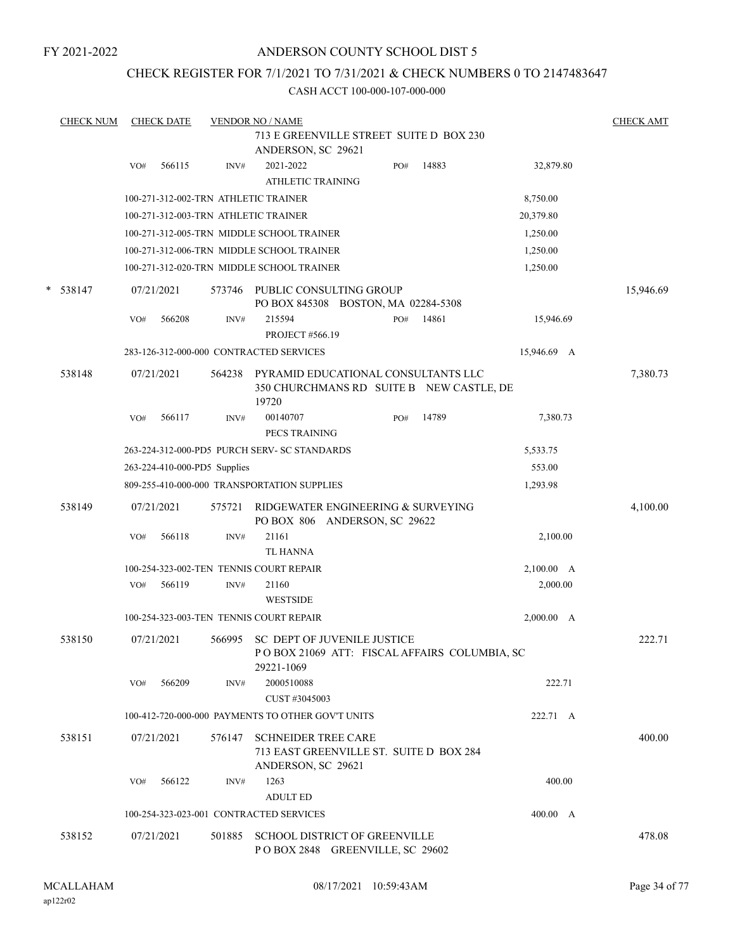# ANDERSON COUNTY SCHOOL DIST 5

# CHECK REGISTER FOR 7/1/2021 TO 7/31/2021 & CHECK NUMBERS 0 TO 2147483647

|   | <b>CHECK NUM</b> |     | <b>CHECK DATE</b> |                              | <b>VENDOR NO / NAME</b>                                                                     |     |                                              |             | <b>CHECK AMT</b> |
|---|------------------|-----|-------------------|------------------------------|---------------------------------------------------------------------------------------------|-----|----------------------------------------------|-------------|------------------|
|   |                  |     |                   |                              | 713 E GREENVILLE STREET SUITE D BOX 230<br>ANDERSON, SC 29621                               |     |                                              |             |                  |
|   |                  | VO# | 566115            | INV#                         | 2021-2022<br><b>ATHLETIC TRAINING</b>                                                       | PO# | 14883                                        | 32,879.80   |                  |
|   |                  |     |                   |                              | 100-271-312-002-TRN ATHLETIC TRAINER                                                        |     |                                              | 8,750.00    |                  |
|   |                  |     |                   |                              | 100-271-312-003-TRN ATHLETIC TRAINER                                                        |     |                                              | 20,379.80   |                  |
|   |                  |     |                   |                              | 100-271-312-005-TRN MIDDLE SCHOOL TRAINER                                                   |     |                                              | 1,250.00    |                  |
|   |                  |     |                   |                              | 100-271-312-006-TRN MIDDLE SCHOOL TRAINER                                                   |     |                                              | 1,250.00    |                  |
|   |                  |     |                   |                              | 100-271-312-020-TRN MIDDLE SCHOOL TRAINER                                                   |     |                                              | 1,250.00    |                  |
| * | 538147           |     | 07/21/2021        | 573746                       | PUBLIC CONSULTING GROUP<br>PO BOX 845308 BOSTON, MA 02284-5308                              |     |                                              |             | 15,946.69        |
|   |                  | VO# | 566208            | INV#                         | 215594<br><b>PROJECT #566.19</b>                                                            | PO# | 14861                                        | 15,946.69   |                  |
|   |                  |     |                   |                              | 283-126-312-000-000 CONTRACTED SERVICES                                                     |     |                                              | 15,946.69 A |                  |
|   | 538148           |     | 07/21/2021        | 564238                       | PYRAMID EDUCATIONAL CONSULTANTS LLC<br>19720                                                |     | 350 CHURCHMANS RD SUITE B NEW CASTLE, DE     |             | 7,380.73         |
|   |                  | VO# | 566117            | INV#                         | 00140707<br>PECS TRAINING                                                                   | PO# | 14789                                        | 7,380.73    |                  |
|   |                  |     |                   |                              | 263-224-312-000-PD5 PURCH SERV- SC STANDARDS                                                |     |                                              | 5,533.75    |                  |
|   |                  |     |                   | 263-224-410-000-PD5 Supplies |                                                                                             |     |                                              | 553.00      |                  |
|   |                  |     |                   |                              | 809-255-410-000-000 TRANSPORTATION SUPPLIES                                                 |     |                                              | 1,293.98    |                  |
|   | 538149           |     | 07/21/2021        | 575721                       | RIDGEWATER ENGINEERING & SURVEYING<br>PO BOX 806 ANDERSON, SC 29622                         |     |                                              |             | 4,100.00         |
|   |                  | VO# | 566118            | INV#                         | 21161<br><b>TL HANNA</b>                                                                    |     |                                              | 2,100.00    |                  |
|   |                  |     |                   |                              | 100-254-323-002-TEN TENNIS COURT REPAIR                                                     |     |                                              | 2,100.00 A  |                  |
|   |                  | VO# | 566119            | INV#                         | 21160<br><b>WESTSIDE</b>                                                                    |     |                                              | 2,000.00    |                  |
|   |                  |     |                   |                              | 100-254-323-003-TEN TENNIS COURT REPAIR                                                     |     |                                              | 2,000.00 A  |                  |
|   | 538150           |     | 07/21/2021        | 566995                       | <b>SC DEPT OF JUVENILE JUSTICE</b><br>29221-1069                                            |     | POBOX 21069 ATT: FISCAL AFFAIRS COLUMBIA, SC |             | 222.71           |
|   |                  | VO# | 566209            | INV#                         | 2000510088<br>CUST #3045003                                                                 |     |                                              | 222.71      |                  |
|   |                  |     |                   |                              | 100-412-720-000-000 PAYMENTS TO OTHER GOV'T UNITS                                           |     |                                              | 222.71 A    |                  |
|   | 538151           |     | 07/21/2021        | 576147                       | <b>SCHNEIDER TREE CARE</b><br>713 EAST GREENVILLE ST. SUITE D BOX 284<br>ANDERSON, SC 29621 |     |                                              |             | 400.00           |
|   |                  | VO# | 566122            | INV#                         | 1263<br><b>ADULT ED</b>                                                                     |     |                                              | 400.00      |                  |
|   |                  |     |                   |                              | 100-254-323-023-001 CONTRACTED SERVICES                                                     |     |                                              | 400.00 A    |                  |
|   | 538152           |     | 07/21/2021        | 501885                       | <b>SCHOOL DISTRICT OF GREENVILLE</b><br>POBOX 2848 GREENVILLE, SC 29602                     |     |                                              |             | 478.08           |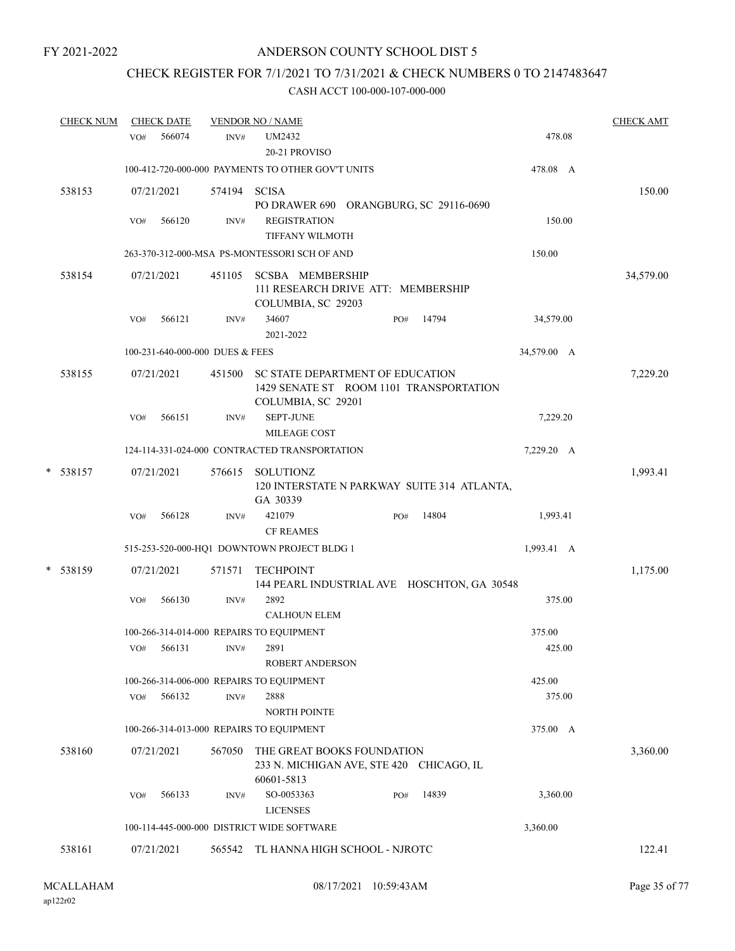# CHECK REGISTER FOR 7/1/2021 TO 7/31/2021 & CHECK NUMBERS 0 TO 2147483647

| <b>CHECK NUM</b> |     | <b>CHECK DATE</b> |                                 | <b>VENDOR NO / NAME</b>                                                                                  |     |       |             | <b>CHECK AMT</b> |
|------------------|-----|-------------------|---------------------------------|----------------------------------------------------------------------------------------------------------|-----|-------|-------------|------------------|
|                  | VO# | 566074            | INV#                            | <b>UM2432</b><br>20-21 PROVISO                                                                           |     |       | 478.08      |                  |
|                  |     |                   |                                 | 100-412-720-000-000 PAYMENTS TO OTHER GOV'T UNITS                                                        |     |       | 478.08 A    |                  |
| 538153           |     | 07/21/2021        | 574194                          | <b>SCISA</b><br>PO DRAWER 690 ORANGBURG, SC 29116-0690                                                   |     |       |             | 150.00           |
|                  | VO# | 566120            | INV#                            | <b>REGISTRATION</b><br>TIFFANY WILMOTH                                                                   |     |       | 150.00      |                  |
|                  |     |                   |                                 | 263-370-312-000-MSA PS-MONTESSORI SCH OF AND                                                             |     |       | 150.00      |                  |
| 538154           |     | 07/21/2021        | 451105                          | <b>SCSBA MEMBERSHIP</b><br>111 RESEARCH DRIVE ATT: MEMBERSHIP<br>COLUMBIA, SC 29203                      |     |       |             | 34,579.00        |
|                  | VO# | 566121            | INV#                            | 34607<br>2021-2022                                                                                       | PO# | 14794 | 34,579.00   |                  |
|                  |     |                   | 100-231-640-000-000 DUES & FEES |                                                                                                          |     |       | 34,579.00 A |                  |
| 538155           |     | 07/21/2021        | 451500                          | <b>SC STATE DEPARTMENT OF EDUCATION</b><br>1429 SENATE ST ROOM 1101 TRANSPORTATION<br>COLUMBIA, SC 29201 |     |       |             | 7,229.20         |
|                  | VO# | 566151            | INV#                            | <b>SEPT-JUNE</b>                                                                                         |     |       | 7,229.20    |                  |
|                  |     |                   |                                 | MILEAGE COST                                                                                             |     |       |             |                  |
|                  |     |                   |                                 | 124-114-331-024-000 CONTRACTED TRANSPORTATION                                                            |     |       | 7,229.20 A  |                  |
| * 538157         |     | 07/21/2021        | 576615                          | SOLUTIONZ<br>120 INTERSTATE N PARKWAY SUITE 314 ATLANTA,<br>GA 30339                                     |     |       |             | 1,993.41         |
|                  | VO# | 566128            | INV#                            | 421079<br><b>CF REAMES</b>                                                                               | PO# | 14804 | 1,993.41    |                  |
|                  |     |                   |                                 | 515-253-520-000-HQ1 DOWNTOWN PROJECT BLDG 1                                                              |     |       | 1,993.41 A  |                  |
| * 538159         |     | 07/21/2021        | 571571                          | <b>TECHPOINT</b><br>144 PEARL INDUSTRIAL AVE HOSCHTON, GA 30548                                          |     |       |             | 1,175.00         |
|                  | VO# | 566130            | INV#                            | 2892<br><b>CALHOUN ELEM</b>                                                                              |     |       | 375.00      |                  |
|                  |     |                   |                                 | 100-266-314-014-000 REPAIRS TO EQUIPMENT                                                                 |     |       | 375.00      |                  |
|                  |     | $VO#$ 566131      | INV#                            | 2891<br><b>ROBERT ANDERSON</b>                                                                           |     |       | 425.00      |                  |
|                  |     |                   |                                 | 100-266-314-006-000 REPAIRS TO EQUIPMENT                                                                 |     |       | 425.00      |                  |
|                  | VO# | 566132            | INV#                            | 2888<br><b>NORTH POINTE</b>                                                                              |     |       | 375.00      |                  |
|                  |     |                   |                                 | 100-266-314-013-000 REPAIRS TO EQUIPMENT                                                                 |     |       | 375.00 A    |                  |
| 538160           |     | 07/21/2021        | 567050                          | THE GREAT BOOKS FOUNDATION<br>233 N. MICHIGAN AVE, STE 420 CHICAGO, IL<br>60601-5813                     |     |       |             | 3,360.00         |
|                  | VO# | 566133            | INV#                            | SO-0053363<br><b>LICENSES</b>                                                                            | PO# | 14839 | 3,360.00    |                  |
|                  |     |                   |                                 | 100-114-445-000-000 DISTRICT WIDE SOFTWARE                                                               |     |       | 3,360.00    |                  |
| 538161           |     | 07/21/2021        | 565542                          | TL HANNA HIGH SCHOOL - NJROTC                                                                            |     |       |             | 122.41           |
|                  |     |                   |                                 |                                                                                                          |     |       |             |                  |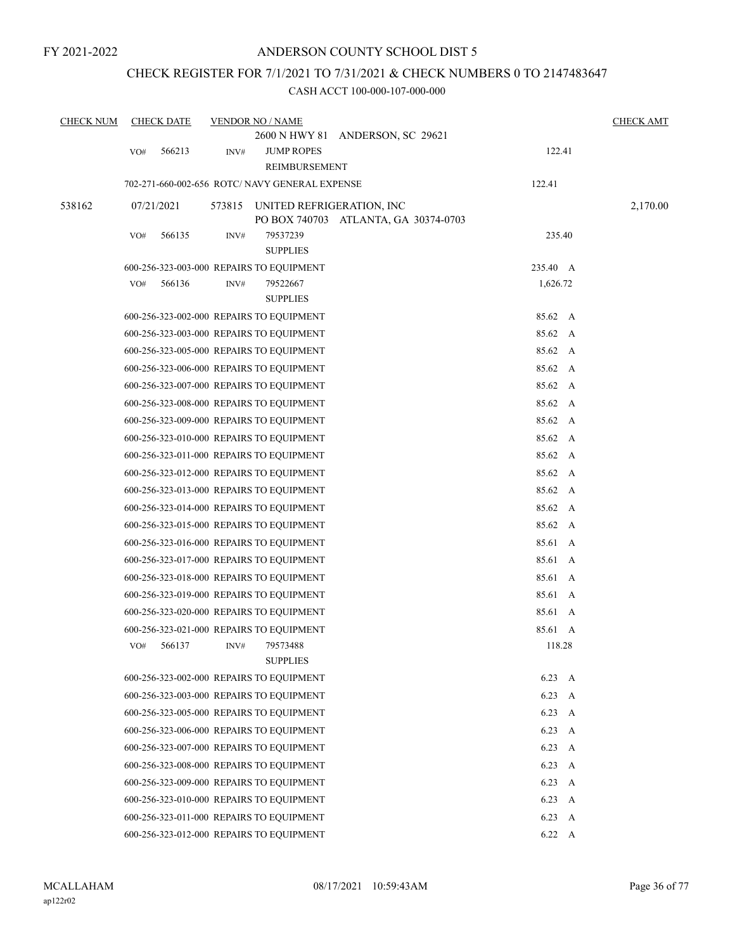# CHECK REGISTER FOR 7/1/2021 TO 7/31/2021 & CHECK NUMBERS 0 TO 2147483647

| <b>CHECK NUM</b> |     | <b>CHECK DATE</b> |        | <b>VENDOR NO / NAME</b>                        |                                      |               |              | <b>CHECK AMT</b> |
|------------------|-----|-------------------|--------|------------------------------------------------|--------------------------------------|---------------|--------------|------------------|
|                  | VO# | 566213            | INV#   | <b>JUMP ROPES</b><br>REIMBURSEMENT             | 2600 N HWY 81 ANDERSON, SC 29621     | 122.41        |              |                  |
|                  |     |                   |        | 702-271-660-002-656 ROTC/ NAVY GENERAL EXPENSE |                                      | 122.41        |              |                  |
|                  |     |                   |        |                                                |                                      |               |              |                  |
| 538162           |     | 07/21/2021        | 573815 | UNITED REFRIGERATION, INC                      | PO BOX 740703 ATLANTA, GA 30374-0703 |               |              | 2,170.00         |
|                  | VO# | 566135            | INV#   | 79537239<br><b>SUPPLIES</b>                    |                                      | 235.40        |              |                  |
|                  |     |                   |        | 600-256-323-003-000 REPAIRS TO EQUIPMENT       |                                      | 235.40 A      |              |                  |
|                  | VO# | 566136            | INV#   | 79522667<br><b>SUPPLIES</b>                    |                                      | 1,626.72      |              |                  |
|                  |     |                   |        | 600-256-323-002-000 REPAIRS TO EQUIPMENT       |                                      | 85.62 A       |              |                  |
|                  |     |                   |        | 600-256-323-003-000 REPAIRS TO EQUIPMENT       |                                      | 85.62 A       |              |                  |
|                  |     |                   |        | 600-256-323-005-000 REPAIRS TO EQUIPMENT       |                                      | 85.62 A       |              |                  |
|                  |     |                   |        | 600-256-323-006-000 REPAIRS TO EQUIPMENT       |                                      | 85.62 A       |              |                  |
|                  |     |                   |        | 600-256-323-007-000 REPAIRS TO EQUIPMENT       |                                      | 85.62 A       |              |                  |
|                  |     |                   |        | 600-256-323-008-000 REPAIRS TO EQUIPMENT       |                                      | 85.62 A       |              |                  |
|                  |     |                   |        | 600-256-323-009-000 REPAIRS TO EQUIPMENT       |                                      | 85.62 A       |              |                  |
|                  |     |                   |        | 600-256-323-010-000 REPAIRS TO EQUIPMENT       |                                      | 85.62 A       |              |                  |
|                  |     |                   |        | 600-256-323-011-000 REPAIRS TO EQUIPMENT       |                                      | 85.62 A       |              |                  |
|                  |     |                   |        | 600-256-323-012-000 REPAIRS TO EQUIPMENT       |                                      | 85.62 A       |              |                  |
|                  |     |                   |        | 600-256-323-013-000 REPAIRS TO EQUIPMENT       |                                      | 85.62 A       |              |                  |
|                  |     |                   |        | 600-256-323-014-000 REPAIRS TO EQUIPMENT       |                                      | 85.62 A       |              |                  |
|                  |     |                   |        | 600-256-323-015-000 REPAIRS TO EQUIPMENT       |                                      | 85.62 A       |              |                  |
|                  |     |                   |        | 600-256-323-016-000 REPAIRS TO EQUIPMENT       |                                      | 85.61 A       |              |                  |
|                  |     |                   |        | 600-256-323-017-000 REPAIRS TO EQUIPMENT       |                                      | 85.61 A       |              |                  |
|                  |     |                   |        | 600-256-323-018-000 REPAIRS TO EQUIPMENT       |                                      | 85.61 A       |              |                  |
|                  |     |                   |        | 600-256-323-019-000 REPAIRS TO EQUIPMENT       |                                      | 85.61 A       |              |                  |
|                  |     |                   |        | 600-256-323-020-000 REPAIRS TO EQUIPMENT       |                                      | 85.61 A       |              |                  |
|                  |     |                   |        | 600-256-323-021-000 REPAIRS TO EQUIPMENT       |                                      | 85.61 A       |              |                  |
|                  | VO# | 566137            | INV#   | 79573488<br><b>SUPPLIES</b>                    |                                      | 118.28        |              |                  |
|                  |     |                   |        | 600-256-323-002-000 REPAIRS TO EQUIPMENT       |                                      | 6.23          | A            |                  |
|                  |     |                   |        | 600-256-323-003-000 REPAIRS TO EQUIPMENT       |                                      | 6.23          | A            |                  |
|                  |     |                   |        | 600-256-323-005-000 REPAIRS TO EQUIPMENT       |                                      | 6.23          | A            |                  |
|                  |     |                   |        | 600-256-323-006-000 REPAIRS TO EQUIPMENT       |                                      | 6.23          | $\mathbf{A}$ |                  |
|                  |     |                   |        | 600-256-323-007-000 REPAIRS TO EQUIPMENT       |                                      | 6.23          | A            |                  |
|                  |     |                   |        | 600-256-323-008-000 REPAIRS TO EQUIPMENT       |                                      | 6.23          | A            |                  |
|                  |     |                   |        | 600-256-323-009-000 REPAIRS TO EQUIPMENT       |                                      | 6.23          | A            |                  |
|                  |     |                   |        | 600-256-323-010-000 REPAIRS TO EQUIPMENT       |                                      | $6.23\quad A$ |              |                  |
|                  |     |                   |        | 600-256-323-011-000 REPAIRS TO EQUIPMENT       |                                      | 6.23          | A            |                  |
|                  |     |                   |        | 600-256-323-012-000 REPAIRS TO EQUIPMENT       |                                      | 6.22 A        |              |                  |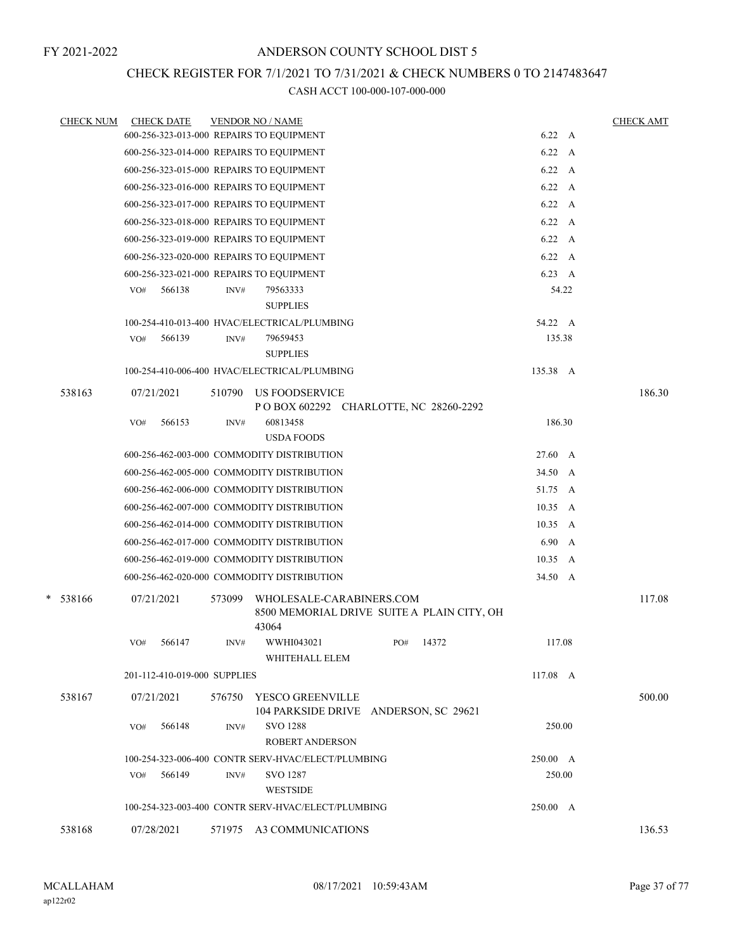## CHECK REGISTER FOR 7/1/2021 TO 7/31/2021 & CHECK NUMBERS 0 TO 2147483647

| <b>CHECK NUM</b> |            | <b>CHECK DATE</b>            |        | <b>VENDOR NO / NAME</b>                                                         |     |       |                | <b>CHECK AMT</b> |
|------------------|------------|------------------------------|--------|---------------------------------------------------------------------------------|-----|-------|----------------|------------------|
|                  |            |                              |        | 600-256-323-013-000 REPAIRS TO EQUIPMENT                                        |     |       | 6.22 A         |                  |
|                  |            |                              |        | 600-256-323-014-000 REPAIRS TO EQUIPMENT                                        |     |       | 6.22 A         |                  |
|                  |            |                              |        | 600-256-323-015-000 REPAIRS TO EQUIPMENT                                        |     |       | $6.22\quad A$  |                  |
|                  |            |                              |        | 600-256-323-016-000 REPAIRS TO EQUIPMENT                                        |     |       | $6.22\quad A$  |                  |
|                  |            |                              |        | 600-256-323-017-000 REPAIRS TO EQUIPMENT                                        |     |       | $6.22\quad A$  |                  |
|                  |            |                              |        | 600-256-323-018-000 REPAIRS TO EQUIPMENT                                        |     |       | $6.22\quad A$  |                  |
|                  |            |                              |        | 600-256-323-019-000 REPAIRS TO EQUIPMENT                                        |     |       | $6.22\quad A$  |                  |
|                  |            |                              |        | 600-256-323-020-000 REPAIRS TO EQUIPMENT                                        |     |       | $6.22\quad A$  |                  |
|                  |            |                              |        | 600-256-323-021-000 REPAIRS TO EQUIPMENT                                        |     |       | 6.23 A         |                  |
|                  | VO#        | 566138                       | INV#   | 79563333                                                                        |     |       | 54.22          |                  |
|                  |            |                              |        | <b>SUPPLIES</b>                                                                 |     |       |                |                  |
|                  |            |                              |        | 100-254-410-013-400 HVAC/ELECTRICAL/PLUMBING                                    |     |       | 54.22 A        |                  |
|                  | VO#        | 566139                       | INV#   | 79659453<br><b>SUPPLIES</b>                                                     |     |       | 135.38         |                  |
|                  |            |                              |        | 100-254-410-006-400 HVAC/ELECTRICAL/PLUMBING                                    |     |       | 135.38 A       |                  |
|                  |            |                              |        |                                                                                 |     |       |                |                  |
| 538163           | 07/21/2021 |                              | 510790 | <b>US FOODSERVICE</b><br>POBOX 602292 CHARLOTTE, NC 28260-2292                  |     |       |                | 186.30           |
|                  | VO#        | 566153                       | INV#   | 60813458                                                                        |     |       | 186.30         |                  |
|                  |            |                              |        | <b>USDA FOODS</b>                                                               |     |       |                |                  |
|                  |            |                              |        | 600-256-462-003-000 COMMODITY DISTRIBUTION                                      |     |       | 27.60 A        |                  |
|                  |            |                              |        | 600-256-462-005-000 COMMODITY DISTRIBUTION                                      |     |       | 34.50 A        |                  |
|                  |            |                              |        | 600-256-462-006-000 COMMODITY DISTRIBUTION                                      |     |       | 51.75 A        |                  |
|                  |            |                              |        | 600-256-462-007-000 COMMODITY DISTRIBUTION                                      |     |       | $10.35\quad A$ |                  |
|                  |            |                              |        | 600-256-462-014-000 COMMODITY DISTRIBUTION                                      |     |       | $10.35\quad A$ |                  |
|                  |            |                              |        | 600-256-462-017-000 COMMODITY DISTRIBUTION                                      |     |       | 6.90 A         |                  |
|                  |            |                              |        | 600-256-462-019-000 COMMODITY DISTRIBUTION                                      |     |       | $10.35\quad A$ |                  |
|                  |            |                              |        | 600-256-462-020-000 COMMODITY DISTRIBUTION                                      |     |       | 34.50 A        |                  |
| $* 538166$       | 07/21/2021 |                              | 573099 | WHOLESALE-CARABINERS.COM<br>8500 MEMORIAL DRIVE SUITE A PLAIN CITY, OH<br>43064 |     |       |                | 117.08           |
|                  | VO#        | 566147                       | INV#   | WWHI043021                                                                      | PO# | 14372 | 117.08         |                  |
|                  |            |                              |        | WHITEHALL ELEM                                                                  |     |       |                |                  |
|                  |            | 201-112-410-019-000 SUPPLIES |        |                                                                                 |     |       | 117.08 A       |                  |
| 538167           |            | 07/21/2021                   |        | 576750 YESCO GREENVILLE<br>104 PARKSIDE DRIVE ANDERSON, SC 29621                |     |       |                | 500.00           |
|                  | VO#        | 566148                       | INV#   | SVO 1288<br><b>ROBERT ANDERSON</b>                                              |     |       | 250.00         |                  |
|                  |            |                              |        | 100-254-323-006-400 CONTR SERV-HVAC/ELECT/PLUMBING                              |     |       | 250.00 A       |                  |
|                  | VO#        | 566149                       | INV#   | SVO 1287                                                                        |     |       | 250.00         |                  |
|                  |            |                              |        | <b>WESTSIDE</b>                                                                 |     |       |                |                  |
|                  |            |                              |        | 100-254-323-003-400 CONTR SERV-HVAC/ELECT/PLUMBING                              |     |       | 250.00 A       |                  |
| 538168           |            | 07/28/2021                   |        | 571975 A3 COMMUNICATIONS                                                        |     |       |                | 136.53           |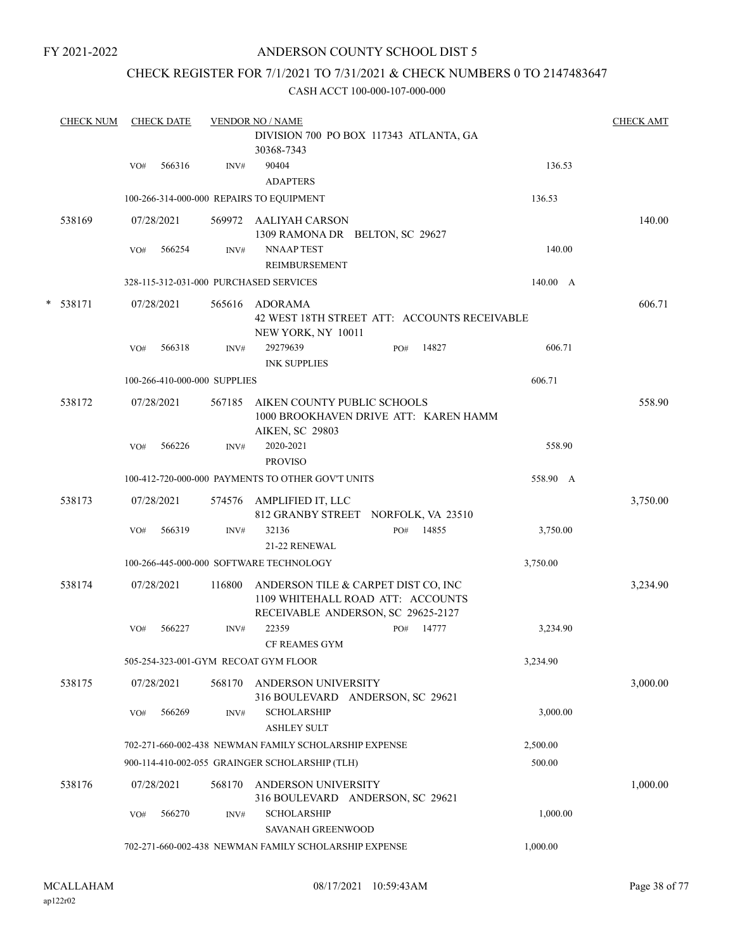## ANDERSON COUNTY SCHOOL DIST 5

## CHECK REGISTER FOR 7/1/2021 TO 7/31/2021 & CHECK NUMBERS 0 TO 2147483647

|   | <b>CHECK NUM</b> |                                                               | <b>CHECK DATE</b> |                              | <b>VENDOR NO / NAME</b>                                                                                        |  |          |       |          | <b>CHECK AMT</b> |
|---|------------------|---------------------------------------------------------------|-------------------|------------------------------|----------------------------------------------------------------------------------------------------------------|--|----------|-------|----------|------------------|
|   |                  |                                                               |                   |                              | DIVISION 700 PO BOX 117343 ATLANTA, GA<br>30368-7343                                                           |  |          |       |          |                  |
|   |                  | VO#                                                           | 566316            | INV#                         | 90404<br><b>ADAPTERS</b>                                                                                       |  |          |       | 136.53   |                  |
|   |                  |                                                               |                   |                              | 100-266-314-000-000 REPAIRS TO EQUIPMENT                                                                       |  |          |       | 136.53   |                  |
|   | 538169           |                                                               | 07/28/2021        |                              | 569972 AALIYAH CARSON<br>1309 RAMONA DR BELTON, SC 29627                                                       |  |          |       |          | 140.00           |
|   |                  | VO#                                                           | 566254            | INV#                         | <b>NNAAP TEST</b><br>REIMBURSEMENT                                                                             |  |          |       | 140.00   |                  |
|   |                  |                                                               |                   |                              | 328-115-312-031-000 PURCHASED SERVICES                                                                         |  |          |       | 140.00 A |                  |
| * | 538171           |                                                               | 07/28/2021        | 565616                       | ADORAMA<br>42 WEST 18TH STREET ATT: ACCOUNTS RECEIVABLE<br>NEW YORK, NY 10011                                  |  |          |       |          | 606.71           |
|   |                  | VO#                                                           | 566318            | INV#                         | 29279639<br><b>INK SUPPLIES</b>                                                                                |  | PO#      | 14827 | 606.71   |                  |
|   |                  |                                                               |                   | 100-266-410-000-000 SUPPLIES |                                                                                                                |  |          |       | 606.71   |                  |
|   | 538172           |                                                               | 07/28/2021        | 567185                       | AIKEN COUNTY PUBLIC SCHOOLS<br>1000 BROOKHAVEN DRIVE ATT: KAREN HAMM<br><b>AIKEN, SC 29803</b>                 |  |          |       |          | 558.90           |
|   |                  | VO#                                                           | 566226            | INV#                         | 2020-2021<br><b>PROVISO</b>                                                                                    |  |          |       | 558.90   |                  |
|   |                  | 100-412-720-000-000 PAYMENTS TO OTHER GOV'T UNITS<br>558.90 A |                   |                              |                                                                                                                |  |          |       |          |                  |
|   | 538173           |                                                               | 07/28/2021        |                              | 574576 AMPLIFIED IT, LLC<br>812 GRANBY STREET NORFOLK, VA 23510                                                |  |          |       |          | 3,750.00         |
|   |                  | VO#                                                           | 566319            | INV#                         | 32136<br>21-22 RENEWAL                                                                                         |  | PO#      | 14855 | 3,750.00 |                  |
|   |                  |                                                               |                   |                              | 100-266-445-000-000 SOFTWARE TECHNOLOGY                                                                        |  | 3,750.00 |       |          |                  |
|   | 538174           |                                                               | 07/28/2021        | 116800                       | ANDERSON TILE & CARPET DIST CO, INC<br>1109 WHITEHALL ROAD ATT: ACCOUNTS<br>RECEIVABLE ANDERSON, SC 29625-2127 |  |          |       |          | 3,234.90         |
|   |                  | VO#                                                           | 566227            | INV#                         | 22359<br><b>CF REAMES GYM</b>                                                                                  |  | PO#      | 14777 | 3,234.90 |                  |
|   |                  |                                                               |                   |                              | 505-254-323-001-GYM RECOAT GYM FLOOR                                                                           |  |          |       | 3,234.90 |                  |
|   | 538175           |                                                               | 07/28/2021        | 568170                       | ANDERSON UNIVERSITY<br>316 BOULEVARD ANDERSON, SC 29621                                                        |  |          |       |          | 3,000.00         |
|   |                  | VO#                                                           | 566269            | INV#                         | <b>SCHOLARSHIP</b><br><b>ASHLEY SULT</b>                                                                       |  |          |       | 3,000.00 |                  |
|   |                  |                                                               |                   |                              | 702-271-660-002-438 NEWMAN FAMILY SCHOLARSHIP EXPENSE                                                          |  |          |       | 2,500.00 |                  |
|   |                  |                                                               |                   |                              | 900-114-410-002-055 GRAINGER SCHOLARSHIP (TLH)                                                                 |  |          |       | 500.00   |                  |
|   | 538176           |                                                               | 07/28/2021        | 568170                       | ANDERSON UNIVERSITY<br>316 BOULEVARD ANDERSON, SC 29621                                                        |  |          |       |          | 1,000.00         |
|   |                  | VO#                                                           | 566270            | INV#                         | <b>SCHOLARSHIP</b><br>SAVANAH GREENWOOD                                                                        |  |          |       | 1,000.00 |                  |
|   |                  |                                                               |                   |                              | 702-271-660-002-438 NEWMAN FAMILY SCHOLARSHIP EXPENSE                                                          |  |          |       | 1,000.00 |                  |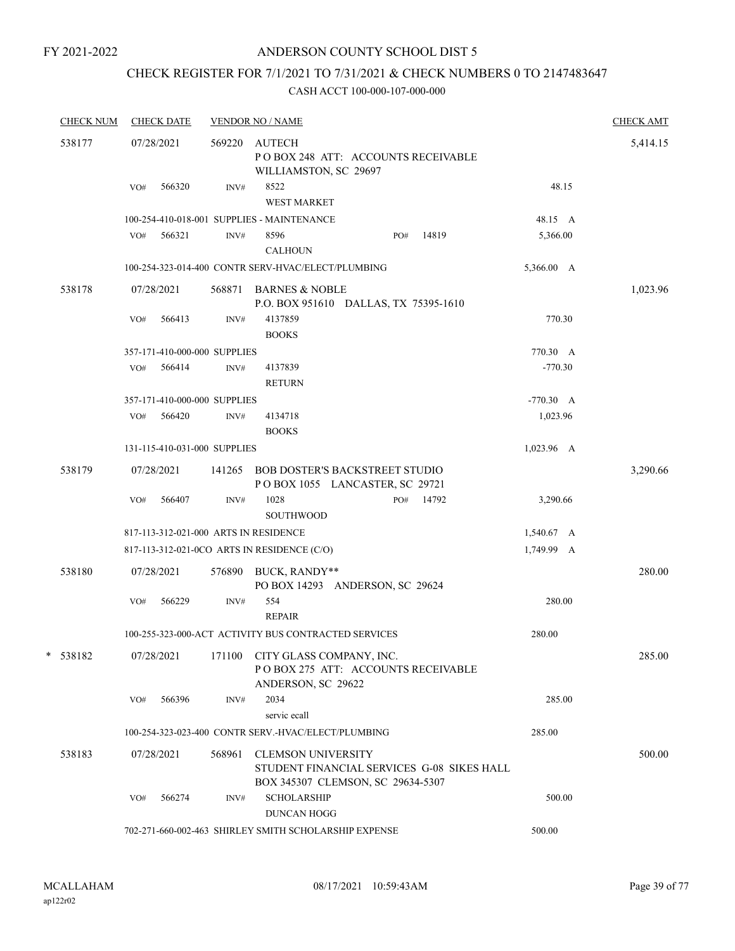## ANDERSON COUNTY SCHOOL DIST 5

## CHECK REGISTER FOR 7/1/2021 TO 7/31/2021 & CHECK NUMBERS 0 TO 2147483647

| <b>CHECK NUM</b> | <b>CHECK DATE</b>                     |        | <b>VENDOR NO / NAME</b>                                                                                      |             | <b>CHECK AMT</b> |
|------------------|---------------------------------------|--------|--------------------------------------------------------------------------------------------------------------|-------------|------------------|
| 538177           | 07/28/2021                            |        | 569220 AUTECH<br>POBOX 248 ATT: ACCOUNTS RECEIVABLE<br>WILLIAMSTON, SC 29697                                 |             | 5,414.15         |
|                  | 566320<br>VO#                         | INV#   | 8522<br><b>WEST MARKET</b>                                                                                   | 48.15       |                  |
|                  |                                       |        | 100-254-410-018-001 SUPPLIES - MAINTENANCE                                                                   | 48.15 A     |                  |
|                  | 566321<br>VO#                         | INV#   | 8596<br>14819<br>PO#<br><b>CALHOUN</b>                                                                       | 5,366.00    |                  |
|                  |                                       |        | 100-254-323-014-400 CONTR SERV-HVAC/ELECT/PLUMBING                                                           | 5,366.00 A  |                  |
| 538178           | 07/28/2021                            | 568871 | <b>BARNES &amp; NOBLE</b><br>P.O. BOX 951610 DALLAS, TX 75395-1610                                           |             | 1,023.96         |
|                  | VO#<br>566413                         | INV#   | 4137859<br><b>BOOKS</b>                                                                                      | 770.30      |                  |
|                  | 357-171-410-000-000 SUPPLIES          |        |                                                                                                              | 770.30 A    |                  |
|                  | 566414<br>VO#                         | INV#   | 4137839<br><b>RETURN</b>                                                                                     | $-770.30$   |                  |
|                  | 357-171-410-000-000 SUPPLIES          |        |                                                                                                              | $-770.30$ A |                  |
|                  | VO# 566420                            | INV#   | 4134718<br><b>BOOKS</b>                                                                                      | 1,023.96    |                  |
|                  | 131-115-410-031-000 SUPPLIES          |        |                                                                                                              | 1,023.96 A  |                  |
| 538179           | 07/28/2021                            | 141265 | <b>BOB DOSTER'S BACKSTREET STUDIO</b><br>POBOX 1055 LANCASTER, SC 29721                                      |             | 3,290.66         |
|                  | 566407<br>VO#                         | INV#   | 1028<br>PO# 14792<br><b>SOUTHWOOD</b>                                                                        | 3,290.66    |                  |
|                  | 817-113-312-021-000 ARTS IN RESIDENCE |        |                                                                                                              | 1,540.67 A  |                  |
|                  |                                       |        | 817-113-312-021-0CO ARTS IN RESIDENCE (C/O)                                                                  | 1,749.99 A  |                  |
| 538180           | 07/28/2021                            |        | 576890 BUCK, RANDY**<br>PO BOX 14293 ANDERSON, SC 29624                                                      |             | 280.00           |
|                  | 566229<br>VO#                         | INV#   | 554<br><b>REPAIR</b>                                                                                         | 280.00      |                  |
|                  |                                       |        | 100-255-323-000-ACT ACTIVITY BUS CONTRACTED SERVICES                                                         | 280.00      |                  |
| 538182           | 07/28/2021                            |        | 171100 CITY GLASS COMPANY, INC.<br>POBOX 275 ATT: ACCOUNTS RECEIVABLE<br>ANDERSON, SC 29622                  |             | 285.00           |
|                  | 566396<br>VO#                         | INV#   | 2034<br>servic ecall                                                                                         | 285.00      |                  |
|                  |                                       |        | 100-254-323-023-400 CONTR SERV.-HVAC/ELECT/PLUMBING                                                          | 285.00      |                  |
| 538183           | 07/28/2021                            | 568961 | <b>CLEMSON UNIVERSITY</b><br>STUDENT FINANCIAL SERVICES G-08 SIKES HALL<br>BOX 345307 CLEMSON, SC 29634-5307 |             | 500.00           |
|                  | 566274<br>VO#                         | INV#   | <b>SCHOLARSHIP</b><br><b>DUNCAN HOGG</b>                                                                     | 500.00      |                  |
|                  |                                       |        | 702-271-660-002-463 SHIRLEY SMITH SCHOLARSHIP EXPENSE                                                        | 500.00      |                  |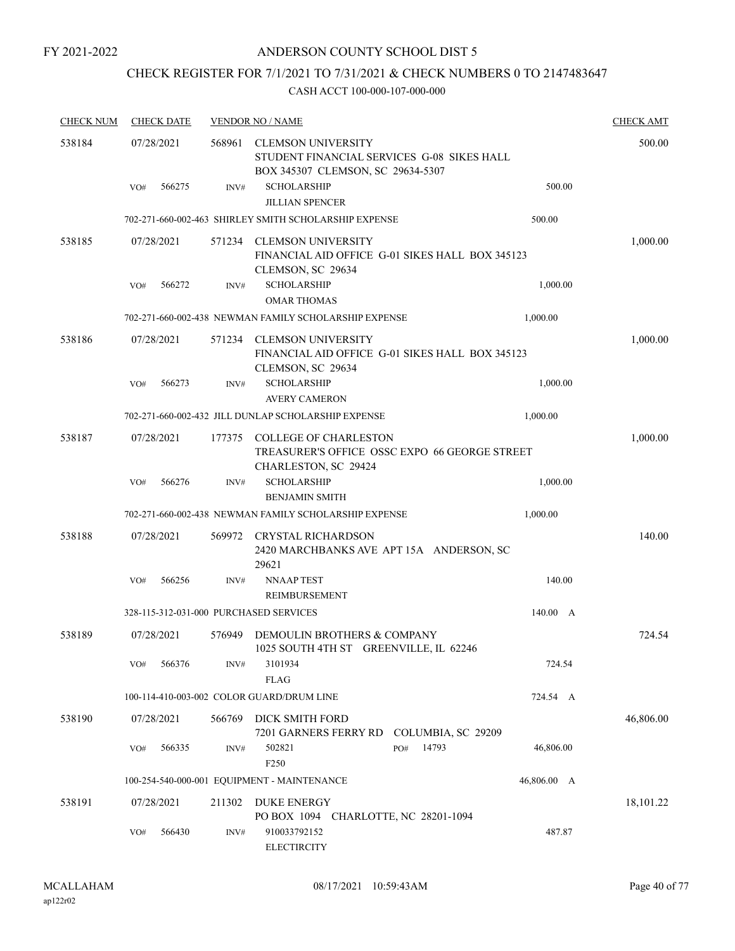## ANDERSON COUNTY SCHOOL DIST 5

## CHECK REGISTER FOR 7/1/2021 TO 7/31/2021 & CHECK NUMBERS 0 TO 2147483647

| <b>CHECK NUM</b> | <b>CHECK DATE</b>                      |        | <b>VENDOR NO / NAME</b>                                                                                      |             | <b>CHECK AMT</b> |
|------------------|----------------------------------------|--------|--------------------------------------------------------------------------------------------------------------|-------------|------------------|
| 538184           | 07/28/2021                             | 568961 | <b>CLEMSON UNIVERSITY</b><br>STUDENT FINANCIAL SERVICES G-08 SIKES HALL<br>BOX 345307 CLEMSON, SC 29634-5307 |             | 500.00           |
|                  | 566275<br>VO#                          | INV#   | <b>SCHOLARSHIP</b><br><b>JILLIAN SPENCER</b>                                                                 | 500.00      |                  |
|                  |                                        |        | 702-271-660-002-463 SHIRLEY SMITH SCHOLARSHIP EXPENSE                                                        | 500.00      |                  |
| 538185           | 07/28/2021                             | 571234 | <b>CLEMSON UNIVERSITY</b><br>FINANCIAL AID OFFICE G-01 SIKES HALL BOX 345123<br>CLEMSON, SC 29634            |             | 1,000.00         |
|                  | 566272<br>VO#                          | INV#   | <b>SCHOLARSHIP</b>                                                                                           | 1,000.00    |                  |
|                  |                                        |        | <b>OMAR THOMAS</b>                                                                                           |             |                  |
|                  |                                        |        | 702-271-660-002-438 NEWMAN FAMILY SCHOLARSHIP EXPENSE                                                        | 1,000.00    |                  |
| 538186           | 07/28/2021                             |        | 571234 CLEMSON UNIVERSITY<br>FINANCIAL AID OFFICE G-01 SIKES HALL BOX 345123<br>CLEMSON, SC 29634            |             | 1,000.00         |
|                  | 566273<br>VO#                          | INV#   | <b>SCHOLARSHIP</b><br><b>AVERY CAMERON</b>                                                                   | 1,000.00    |                  |
|                  |                                        |        | 702-271-660-002-432 JILL DUNLAP SCHOLARSHIP EXPENSE                                                          | 1,000.00    |                  |
| 538187           | 07/28/2021                             | 177375 | <b>COLLEGE OF CHARLESTON</b><br>TREASURER'S OFFICE OSSC EXPO 66 GEORGE STREET<br>CHARLESTON, SC 29424        |             | 1,000.00         |
|                  | 566276<br>VO#                          | INV#   | <b>SCHOLARSHIP</b><br><b>BENJAMIN SMITH</b>                                                                  | 1,000.00    |                  |
|                  |                                        |        | 702-271-660-002-438 NEWMAN FAMILY SCHOLARSHIP EXPENSE                                                        | 1,000.00    |                  |
| 538188           | 07/28/2021                             | 569972 | CRYSTAL RICHARDSON<br>2420 MARCHBANKS AVE APT 15A ANDERSON, SC<br>29621                                      |             | 140.00           |
|                  | 566256<br>VO#                          | INV#   | <b>NNAAP TEST</b><br><b>REIMBURSEMENT</b>                                                                    | 140.00      |                  |
|                  | 328-115-312-031-000 PURCHASED SERVICES |        |                                                                                                              | 140.00 A    |                  |
| 538189           | 07/28/2021                             | 576949 | DEMOULIN BROTHERS & COMPANY<br>1025 SOUTH 4TH ST GREENVILLE, IL 62246                                        |             | 724.54           |
|                  | 566376<br>VO#                          | INV#   | 3101934<br><b>FLAG</b>                                                                                       | 724.54      |                  |
|                  |                                        |        | 100-114-410-003-002 COLOR GUARD/DRUM LINE                                                                    | 724.54 A    |                  |
| 538190           | 07/28/2021                             | 566769 | DICK SMITH FORD<br>7201 GARNERS FERRY RD<br>COLUMBIA, SC 29209                                               |             | 46,806.00        |
|                  | 566335<br>VO#                          | INV#   | 14793<br>502821<br>PO#<br>F250                                                                               | 46,806.00   |                  |
|                  |                                        |        | 100-254-540-000-001 EQUIPMENT - MAINTENANCE                                                                  | 46,806.00 A |                  |
| 538191           | 07/28/2021                             | 211302 | <b>DUKE ENERGY</b><br>PO BOX 1094 CHARLOTTE, NC 28201-1094                                                   |             | 18,101.22        |
|                  | 566430<br>VO#                          | INV#   | 910033792152<br><b>ELECTIRCITY</b>                                                                           | 487.87      |                  |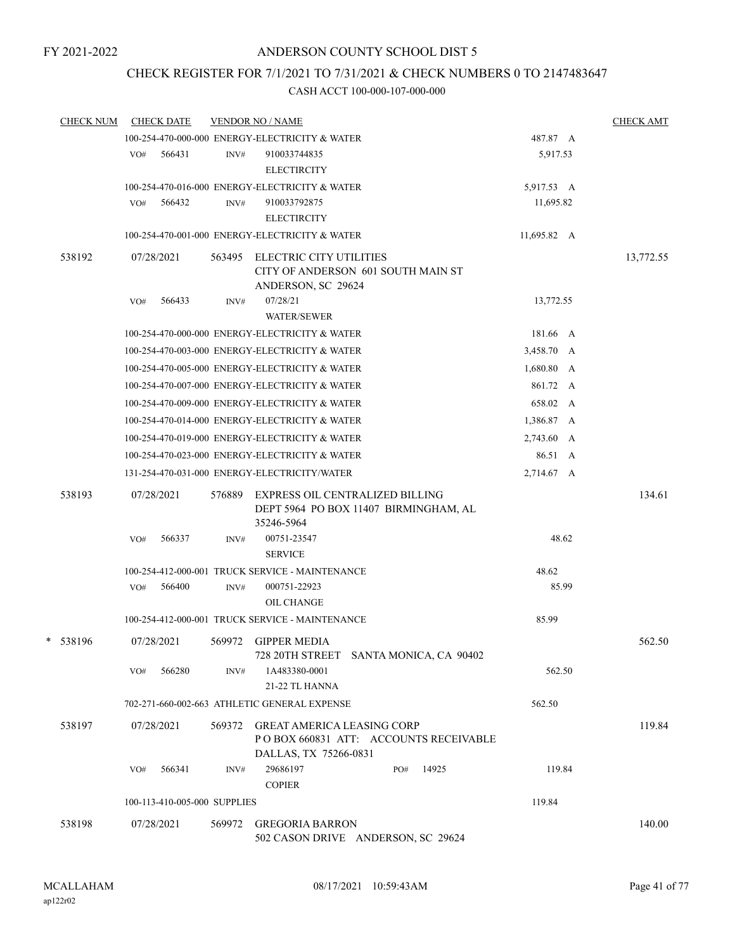## CHECK REGISTER FOR 7/1/2021 TO 7/31/2021 & CHECK NUMBERS 0 TO 2147483647

| <b>CHECK NUM</b> |     | <b>CHECK DATE</b>            |        | <b>VENDOR NO / NAME</b>                                                             |             | <b>CHECK AMT</b> |
|------------------|-----|------------------------------|--------|-------------------------------------------------------------------------------------|-------------|------------------|
|                  |     |                              |        | 100-254-470-000-000 ENERGY-ELECTRICITY & WATER                                      | 487.87 A    |                  |
|                  | VO# | 566431                       | INV#   | 910033744835<br><b>ELECTIRCITY</b>                                                  | 5,917.53    |                  |
|                  |     |                              |        | 100-254-470-016-000 ENERGY-ELECTRICITY & WATER                                      | 5,917.53 A  |                  |
|                  | VO# | 566432                       | INV#   | 910033792875                                                                        | 11,695.82   |                  |
|                  |     |                              |        | <b>ELECTIRCITY</b>                                                                  |             |                  |
|                  |     |                              |        | 100-254-470-001-000 ENERGY-ELECTRICITY & WATER                                      | 11,695.82 A |                  |
| 538192           |     | 07/28/2021                   | 563495 | ELECTRIC CITY UTILITIES<br>CITY OF ANDERSON 601 SOUTH MAIN ST<br>ANDERSON, SC 29624 |             | 13,772.55        |
|                  | VO# | 566433                       | INV#   | 07/28/21<br><b>WATER/SEWER</b>                                                      | 13,772.55   |                  |
|                  |     |                              |        | 100-254-470-000-000 ENERGY-ELECTRICITY & WATER                                      | 181.66 A    |                  |
|                  |     |                              |        | 100-254-470-003-000 ENERGY-ELECTRICITY & WATER                                      | 3,458.70 A  |                  |
|                  |     |                              |        | 100-254-470-005-000 ENERGY-ELECTRICITY & WATER                                      | 1,680.80 A  |                  |
|                  |     |                              |        | 100-254-470-007-000 ENERGY-ELECTRICITY & WATER                                      | 861.72 A    |                  |
|                  |     |                              |        | 100-254-470-009-000 ENERGY-ELECTRICITY & WATER                                      | 658.02 A    |                  |
|                  |     |                              |        | 100-254-470-014-000 ENERGY-ELECTRICITY & WATER                                      | 1,386.87 A  |                  |
|                  |     |                              |        | 100-254-470-019-000 ENERGY-ELECTRICITY & WATER                                      | 2,743.60 A  |                  |
|                  |     |                              |        | 100-254-470-023-000 ENERGY-ELECTRICITY & WATER                                      | 86.51 A     |                  |
|                  |     |                              |        | 131-254-470-031-000 ENERGY-ELECTRICITY/WATER                                        | 2,714.67 A  |                  |
| 538193           |     | 07/28/2021                   | 576889 | EXPRESS OIL CENTRALIZED BILLING                                                     |             | 134.61           |
|                  |     |                              |        | DEPT 5964 PO BOX 11407 BIRMINGHAM, AL<br>35246-5964                                 |             |                  |
|                  | VO# | 566337                       | INV#   | 00751-23547<br><b>SERVICE</b>                                                       | 48.62       |                  |
|                  |     |                              |        | 100-254-412-000-001 TRUCK SERVICE - MAINTENANCE                                     | 48.62       |                  |
|                  | VO# | 566400                       | INV#   | 000751-22923<br>OIL CHANGE                                                          | 85.99       |                  |
|                  |     |                              |        | 100-254-412-000-001 TRUCK SERVICE - MAINTENANCE                                     | 85.99       |                  |
| * 538196         |     | 07/28/2021                   | 569972 | <b>GIPPER MEDIA</b><br>728 20TH STREET SANTA MONICA, CA 90402                       |             | 562.50           |
|                  | VO# | 566280                       | INV#   | 1A483380-0001<br>21-22 TL HANNA                                                     | 562.50      |                  |
|                  |     |                              |        | 702-271-660-002-663 ATHLETIC GENERAL EXPENSE                                        | 562.50      |                  |
| 538197           |     | 07/28/2021                   | 569372 | <b>GREAT AMERICA LEASING CORP</b><br>PO BOX 660831 ATT: ACCOUNTS RECEIVABLE         |             | 119.84           |
|                  | VO# | 566341                       | INV#   | DALLAS, TX 75266-0831<br>29686197<br>14925<br>PO#<br><b>COPIER</b>                  | 119.84      |                  |
|                  |     | 100-113-410-005-000 SUPPLIES |        |                                                                                     | 119.84      |                  |
|                  |     |                              |        |                                                                                     |             |                  |
| 538198           |     | 07/28/2021                   | 569972 | <b>GREGORIA BARRON</b><br>502 CASON DRIVE ANDERSON, SC 29624                        |             | 140.00           |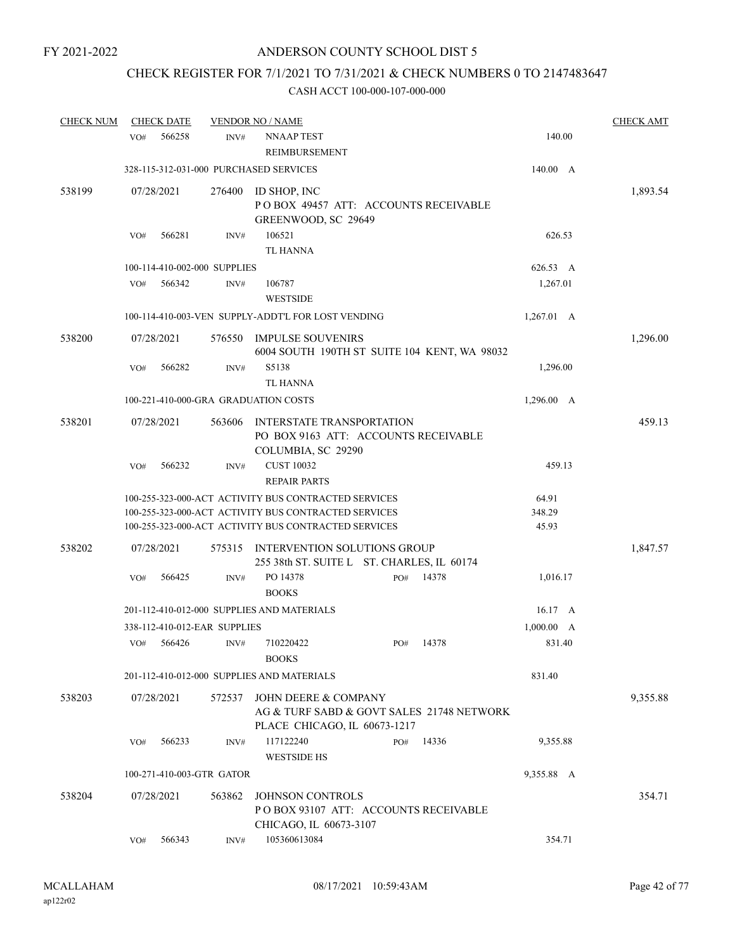## CHECK REGISTER FOR 7/1/2021 TO 7/31/2021 & CHECK NUMBERS 0 TO 2147483647

| <b>CHECK NUM</b> |     | <b>CHECK DATE</b> |                              | <b>VENDOR NO / NAME</b>                                                                                                                                              |        |       |                          | <b>CHECK AMT</b> |
|------------------|-----|-------------------|------------------------------|----------------------------------------------------------------------------------------------------------------------------------------------------------------------|--------|-------|--------------------------|------------------|
|                  | VO# | 566258            | INV#                         | <b>NNAAP TEST</b><br>REIMBURSEMENT                                                                                                                                   |        |       | 140.00                   |                  |
|                  |     |                   |                              | 328-115-312-031-000 PURCHASED SERVICES                                                                                                                               |        |       | 140.00 A                 |                  |
| 538199           |     | 07/28/2021        | 276400                       | ID SHOP, INC<br>POBOX 49457 ATT: ACCOUNTS RECEIVABLE<br>GREENWOOD, SC 29649                                                                                          |        |       |                          | 1,893.54         |
|                  | VO# | 566281            | INV#                         | 106521<br><b>TL HANNA</b>                                                                                                                                            | 626.53 |       |                          |                  |
|                  |     |                   | 100-114-410-002-000 SUPPLIES |                                                                                                                                                                      |        |       | 626.53 A                 |                  |
|                  | VO# | 566342            | INV#                         | 106787<br><b>WESTSIDE</b>                                                                                                                                            |        |       | 1,267.01                 |                  |
|                  |     |                   |                              | 100-114-410-003-VEN SUPPLY-ADDT'L FOR LOST VENDING                                                                                                                   |        |       | 1,267.01 A               |                  |
| 538200           |     | 07/28/2021        | 576550                       | <b>IMPULSE SOUVENIRS</b><br>6004 SOUTH 190TH ST SUITE 104 KENT, WA 98032                                                                                             |        |       |                          | 1,296.00         |
|                  | VO# | 566282            | INV#                         | S5138<br><b>TL HANNA</b>                                                                                                                                             |        |       | 1,296.00                 |                  |
|                  |     |                   |                              | 100-221-410-000-GRA GRADUATION COSTS                                                                                                                                 |        |       | 1,296.00 A               |                  |
| 538201           |     | 07/28/2021        | 563606                       | <b>INTERSTATE TRANSPORTATION</b><br>PO BOX 9163 ATT: ACCOUNTS RECEIVABLE<br>COLUMBIA, SC 29290                                                                       |        |       |                          | 459.13           |
|                  | VO# | 566232            | INV#                         | <b>CUST 10032</b><br><b>REPAIR PARTS</b>                                                                                                                             |        |       | 459.13                   |                  |
|                  |     |                   |                              | 100-255-323-000-ACT ACTIVITY BUS CONTRACTED SERVICES<br>100-255-323-000-ACT ACTIVITY BUS CONTRACTED SERVICES<br>100-255-323-000-ACT ACTIVITY BUS CONTRACTED SERVICES |        |       | 64.91<br>348.29<br>45.93 |                  |
| 538202           |     | 07/28/2021        | 575315                       | INTERVENTION SOLUTIONS GROUP<br>255 38th ST. SUITE L ST. CHARLES, IL 60174                                                                                           |        |       |                          | 1,847.57         |
|                  | VO# | 566425            | INV#                         | PO 14378<br><b>BOOKS</b>                                                                                                                                             | PO#    | 14378 | 1,016.17                 |                  |
|                  |     |                   |                              | 201-112-410-012-000 SUPPLIES AND MATERIALS                                                                                                                           |        |       | $16.17 \text{ A}$        |                  |
|                  |     |                   | 338-112-410-012-EAR SUPPLIES |                                                                                                                                                                      |        |       | 1,000.00 A               |                  |
|                  | VO# | 566426            | INV#                         | 710220422<br><b>BOOKS</b>                                                                                                                                            | PO#    | 14378 | 831.40                   |                  |
|                  |     |                   |                              | 201-112-410-012-000 SUPPLIES AND MATERIALS                                                                                                                           |        |       | 831.40                   |                  |
| 538203           |     | 07/28/2021        | 572537                       | JOHN DEERE & COMPANY<br>AG & TURF SABD & GOVT SALES 21748 NETWORK<br>PLACE CHICAGO, IL 60673-1217                                                                    |        |       |                          | 9,355.88         |
|                  | VO# | 566233            | INV#                         | 117122240<br><b>WESTSIDE HS</b>                                                                                                                                      | PO#    | 14336 | 9,355.88                 |                  |
|                  |     |                   | 100-271-410-003-GTR GATOR    |                                                                                                                                                                      |        |       | 9,355.88 A               |                  |
| 538204           |     | 07/28/2021        | 563862                       | <b>JOHNSON CONTROLS</b><br>PO BOX 93107 ATT: ACCOUNTS RECEIVABLE<br>CHICAGO, IL 60673-3107                                                                           |        |       |                          | 354.71           |
|                  | VO# | 566343            | INV#                         | 105360613084                                                                                                                                                         |        |       | 354.71                   |                  |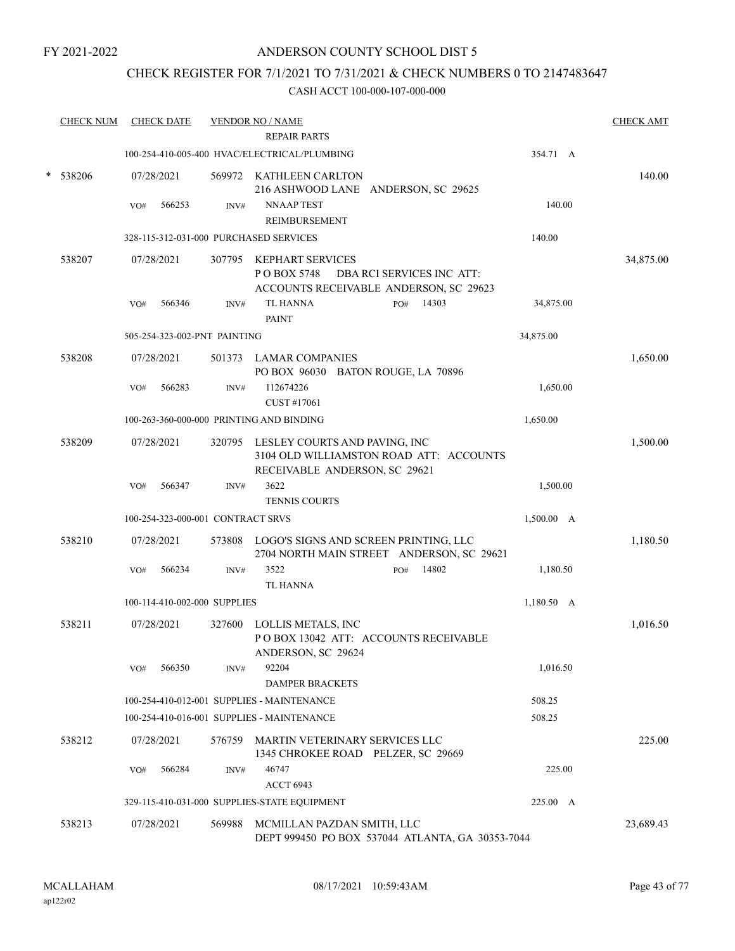## ANDERSON COUNTY SCHOOL DIST 5

## CHECK REGISTER FOR 7/1/2021 TO 7/31/2021 & CHECK NUMBERS 0 TO 2147483647

|   | <b>CHECK NUM</b> |     | <b>CHECK DATE</b> |                                   | <b>VENDOR NO / NAME</b>                                                                                          |            | <b>CHECK AMT</b> |
|---|------------------|-----|-------------------|-----------------------------------|------------------------------------------------------------------------------------------------------------------|------------|------------------|
|   |                  |     |                   |                                   | <b>REPAIR PARTS</b>                                                                                              |            |                  |
|   |                  |     |                   |                                   | 100-254-410-005-400 HVAC/ELECTRICAL/PLUMBING                                                                     | 354.71 A   |                  |
| * | 538206           |     | 07/28/2021        |                                   | 569972 KATHLEEN CARLTON<br>216 ASHWOOD LANE ANDERSON, SC 29625                                                   |            | 140.00           |
|   |                  | VO# | 566253            | INV#                              | <b>NNAAP TEST</b>                                                                                                | 140.00     |                  |
|   |                  |     |                   |                                   | REIMBURSEMENT                                                                                                    |            |                  |
|   |                  |     |                   |                                   | 328-115-312-031-000 PURCHASED SERVICES                                                                           | 140.00     |                  |
|   | 538207           |     | 07/28/2021        |                                   | 307795 KEPHART SERVICES<br>P O BOX 5748<br>DBA RCI SERVICES INC ATT:<br>ACCOUNTS RECEIVABLE ANDERSON, SC 29623   |            | 34,875.00        |
|   |                  | VO# | 566346            | INV#                              | <b>TL HANNA</b><br>14303<br>PO#<br><b>PAINT</b>                                                                  | 34,875.00  |                  |
|   |                  |     |                   | 505-254-323-002-PNT PAINTING      |                                                                                                                  | 34,875.00  |                  |
|   | 538208           |     | 07/28/2021        |                                   | 501373 LAMAR COMPANIES<br>PO BOX 96030 BATON ROUGE, LA 70896                                                     |            | 1,650.00         |
|   |                  | VO# | 566283            | INV#                              | 112674226<br>CUST #17061                                                                                         | 1,650.00   |                  |
|   |                  |     |                   |                                   | 100-263-360-000-000 PRINTING AND BINDING                                                                         | 1,650.00   |                  |
|   | 538209           |     | 07/28/2021        |                                   | 320795 LESLEY COURTS AND PAVING, INC<br>3104 OLD WILLIAMSTON ROAD ATT: ACCOUNTS<br>RECEIVABLE ANDERSON, SC 29621 |            | 1,500.00         |
|   |                  | VO# | 566347            | INV#                              | 3622                                                                                                             | 1,500.00   |                  |
|   |                  |     |                   |                                   | <b>TENNIS COURTS</b>                                                                                             |            |                  |
|   |                  |     |                   | 100-254-323-000-001 CONTRACT SRVS |                                                                                                                  | 1,500.00 A |                  |
|   | 538210           |     | 07/28/2021        | 573808                            | LOGO'S SIGNS AND SCREEN PRINTING, LLC<br>2704 NORTH MAIN STREET ANDERSON, SC 29621                               |            | 1,180.50         |
|   |                  | VO# | 566234            | INV#                              | 3522<br>14802<br>PO#                                                                                             | 1,180.50   |                  |
|   |                  |     |                   |                                   | <b>TL HANNA</b>                                                                                                  |            |                  |
|   |                  |     |                   | 100-114-410-002-000 SUPPLIES      |                                                                                                                  | 1,180.50 A |                  |
|   | 538211           |     | 07/28/2021        | 327600                            | LOLLIS METALS, INC<br>POBOX 13042 ATT: ACCOUNTS RECEIVABLE<br>ANDERSON, SC 29624                                 |            | 1,016.50         |
|   |                  | VO# | 566350            | INV#                              | 92204                                                                                                            | 1,016.50   |                  |
|   |                  |     |                   |                                   | <b>DAMPER BRACKETS</b>                                                                                           |            |                  |
|   |                  |     |                   |                                   | 100-254-410-012-001 SUPPLIES - MAINTENANCE                                                                       | 508.25     |                  |
|   |                  |     |                   |                                   | 100-254-410-016-001 SUPPLIES - MAINTENANCE                                                                       | 508.25     |                  |
|   | 538212           |     | 07/28/2021        |                                   | 576759 MARTIN VETERINARY SERVICES LLC<br>1345 CHROKEE ROAD PELZER, SC 29669                                      |            | 225.00           |
|   |                  | VO# | 566284            | INV#                              | 46747                                                                                                            | 225.00     |                  |
|   |                  |     |                   |                                   | <b>ACCT 6943</b>                                                                                                 |            |                  |
|   |                  |     |                   |                                   | 329-115-410-031-000 SUPPLIES-STATE EQUIPMENT                                                                     | 225.00 A   |                  |
|   | 538213           |     | 07/28/2021        | 569988                            | MCMILLAN PAZDAN SMITH, LLC<br>DEPT 999450 PO BOX 537044 ATLANTA, GA 30353-7044                                   |            | 23,689.43        |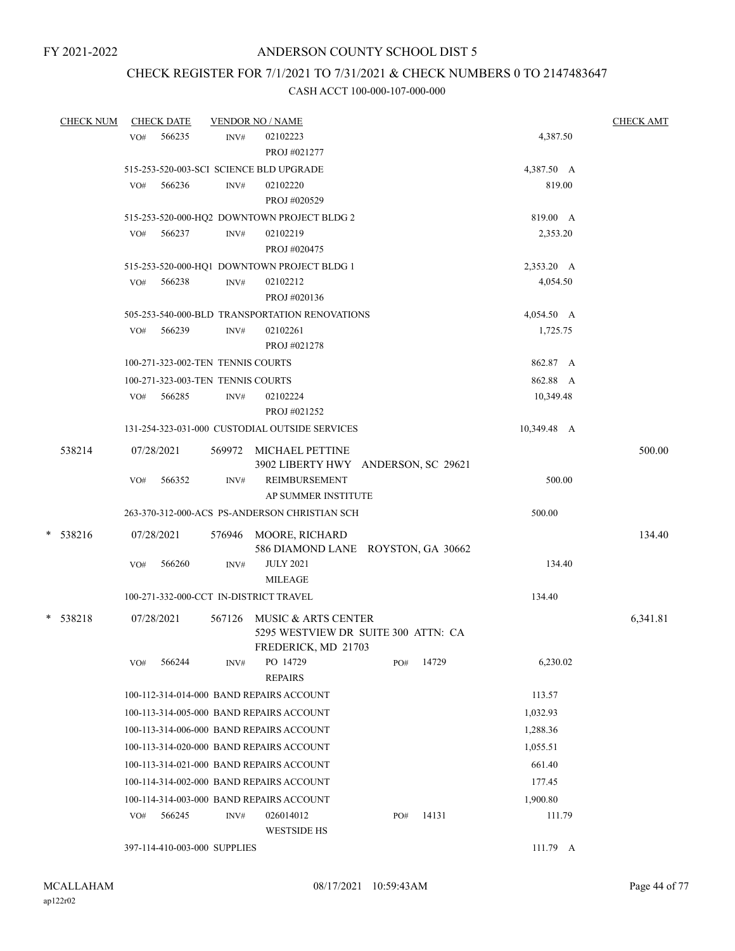## CHECK REGISTER FOR 7/1/2021 TO 7/31/2021 & CHECK NUMBERS 0 TO 2147483647

|            | <b>CHECK NUM</b> |     | <b>CHECK DATE</b>                 |      | <b>VENDOR NO / NAME</b>                        |     |       |             | <b>CHECK AMT</b> |
|------------|------------------|-----|-----------------------------------|------|------------------------------------------------|-----|-------|-------------|------------------|
|            |                  | VO# | 566235                            | INV# | 02102223                                       |     |       | 4,387.50    |                  |
|            |                  |     |                                   |      | PROJ #021277                                   |     |       |             |                  |
|            |                  |     |                                   |      | 515-253-520-003-SCI SCIENCE BLD UPGRADE        |     |       | 4,387.50 A  |                  |
|            |                  | VO# | 566236                            | INV# | 02102220                                       |     |       | 819.00      |                  |
|            |                  |     |                                   |      | PROJ #020529                                   |     |       |             |                  |
|            |                  |     |                                   |      | 515-253-520-000-HQ2 DOWNTOWN PROJECT BLDG 2    |     |       | 819.00 A    |                  |
|            |                  | VO# | 566237                            | INV# | 02102219                                       |     |       | 2,353.20    |                  |
|            |                  |     |                                   |      | PROJ #020475                                   |     |       |             |                  |
|            |                  |     |                                   |      | 515-253-520-000-HQ1 DOWNTOWN PROJECT BLDG 1    |     |       | 2,353.20 A  |                  |
|            |                  | VO# | 566238                            | INV# | 02102212                                       |     |       | 4,054.50    |                  |
|            |                  |     |                                   |      | PROJ #020136                                   |     |       |             |                  |
|            |                  |     |                                   |      | 505-253-540-000-BLD TRANSPORTATION RENOVATIONS |     |       | 4,054.50 A  |                  |
|            |                  | VO# | 566239                            | INV# | 02102261                                       |     |       | 1,725.75    |                  |
|            |                  |     |                                   |      | PROJ #021278                                   |     |       |             |                  |
|            |                  |     | 100-271-323-002-TEN TENNIS COURTS |      |                                                |     |       | 862.87 A    |                  |
|            |                  |     | 100-271-323-003-TEN TENNIS COURTS |      |                                                |     |       | 862.88 A    |                  |
|            |                  | VO# | 566285                            | INV# | 02102224                                       |     |       | 10,349.48   |                  |
|            |                  |     |                                   |      | PROJ #021252                                   |     |       |             |                  |
|            |                  |     |                                   |      | 131-254-323-031-000 CUSTODIAL OUTSIDE SERVICES |     |       | 10,349.48 A |                  |
| 538214     |                  |     | 07/28/2021                        |      | 569972 MICHAEL PETTINE                         |     |       |             | 500.00           |
|            |                  |     |                                   |      | 3902 LIBERTY HWY ANDERSON, SC 29621            |     |       |             |                  |
|            |                  | VO# | 566352                            | INV# | <b>REIMBURSEMENT</b>                           |     |       | 500.00      |                  |
|            |                  |     |                                   |      | AP SUMMER INSTITUTE                            |     |       |             |                  |
|            |                  |     |                                   |      | 263-370-312-000-ACS PS-ANDERSON CHRISTIAN SCH  |     |       | 500.00      |                  |
| $*$ 538216 |                  |     | 07/28/2021                        |      | 576946 MOORE, RICHARD                          |     |       |             | 134.40           |
|            |                  |     |                                   |      | 586 DIAMOND LANE ROYSTON, GA 30662             |     |       |             |                  |
|            |                  | VO# | 566260                            | INV# | <b>JULY 2021</b>                               |     |       | 134.40      |                  |
|            |                  |     |                                   |      | <b>MILEAGE</b>                                 |     |       |             |                  |
|            |                  |     |                                   |      | 100-271-332-000-CCT IN-DISTRICT TRAVEL         |     |       | 134.40      |                  |
| * 538218   |                  |     | 07/28/2021                        |      | 567126 MUSIC & ARTS CENTER                     |     |       |             | 6,341.81         |
|            |                  |     |                                   |      | 5295 WESTVIEW DR SUITE 300 ATTN: CA            |     |       |             |                  |
|            |                  |     |                                   |      | FREDERICK, MD 21703                            |     |       |             |                  |
|            |                  | VO# | 566244                            | INV# | PO 14729<br><b>REPAIRS</b>                     | PO# | 14729 | 6,230.02    |                  |
|            |                  |     |                                   |      | 100-112-314-014-000 BAND REPAIRS ACCOUNT       |     |       | 113.57      |                  |
|            |                  |     |                                   |      | 100-113-314-005-000 BAND REPAIRS ACCOUNT       |     |       | 1,032.93    |                  |
|            |                  |     |                                   |      | 100-113-314-006-000 BAND REPAIRS ACCOUNT       |     |       | 1,288.36    |                  |
|            |                  |     |                                   |      | 100-113-314-020-000 BAND REPAIRS ACCOUNT       |     |       | 1,055.51    |                  |
|            |                  |     |                                   |      | 100-113-314-021-000 BAND REPAIRS ACCOUNT       |     |       | 661.40      |                  |
|            |                  |     |                                   |      | 100-114-314-002-000 BAND REPAIRS ACCOUNT       |     |       | 177.45      |                  |
|            |                  |     |                                   |      | 100-114-314-003-000 BAND REPAIRS ACCOUNT       |     |       | 1,900.80    |                  |
|            |                  | VO# | 566245                            | INV# | 026014012                                      | PO# | 14131 | 111.79      |                  |
|            |                  |     |                                   |      | <b>WESTSIDE HS</b>                             |     |       |             |                  |
|            |                  |     | 397-114-410-003-000 SUPPLIES      |      |                                                |     |       | $111.79$ A  |                  |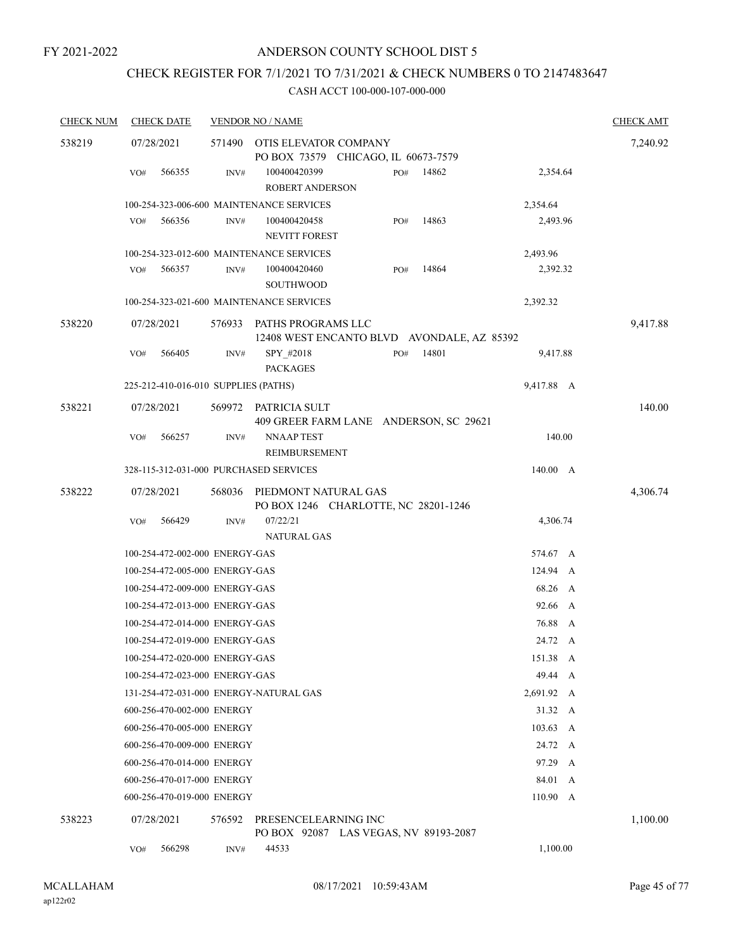## CHECK REGISTER FOR 7/1/2021 TO 7/31/2021 & CHECK NUMBERS 0 TO 2147483647

| <b>CHECK NUM</b> | <b>CHECK DATE</b>                      |        | <b>VENDOR NO / NAME</b>                                          |     |       |                  | <b>CHECK AMT</b> |
|------------------|----------------------------------------|--------|------------------------------------------------------------------|-----|-------|------------------|------------------|
| 538219           | 07/28/2021                             | 571490 | OTIS ELEVATOR COMPANY                                            |     |       |                  | 7,240.92         |
|                  |                                        |        | PO BOX 73579 CHICAGO, IL 60673-7579                              |     |       |                  |                  |
|                  | 566355<br>VO#                          | INV#   | 100400420399<br><b>ROBERT ANDERSON</b>                           | PO# | 14862 | 2,354.64         |                  |
|                  |                                        |        | 100-254-323-006-600 MAINTENANCE SERVICES                         |     |       | 2,354.64         |                  |
|                  | 566356<br>VO#                          | INV#   | 100400420458<br><b>NEVITT FOREST</b>                             | PO# | 14863 | 2,493.96         |                  |
|                  |                                        |        | 100-254-323-012-600 MAINTENANCE SERVICES                         |     |       | 2,493.96         |                  |
|                  | VO#<br>566357                          | INV#   | 100400420460<br><b>SOUTHWOOD</b>                                 | PO# | 14864 | 2,392.32         |                  |
|                  |                                        |        | 100-254-323-021-600 MAINTENANCE SERVICES                         |     |       | 2,392.32         |                  |
| 538220           | 07/28/2021                             | 576933 | PATHS PROGRAMS LLC<br>12408 WEST ENCANTO BLVD AVONDALE, AZ 85392 |     |       |                  | 9,417.88         |
|                  | 566405<br>VO#                          | INV#   | SPY_#2018<br><b>PACKAGES</b>                                     | PO# | 14801 | 9,417.88         |                  |
|                  | 225-212-410-016-010 SUPPLIES (PATHS)   |        |                                                                  |     |       | 9,417.88 A       |                  |
| 538221           | 07/28/2021                             | 569972 | PATRICIA SULT<br>409 GREER FARM LANE ANDERSON, SC 29621          |     |       |                  | 140.00           |
|                  | 566257<br>VO#                          | INV#   | NNAAP TEST<br>REIMBURSEMENT                                      |     |       | 140.00           |                  |
|                  | 328-115-312-031-000 PURCHASED SERVICES |        |                                                                  |     |       | 140.00 A         |                  |
| 538222           | 07/28/2021                             | 568036 | PIEDMONT NATURAL GAS<br>PO BOX 1246 CHARLOTTE, NC 28201-1246     |     |       |                  | 4,306.74         |
|                  | 566429<br>VO#                          | INV#   | 07/22/21<br><b>NATURAL GAS</b>                                   |     |       | 4,306.74         |                  |
|                  | 100-254-472-002-000 ENERGY-GAS         |        |                                                                  |     |       | 574.67 A         |                  |
|                  | 100-254-472-005-000 ENERGY-GAS         |        |                                                                  |     |       | 124.94 A         |                  |
|                  | 100-254-472-009-000 ENERGY-GAS         |        |                                                                  |     |       | 68.26 A          |                  |
|                  | 100-254-472-013-000 ENERGY-GAS         |        |                                                                  |     |       | 92.66 A          |                  |
|                  | 100-254-472-014-000 ENERGY-GAS         |        |                                                                  |     |       | 76.88<br>A       |                  |
|                  | 100-254-472-019-000 ENERGY-GAS         |        |                                                                  |     |       | 24.72 A          |                  |
|                  | 100-254-472-020-000 ENERGY-GAS         |        |                                                                  |     |       | 151.38 A         |                  |
|                  | 100-254-472-023-000 ENERGY-GAS         |        |                                                                  |     |       | 49.44 A          |                  |
|                  | 131-254-472-031-000 ENERGY-NATURAL GAS |        |                                                                  |     |       | 2,691.92 A       |                  |
|                  | 600-256-470-002-000 ENERGY             |        |                                                                  |     |       | 31.32 A          |                  |
|                  | 600-256-470-005-000 ENERGY             |        |                                                                  |     |       | $103.63 \quad A$ |                  |
|                  | 600-256-470-009-000 ENERGY             |        |                                                                  |     |       | 24.72 A          |                  |
|                  | 600-256-470-014-000 ENERGY             |        |                                                                  |     |       | 97.29 A          |                  |
|                  | 600-256-470-017-000 ENERGY             |        |                                                                  |     |       | 84.01<br>A       |                  |
|                  | 600-256-470-019-000 ENERGY             |        |                                                                  |     |       | 110.90 A         |                  |
| 538223           | 07/28/2021                             | 576592 | PRESENCELEARNING INC<br>PO BOX 92087 LAS VEGAS, NV 89193-2087    |     |       |                  | 1,100.00         |
|                  | 566298<br>VO#                          | INV#   | 44533                                                            |     |       | 1,100.00         |                  |
|                  |                                        |        |                                                                  |     |       |                  |                  |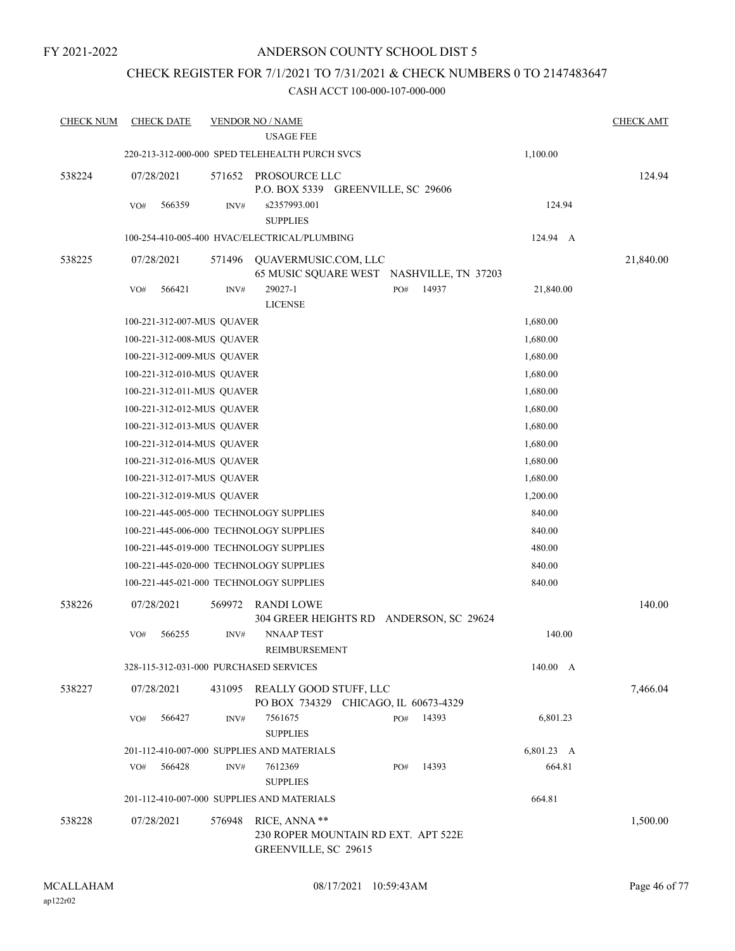## CHECK REGISTER FOR 7/1/2021 TO 7/31/2021 & CHECK NUMBERS 0 TO 2147483647

| <b>CHECK NUM</b> | <b>CHECK DATE</b>                      |        | <b>VENDOR NO / NAME</b><br><b>USAGE FEE</b>                           |          |       |                      | <b>CHECK AMT</b> |
|------------------|----------------------------------------|--------|-----------------------------------------------------------------------|----------|-------|----------------------|------------------|
|                  |                                        |        | 220-213-312-000-000 SPED TELEHEALTH PURCH SVCS                        |          |       | 1,100.00             |                  |
|                  | 07/28/2021                             |        |                                                                       |          |       |                      |                  |
| 538224           |                                        | 571652 | PROSOURCE LLC<br>P.O. BOX 5339 GREENVILLE, SC 29606                   |          |       |                      | 124.94           |
|                  | VO#<br>566359                          | INV#   | s2357993.001                                                          |          |       | 124.94               |                  |
|                  |                                        |        | <b>SUPPLIES</b>                                                       |          |       |                      |                  |
|                  |                                        |        | 100-254-410-005-400 HVAC/ELECTRICAL/PLUMBING                          |          |       | 124.94 A             |                  |
| 538225           | 07/28/2021                             | 571496 | QUAVERMUSIC.COM, LLC                                                  |          |       |                      | 21,840.00        |
|                  |                                        |        | 65 MUSIC SQUARE WEST NASHVILLE, TN 37203                              |          |       |                      |                  |
|                  | 566421<br>VO#                          | INV#   | 29027-1<br><b>LICENSE</b>                                             | PO#      | 14937 | 21,840.00            |                  |
|                  | 100-221-312-007-MUS QUAVER             |        |                                                                       |          |       | 1,680.00             |                  |
|                  | 100-221-312-008-MUS QUAVER             |        |                                                                       |          |       | 1,680.00             |                  |
|                  | 100-221-312-009-MUS QUAVER             |        |                                                                       |          |       | 1,680.00             |                  |
|                  | 100-221-312-010-MUS QUAVER             |        |                                                                       |          |       | 1,680.00             |                  |
|                  | 100-221-312-011-MUS QUAVER             |        |                                                                       |          |       | 1,680.00             |                  |
|                  | 100-221-312-012-MUS QUAVER             |        |                                                                       |          |       | 1,680.00             |                  |
|                  | 100-221-312-013-MUS QUAVER             |        |                                                                       |          |       | 1,680.00             |                  |
|                  | 100-221-312-014-MUS QUAVER             |        |                                                                       |          |       | 1,680.00             |                  |
|                  | 100-221-312-016-MUS QUAVER             |        |                                                                       | 1,680.00 |       |                      |                  |
|                  | 100-221-312-017-MUS QUAVER             |        |                                                                       |          |       | 1,680.00             |                  |
|                  | 100-221-312-019-MUS QUAVER             |        |                                                                       |          |       | 1,200.00             |                  |
|                  |                                        |        | 100-221-445-005-000 TECHNOLOGY SUPPLIES                               |          |       | 840.00               |                  |
|                  |                                        |        | 100-221-445-006-000 TECHNOLOGY SUPPLIES                               |          |       | 840.00               |                  |
|                  |                                        |        | 100-221-445-019-000 TECHNOLOGY SUPPLIES                               |          |       | 480.00               |                  |
|                  |                                        |        | 100-221-445-020-000 TECHNOLOGY SUPPLIES                               |          |       | 840.00               |                  |
|                  |                                        |        | 100-221-445-021-000 TECHNOLOGY SUPPLIES                               |          |       | 840.00               |                  |
| 538226           | 07/28/2021                             | 569972 | <b>RANDI LOWE</b>                                                     |          |       |                      | 140.00           |
|                  |                                        |        | 304 GREER HEIGHTS RD ANDERSON, SC 29624                               |          |       |                      |                  |
|                  | VO#<br>566255                          | INV#   | <b>NNAAP TEST</b><br>REIMBURSEMENT                                    |          |       | 140.00               |                  |
|                  | 328-115-312-031-000 PURCHASED SERVICES |        |                                                                       |          |       | 140.00 A             |                  |
| 538227           | 07/28/2021                             |        | 431095 REALLY GOOD STUFF, LLC<br>PO BOX 734329 CHICAGO, IL 60673-4329 |          |       |                      | 7,466.04         |
|                  | 566427<br>VO#                          | INV#   | 7561675<br><b>SUPPLIES</b>                                            | PO#      | 14393 | 6,801.23             |                  |
|                  |                                        |        |                                                                       |          |       |                      |                  |
|                  | 566428<br>VO#                          | INV#   | 201-112-410-007-000 SUPPLIES AND MATERIALS<br>7612369                 | PO#      | 14393 | 6,801.23 A<br>664.81 |                  |
|                  |                                        |        | <b>SUPPLIES</b>                                                       |          |       |                      |                  |
|                  |                                        |        | 201-112-410-007-000 SUPPLIES AND MATERIALS                            |          |       | 664.81               |                  |
| 538228           | 07/28/2021                             | 576948 | RICE, ANNA **                                                         |          |       |                      | 1,500.00         |
|                  |                                        |        | 230 ROPER MOUNTAIN RD EXT. APT 522E                                   |          |       |                      |                  |
|                  |                                        |        | GREENVILLE, SC 29615                                                  |          |       |                      |                  |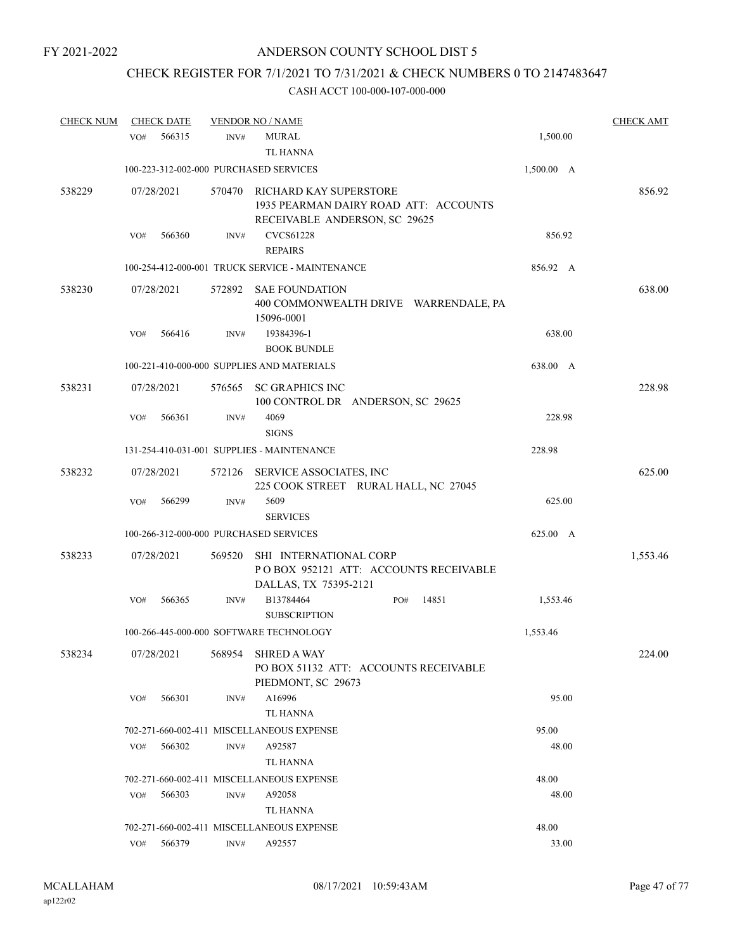## CHECK REGISTER FOR 7/1/2021 TO 7/31/2021 & CHECK NUMBERS 0 TO 2147483647

| <b>CHECK NUM</b> |     | <b>CHECK DATE</b> |        | <b>VENDOR NO / NAME</b>                                                                                 |            | <b>CHECK AMT</b> |
|------------------|-----|-------------------|--------|---------------------------------------------------------------------------------------------------------|------------|------------------|
|                  | VO# | 566315            | INV#   | <b>MURAL</b><br><b>TL HANNA</b>                                                                         | 1,500.00   |                  |
|                  |     |                   |        | 100-223-312-002-000 PURCHASED SERVICES                                                                  | 1,500.00 A |                  |
| 538229           |     | 07/28/2021        |        | 570470 RICHARD KAY SUPERSTORE<br>1935 PEARMAN DAIRY ROAD ATT: ACCOUNTS<br>RECEIVABLE ANDERSON, SC 29625 |            | 856.92           |
|                  | VO# | 566360            | INV#   | <b>CVCS61228</b><br><b>REPAIRS</b>                                                                      | 856.92     |                  |
|                  |     |                   |        | 100-254-412-000-001 TRUCK SERVICE - MAINTENANCE                                                         | 856.92 A   |                  |
| 538230           |     | 07/28/2021        |        | 572892 SAE FOUNDATION<br>400 COMMONWEALTH DRIVE WARRENDALE, PA<br>15096-0001                            |            | 638.00           |
|                  | VO# | 566416            | INV#   | 19384396-1<br><b>BOOK BUNDLE</b>                                                                        | 638.00     |                  |
|                  |     |                   |        | 100-221-410-000-000 SUPPLIES AND MATERIALS                                                              | 638.00 A   |                  |
| 538231           |     | 07/28/2021        | 576565 | SC GRAPHICS INC<br>100 CONTROL DR ANDERSON, SC 29625                                                    |            | 228.98           |
|                  | VO# | 566361            | INV#   | 4069<br><b>SIGNS</b>                                                                                    | 228.98     |                  |
|                  |     |                   |        | 131-254-410-031-001 SUPPLIES - MAINTENANCE                                                              | 228.98     |                  |
| 538232           |     | 07/28/2021        | 572126 | SERVICE ASSOCIATES, INC<br>225 COOK STREET RURAL HALL, NC 27045                                         |            | 625.00           |
|                  | VO# | 566299            | INV#   | 5609<br><b>SERVICES</b>                                                                                 | 625.00     |                  |
|                  |     |                   |        | 100-266-312-000-000 PURCHASED SERVICES                                                                  | 625.00 A   |                  |
| 538233           |     | 07/28/2021        | 569520 | SHI INTERNATIONAL CORP<br>POBOX 952121 ATT: ACCOUNTS RECEIVABLE<br>DALLAS, TX 75395-2121                |            | 1,553.46         |
|                  | VO# | 566365            | INV#   | B13784464<br>14851<br>PO#<br><b>SUBSCRIPTION</b>                                                        | 1,553.46   |                  |
|                  |     |                   |        | 100-266-445-000-000 SOFTWARE TECHNOLOGY                                                                 | 1,553.46   |                  |
| 538234           |     | 07/28/2021        |        | 568954 SHRED A WAY<br>PO BOX 51132 ATT: ACCOUNTS RECEIVABLE<br>PIEDMONT, SC 29673                       |            | 224.00           |
|                  | VO# | 566301            | INV#   | A16996<br>TL HANNA                                                                                      | 95.00      |                  |
|                  |     |                   |        | 702-271-660-002-411 MISCELLANEOUS EXPENSE                                                               | 95.00      |                  |
|                  | VO# | 566302            | INV#   | A92587<br>TL HANNA                                                                                      | 48.00      |                  |
|                  |     |                   |        | 702-271-660-002-411 MISCELLANEOUS EXPENSE                                                               | 48.00      |                  |
|                  | VO# | 566303            | INV#   | A92058<br>TL HANNA                                                                                      | 48.00      |                  |
|                  |     |                   |        | 702-271-660-002-411 MISCELLANEOUS EXPENSE                                                               | 48.00      |                  |
|                  | VO# | 566379            | INV#   | A92557                                                                                                  | 33.00      |                  |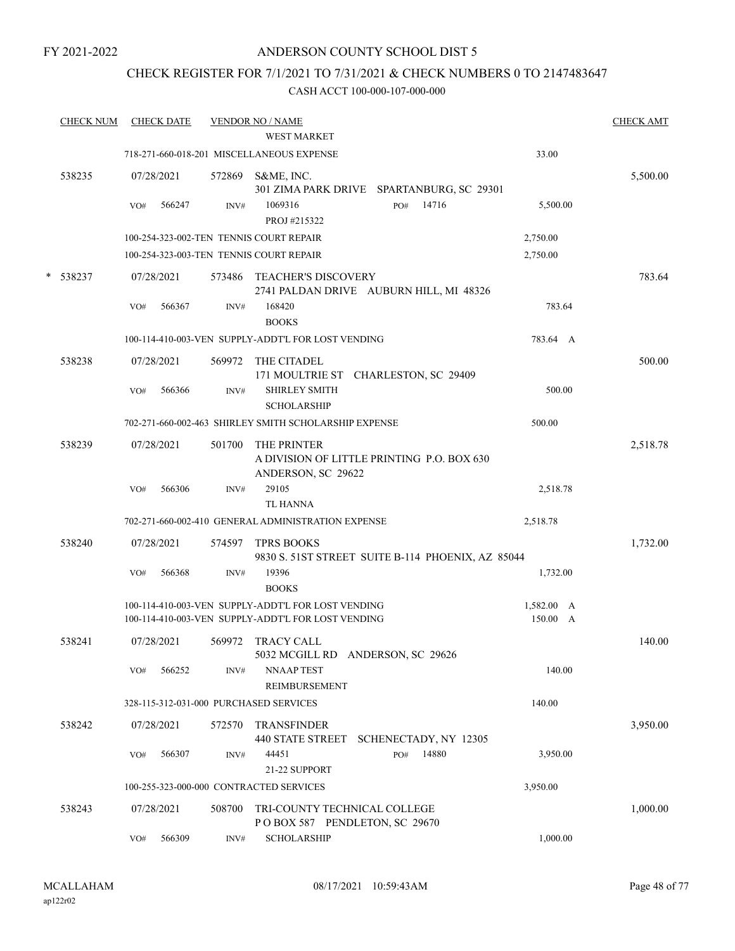## ANDERSON COUNTY SCHOOL DIST 5

## CHECK REGISTER FOR 7/1/2021 TO 7/31/2021 & CHECK NUMBERS 0 TO 2147483647

|   | <b>CHECK NUM</b> |     | <b>CHECK DATE</b> |        | <b>VENDOR NO / NAME</b><br><b>WEST MARKET</b>                                                            |                                                   |                        | <b>CHECK AMT</b> |
|---|------------------|-----|-------------------|--------|----------------------------------------------------------------------------------------------------------|---------------------------------------------------|------------------------|------------------|
|   |                  |     |                   |        | 718-271-660-018-201 MISCELLANEOUS EXPENSE                                                                |                                                   | 33.00                  |                  |
|   | 538235           |     | 07/28/2021        | 572869 | S&ME, INC.                                                                                               | 301 ZIMA PARK DRIVE SPARTANBURG, SC 29301         |                        | 5,500.00         |
|   |                  | VO# | 566247            | INV#   | 1069316<br>PROJ #215322                                                                                  | 14716<br>PO#                                      | 5,500.00               |                  |
|   |                  |     |                   |        | 100-254-323-002-TEN TENNIS COURT REPAIR                                                                  |                                                   | 2,750.00               |                  |
|   |                  |     |                   |        | 100-254-323-003-TEN TENNIS COURT REPAIR                                                                  |                                                   | 2,750.00               |                  |
| * | 538237           |     | 07/28/2021        | 573486 | <b>TEACHER'S DISCOVERY</b>                                                                               | 2741 PALDAN DRIVE AUBURN HILL, MI 48326           |                        | 783.64           |
|   |                  | VO# | 566367            | INV#   | 168420<br><b>BOOKS</b>                                                                                   |                                                   | 783.64                 |                  |
|   |                  |     |                   |        | 100-114-410-003-VEN SUPPLY-ADDT'L FOR LOST VENDING                                                       |                                                   | 783.64 A               |                  |
|   | 538238           |     | 07/28/2021        | 569972 | THE CITADEL                                                                                              | 171 MOULTRIE ST CHARLESTON, SC 29409              |                        | 500.00           |
|   |                  | VO# | 566366            | INV#   | <b>SHIRLEY SMITH</b><br><b>SCHOLARSHIP</b>                                                               |                                                   | 500.00                 |                  |
|   |                  |     |                   |        | 702-271-660-002-463 SHIRLEY SMITH SCHOLARSHIP EXPENSE                                                    |                                                   | 500.00                 |                  |
|   | 538239           |     | 07/28/2021        | 501700 | THE PRINTER<br>ANDERSON, SC 29622                                                                        | A DIVISION OF LITTLE PRINTING P.O. BOX 630        |                        | 2,518.78         |
|   |                  | VO# | 566306            | INV#   | 29105<br><b>TL HANNA</b>                                                                                 |                                                   | 2,518.78               |                  |
|   |                  |     |                   |        | 702-271-660-002-410 GENERAL ADMINISTRATION EXPENSE                                                       |                                                   | 2,518.78               |                  |
|   | 538240           |     | 07/28/2021        | 574597 | <b>TPRS BOOKS</b>                                                                                        | 9830 S. 51ST STREET SUITE B-114 PHOENIX, AZ 85044 |                        | 1,732.00         |
|   |                  | VO# | 566368            | INV#   | 19396<br><b>BOOKS</b>                                                                                    |                                                   | 1,732.00               |                  |
|   |                  |     |                   |        | 100-114-410-003-VEN SUPPLY-ADDT'L FOR LOST VENDING<br>100-114-410-003-VEN SUPPLY-ADDT'L FOR LOST VENDING |                                                   | 1,582.00 A<br>150.00 A |                  |
|   | 538241           |     | 07/28/2021        | 569972 | <b>TRACY CALL</b><br>5032 MCGILL RD ANDERSON, SC 29626                                                   |                                                   |                        | 140.00           |
|   |                  | VO# | 566252            | INV#   | <b>NNAAP TEST</b><br><b>REIMBURSEMENT</b>                                                                |                                                   | 140.00                 |                  |
|   |                  |     |                   |        | 328-115-312-031-000 PURCHASED SERVICES                                                                   |                                                   | 140.00                 |                  |
|   | 538242           |     | 07/28/2021        | 572570 | <b>TRANSFINDER</b><br><b>440 STATE STREET</b>                                                            | SCHENECTADY, NY 12305                             |                        | 3,950.00         |
|   |                  | VO# | 566307            | INV#   | 44451<br>21-22 SUPPORT                                                                                   | 14880<br>PO#                                      | 3,950.00               |                  |
|   |                  |     |                   |        | 100-255-323-000-000 CONTRACTED SERVICES                                                                  |                                                   | 3,950.00               |                  |
|   | 538243           |     | 07/28/2021        | 508700 | TRI-COUNTY TECHNICAL COLLEGE<br>POBOX 587 PENDLETON, SC 29670                                            |                                                   |                        | 1,000.00         |
|   |                  | VO# | 566309            | INV#   | <b>SCHOLARSHIP</b>                                                                                       |                                                   | 1,000.00               |                  |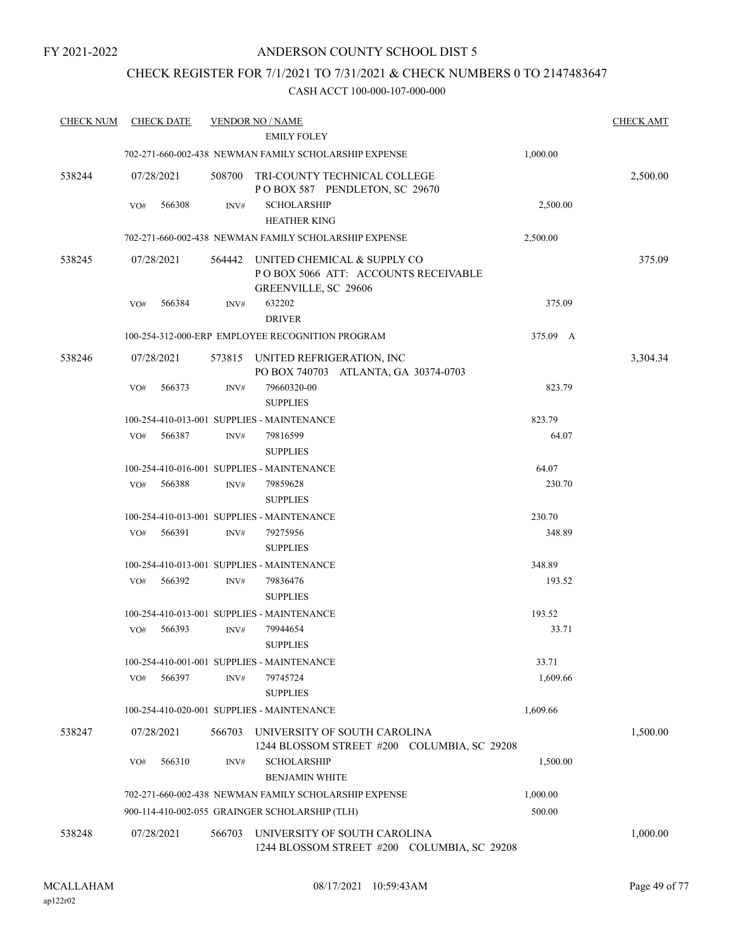## ANDERSON COUNTY SCHOOL DIST 5

## CHECK REGISTER FOR 7/1/2021 TO 7/31/2021 & CHECK NUMBERS 0 TO 2147483647

| <b>CHECK NUM</b> | <b>CHECK DATE</b> |        | <b>VENDOR NO / NAME</b>                                                                           |          | <b>CHECK AMT</b> |
|------------------|-------------------|--------|---------------------------------------------------------------------------------------------------|----------|------------------|
|                  |                   |        | <b>EMILY FOLEY</b>                                                                                |          |                  |
|                  |                   |        | 702-271-660-002-438 NEWMAN FAMILY SCHOLARSHIP EXPENSE                                             | 1,000.00 |                  |
| 538244           | 07/28/2021        | 508700 | TRI-COUNTY TECHNICAL COLLEGE<br>POBOX 587 PENDLETON, SC 29670                                     |          | 2,500.00         |
|                  | VO#<br>566308     | INV#   | <b>SCHOLARSHIP</b><br><b>HEATHER KING</b>                                                         | 2,500.00 |                  |
|                  |                   |        | 702-271-660-002-438 NEWMAN FAMILY SCHOLARSHIP EXPENSE                                             | 2,500.00 |                  |
| 538245           | 07/28/2021        |        | 564442 UNITED CHEMICAL & SUPPLY CO<br>POBOX 5066 ATT: ACCOUNTS RECEIVABLE<br>GREENVILLE, SC 29606 |          | 375.09           |
|                  | 566384<br>VO#     | INV#   | 632202<br><b>DRIVER</b>                                                                           | 375.09   |                  |
|                  |                   |        | 100-254-312-000-ERP EMPLOYEE RECOGNITION PROGRAM                                                  | 375.09 A |                  |
| 538246           | 07/28/2021        | 573815 | UNITED REFRIGERATION, INC<br>PO BOX 740703 ATLANTA, GA 30374-0703                                 |          | 3,304.34         |
|                  | VO#<br>566373     | INV#   | 79660320-00<br><b>SUPPLIES</b>                                                                    | 823.79   |                  |
|                  |                   |        | 100-254-410-013-001 SUPPLIES - MAINTENANCE                                                        | 823.79   |                  |
|                  | 566387<br>VO#     | INV#   | 79816599                                                                                          | 64.07    |                  |
|                  |                   |        | <b>SUPPLIES</b>                                                                                   |          |                  |
|                  |                   |        | 100-254-410-016-001 SUPPLIES - MAINTENANCE                                                        | 64.07    |                  |
|                  | 566388<br>VO#     | INV#   | 79859628<br><b>SUPPLIES</b>                                                                       | 230.70   |                  |
|                  |                   |        | 100-254-410-013-001 SUPPLIES - MAINTENANCE                                                        | 230.70   |                  |
|                  | 566391<br>VO#     | INV#   | 79275956<br><b>SUPPLIES</b>                                                                       | 348.89   |                  |
|                  |                   |        | 100-254-410-013-001 SUPPLIES - MAINTENANCE                                                        | 348.89   |                  |
|                  | 566392<br>VO#     | INV#   | 79836476<br><b>SUPPLIES</b>                                                                       | 193.52   |                  |
|                  |                   |        | 100-254-410-013-001 SUPPLIES - MAINTENANCE                                                        | 193.52   |                  |
|                  | 566393<br>VO#     | INV#   | 79944654<br><b>SUPPLIES</b>                                                                       | 33.71    |                  |
|                  |                   |        | 100-254-410-001-001 SUPPLIES - MAINTENANCE                                                        | 33.71    |                  |
|                  | 566397<br>VO#     | INV#   | 79745724<br><b>SUPPLIES</b>                                                                       | 1,609.66 |                  |
|                  |                   |        | 100-254-410-020-001 SUPPLIES - MAINTENANCE                                                        | 1,609.66 |                  |
| 538247           | 07/28/2021        | 566703 | UNIVERSITY OF SOUTH CAROLINA<br>1244 BLOSSOM STREET #200 COLUMBIA, SC 29208                       |          | 1,500.00         |
|                  | 566310<br>VO#     | INV#   | <b>SCHOLARSHIP</b><br><b>BENJAMIN WHITE</b>                                                       | 1,500.00 |                  |
|                  |                   |        | 702-271-660-002-438 NEWMAN FAMILY SCHOLARSHIP EXPENSE                                             | 1,000.00 |                  |
|                  |                   |        | 900-114-410-002-055 GRAINGER SCHOLARSHIP (TLH)                                                    | 500.00   |                  |
| 538248           | 07/28/2021        | 566703 | UNIVERSITY OF SOUTH CAROLINA<br>1244 BLOSSOM STREET #200 COLUMBIA, SC 29208                       |          | 1,000.00         |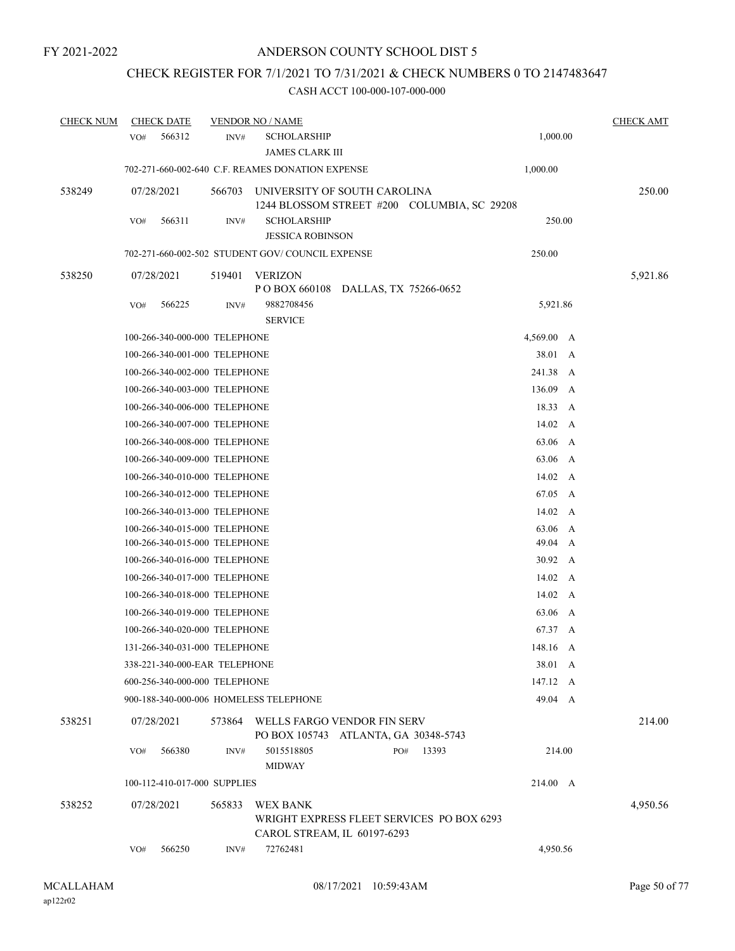## CHECK REGISTER FOR 7/1/2021 TO 7/31/2021 & CHECK NUMBERS 0 TO 2147483647

| <b>CHECK NUM</b> | <b>CHECK DATE</b>             |        | <b>VENDOR NO / NAME</b>                          |                                                                             |                | <b>CHECK AMT</b> |
|------------------|-------------------------------|--------|--------------------------------------------------|-----------------------------------------------------------------------------|----------------|------------------|
|                  | 566312<br>VO#                 | INV#   | <b>SCHOLARSHIP</b><br><b>JAMES CLARK III</b>     |                                                                             | 1,000.00       |                  |
|                  |                               |        | 702-271-660-002-640 C.F. REAMES DONATION EXPENSE |                                                                             | 1,000.00       |                  |
| 538249           | 07/28/2021                    | 566703 |                                                  | UNIVERSITY OF SOUTH CAROLINA<br>1244 BLOSSOM STREET #200 COLUMBIA, SC 29208 |                | 250.00           |
|                  | 566311<br>VO#                 | INV#   | <b>SCHOLARSHIP</b><br><b>JESSICA ROBINSON</b>    |                                                                             | 250.00         |                  |
|                  |                               |        | 702-271-660-002-502 STUDENT GOV/COUNCIL EXPENSE  |                                                                             | 250.00         |                  |
| 538250           | 07/28/2021                    | 519401 | <b>VERIZON</b>                                   | POBOX 660108 DALLAS, TX 75266-0652                                          |                | 5,921.86         |
|                  | VO#<br>566225                 | INV#   | 9882708456<br><b>SERVICE</b>                     |                                                                             | 5,921.86       |                  |
|                  | 100-266-340-000-000 TELEPHONE |        |                                                  |                                                                             | 4,569.00 A     |                  |
|                  | 100-266-340-001-000 TELEPHONE |        |                                                  |                                                                             | 38.01 A        |                  |
|                  | 100-266-340-002-000 TELEPHONE |        |                                                  |                                                                             | 241.38 A       |                  |
|                  | 100-266-340-003-000 TELEPHONE |        |                                                  |                                                                             | 136.09         | $\mathbf{A}$     |
|                  | 100-266-340-006-000 TELEPHONE |        |                                                  |                                                                             | 18.33 A        |                  |
|                  | 100-266-340-007-000 TELEPHONE |        |                                                  |                                                                             | 14.02 A        |                  |
|                  | 100-266-340-008-000 TELEPHONE |        |                                                  |                                                                             | 63.06 A        |                  |
|                  | 100-266-340-009-000 TELEPHONE |        |                                                  |                                                                             | 63.06 A        |                  |
|                  | 100-266-340-010-000 TELEPHONE |        |                                                  |                                                                             | 14.02 A        |                  |
|                  | 100-266-340-012-000 TELEPHONE |        |                                                  |                                                                             | 67.05 A        |                  |
|                  | 100-266-340-013-000 TELEPHONE |        |                                                  |                                                                             | $14.02 \, A$   |                  |
|                  | 100-266-340-015-000 TELEPHONE |        |                                                  |                                                                             | 63.06          | A                |
|                  | 100-266-340-015-000 TELEPHONE |        |                                                  |                                                                             | 49.04 A        |                  |
|                  | 100-266-340-016-000 TELEPHONE |        |                                                  |                                                                             | $30.92\quad A$ |                  |
|                  | 100-266-340-017-000 TELEPHONE |        |                                                  |                                                                             | 14.02 A        |                  |
|                  | 100-266-340-018-000 TELEPHONE |        |                                                  |                                                                             | 14.02 A        |                  |
|                  | 100-266-340-019-000 TELEPHONE |        |                                                  |                                                                             | 63.06 A        |                  |
|                  | 100-266-340-020-000 TELEPHONE |        |                                                  |                                                                             | 67.37 A        |                  |
|                  | 131-266-340-031-000 TELEPHONE |        |                                                  |                                                                             | 148.16 A       |                  |
|                  | 338-221-340-000-EAR TELEPHONE |        |                                                  |                                                                             | 38.01 A        |                  |
|                  | 600-256-340-000-000 TELEPHONE |        |                                                  |                                                                             | 147.12 A       |                  |
|                  |                               |        | 900-188-340-000-006 HOMELESS TELEPHONE           |                                                                             | 49.04 A        |                  |
| 538251           | 07/28/2021                    |        |                                                  | 573864 WELLS FARGO VENDOR FIN SERV<br>PO BOX 105743 ATLANTA, GA 30348-5743  |                | 214.00           |
|                  | 566380<br>VO#                 | INV#   | 5015518805<br><b>MIDWAY</b>                      | 13393<br>PO#                                                                | 214.00         |                  |
|                  | 100-112-410-017-000 SUPPLIES  |        |                                                  |                                                                             | 214.00 A       |                  |
| 538252           | 07/28/2021                    | 565833 | <b>WEX BANK</b>                                  | WRIGHT EXPRESS FLEET SERVICES PO BOX 6293<br>CAROL STREAM, IL 60197-6293    |                | 4,950.56         |
|                  | 566250<br>VO#                 | INV#   | 72762481                                         |                                                                             | 4,950.56       |                  |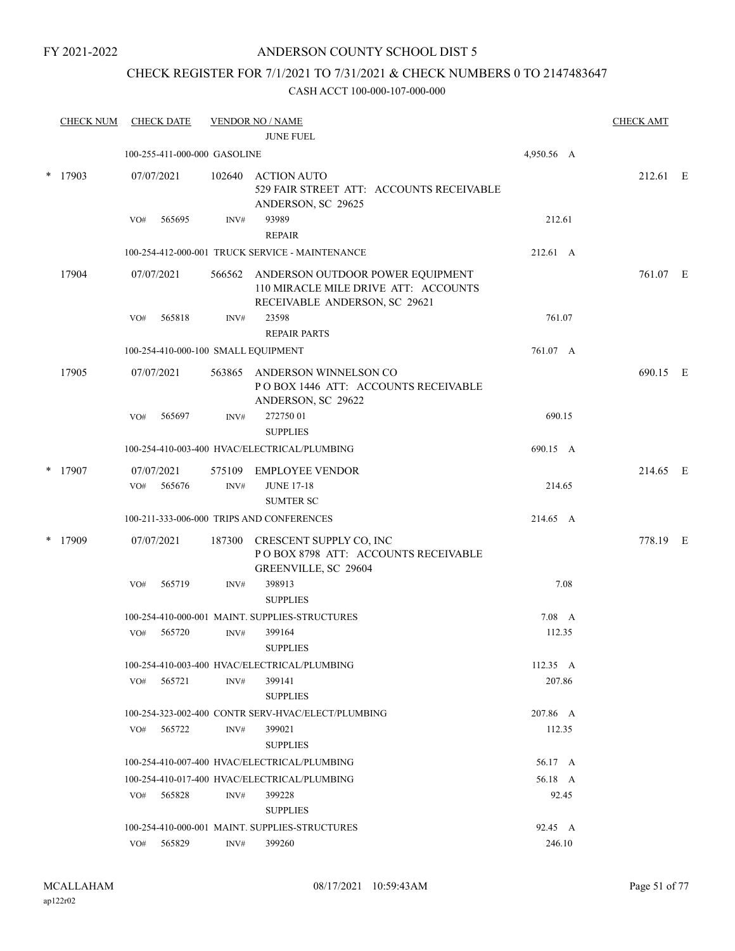## ANDERSON COUNTY SCHOOL DIST 5

## CHECK REGISTER FOR 7/1/2021 TO 7/31/2021 & CHECK NUMBERS 0 TO 2147483647

|        | <b>CHECK NUM</b> |     | <b>CHECK DATE</b>                   |      | <b>VENDOR NO / NAME</b>                                                                                          |                    | <b>CHECK AMT</b> |  |
|--------|------------------|-----|-------------------------------------|------|------------------------------------------------------------------------------------------------------------------|--------------------|------------------|--|
|        |                  |     |                                     |      | <b>JUNE FUEL</b>                                                                                                 |                    |                  |  |
|        |                  |     | 100-255-411-000-000 GASOLINE        |      |                                                                                                                  | 4,950.56 A         |                  |  |
| $\ast$ | 17903            |     | 07/07/2021                          |      | 102640 ACTION AUTO<br>529 FAIR STREET ATT: ACCOUNTS RECEIVABLE<br>ANDERSON, SC 29625                             |                    | 212.61 E         |  |
|        |                  | VO# | 565695                              | INV# | 93989<br><b>REPAIR</b>                                                                                           | 212.61             |                  |  |
|        |                  |     |                                     |      | 100-254-412-000-001 TRUCK SERVICE - MAINTENANCE                                                                  | 212.61 A           |                  |  |
|        | 17904            |     | 07/07/2021                          |      | 566562 ANDERSON OUTDOOR POWER EQUIPMENT<br>110 MIRACLE MILE DRIVE ATT: ACCOUNTS<br>RECEIVABLE ANDERSON, SC 29621 |                    | 761.07 E         |  |
|        |                  | VO# | 565818                              | INV# | 23598                                                                                                            | 761.07             |                  |  |
|        |                  |     |                                     |      | <b>REPAIR PARTS</b>                                                                                              |                    |                  |  |
|        |                  |     | 100-254-410-000-100 SMALL EQUIPMENT |      |                                                                                                                  | 761.07 A           |                  |  |
|        | 17905            |     | 07/07/2021                          |      | 563865 ANDERSON WINNELSON CO<br>POBOX 1446 ATT: ACCOUNTS RECEIVABLE<br>ANDERSON, SC 29622                        |                    | 690.15 E         |  |
|        |                  | VO# | 565697                              | INV# | 27275001<br><b>SUPPLIES</b>                                                                                      | 690.15             |                  |  |
|        |                  |     |                                     |      | 100-254-410-003-400 HVAC/ELECTRICAL/PLUMBING                                                                     | 690.15 A           |                  |  |
| $\ast$ | 17907            |     | 07/07/2021                          |      | 575109 EMPLOYEE VENDOR                                                                                           |                    | 214.65 E         |  |
|        |                  | VO# | 565676                              | INV# | <b>JUNE 17-18</b>                                                                                                | 214.65             |                  |  |
|        |                  |     |                                     |      | <b>SUMTER SC</b>                                                                                                 |                    |                  |  |
|        |                  |     |                                     |      | 100-211-333-006-000 TRIPS AND CONFERENCES                                                                        | 214.65 A           |                  |  |
|        | * 17909          |     | 07/07/2021                          |      | 187300 CRESCENT SUPPLY CO, INC<br>POBOX 8798 ATT: ACCOUNTS RECEIVABLE<br>GREENVILLE, SC 29604                    |                    | 778.19 E         |  |
|        |                  | VO# | 565719                              | INV# | 398913<br><b>SUPPLIES</b>                                                                                        | 7.08               |                  |  |
|        |                  |     |                                     |      | 100-254-410-000-001 MAINT. SUPPLIES-STRUCTURES                                                                   | $7.08\quad A$      |                  |  |
|        |                  | VO# | 565720                              | INV# | 399164<br><b>SUPPLIES</b>                                                                                        | 112.35             |                  |  |
|        |                  |     |                                     |      | 100-254-410-003-400 HVAC/ELECTRICAL/PLUMBING                                                                     | $112.35 \text{ A}$ |                  |  |
|        |                  | VO# | 565721                              | INV# | 399141<br><b>SUPPLIES</b>                                                                                        | 207.86             |                  |  |
|        |                  |     |                                     |      | 100-254-323-002-400 CONTR SERV-HVAC/ELECT/PLUMBING                                                               | 207.86 A           |                  |  |
|        |                  | VO# | 565722                              | INV# | 399021<br><b>SUPPLIES</b>                                                                                        | 112.35             |                  |  |
|        |                  |     |                                     |      | 100-254-410-007-400 HVAC/ELECTRICAL/PLUMBING                                                                     | 56.17 A            |                  |  |
|        |                  |     |                                     |      | 100-254-410-017-400 HVAC/ELECTRICAL/PLUMBING                                                                     | 56.18 A            |                  |  |
|        |                  | VO# | 565828                              | INV# | 399228<br><b>SUPPLIES</b>                                                                                        | 92.45              |                  |  |
|        |                  |     |                                     |      | 100-254-410-000-001 MAINT. SUPPLIES-STRUCTURES                                                                   | 92.45 A            |                  |  |
|        |                  | VO# | 565829                              | INV# | 399260                                                                                                           | 246.10             |                  |  |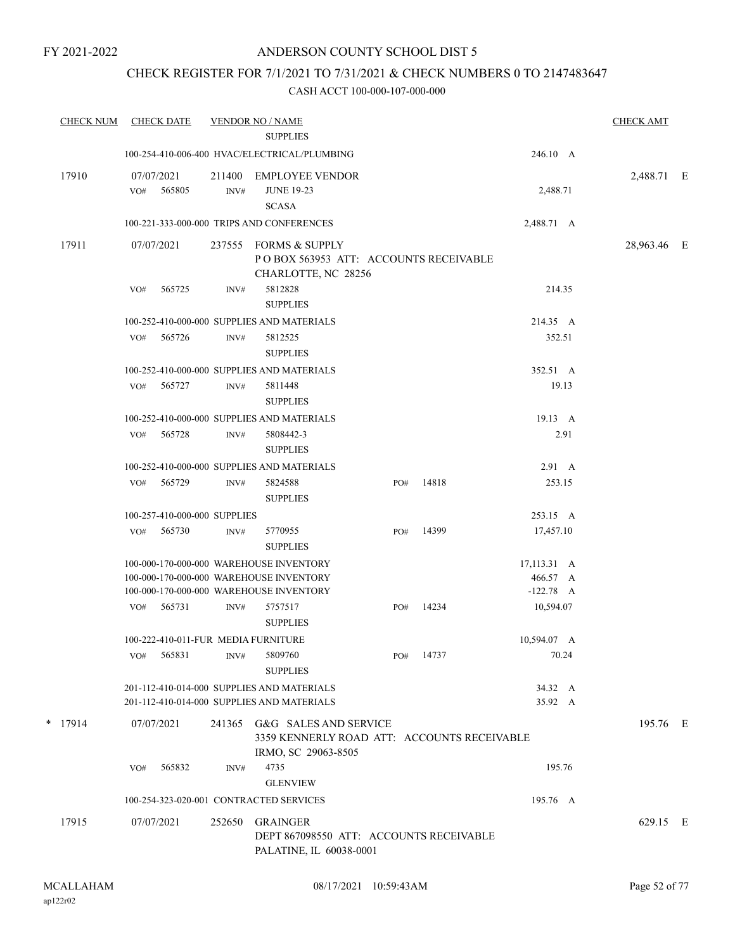## CHECK REGISTER FOR 7/1/2021 TO 7/31/2021 & CHECK NUMBERS 0 TO 2147483647

| <b>CHECK NUM</b> |     | <b>CHECK DATE</b>            |                | <b>VENDOR NO / NAME</b>                                                                            |     |       |                     | <b>CHECK AMT</b> |  |
|------------------|-----|------------------------------|----------------|----------------------------------------------------------------------------------------------------|-----|-------|---------------------|------------------|--|
|                  |     |                              |                | <b>SUPPLIES</b>                                                                                    |     |       |                     |                  |  |
|                  |     |                              |                | 100-254-410-006-400 HVAC/ELECTRICAL/PLUMBING                                                       |     |       | 246.10 A            |                  |  |
| 17910            | VO# | 07/07/2021<br>565805         | 211400<br>INV# | <b>EMPLOYEE VENDOR</b><br><b>JUNE 19-23</b><br><b>SCASA</b>                                        |     |       | 2,488.71            | 2,488.71 E       |  |
|                  |     |                              |                | 100-221-333-000-000 TRIPS AND CONFERENCES                                                          |     |       | 2,488.71 A          |                  |  |
| 17911            |     | 07/07/2021                   | 237555         | <b>FORMS &amp; SUPPLY</b>                                                                          |     |       |                     | 28,963.46 E      |  |
|                  |     |                              |                | POBOX 563953 ATT: ACCOUNTS RECEIVABLE                                                              |     |       |                     |                  |  |
|                  |     |                              |                | CHARLOTTE, NC 28256                                                                                |     |       |                     |                  |  |
|                  | VO# | 565725                       | INV#           | 5812828                                                                                            |     |       | 214.35              |                  |  |
|                  |     |                              |                | <b>SUPPLIES</b>                                                                                    |     |       |                     |                  |  |
|                  |     |                              |                | 100-252-410-000-000 SUPPLIES AND MATERIALS                                                         |     |       | 214.35 A            |                  |  |
|                  | VO# | 565726                       | INV#           | 5812525                                                                                            |     |       | 352.51              |                  |  |
|                  |     |                              |                | <b>SUPPLIES</b>                                                                                    |     |       |                     |                  |  |
|                  |     | 565727                       |                | 100-252-410-000-000 SUPPLIES AND MATERIALS<br>5811448                                              |     |       | 352.51 A<br>19.13   |                  |  |
|                  | VO# |                              | INV#           | <b>SUPPLIES</b>                                                                                    |     |       |                     |                  |  |
|                  |     |                              |                | 100-252-410-000-000 SUPPLIES AND MATERIALS                                                         |     |       | 19.13 A             |                  |  |
|                  | VO# | 565728                       | INV#           | 5808442-3                                                                                          |     |       | 2.91                |                  |  |
|                  |     |                              |                | <b>SUPPLIES</b>                                                                                    |     |       |                     |                  |  |
|                  |     |                              |                | 100-252-410-000-000 SUPPLIES AND MATERIALS                                                         |     |       | $2.91\quad A$       |                  |  |
|                  | VO# | 565729                       | INV#           | 5824588                                                                                            | PO# | 14818 | 253.15              |                  |  |
|                  |     |                              |                | <b>SUPPLIES</b>                                                                                    |     |       |                     |                  |  |
|                  |     | 100-257-410-000-000 SUPPLIES |                |                                                                                                    |     |       | 253.15 A            |                  |  |
|                  | VO# | 565730                       | INV#           | 5770955<br><b>SUPPLIES</b>                                                                         | PO# | 14399 | 17,457.10           |                  |  |
|                  |     |                              |                | 100-000-170-000-000 WAREHOUSE INVENTORY                                                            |     |       | $17,113.31 \quad A$ |                  |  |
|                  |     |                              |                | 100-000-170-000-000 WAREHOUSE INVENTORY                                                            |     |       | 466.57 A            |                  |  |
|                  |     |                              |                | 100-000-170-000-000 WAREHOUSE INVENTORY                                                            |     | 14234 | $-122.78$ A         |                  |  |
|                  | VO# | 565731                       | INV#           | 5757517<br><b>SUPPLIES</b>                                                                         | PO# |       | 10,594.07           |                  |  |
|                  |     |                              |                | 100-222-410-011-FUR MEDIA FURNITURE                                                                |     |       | 10,594.07 A         |                  |  |
|                  | VO# | 565831                       | INV#           | 5809760<br><b>SUPPLIES</b>                                                                         | PO# | 14737 | 70.24               |                  |  |
|                  |     |                              |                | 201-112-410-014-000 SUPPLIES AND MATERIALS                                                         |     |       | 34.32 A             |                  |  |
|                  |     |                              |                | 201-112-410-014-000 SUPPLIES AND MATERIALS                                                         |     |       | 35.92 A             |                  |  |
| $*$ 17914        |     | 07/07/2021                   |                | 241365 G&G SALES AND SERVICE<br>3359 KENNERLY ROAD ATT: ACCOUNTS RECEIVABLE<br>IRMO, SC 29063-8505 |     |       |                     | 195.76 E         |  |
|                  | VO# | 565832                       | INV#           | 4735<br><b>GLENVIEW</b>                                                                            |     |       | 195.76              |                  |  |
|                  |     |                              |                | 100-254-323-020-001 CONTRACTED SERVICES                                                            |     |       | 195.76 A            |                  |  |
|                  |     |                              |                |                                                                                                    |     |       |                     |                  |  |
| 17915            |     | 07/07/2021                   | 252650         | GRAINGER<br>DEPT 867098550 ATT: ACCOUNTS RECEIVABLE<br>PALATINE, IL 60038-0001                     |     |       |                     | 629.15 E         |  |
|                  |     |                              |                |                                                                                                    |     |       |                     |                  |  |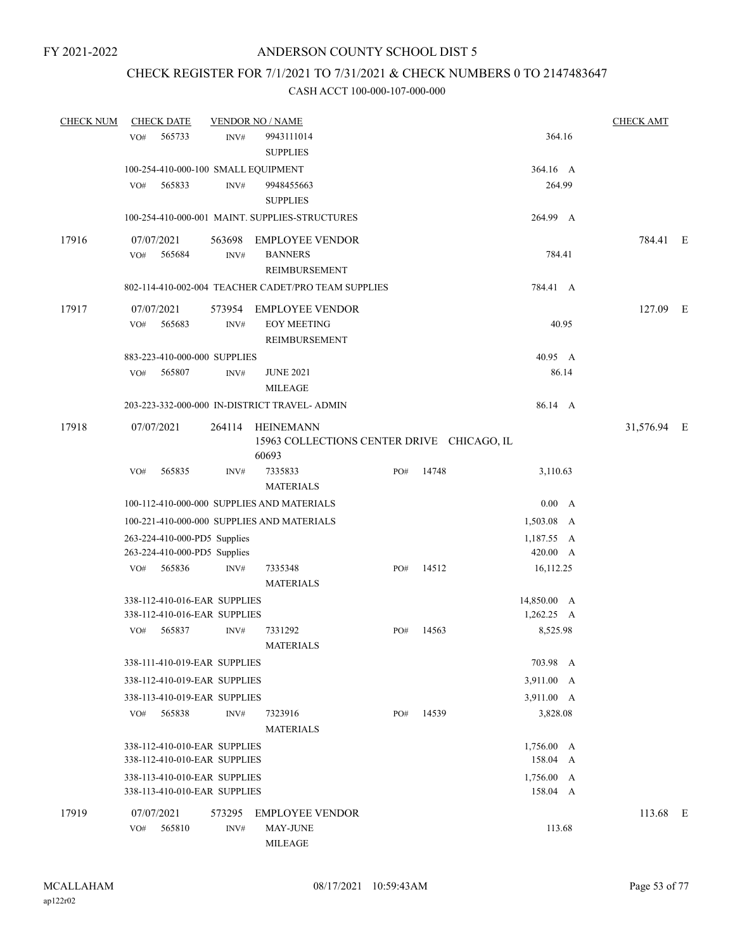## CHECK REGISTER FOR 7/1/2021 TO 7/31/2021 & CHECK NUMBERS 0 TO 2147483647

| <b>CHECK NUM</b> | <b>CHECK DATE</b>                             |                | <b>VENDOR NO / NAME</b>                                                 |     |       |                 | <b>CHECK AMT</b> |  |
|------------------|-----------------------------------------------|----------------|-------------------------------------------------------------------------|-----|-------|-----------------|------------------|--|
|                  | 565733<br>VO#                                 | INV#           | 9943111014<br><b>SUPPLIES</b>                                           |     |       | 364.16          |                  |  |
|                  | 100-254-410-000-100 SMALL EQUIPMENT           |                |                                                                         |     |       | 364.16 A        |                  |  |
|                  | 565833<br>VO#                                 | INV#           | 9948455663<br><b>SUPPLIES</b>                                           |     |       | 264.99          |                  |  |
|                  |                                               |                | 100-254-410-000-001 MAINT. SUPPLIES-STRUCTURES                          |     |       | 264.99 A        |                  |  |
| 17916            | 07/07/2021<br>VO#<br>565684                   | 563698<br>INV# | <b>EMPLOYEE VENDOR</b><br><b>BANNERS</b>                                |     |       | 784.41          | 784.41 E         |  |
|                  |                                               |                | <b>REIMBURSEMENT</b>                                                    |     |       |                 |                  |  |
|                  |                                               |                | 802-114-410-002-004 TEACHER CADET/PRO TEAM SUPPLIES                     |     |       | 784.41 A        |                  |  |
| 17917            | 07/07/2021<br>VO#<br>565683                   | INV#           | 573954 EMPLOYEE VENDOR<br><b>EOY MEETING</b>                            |     |       | 40.95           | 127.09 E         |  |
|                  |                                               |                | REIMBURSEMENT                                                           |     |       | 40.95 A         |                  |  |
|                  | 883-223-410-000-000 SUPPLIES<br>565807<br>VO# | INV#           | <b>JUNE 2021</b>                                                        |     |       | 86.14           |                  |  |
|                  |                                               |                | <b>MILEAGE</b>                                                          |     |       |                 |                  |  |
|                  |                                               |                | 203-223-332-000-000 IN-DISTRICT TRAVEL- ADMIN                           |     |       | 86.14 A         |                  |  |
| 17918            | 07/07/2021                                    |                | 264114 HEINEMANN<br>15963 COLLECTIONS CENTER DRIVE CHICAGO, IL<br>60693 |     |       |                 | 31,576.94 E      |  |
|                  | 565835<br>VO#                                 | INV#           | 7335833<br><b>MATERIALS</b>                                             | PO# | 14748 | 3,110.63        |                  |  |
|                  |                                               |                | 100-112-410-000-000 SUPPLIES AND MATERIALS                              |     |       | 0.00 A          |                  |  |
|                  |                                               |                | 100-221-410-000-000 SUPPLIES AND MATERIALS                              |     |       | 1,503.08 A      |                  |  |
|                  | 263-224-410-000-PD5 Supplies                  |                |                                                                         |     |       | 1,187.55 A      |                  |  |
|                  | 263-224-410-000-PD5 Supplies                  |                |                                                                         |     |       | 420.00 A        |                  |  |
|                  | 565836<br>VO#                                 | INV#           | 7335348<br><b>MATERIALS</b>                                             | PO# | 14512 | 16,112.25       |                  |  |
|                  | 338-112-410-016-EAR SUPPLIES                  |                |                                                                         |     |       | 14,850.00 A     |                  |  |
|                  | 338-112-410-016-EAR SUPPLIES                  |                |                                                                         |     |       | $1,262.25 \, A$ |                  |  |
|                  | 565837<br>VO#                                 | INV#           | 7331292<br><b>MATERIALS</b>                                             | PO# | 14563 | 8,525.98        |                  |  |
|                  | 338-111-410-019-EAR SUPPLIES                  |                |                                                                         |     |       | 703.98 A        |                  |  |
|                  | 338-112-410-019-EAR SUPPLIES                  |                |                                                                         |     |       | 3,911.00 A      |                  |  |
|                  | 338-113-410-019-EAR SUPPLIES                  |                |                                                                         |     |       | 3,911.00 A      |                  |  |
|                  | 565838<br>VO#                                 | INV#           | 7323916<br><b>MATERIALS</b>                                             | PO# | 14539 | 3,828.08        |                  |  |
|                  | 338-112-410-010-EAR SUPPLIES                  |                |                                                                         |     |       | $1,756.00 \, A$ |                  |  |
|                  | 338-112-410-010-EAR SUPPLIES                  |                |                                                                         |     |       | 158.04 A        |                  |  |
|                  | 338-113-410-010-EAR SUPPLIES                  |                |                                                                         |     |       | 1,756.00 A      |                  |  |
|                  | 338-113-410-010-EAR SUPPLIES                  |                |                                                                         |     |       | 158.04 A        |                  |  |
| 17919            | 07/07/2021                                    | 573295         | <b>EMPLOYEE VENDOR</b>                                                  |     |       |                 | 113.68 E         |  |
|                  | 565810<br>VO#                                 | INV#           | <b>MAY-JUNE</b><br>MILEAGE                                              |     |       | 113.68          |                  |  |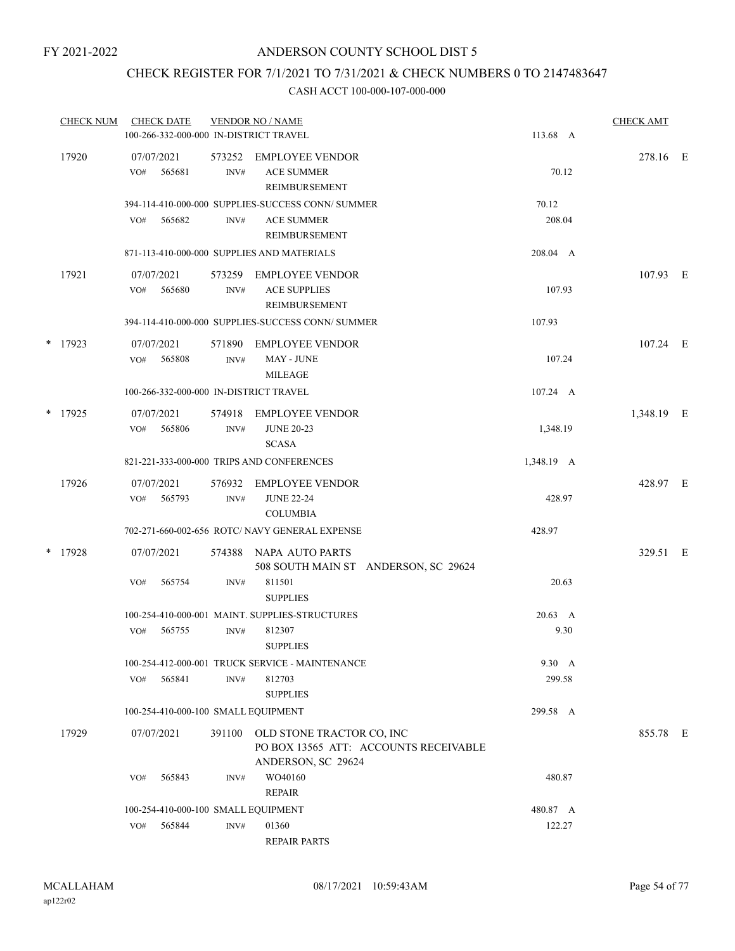## CHECK REGISTER FOR 7/1/2021 TO 7/31/2021 & CHECK NUMBERS 0 TO 2147483647

| <b>CHECK NUM</b> | <b>CHECK DATE</b><br>100-266-332-000-000 IN-DISTRICT TRAVEL |                | <b>VENDOR NO / NAME</b>                                                                  | 113.68 A                | <b>CHECK AMT</b> |  |
|------------------|-------------------------------------------------------------|----------------|------------------------------------------------------------------------------------------|-------------------------|------------------|--|
| 17920            | 07/07/2021<br>VO#<br>565681                                 | 573252<br>INV# | EMPLOYEE VENDOR<br><b>ACE SUMMER</b><br>REIMBURSEMENT                                    | 70.12                   | 278.16 E         |  |
|                  | 565682<br>VO#                                               | INV#           | 394-114-410-000-000 SUPPLIES-SUCCESS CONN/ SUMMER<br><b>ACE SUMMER</b><br>REIMBURSEMENT  | 70.12<br>208.04         |                  |  |
|                  |                                                             |                | 871-113-410-000-000 SUPPLIES AND MATERIALS                                               | 208.04 A                |                  |  |
| 17921            | 07/07/2021<br>565680<br>VO#                                 | 573259<br>INV# | EMPLOYEE VENDOR<br><b>ACE SUPPLIES</b><br>REIMBURSEMENT                                  | 107.93                  | 107.93 E         |  |
|                  |                                                             |                | 394-114-410-000-000 SUPPLIES-SUCCESS CONN/ SUMMER                                        | 107.93                  |                  |  |
| $*$ 17923        | 07/07/2021<br>VO#<br>565808                                 | 571890<br>INV# | <b>EMPLOYEE VENDOR</b><br>MAY - JUNE<br><b>MILEAGE</b>                                   | 107.24                  | $107.24$ E       |  |
|                  | 100-266-332-000-000 IN-DISTRICT TRAVEL                      |                |                                                                                          | 107.24 A                |                  |  |
| * 17925          | 07/07/2021<br>565806<br>VO#                                 | 574918<br>INV# | EMPLOYEE VENDOR<br><b>JUNE 20-23</b><br><b>SCASA</b>                                     | 1,348.19                | 1,348.19 E       |  |
|                  |                                                             |                | 821-221-333-000-000 TRIPS AND CONFERENCES                                                | 1,348.19 A              |                  |  |
| 17926            | 07/07/2021<br>565793<br>VO#                                 | 576932<br>INV# | EMPLOYEE VENDOR<br><b>JUNE 22-24</b><br><b>COLUMBIA</b>                                  | 428.97                  | 428.97 E         |  |
|                  |                                                             |                | 702-271-660-002-656 ROTC/ NAVY GENERAL EXPENSE                                           | 428.97                  |                  |  |
| * 17928          | 07/07/2021                                                  | 574388         | NAPA AUTO PARTS<br>508 SOUTH MAIN ST ANDERSON, SC 29624                                  |                         | 329.51 E         |  |
|                  | VO#<br>565754                                               | INV#           | 811501<br><b>SUPPLIES</b>                                                                | 20.63                   |                  |  |
|                  | VO#<br>565755                                               | INV#           | 100-254-410-000-001 MAINT. SUPPLIES-STRUCTURES<br>812307<br><b>SUPPLIES</b>              | $20.63 \quad A$<br>9.30 |                  |  |
|                  |                                                             |                | 100-254-412-000-001 TRUCK SERVICE - MAINTENANCE                                          | 9.30 A                  |                  |  |
|                  | 565841<br>VO#                                               | INV#           | 812703<br><b>SUPPLIES</b>                                                                | 299.58                  |                  |  |
|                  | 100-254-410-000-100 SMALL EQUIPMENT                         |                |                                                                                          | 299.58 A                |                  |  |
| 17929            | 07/07/2021                                                  | 391100         | OLD STONE TRACTOR CO, INC<br>PO BOX 13565 ATT: ACCOUNTS RECEIVABLE<br>ANDERSON, SC 29624 |                         | 855.78 E         |  |
|                  | 565843<br>VO#                                               | INV#           | WO40160<br><b>REPAIR</b>                                                                 | 480.87                  |                  |  |
|                  | 100-254-410-000-100 SMALL EQUIPMENT                         |                |                                                                                          | 480.87 A                |                  |  |
|                  | 565844<br>VO#                                               | INV#           | 01360<br><b>REPAIR PARTS</b>                                                             | 122.27                  |                  |  |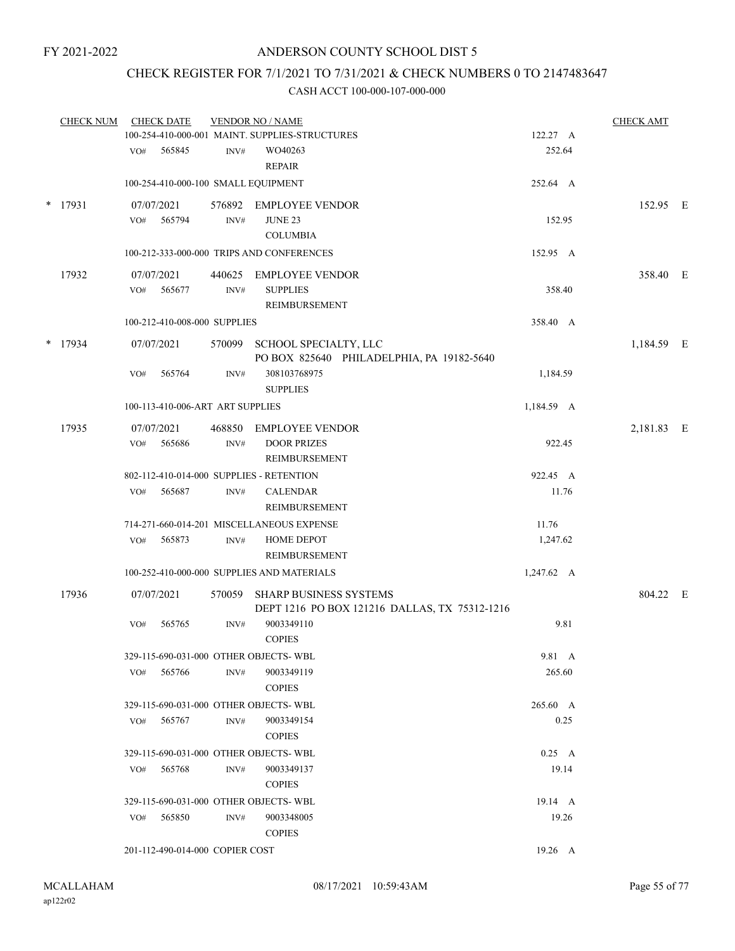## CHECK REGISTER FOR 7/1/2021 TO 7/31/2021 & CHECK NUMBERS 0 TO 2147483647

|        | <b>CHECK NUM</b> |     | <b>CHECK DATE</b>                |                  | <b>VENDOR NO / NAME</b>                                                        |                 | <b>CHECK AMT</b> |  |
|--------|------------------|-----|----------------------------------|------------------|--------------------------------------------------------------------------------|-----------------|------------------|--|
|        |                  |     |                                  |                  | 100-254-410-000-001 MAINT. SUPPLIES-STRUCTURES                                 | 122.27 A        |                  |  |
|        |                  | VO# | 565845                           | $\text{INV}\#$   | WO40263                                                                        | 252.64          |                  |  |
|        |                  |     |                                  |                  | <b>REPAIR</b>                                                                  |                 |                  |  |
|        |                  |     |                                  |                  | 100-254-410-000-100 SMALL EQUIPMENT                                            | 252.64 A        |                  |  |
| $\ast$ | 17931            |     | 07/07/2021                       |                  | 576892 EMPLOYEE VENDOR                                                         |                 | 152.95 E         |  |
|        |                  | VO# | 565794                           | INV#             | <b>JUNE 23</b>                                                                 | 152.95          |                  |  |
|        |                  |     |                                  |                  | <b>COLUMBIA</b>                                                                |                 |                  |  |
|        |                  |     |                                  |                  | 100-212-333-000-000 TRIPS AND CONFERENCES                                      | 152.95 A        |                  |  |
|        | 17932            |     | 07/07/2021                       | 440625           | EMPLOYEE VENDOR                                                                |                 | 358.40 E         |  |
|        |                  | VO# | 565677                           | $\mathrm{INV}\#$ | <b>SUPPLIES</b>                                                                | 358.40          |                  |  |
|        |                  |     |                                  |                  | REIMBURSEMENT                                                                  |                 |                  |  |
|        |                  |     | 100-212-410-008-000 SUPPLIES     |                  |                                                                                | 358.40 A        |                  |  |
|        | $*$ 17934        |     | 07/07/2021                       |                  | 570099 SCHOOL SPECIALTY, LLC                                                   |                 | 1,184.59 E       |  |
|        |                  |     |                                  |                  | PO BOX 825640 PHILADELPHIA, PA 19182-5640                                      |                 |                  |  |
|        |                  | VO# | 565764                           | INV#             | 308103768975                                                                   | 1,184.59        |                  |  |
|        |                  |     |                                  |                  | <b>SUPPLIES</b>                                                                |                 |                  |  |
|        |                  |     | 100-113-410-006-ART ART SUPPLIES |                  |                                                                                | 1,184.59 A      |                  |  |
|        | 17935            |     | 07/07/2021                       |                  | 468850 EMPLOYEE VENDOR                                                         |                 | 2,181.83 E       |  |
|        |                  | VO# | 565686                           | INV#             | <b>DOOR PRIZES</b>                                                             | 922.45          |                  |  |
|        |                  |     |                                  |                  | REIMBURSEMENT                                                                  |                 |                  |  |
|        |                  |     |                                  |                  | 802-112-410-014-000 SUPPLIES - RETENTION                                       | 922.45 A        |                  |  |
|        |                  | VO# | 565687                           | INV#             | <b>CALENDAR</b>                                                                | 11.76           |                  |  |
|        |                  |     |                                  |                  | REIMBURSEMENT                                                                  |                 |                  |  |
|        |                  |     |                                  |                  | 714-271-660-014-201 MISCELLANEOUS EXPENSE                                      | 11.76           |                  |  |
|        |                  | VO# | 565873                           | INV#             | <b>HOME DEPOT</b>                                                              | 1,247.62        |                  |  |
|        |                  |     |                                  |                  | REIMBURSEMENT                                                                  |                 |                  |  |
|        |                  |     |                                  |                  | 100-252-410-000-000 SUPPLIES AND MATERIALS                                     | 1,247.62 A      |                  |  |
|        |                  |     | 07/07/2021                       |                  |                                                                                |                 |                  |  |
|        | 17936            |     |                                  |                  | 570059 SHARP BUSINESS SYSTEMS<br>DEPT 1216 PO BOX 121216 DALLAS, TX 75312-1216 |                 | 804.22 E         |  |
|        |                  | VO# | 565765                           | INV#             | 9003349110                                                                     | 9.81            |                  |  |
|        |                  |     |                                  |                  | <b>COPIES</b>                                                                  |                 |                  |  |
|        |                  |     |                                  |                  | 329-115-690-031-000 OTHER OBJECTS- WBL                                         | 9.81 A          |                  |  |
|        |                  | VO# | 565766                           | INV#             | 9003349119                                                                     | 265.60          |                  |  |
|        |                  |     |                                  |                  | <b>COPIES</b>                                                                  |                 |                  |  |
|        |                  |     |                                  |                  | 329-115-690-031-000 OTHER OBJECTS-WBL                                          | 265.60 A        |                  |  |
|        |                  | VO# | 565767                           | INV#             | 9003349154                                                                     | 0.25            |                  |  |
|        |                  |     |                                  |                  | <b>COPIES</b>                                                                  |                 |                  |  |
|        |                  |     |                                  |                  | 329-115-690-031-000 OTHER OBJECTS-WBL                                          | $0.25\quad A$   |                  |  |
|        |                  | VO# | 565768                           | INV#             | 9003349137                                                                     | 19.14           |                  |  |
|        |                  |     |                                  |                  | <b>COPIES</b>                                                                  |                 |                  |  |
|        |                  |     |                                  |                  | 329-115-690-031-000 OTHER OBJECTS-WBL                                          | $19.14 \quad A$ |                  |  |
|        |                  | VO# | 565850                           | INV#             | 9003348005                                                                     | 19.26           |                  |  |
|        |                  |     |                                  |                  | <b>COPIES</b>                                                                  |                 |                  |  |
|        |                  |     | 201-112-490-014-000 COPIER COST  |                  |                                                                                | 19.26 A         |                  |  |
|        |                  |     |                                  |                  |                                                                                |                 |                  |  |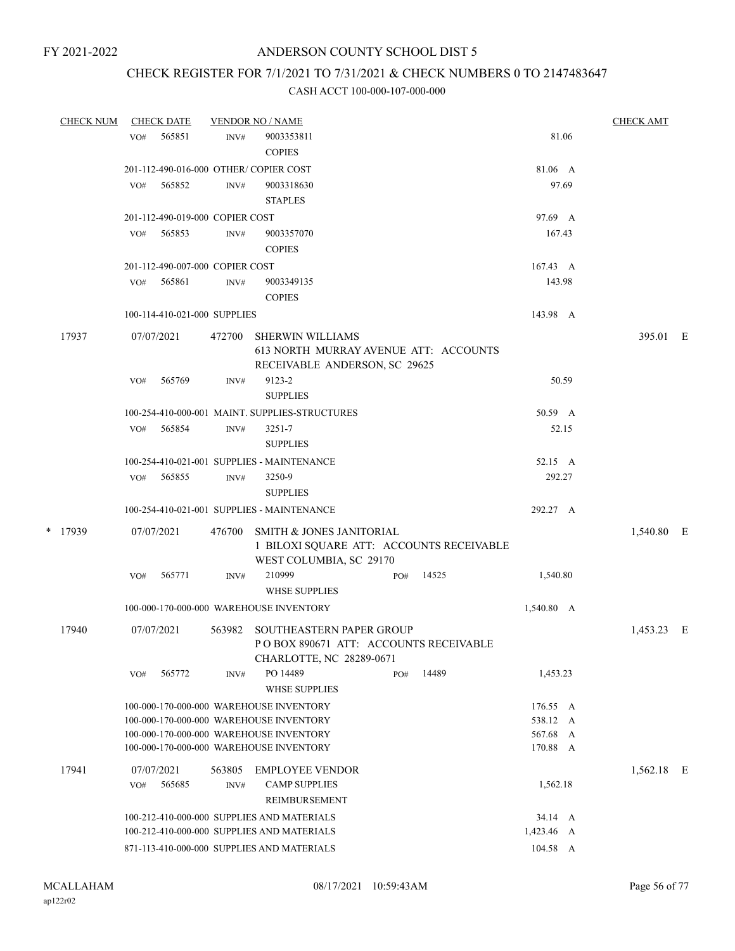# CHECK REGISTER FOR 7/1/2021 TO 7/31/2021 & CHECK NUMBERS 0 TO 2147483647

| <b>CHECK NUM</b> |     | <b>CHECK DATE</b>               |                | <b>VENDOR NO / NAME</b>                                                                                                                                                  |     |       |                                                 | <b>CHECK AMT</b> |  |
|------------------|-----|---------------------------------|----------------|--------------------------------------------------------------------------------------------------------------------------------------------------------------------------|-----|-------|-------------------------------------------------|------------------|--|
|                  | VO# | 565851                          | INV#           | 9003353811<br><b>COPIES</b>                                                                                                                                              |     |       | 81.06                                           |                  |  |
|                  |     |                                 |                | 201-112-490-016-000 OTHER/COPIER COST                                                                                                                                    |     |       | 81.06 A                                         |                  |  |
|                  | VO# | 565852                          | INV#           | 9003318630<br><b>STAPLES</b>                                                                                                                                             |     |       | 97.69                                           |                  |  |
|                  |     | 201-112-490-019-000 COPIER COST |                |                                                                                                                                                                          |     |       | 97.69 A                                         |                  |  |
|                  | VO# | 565853                          | INV#           | 9003357070<br><b>COPIES</b>                                                                                                                                              |     |       | 167.43                                          |                  |  |
|                  |     | 201-112-490-007-000 COPIER COST |                |                                                                                                                                                                          |     |       | 167.43 A                                        |                  |  |
|                  | VO# | 565861                          | INV#           | 9003349135<br><b>COPIES</b>                                                                                                                                              |     |       | 143.98                                          |                  |  |
|                  |     | 100-114-410-021-000 SUPPLIES    |                |                                                                                                                                                                          |     |       | 143.98 A                                        |                  |  |
| 17937            |     | 07/07/2021                      | 472700         | <b>SHERWIN WILLIAMS</b><br>613 NORTH MURRAY AVENUE ATT: ACCOUNTS<br>RECEIVABLE ANDERSON, SC 29625                                                                        |     |       |                                                 | 395.01 E         |  |
|                  | VO# | 565769                          | INV#           | 9123-2<br><b>SUPPLIES</b>                                                                                                                                                |     |       | 50.59                                           |                  |  |
|                  |     |                                 |                | 100-254-410-000-001 MAINT. SUPPLIES-STRUCTURES                                                                                                                           |     |       | 50.59 A                                         |                  |  |
|                  | VO# | 565854                          | INV#           | 3251-7<br><b>SUPPLIES</b>                                                                                                                                                |     |       | 52.15                                           |                  |  |
|                  |     |                                 |                | 100-254-410-021-001 SUPPLIES - MAINTENANCE                                                                                                                               |     |       | 52.15 A                                         |                  |  |
|                  | VO# | 565855                          | INV#           | 3250-9<br><b>SUPPLIES</b>                                                                                                                                                |     |       | 292.27                                          |                  |  |
|                  |     |                                 |                | 100-254-410-021-001 SUPPLIES - MAINTENANCE                                                                                                                               |     |       | 292.27 A                                        |                  |  |
| * 17939          |     | 07/07/2021                      | 476700         | SMITH & JONES JANITORIAL<br>1 BILOXI SQUARE ATT: ACCOUNTS RECEIVABLE<br>WEST COLUMBIA, SC 29170                                                                          |     |       |                                                 | 1,540.80 E       |  |
|                  | VO# | 565771                          | INV#           | 210999<br><b>WHSE SUPPLIES</b>                                                                                                                                           | PO# | 14525 | 1,540.80                                        |                  |  |
|                  |     |                                 |                | 100-000-170-000-000 WAREHOUSE INVENTORY                                                                                                                                  |     |       | 1,540.80 A                                      |                  |  |
| 17940            |     | 07/07/2021                      | 563982         | SOUTHEASTERN PAPER GROUP<br>PO BOX 890671 ATT: ACCOUNTS RECEIVABLE<br>CHARLOTTE, NC 28289-0671                                                                           |     |       |                                                 | 1,453.23 E       |  |
|                  | VO# | 565772                          | INV#           | PO 14489<br><b>WHSE SUPPLIES</b>                                                                                                                                         | PO# | 14489 | 1,453.23                                        |                  |  |
|                  |     |                                 |                | 100-000-170-000-000 WAREHOUSE INVENTORY<br>100-000-170-000-000 WAREHOUSE INVENTORY<br>100-000-170-000-000 WAREHOUSE INVENTORY<br>100-000-170-000-000 WAREHOUSE INVENTORY |     |       | 176.55 A<br>538.12 A<br>567.68<br>A<br>170.88 A |                  |  |
| 17941            | VO# | 07/07/2021<br>565685            | 563805<br>INV# | <b>EMPLOYEE VENDOR</b><br><b>CAMP SUPPLIES</b><br>REIMBURSEMENT                                                                                                          |     |       | 1,562.18                                        | 1,562.18 E       |  |
|                  |     |                                 |                | 100-212-410-000-000 SUPPLIES AND MATERIALS                                                                                                                               |     |       | 34.14 A                                         |                  |  |
|                  |     |                                 |                | 100-212-410-000-000 SUPPLIES AND MATERIALS                                                                                                                               |     |       | 1,423.46 A                                      |                  |  |
|                  |     |                                 |                | 871-113-410-000-000 SUPPLIES AND MATERIALS                                                                                                                               |     |       | 104.58 A                                        |                  |  |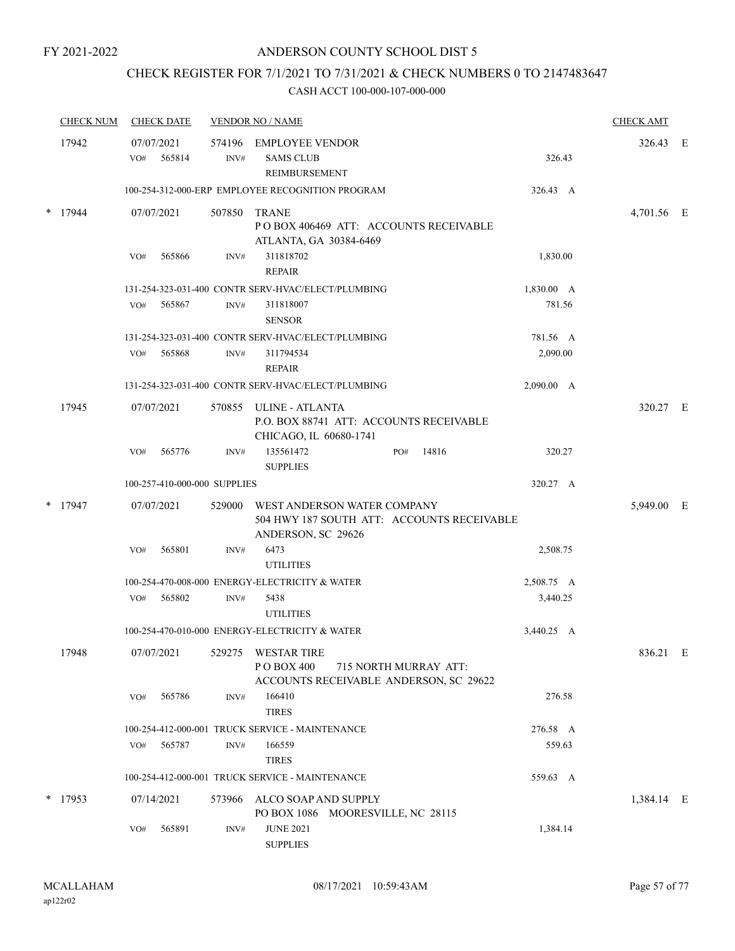## CHECK REGISTER FOR 7/1/2021 TO 7/31/2021 & CHECK NUMBERS 0 TO 2147483647

| <b>CHECK NUM</b> | <b>CHECK DATE</b>           |                              | <b>VENDOR NO / NAME</b>                                                                                |                       |            | <b>CHECK AMT</b> |  |
|------------------|-----------------------------|------------------------------|--------------------------------------------------------------------------------------------------------|-----------------------|------------|------------------|--|
| 17942            | 07/07/2021<br>565814<br>VO# | INV#                         | 574196 EMPLOYEE VENDOR<br><b>SAMS CLUB</b><br>REIMBURSEMENT                                            |                       | 326.43     | 326.43 E         |  |
|                  |                             |                              | 100-254-312-000-ERP EMPLOYEE RECOGNITION PROGRAM                                                       |                       | 326.43 A   |                  |  |
| 17944            | 07/07/2021                  | 507850                       | <b>TRANE</b><br>POBOX 406469 ATT: ACCOUNTS RECEIVABLE<br>ATLANTA, GA 30384-6469                        |                       |            | 4,701.56 E       |  |
|                  | 565866<br>VO#               | INV#                         | 311818702<br><b>REPAIR</b>                                                                             |                       | 1,830.00   |                  |  |
|                  |                             |                              | 131-254-323-031-400 CONTR SERV-HVAC/ELECT/PLUMBING                                                     |                       | 1,830.00 A |                  |  |
|                  | VO#<br>565867               | INV#                         | 311818007<br><b>SENSOR</b>                                                                             |                       | 781.56     |                  |  |
|                  |                             |                              | 131-254-323-031-400 CONTR SERV-HVAC/ELECT/PLUMBING                                                     |                       | 781.56 A   |                  |  |
|                  | 565868<br>VO#               | INV#                         | 311794534<br><b>REPAIR</b>                                                                             |                       | 2,090.00   |                  |  |
|                  |                             |                              | 131-254-323-031-400 CONTR SERV-HVAC/ELECT/PLUMBING                                                     |                       | 2,090.00 A |                  |  |
| 17945            | 07/07/2021                  |                              | 570855 ULINE - ATLANTA<br>P.O. BOX 88741 ATT: ACCOUNTS RECEIVABLE<br>CHICAGO, IL 60680-1741            |                       |            | 320.27 E         |  |
|                  | 565776<br>VO#               | INV#                         | 135561472<br><b>SUPPLIES</b>                                                                           | 14816<br>PO#          | 320.27     |                  |  |
|                  |                             | 100-257-410-000-000 SUPPLIES |                                                                                                        |                       | 320.27 A   |                  |  |
| $*$ 17947        | 07/07/2021                  |                              | 529000 WEST ANDERSON WATER COMPANY<br>504 HWY 187 SOUTH ATT: ACCOUNTS RECEIVABLE<br>ANDERSON, SC 29626 |                       |            | 5,949.00 E       |  |
|                  | 565801<br>VO#               | INV#                         | 6473<br><b>UTILITIES</b>                                                                               |                       | 2,508.75   |                  |  |
|                  |                             |                              | 100-254-470-008-000 ENERGY-ELECTRICITY & WATER                                                         |                       | 2,508.75 A |                  |  |
|                  | 565802<br>VO#               | INV#                         | 5438<br><b>UTILITIES</b>                                                                               |                       | 3,440.25   |                  |  |
|                  |                             |                              | 100-254-470-010-000 ENERGY-ELECTRICITY & WATER                                                         |                       | 3,440.25 A |                  |  |
| 17948            | 07/07/2021                  |                              | 529275 WESTAR TIRE<br>P O BOX 400<br>ACCOUNTS RECEIVABLE ANDERSON, SC 29622                            | 715 NORTH MURRAY ATT: |            | 836.21 E         |  |
|                  | 565786<br>VO#               | INV#                         | 166410<br><b>TIRES</b>                                                                                 |                       | 276.58     |                  |  |
|                  |                             |                              | 100-254-412-000-001 TRUCK SERVICE - MAINTENANCE                                                        |                       | 276.58 A   |                  |  |
|                  | 565787<br>VO#               | INV#                         | 166559                                                                                                 |                       | 559.63     |                  |  |
|                  |                             |                              | <b>TIRES</b>                                                                                           |                       |            |                  |  |
|                  |                             |                              | 100-254-412-000-001 TRUCK SERVICE - MAINTENANCE                                                        |                       | 559.63 A   |                  |  |
| $*$ 17953        | 07/14/2021                  |                              | 573966 ALCO SOAP AND SUPPLY<br>PO BOX 1086 MOORESVILLE, NC 28115                                       |                       |            | 1,384.14 E       |  |
|                  | 565891<br>VO#               | INV#                         | <b>JUNE 2021</b><br><b>SUPPLIES</b>                                                                    |                       | 1,384.14   |                  |  |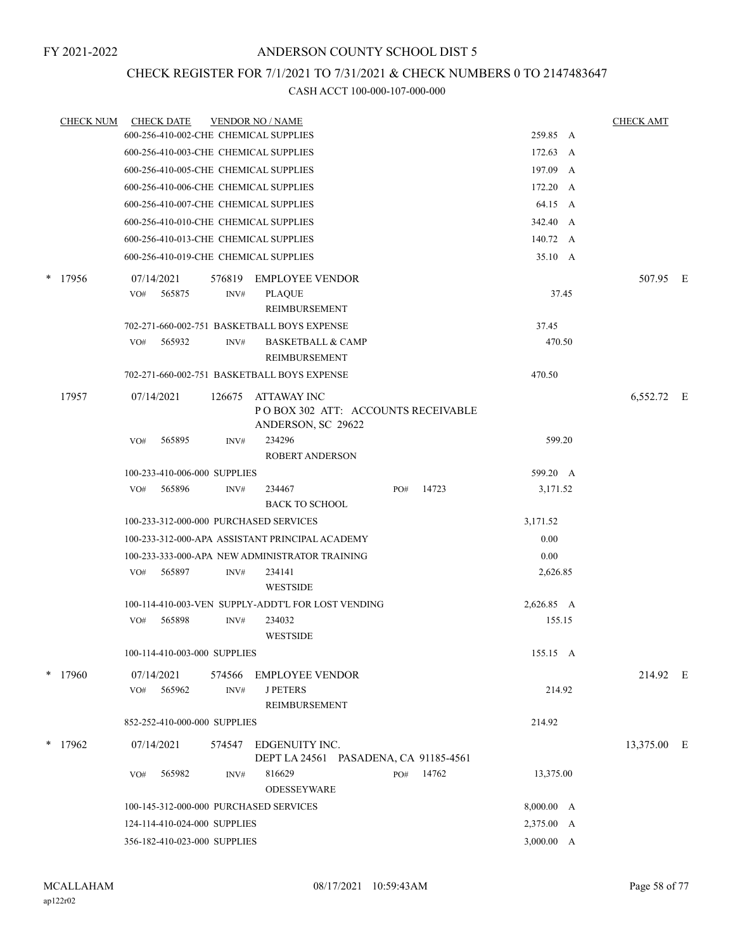## CHECK REGISTER FOR 7/1/2021 TO 7/31/2021 & CHECK NUMBERS 0 TO 2147483647

|   | <b>CHECK NUM</b> |     | <b>CHECK DATE</b>            |        | <b>VENDOR NO / NAME</b>                                        |     |           |            |          | <b>CHECK AMT</b> |  |
|---|------------------|-----|------------------------------|--------|----------------------------------------------------------------|-----|-----------|------------|----------|------------------|--|
|   |                  |     |                              |        | 600-256-410-002-CHE CHEMICAL SUPPLIES                          |     |           | 259.85 A   |          |                  |  |
|   |                  |     |                              |        | 600-256-410-003-CHE CHEMICAL SUPPLIES                          |     |           | 172.63 A   |          |                  |  |
|   |                  |     |                              |        | 600-256-410-005-CHE CHEMICAL SUPPLIES                          |     |           | 197.09 A   |          |                  |  |
|   |                  |     |                              |        | 600-256-410-006-CHE CHEMICAL SUPPLIES                          |     |           | 172.20 A   |          |                  |  |
|   |                  |     |                              |        | 600-256-410-007-CHE CHEMICAL SUPPLIES                          |     |           |            | 64.15 A  |                  |  |
|   |                  |     |                              |        | 600-256-410-010-CHE CHEMICAL SUPPLIES                          |     |           | 342.40 A   |          |                  |  |
|   |                  |     |                              |        | 600-256-410-013-CHE CHEMICAL SUPPLIES                          |     |           | 140.72 A   |          |                  |  |
|   |                  |     |                              |        | 600-256-410-019-CHE CHEMICAL SUPPLIES                          |     |           |            | 35.10 A  |                  |  |
| * | 17956            |     | 07/14/2021                   | 576819 | <b>EMPLOYEE VENDOR</b>                                         |     |           |            |          | 507.95 E         |  |
|   |                  | VO# | 565875                       | INV#   | <b>PLAQUE</b>                                                  |     |           |            | 37.45    |                  |  |
|   |                  |     |                              |        | REIMBURSEMENT                                                  |     |           |            |          |                  |  |
|   |                  |     |                              |        | 702-271-660-002-751 BASKETBALL BOYS EXPENSE                    |     |           | 37.45      |          |                  |  |
|   |                  | VO# | 565932                       | INV#   | <b>BASKETBALL &amp; CAMP</b><br>REIMBURSEMENT                  |     |           |            | 470.50   |                  |  |
|   |                  |     |                              |        | 702-271-660-002-751 BASKETBALL BOYS EXPENSE                    |     |           | 470.50     |          |                  |  |
|   | 17957            |     | 07/14/2021                   | 126675 | ATTAWAY INC<br>POBOX 302 ATT: ACCOUNTS RECEIVABLE              |     |           |            |          | 6,552.72 E       |  |
|   |                  |     |                              |        | ANDERSON, SC 29622                                             |     |           |            |          |                  |  |
|   |                  | VO# | 565895                       | INV#   | 234296<br><b>ROBERT ANDERSON</b>                               |     |           |            | 599.20   |                  |  |
|   |                  |     | 100-233-410-006-000 SUPPLIES |        |                                                                |     |           | 599.20 A   |          |                  |  |
|   |                  | VO# | 565896                       | INV#   | 234467<br><b>BACK TO SCHOOL</b>                                | PO# | 14723     |            | 3,171.52 |                  |  |
|   |                  |     |                              |        | 100-233-312-000-000 PURCHASED SERVICES                         |     |           | 3,171.52   |          |                  |  |
|   |                  |     |                              |        | 100-233-312-000-APA ASSISTANT PRINCIPAL ACADEMY                |     |           |            | 0.00     |                  |  |
|   |                  |     |                              |        | 100-233-333-000-APA NEW ADMINISTRATOR TRAINING                 |     |           |            | 0.00     |                  |  |
|   |                  | VO# | 565897                       | INV#   | 234141<br><b>WESTSIDE</b>                                      |     |           |            | 2,626.85 |                  |  |
|   |                  |     |                              |        | 100-114-410-003-VEN SUPPLY-ADDT'L FOR LOST VENDING             |     |           | 2,626.85 A |          |                  |  |
|   |                  | VO# | 565898                       | INV#   | 234032                                                         |     |           |            | 155.15   |                  |  |
|   |                  |     |                              |        | <b>WESTSIDE</b>                                                |     |           |            |          |                  |  |
|   |                  |     | 100-114-410-003-000 SUPPLIES |        |                                                                |     |           | 155.15 A   |          |                  |  |
|   | $*$ 17960        |     | 07/14/2021                   | 574566 | <b>EMPLOYEE VENDOR</b>                                         |     |           |            |          | 214.92 E         |  |
|   |                  | VO# | 565962                       | INV#   | <b>JPETERS</b><br>REIMBURSEMENT                                |     |           |            | 214.92   |                  |  |
|   |                  |     | 852-252-410-000-000 SUPPLIES |        |                                                                |     |           | 214.92     |          |                  |  |
|   | $*$ 17962        |     | 07/14/2021                   |        |                                                                |     |           |            |          |                  |  |
|   |                  |     |                              |        | 574547 EDGENUITY INC.<br>DEPT LA 24561 PASADENA, CA 91185-4561 |     |           |            |          | 13,375.00 E      |  |
|   |                  | VO# | 565982                       | INV#   | 816629<br><b>ODESSEYWARE</b>                                   |     | PO# 14762 | 13,375.00  |          |                  |  |
|   |                  |     |                              |        | 100-145-312-000-000 PURCHASED SERVICES                         |     |           | 8,000.00 A |          |                  |  |
|   |                  |     | 124-114-410-024-000 SUPPLIES |        |                                                                |     |           | 2,375.00 A |          |                  |  |
|   |                  |     | 356-182-410-023-000 SUPPLIES |        |                                                                |     |           | 3,000.00 A |          |                  |  |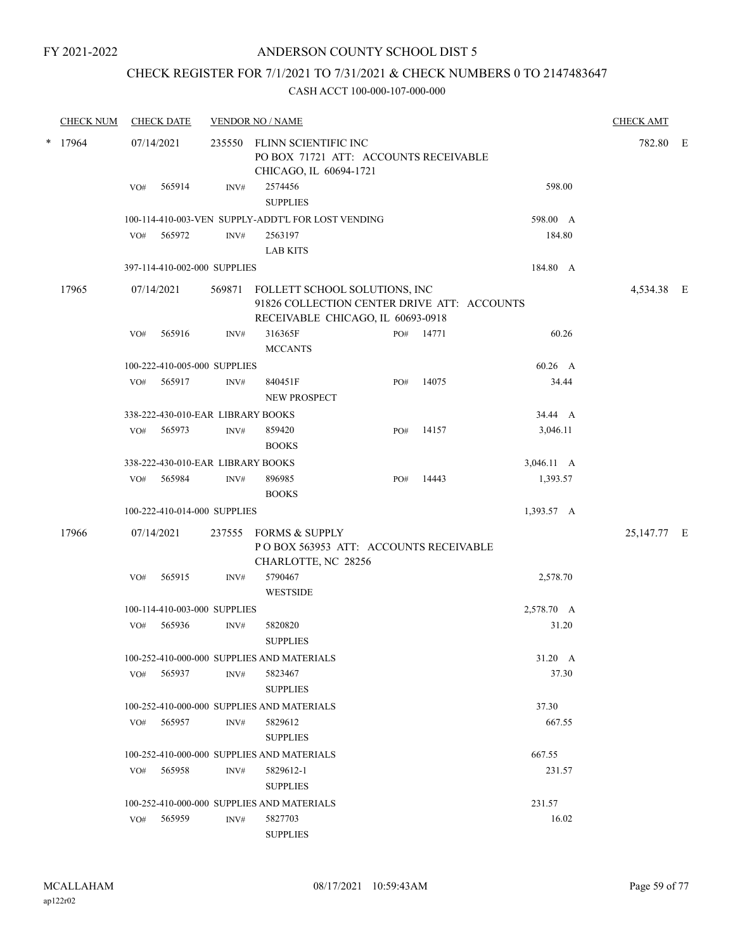## ANDERSON COUNTY SCHOOL DIST 5

## CHECK REGISTER FOR 7/1/2021 TO 7/31/2021 & CHECK NUMBERS 0 TO 2147483647

| <b>CHECK NUM</b> |     | <b>CHECK DATE</b> |                                   | <b>VENDOR NO / NAME</b>                                                                                           |     |       |            | <b>CHECK AMT</b> |  |
|------------------|-----|-------------------|-----------------------------------|-------------------------------------------------------------------------------------------------------------------|-----|-------|------------|------------------|--|
| $*$ 17964        |     | 07/14/2021        | 235550                            | FLINN SCIENTIFIC INC<br>PO BOX 71721 ATT: ACCOUNTS RECEIVABLE<br>CHICAGO, IL 60694-1721                           |     |       |            | 782.80 E         |  |
|                  | VO# | 565914            | INV#                              | 2574456<br><b>SUPPLIES</b>                                                                                        |     |       | 598.00     |                  |  |
|                  |     |                   |                                   | 100-114-410-003-VEN SUPPLY-ADDT'L FOR LOST VENDING                                                                |     |       | 598.00 A   |                  |  |
|                  | VO# | 565972            | INV#                              | 2563197                                                                                                           |     |       | 184.80     |                  |  |
|                  |     |                   |                                   | <b>LAB KITS</b>                                                                                                   |     |       |            |                  |  |
|                  |     |                   | 397-114-410-002-000 SUPPLIES      |                                                                                                                   |     |       | 184.80 A   |                  |  |
| 17965            |     | 07/14/2021        | 569871                            | FOLLETT SCHOOL SOLUTIONS, INC<br>91826 COLLECTION CENTER DRIVE ATT: ACCOUNTS<br>RECEIVABLE CHICAGO, IL 60693-0918 |     |       |            | 4,534.38 E       |  |
|                  | VO# | 565916            | INV#                              | 316365F<br><b>MCCANTS</b>                                                                                         | PO# | 14771 | 60.26      |                  |  |
|                  |     |                   | 100-222-410-005-000 SUPPLIES      |                                                                                                                   |     |       | 60.26 A    |                  |  |
|                  | VO# | 565917            | INV#                              | 840451F<br><b>NEW PROSPECT</b>                                                                                    | PO# | 14075 | 34.44      |                  |  |
|                  |     |                   | 338-222-430-010-EAR LIBRARY BOOKS |                                                                                                                   |     |       | 34.44 A    |                  |  |
|                  | VO# | 565973            | INV#                              | 859420<br><b>BOOKS</b>                                                                                            | PO# | 14157 | 3,046.11   |                  |  |
|                  |     |                   | 338-222-430-010-EAR LIBRARY BOOKS |                                                                                                                   |     |       | 3,046.11 A |                  |  |
|                  | VO# | 565984            | INV#                              | 896985<br><b>BOOKS</b>                                                                                            | PO# | 14443 | 1,393.57   |                  |  |
|                  |     |                   | 100-222-410-014-000 SUPPLIES      |                                                                                                                   |     |       | 1,393.57 A |                  |  |
| 17966            |     | 07/14/2021        | 237555                            | FORMS & SUPPLY<br>POBOX 563953 ATT: ACCOUNTS RECEIVABLE<br>CHARLOTTE, NC 28256                                    |     |       |            | 25,147.77 E      |  |
|                  | VO# | 565915            | INV#                              | 5790467<br><b>WESTSIDE</b>                                                                                        |     |       | 2,578.70   |                  |  |
|                  |     |                   | 100-114-410-003-000 SUPPLIES      |                                                                                                                   |     |       | 2,578.70 A |                  |  |
|                  | VO# | 565936            | INV#                              | 5820820<br><b>SUPPLIES</b>                                                                                        |     |       | 31.20      |                  |  |
|                  |     |                   |                                   | 100-252-410-000-000 SUPPLIES AND MATERIALS                                                                        |     |       | 31.20 A    |                  |  |
|                  | VO# | 565937            | INV#                              | 5823467<br><b>SUPPLIES</b>                                                                                        |     |       | 37.30      |                  |  |
|                  |     |                   |                                   | 100-252-410-000-000 SUPPLIES AND MATERIALS                                                                        |     |       | 37.30      |                  |  |
|                  | VO# | 565957            | INV#                              | 5829612<br><b>SUPPLIES</b>                                                                                        |     |       | 667.55     |                  |  |
|                  |     |                   |                                   | 100-252-410-000-000 SUPPLIES AND MATERIALS                                                                        |     |       | 667.55     |                  |  |
|                  | VO# | 565958            | INV#                              | 5829612-1<br><b>SUPPLIES</b>                                                                                      |     |       | 231.57     |                  |  |
|                  |     |                   |                                   | 100-252-410-000-000 SUPPLIES AND MATERIALS                                                                        |     |       | 231.57     |                  |  |
|                  | VO# | 565959            | INV#                              | 5827703<br><b>SUPPLIES</b>                                                                                        |     |       | 16.02      |                  |  |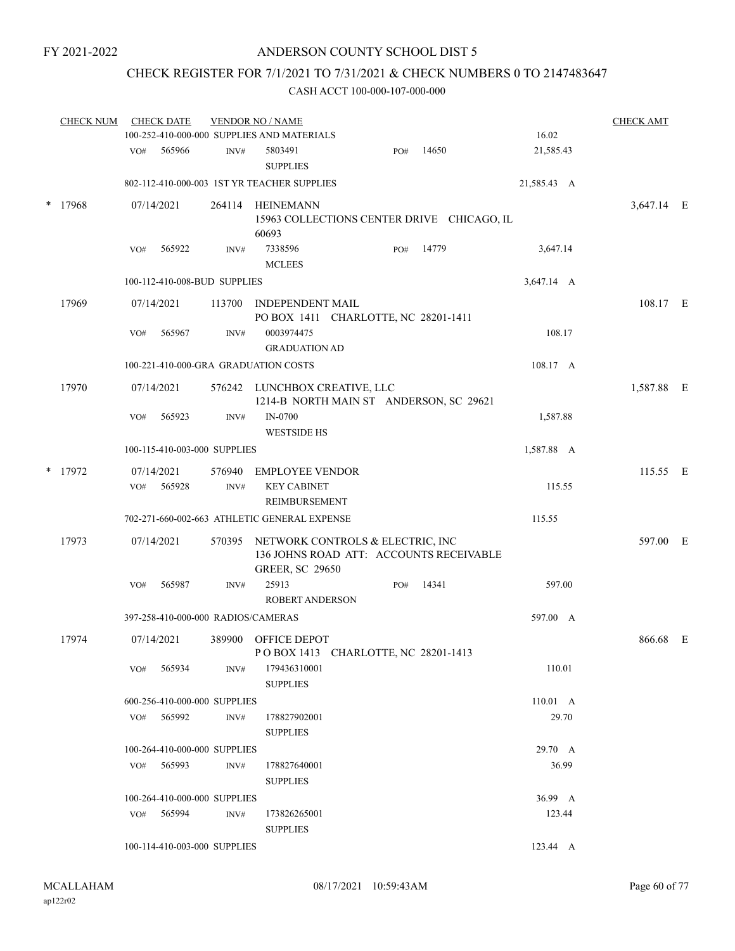## ANDERSON COUNTY SCHOOL DIST 5

## CHECK REGISTER FOR 7/1/2021 TO 7/31/2021 & CHECK NUMBERS 0 TO 2147483647

|        | <b>CHECK NUM</b> |     | <b>CHECK DATE</b> |                              | <b>VENDOR NO / NAME</b><br>100-252-410-000-000 SUPPLIES AND MATERIALS                                 |     |       | 16.02            | <b>CHECK AMT</b> |  |
|--------|------------------|-----|-------------------|------------------------------|-------------------------------------------------------------------------------------------------------|-----|-------|------------------|------------------|--|
|        |                  |     |                   |                              |                                                                                                       |     |       |                  |                  |  |
|        |                  | VO# | 565966            | INV#                         | 5803491<br><b>SUPPLIES</b>                                                                            | PO# | 14650 | 21,585.43        |                  |  |
|        |                  |     |                   |                              | 802-112-410-000-003 IST YR TEACHER SUPPLIES                                                           |     |       | 21,585.43 A      |                  |  |
| $\ast$ | 17968            |     | 07/14/2021        |                              | 264114 HEINEMANN<br>15963 COLLECTIONS CENTER DRIVE CHICAGO, IL<br>60693                               |     |       |                  | 3,647.14 E       |  |
|        |                  | VO# | 565922            | INV#                         | 7338596<br><b>MCLEES</b>                                                                              | PO# | 14779 | 3,647.14         |                  |  |
|        |                  |     |                   | 100-112-410-008-BUD SUPPLIES |                                                                                                       |     |       | 3,647.14 A       |                  |  |
|        | 17969            |     | 07/14/2021        | 113700                       | <b>INDEPENDENT MAIL</b><br>PO BOX 1411 CHARLOTTE, NC 28201-1411                                       |     |       |                  | 108.17 E         |  |
|        |                  | VO# | 565967            | INV#                         | 0003974475<br><b>GRADUATION AD</b>                                                                    |     |       | 108.17           |                  |  |
|        |                  |     |                   |                              | 100-221-410-000-GRA GRADUATION COSTS                                                                  |     |       | 108.17 A         |                  |  |
|        | 17970            |     | 07/14/2021        |                              | 576242 LUNCHBOX CREATIVE, LLC<br>1214-B NORTH MAIN ST ANDERSON, SC 29621                              |     |       |                  | 1,587.88 E       |  |
|        |                  | VO# | 565923            | INV#                         | <b>IN-0700</b><br><b>WESTSIDE HS</b>                                                                  |     |       | 1,587.88         |                  |  |
|        |                  |     |                   | 100-115-410-003-000 SUPPLIES |                                                                                                       |     |       | 1,587.88 A       |                  |  |
|        | * 17972          |     | 07/14/2021        | 576940                       | <b>EMPLOYEE VENDOR</b>                                                                                |     |       |                  | 115.55 E         |  |
|        |                  | VO# | 565928            | INV#                         | <b>KEY CABINET</b><br>REIMBURSEMENT                                                                   |     |       | 115.55           |                  |  |
|        |                  |     |                   |                              | 702-271-660-002-663 ATHLETIC GENERAL EXPENSE                                                          |     |       | 115.55           |                  |  |
|        | 17973            |     | 07/14/2021        | 570395                       | NETWORK CONTROLS & ELECTRIC, INC<br>136 JOHNS ROAD ATT: ACCOUNTS RECEIVABLE<br><b>GREER, SC 29650</b> |     |       |                  | 597.00 E         |  |
|        |                  | VO# | 565987            | INV#                         | 25913<br><b>ROBERT ANDERSON</b>                                                                       | PO# | 14341 | 597.00           |                  |  |
|        |                  |     |                   |                              | 397-258-410-000-000 RADIOS/CAMERAS                                                                    |     |       | 597.00 A         |                  |  |
|        | 17974            |     | 07/14/2021        |                              | 389900 OFFICE DEPOT<br>POBOX 1413 CHARLOTTE, NC 28201-1413                                            |     |       |                  | 866.68 E         |  |
|        |                  | VO# | 565934            | INV#                         | 179436310001<br><b>SUPPLIES</b>                                                                       |     |       | 110.01           |                  |  |
|        |                  |     |                   | 600-256-410-000-000 SUPPLIES |                                                                                                       |     |       | $110.01 \quad A$ |                  |  |
|        |                  |     | VO# 565992        | INV#                         | 178827902001<br><b>SUPPLIES</b>                                                                       |     |       | 29.70            |                  |  |
|        |                  |     |                   | 100-264-410-000-000 SUPPLIES |                                                                                                       |     |       | 29.70 A          |                  |  |
|        |                  |     | $VO#$ 565993      | INV#                         | 178827640001<br><b>SUPPLIES</b>                                                                       |     |       | 36.99            |                  |  |
|        |                  |     |                   | 100-264-410-000-000 SUPPLIES |                                                                                                       |     |       | 36.99 A          |                  |  |
|        |                  |     | $VO#$ 565994      | INV#                         | 173826265001<br><b>SUPPLIES</b>                                                                       |     |       | 123.44           |                  |  |
|        |                  |     |                   | 100-114-410-003-000 SUPPLIES |                                                                                                       |     |       | 123.44 A         |                  |  |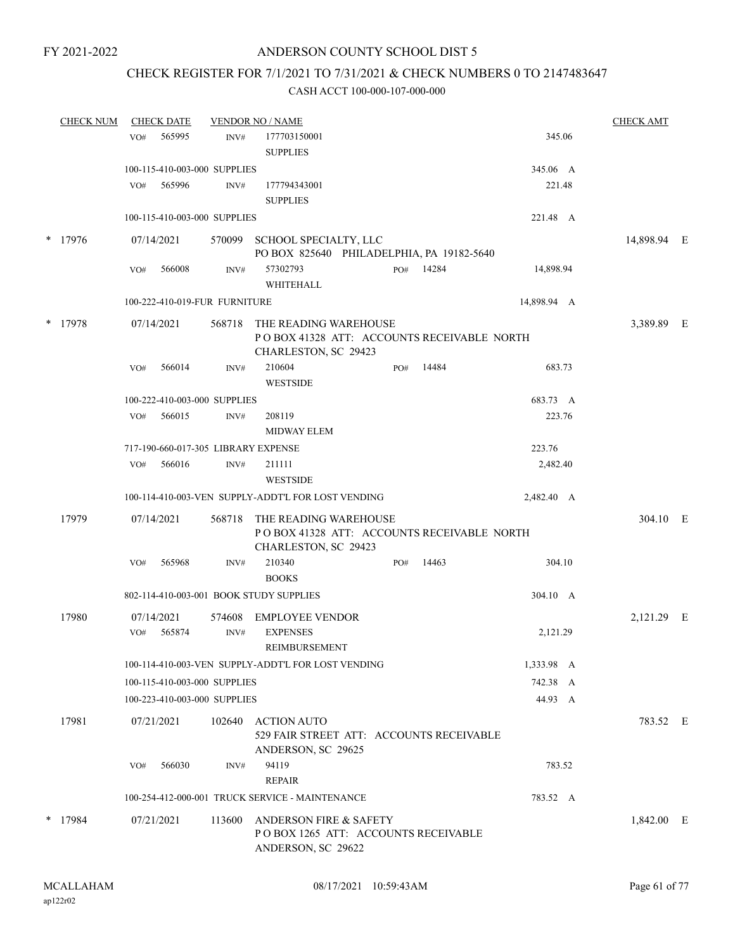## CHECK REGISTER FOR 7/1/2021 TO 7/31/2021 & CHECK NUMBERS 0 TO 2147483647

| <b>CHECK NUM</b> |     | <b>CHECK DATE</b>    |                               | <b>VENDOR NO / NAME</b>                                                                     |     |           |             |           | <b>CHECK AMT</b> |  |
|------------------|-----|----------------------|-------------------------------|---------------------------------------------------------------------------------------------|-----|-----------|-------------|-----------|------------------|--|
|                  | VO# | 565995               | INV#                          | 177703150001<br><b>SUPPLIES</b>                                                             |     |           |             | 345.06    |                  |  |
|                  |     |                      | 100-115-410-003-000 SUPPLIES  |                                                                                             |     |           | 345.06 A    |           |                  |  |
|                  | VO# | 565996               | INV#                          | 177794343001<br><b>SUPPLIES</b>                                                             |     |           |             | 221.48    |                  |  |
|                  |     |                      | 100-115-410-003-000 SUPPLIES  |                                                                                             |     |           | 221.48 A    |           |                  |  |
| $*$ 17976        |     | 07/14/2021           |                               | 570099 SCHOOL SPECIALTY, LLC<br>PO BOX 825640 PHILADELPHIA, PA 19182-5640                   |     |           |             |           | 14,898.94 E      |  |
|                  | VO# | 566008               | INV#                          | 57302793<br>WHITEHALL                                                                       |     | PO# 14284 |             | 14,898.94 |                  |  |
|                  |     |                      | 100-222-410-019-FUR FURNITURE |                                                                                             |     |           | 14,898.94 A |           |                  |  |
| * 17978          |     | 07/14/2021           | 568718                        | THE READING WAREHOUSE<br>POBOX 41328 ATT: ACCOUNTS RECEIVABLE NORTH<br>CHARLESTON, SC 29423 |     |           |             |           | 3,389.89 E       |  |
|                  | VO# | 566014               | INV#                          | 210604<br><b>WESTSIDE</b>                                                                   | PO# | 14484     |             | 683.73    |                  |  |
|                  |     |                      | 100-222-410-003-000 SUPPLIES  |                                                                                             |     |           | 683.73 A    |           |                  |  |
|                  | VO# | 566015               | INV#                          | 208119<br><b>MIDWAY ELEM</b>                                                                |     |           |             | 223.76    |                  |  |
|                  |     |                      |                               | 717-190-660-017-305 LIBRARY EXPENSE                                                         |     |           | 223.76      |           |                  |  |
|                  | VO# | 566016               | INV#                          | 211111<br><b>WESTSIDE</b>                                                                   |     |           |             | 2,482.40  |                  |  |
|                  |     |                      |                               | 100-114-410-003-VEN SUPPLY-ADDT'L FOR LOST VENDING                                          |     |           | 2,482.40 A  |           |                  |  |
| 17979            |     | 07/14/2021           | 568718                        | THE READING WAREHOUSE<br>POBOX 41328 ATT: ACCOUNTS RECEIVABLE NORTH<br>CHARLESTON, SC 29423 |     |           |             |           | 304.10 E         |  |
|                  | VO# | 565968               | INV#                          | 210340<br><b>BOOKS</b>                                                                      | PO# | 14463     |             | 304.10    |                  |  |
|                  |     |                      |                               | 802-114-410-003-001 BOOK STUDY SUPPLIES                                                     |     |           | 304.10 A    |           |                  |  |
| 17980            | VO# | 07/14/2021<br>565874 | 574608<br>INV#                | <b>EMPLOYEE VENDOR</b><br><b>EXPENSES</b>                                                   |     |           |             | 2,121.29  | 2,121.29 E       |  |
|                  |     |                      |                               | REIMBURSEMENT                                                                               |     |           |             |           |                  |  |
|                  |     |                      |                               | 100-114-410-003-VEN SUPPLY-ADDT'L FOR LOST VENDING                                          |     |           | 1,333.98 A  |           |                  |  |
|                  |     |                      | 100-115-410-003-000 SUPPLIES  |                                                                                             |     |           | 742.38 A    | 44.93 A   |                  |  |
|                  |     |                      | 100-223-410-003-000 SUPPLIES  |                                                                                             |     |           |             |           |                  |  |
| 17981            |     | 07/21/2021           |                               | 102640 ACTION AUTO<br>529 FAIR STREET ATT: ACCOUNTS RECEIVABLE<br>ANDERSON, SC 29625        |     |           |             |           | 783.52 E         |  |
|                  | VO# | 566030               | INV#                          | 94119<br><b>REPAIR</b>                                                                      |     |           |             | 783.52    |                  |  |
|                  |     |                      |                               | 100-254-412-000-001 TRUCK SERVICE - MAINTENANCE                                             |     |           | 783.52 A    |           |                  |  |
| $*$ 17984        |     | 07/21/2021           | 113600                        | ANDERSON FIRE & SAFETY<br>POBOX 1265 ATT: ACCOUNTS RECEIVABLE<br>ANDERSON, SC 29622         |     |           |             |           | 1,842.00 E       |  |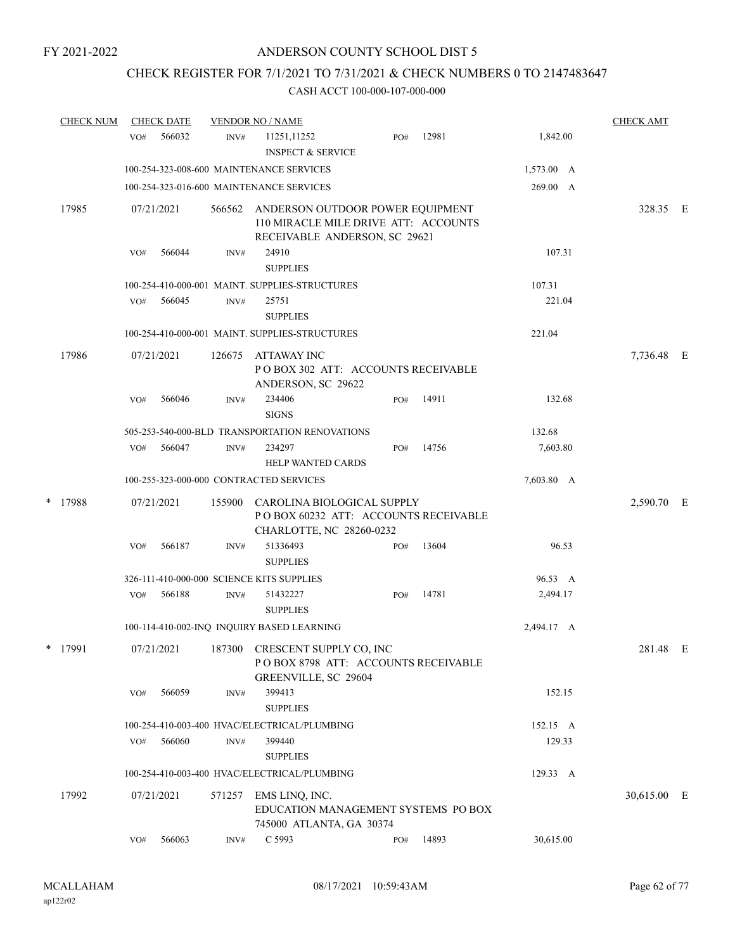## CHECK REGISTER FOR 7/1/2021 TO 7/31/2021 & CHECK NUMBERS 0 TO 2147483647

| <b>CHECK NUM</b> |     | <b>CHECK DATE</b> |        | <b>VENDOR NO / NAME</b>                                                                                   |     |       |                    | <b>CHECK AMT</b> |  |
|------------------|-----|-------------------|--------|-----------------------------------------------------------------------------------------------------------|-----|-------|--------------------|------------------|--|
|                  | VO# | 566032            | INV#   | 11251,11252<br><b>INSPECT &amp; SERVICE</b>                                                               | PO# | 12981 | 1,842.00           |                  |  |
|                  |     |                   |        | 100-254-323-008-600 MAINTENANCE SERVICES                                                                  |     |       | $1,573.00 \quad A$ |                  |  |
|                  |     |                   |        | 100-254-323-016-600 MAINTENANCE SERVICES                                                                  |     |       | 269.00 A           |                  |  |
| 17985            |     | 07/21/2021        | 566562 | ANDERSON OUTDOOR POWER EQUIPMENT<br>110 MIRACLE MILE DRIVE ATT: ACCOUNTS<br>RECEIVABLE ANDERSON, SC 29621 |     |       |                    | 328.35 E         |  |
|                  | VO# | 566044            | INV#   | 24910<br><b>SUPPLIES</b>                                                                                  |     |       | 107.31             |                  |  |
|                  |     |                   |        | 100-254-410-000-001 MAINT. SUPPLIES-STRUCTURES                                                            |     |       | 107.31             |                  |  |
|                  | VO# | 566045            | INV#   | 25751<br><b>SUPPLIES</b>                                                                                  |     |       | 221.04             |                  |  |
|                  |     |                   |        | 100-254-410-000-001 MAINT. SUPPLIES-STRUCTURES                                                            |     |       | 221.04             |                  |  |
| 17986            |     | 07/21/2021        | 126675 | ATTAWAY INC<br>POBOX 302 ATT: ACCOUNTS RECEIVABLE<br>ANDERSON, SC 29622                                   |     |       |                    | 7,736.48 E       |  |
|                  | VO# | 566046            | INV#   | 234406<br><b>SIGNS</b>                                                                                    | PO# | 14911 | 132.68             |                  |  |
|                  |     |                   |        | 505-253-540-000-BLD TRANSPORTATION RENOVATIONS                                                            |     |       | 132.68             |                  |  |
|                  | VO# | 566047            | INV#   | 234297<br><b>HELP WANTED CARDS</b>                                                                        | PO# | 14756 | 7,603.80           |                  |  |
|                  |     |                   |        | 100-255-323-000-000 CONTRACTED SERVICES                                                                   |     |       | 7,603.80 A         |                  |  |
| * 17988          |     | 07/21/2021        | 155900 | CAROLINA BIOLOGICAL SUPPLY<br>POBOX 60232 ATT: ACCOUNTS RECEIVABLE<br>CHARLOTTE, NC 28260-0232            |     |       |                    | 2,590.70 E       |  |
|                  | VO# | 566187            | INV#   | 51336493<br><b>SUPPLIES</b>                                                                               | PO# | 13604 | 96.53              |                  |  |
|                  |     |                   |        | 326-111-410-000-000 SCIENCE KITS SUPPLIES                                                                 |     |       | 96.53 A            |                  |  |
|                  | VO# | 566188            | INV#   | 51432227<br><b>SUPPLIES</b>                                                                               | PO# | 14781 | 2,494.17           |                  |  |
|                  |     |                   |        | 100-114-410-002-INQ INQUIRY BASED LEARNING                                                                |     |       | 2,494.17 A         |                  |  |
| * 17991          |     | 07/21/2021        |        | 187300 CRESCENT SUPPLY CO, INC<br>POBOX 8798 ATT: ACCOUNTS RECEIVABLE<br>GREENVILLE, SC 29604             |     |       |                    | 281.48 E         |  |
|                  | VO# | 566059            | INV#   | 399413<br><b>SUPPLIES</b>                                                                                 |     |       | 152.15             |                  |  |
|                  |     |                   |        | 100-254-410-003-400 HVAC/ELECTRICAL/PLUMBING                                                              |     |       | 152.15 A           |                  |  |
|                  | VO# | 566060            | INV#   | 399440<br><b>SUPPLIES</b>                                                                                 |     |       | 129.33             |                  |  |
|                  |     |                   |        | 100-254-410-003-400 HVAC/ELECTRICAL/PLUMBING                                                              |     |       | 129.33 A           |                  |  |
| 17992            |     | 07/21/2021        | 571257 | EMS LINQ, INC.<br>EDUCATION MANAGEMENT SYSTEMS PO BOX<br>745000 ATLANTA, GA 30374                         |     |       |                    | 30,615.00 E      |  |
|                  | VO# | 566063            | INV#   | C 5993                                                                                                    | PO# | 14893 | 30,615.00          |                  |  |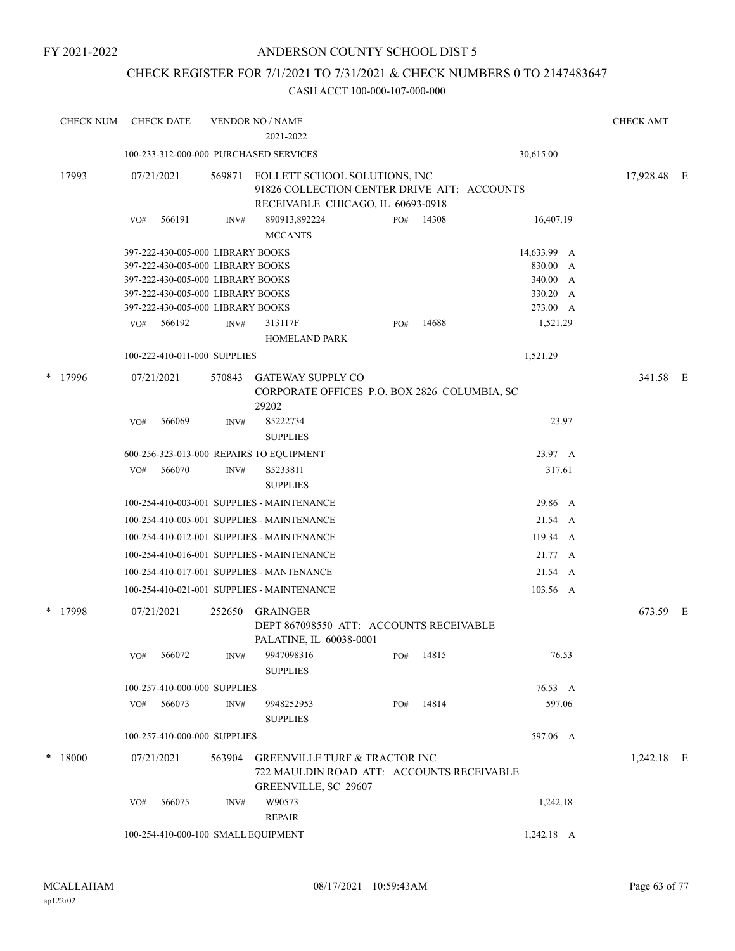## CHECK REGISTER FOR 7/1/2021 TO 7/31/2021 & CHECK NUMBERS 0 TO 2147483647

| <b>CHECK NUM</b> | <b>CHECK DATE</b> |                                                                        | <b>VENDOR NO / NAME</b><br>2021-2022                                                                              |     |           |                      | <b>CHECK AMT</b> |  |
|------------------|-------------------|------------------------------------------------------------------------|-------------------------------------------------------------------------------------------------------------------|-----|-----------|----------------------|------------------|--|
|                  |                   |                                                                        | 100-233-312-000-000 PURCHASED SERVICES                                                                            |     |           | 30,615.00            |                  |  |
| 17993            | 07/21/2021        | 569871                                                                 | FOLLETT SCHOOL SOLUTIONS, INC<br>91826 COLLECTION CENTER DRIVE ATT: ACCOUNTS<br>RECEIVABLE CHICAGO, IL 60693-0918 |     |           |                      | 17,928.48 E      |  |
|                  | 566191<br>VO#     | INV#                                                                   | 890913,892224<br><b>MCCANTS</b>                                                                                   | PO# | 14308     | 16,407.19            |                  |  |
|                  |                   | 397-222-430-005-000 LIBRARY BOOKS                                      |                                                                                                                   |     |           | 14,633.99 A          |                  |  |
|                  |                   | 397-222-430-005-000 LIBRARY BOOKS                                      |                                                                                                                   |     |           | 830.00 A             |                  |  |
|                  |                   | 397-222-430-005-000 LIBRARY BOOKS                                      |                                                                                                                   |     |           | 340.00 A             |                  |  |
|                  |                   | 397-222-430-005-000 LIBRARY BOOKS<br>397-222-430-005-000 LIBRARY BOOKS |                                                                                                                   |     |           | 330.20 A<br>273.00 A |                  |  |
|                  | 566192<br>VO#     | INV#                                                                   | 313117F                                                                                                           | PO# | 14688     | 1,521.29             |                  |  |
|                  |                   |                                                                        | <b>HOMELAND PARK</b>                                                                                              |     |           |                      |                  |  |
|                  |                   | 100-222-410-011-000 SUPPLIES                                           |                                                                                                                   |     |           | 1,521.29             |                  |  |
| * 17996          | 07/21/2021        | 570843                                                                 | <b>GATEWAY SUPPLY CO</b><br>CORPORATE OFFICES P.O. BOX 2826 COLUMBIA, SC<br>29202                                 |     |           |                      | 341.58 E         |  |
|                  | 566069<br>VO#     | INV#                                                                   | S5222734<br><b>SUPPLIES</b>                                                                                       |     |           | 23.97                |                  |  |
|                  |                   |                                                                        | 600-256-323-013-000 REPAIRS TO EQUIPMENT                                                                          |     |           | 23.97 A              |                  |  |
|                  | 566070<br>VO#     | INV#                                                                   | S5233811<br><b>SUPPLIES</b>                                                                                       |     |           | 317.61               |                  |  |
|                  |                   |                                                                        | 100-254-410-003-001 SUPPLIES - MAINTENANCE                                                                        |     |           | 29.86 A              |                  |  |
|                  |                   |                                                                        | 100-254-410-005-001 SUPPLIES - MAINTENANCE                                                                        |     |           | 21.54 A              |                  |  |
|                  |                   |                                                                        | 100-254-410-012-001 SUPPLIES - MAINTENANCE                                                                        |     |           | 119.34 A             |                  |  |
|                  |                   |                                                                        | 100-254-410-016-001 SUPPLIES - MAINTENANCE                                                                        |     |           | 21.77 A              |                  |  |
|                  |                   |                                                                        | 100-254-410-017-001 SUPPLIES - MANTENANCE                                                                         |     |           | 21.54 A              |                  |  |
|                  |                   |                                                                        | 100-254-410-021-001 SUPPLIES - MAINTENANCE                                                                        |     |           | 103.56 A             |                  |  |
| $*$ 17998        | 07/21/2021        | 252650                                                                 | <b>GRAINGER</b><br>DEPT 867098550 ATT: ACCOUNTS RECEIVABLE<br>PALATINE, IL 60038-0001                             |     |           |                      | 673.59 E         |  |
|                  | VO# 566072        | INV#                                                                   | 9947098316<br><b>SUPPLIES</b>                                                                                     |     | PO# 14815 | 76.53                |                  |  |
|                  |                   | 100-257-410-000-000 SUPPLIES                                           |                                                                                                                   |     |           | 76.53 A              |                  |  |
|                  | 566073<br>VO#     | INV#                                                                   | 9948252953<br><b>SUPPLIES</b>                                                                                     | PO# | 14814     | 597.06               |                  |  |
|                  |                   | 100-257-410-000-000 SUPPLIES                                           |                                                                                                                   |     |           | 597.06 A             |                  |  |
| $*$ 18000        | 07/21/2021        | 563904                                                                 | <b>GREENVILLE TURF &amp; TRACTOR INC</b><br>722 MAULDIN ROAD ATT: ACCOUNTS RECEIVABLE<br>GREENVILLE, SC 29607     |     |           |                      | 1,242.18 E       |  |
|                  | 566075<br>VO#     | INV#                                                                   | W90573<br><b>REPAIR</b>                                                                                           |     |           | 1,242.18             |                  |  |
|                  |                   | 100-254-410-000-100 SMALL EQUIPMENT                                    |                                                                                                                   |     |           | $1,242.18$ A         |                  |  |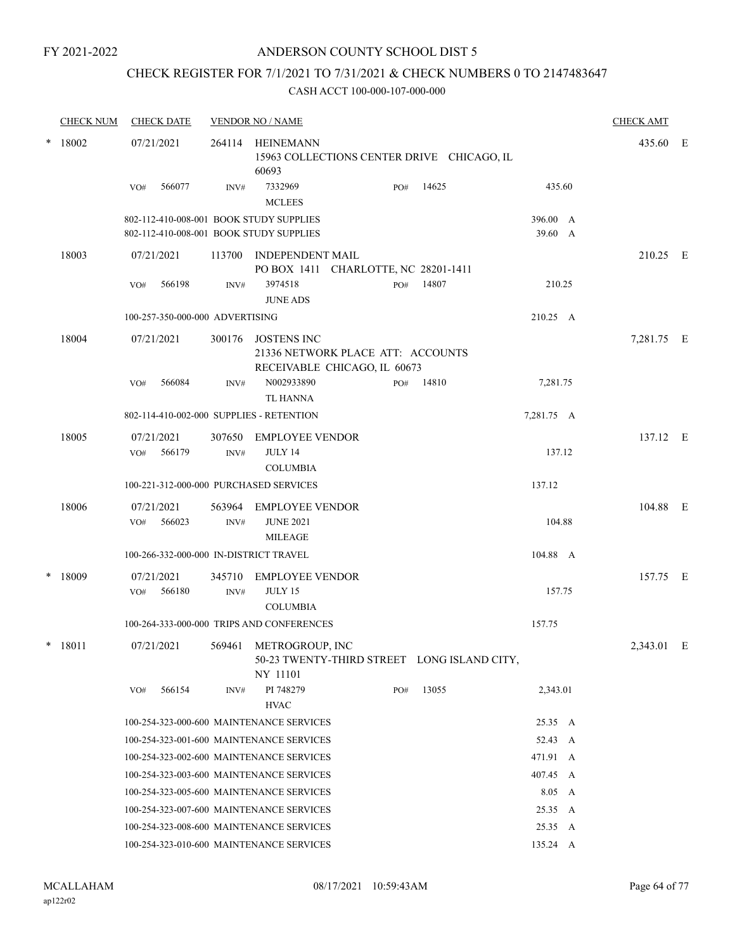## CHECK REGISTER FOR 7/1/2021 TO 7/31/2021 & CHECK NUMBERS 0 TO 2147483647

| <b>CHECK NUM</b> | <b>CHECK DATE</b>                                                                  |        | <b>VENDOR NO / NAME</b>                                                                 |     |       |                     | <b>CHECK AMT</b> |  |
|------------------|------------------------------------------------------------------------------------|--------|-----------------------------------------------------------------------------------------|-----|-------|---------------------|------------------|--|
| $*$ 18002        | 07/21/2021                                                                         |        | 264114 HEINEMANN<br>15963 COLLECTIONS CENTER DRIVE CHICAGO, IL<br>60693                 |     |       |                     | 435.60 E         |  |
|                  | 566077<br>VO#                                                                      | INV#   | 7332969<br><b>MCLEES</b>                                                                | PO# | 14625 | 435.60              |                  |  |
|                  | 802-112-410-008-001 BOOK STUDY SUPPLIES<br>802-112-410-008-001 BOOK STUDY SUPPLIES |        |                                                                                         |     |       | 396.00 A<br>39.60 A |                  |  |
| 18003            | 07/21/2021                                                                         |        | 113700 INDEPENDENT MAIL<br>PO BOX 1411 CHARLOTTE, NC 28201-1411                         |     |       |                     | 210.25 E         |  |
|                  | 566198<br>VO#                                                                      | INV#   | 3974518<br><b>JUNE ADS</b>                                                              | PO# | 14807 | 210.25              |                  |  |
|                  | 100-257-350-000-000 ADVERTISING                                                    |        |                                                                                         |     |       | 210.25 A            |                  |  |
| 18004            | 07/21/2021                                                                         |        | 300176 JOSTENS INC<br>21336 NETWORK PLACE ATT: ACCOUNTS<br>RECEIVABLE CHICAGO, IL 60673 |     |       |                     | 7,281.75 E       |  |
|                  | 566084<br>VO#                                                                      | INV#   | N002933890<br><b>TL HANNA</b>                                                           | PO# | 14810 | 7,281.75            |                  |  |
|                  | 802-114-410-002-000 SUPPLIES - RETENTION                                           |        |                                                                                         |     |       | 7,281.75 A          |                  |  |
| 18005            | 07/21/2021<br>566179<br>VO#                                                        | INV#   | 307650 EMPLOYEE VENDOR<br>JULY 14<br><b>COLUMBIA</b>                                    |     |       | 137.12              | 137.12 E         |  |
|                  | 100-221-312-000-000 PURCHASED SERVICES                                             |        |                                                                                         |     |       | 137.12              |                  |  |
| 18006            | 07/21/2021                                                                         |        | 563964 EMPLOYEE VENDOR                                                                  |     |       |                     | 104.88 E         |  |
|                  | 566023<br>VO#                                                                      | INV#   | <b>JUNE 2021</b><br><b>MILEAGE</b>                                                      |     |       | 104.88              |                  |  |
|                  | 100-266-332-000-000 IN-DISTRICT TRAVEL                                             |        |                                                                                         |     |       | 104.88 A            |                  |  |
| * 18009          | 07/21/2021<br>566180<br>VO#                                                        | INV#   | 345710 EMPLOYEE VENDOR<br>JULY 15<br><b>COLUMBIA</b>                                    |     |       | 157.75              | 157.75 E         |  |
|                  |                                                                                    |        | 100-264-333-000-000 TRIPS AND CONFERENCES                                               |     |       | 157.75              |                  |  |
| $*$ 18011        | 07/21/2021                                                                         | 569461 | METROGROUP, INC<br>50-23 TWENTY-THIRD STREET LONG ISLAND CITY,<br>NY 11101              |     |       |                     | 2,343.01 E       |  |
|                  | 566154<br>VO#                                                                      | INV#   | PI 748279<br><b>HVAC</b>                                                                | PO# | 13055 | 2,343.01            |                  |  |
|                  |                                                                                    |        | 100-254-323-000-600 MAINTENANCE SERVICES                                                |     |       | 25.35 A             |                  |  |
|                  |                                                                                    |        | 100-254-323-001-600 MAINTENANCE SERVICES                                                |     |       | 52.43 A             |                  |  |
|                  |                                                                                    |        | 100-254-323-002-600 MAINTENANCE SERVICES                                                |     |       | 471.91 A            |                  |  |
|                  |                                                                                    |        | 100-254-323-003-600 MAINTENANCE SERVICES                                                |     |       | 407.45 A            |                  |  |
|                  |                                                                                    |        | 100-254-323-005-600 MAINTENANCE SERVICES                                                |     |       | 8.05 A              |                  |  |
|                  |                                                                                    |        | 100-254-323-007-600 MAINTENANCE SERVICES                                                |     |       | 25.35 A             |                  |  |
|                  |                                                                                    |        | 100-254-323-008-600 MAINTENANCE SERVICES                                                |     |       | 25.35 A             |                  |  |
|                  |                                                                                    |        | 100-254-323-010-600 MAINTENANCE SERVICES                                                |     |       | 135.24 A            |                  |  |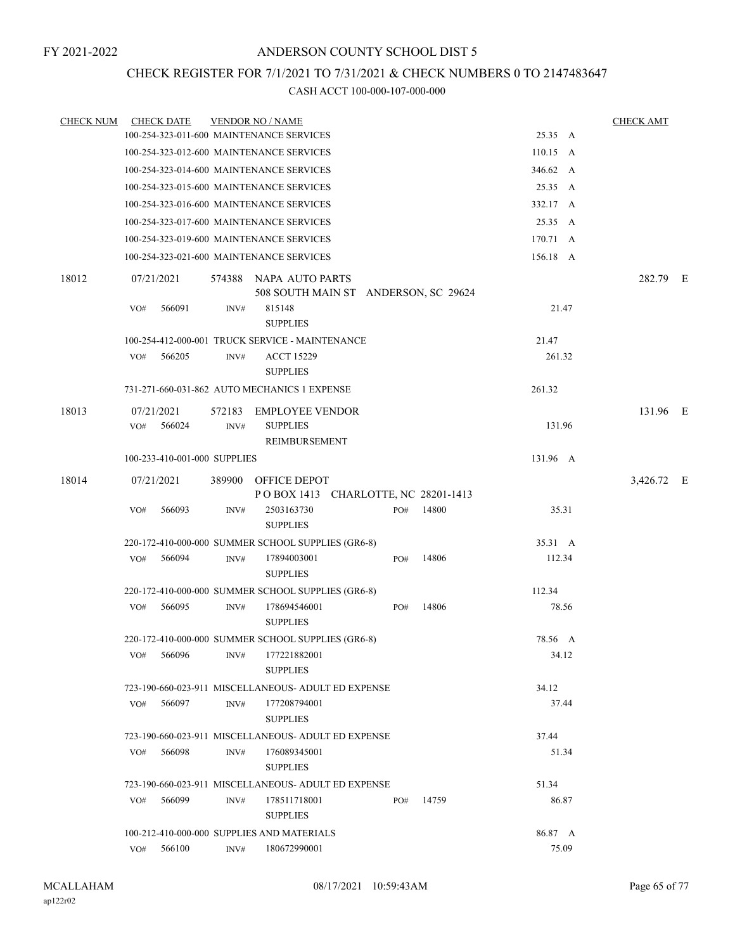## CHECK REGISTER FOR 7/1/2021 TO 7/31/2021 & CHECK NUMBERS 0 TO 2147483647

| <b>CHECK NUM</b> | <b>CHECK DATE</b>                        |        | <b>VENDOR NO / NAME</b>                                        |     |       |                    | <b>CHECK AMT</b> |  |
|------------------|------------------------------------------|--------|----------------------------------------------------------------|-----|-------|--------------------|------------------|--|
|                  | 100-254-323-011-600 MAINTENANCE SERVICES |        |                                                                |     |       | 25.35 A            |                  |  |
|                  | 100-254-323-012-600 MAINTENANCE SERVICES |        |                                                                |     |       | $110.15 \text{ A}$ |                  |  |
|                  | 100-254-323-014-600 MAINTENANCE SERVICES |        |                                                                |     |       | 346.62 A           |                  |  |
|                  | 100-254-323-015-600 MAINTENANCE SERVICES |        |                                                                |     |       | 25.35 A            |                  |  |
|                  | 100-254-323-016-600 MAINTENANCE SERVICES |        |                                                                |     |       | 332.17 A           |                  |  |
|                  | 100-254-323-017-600 MAINTENANCE SERVICES |        |                                                                |     |       | 25.35 A            |                  |  |
|                  | 100-254-323-019-600 MAINTENANCE SERVICES |        |                                                                |     |       | 170.71 A           |                  |  |
|                  | 100-254-323-021-600 MAINTENANCE SERVICES |        |                                                                |     |       | 156.18 A           |                  |  |
| 18012            | 07/21/2021                               |        | 574388 NAPA AUTO PARTS<br>508 SOUTH MAIN ST ANDERSON, SC 29624 |     |       |                    | 282.79 E         |  |
|                  | 566091<br>VO#                            | INV#   | 815148<br><b>SUPPLIES</b>                                      |     |       | 21.47              |                  |  |
|                  |                                          |        | 100-254-412-000-001 TRUCK SERVICE - MAINTENANCE                |     |       | 21.47              |                  |  |
|                  | 566205<br>VO#                            | INV#   | <b>ACCT 15229</b><br><b>SUPPLIES</b>                           |     |       | 261.32             |                  |  |
|                  |                                          |        | 731-271-660-031-862 AUTO MECHANICS 1 EXPENSE                   |     |       | 261.32             |                  |  |
| 18013            | 07/21/2021                               |        | 572183 EMPLOYEE VENDOR                                         |     |       |                    | 131.96 E         |  |
|                  | 566024<br>VO#                            | INV#   | <b>SUPPLIES</b><br>REIMBURSEMENT                               |     |       | 131.96             |                  |  |
|                  | 100-233-410-001-000 SUPPLIES             |        |                                                                |     |       | 131.96 A           |                  |  |
| 18014            | 07/21/2021                               | 389900 | OFFICE DEPOT<br>POBOX 1413 CHARLOTTE, NC 28201-1413            |     |       |                    | 3,426.72 E       |  |
|                  | 566093<br>VO#                            | INV#   | 2503163730<br><b>SUPPLIES</b>                                  | PO# | 14800 | 35.31              |                  |  |
|                  |                                          |        | 220-172-410-000-000 SUMMER SCHOOL SUPPLIES (GR6-8)             |     |       | 35.31 A            |                  |  |
|                  | 566094<br>VO#                            | INV#   | 17894003001<br><b>SUPPLIES</b>                                 | PO# | 14806 | 112.34             |                  |  |
|                  |                                          |        | 220-172-410-000-000 SUMMER SCHOOL SUPPLIES (GR6-8)             |     |       | 112.34             |                  |  |
|                  | VO#<br>566095                            | INV#   | 178694546001<br><b>SUPPLIES</b>                                | PO# | 14806 | 78.56              |                  |  |
|                  |                                          |        | 220-172-410-000-000 SUMMER SCHOOL SUPPLIES (GR6-8)             |     |       | 78.56 A            |                  |  |
|                  | 566096<br>VO#                            | INV#   | 177221882001<br><b>SUPPLIES</b>                                |     |       | 34.12              |                  |  |
|                  |                                          |        | 723-190-660-023-911 MISCELLANEOUS- ADULT ED EXPENSE            |     |       | 34.12              |                  |  |
|                  | 566097<br>VO#                            | INV#   | 177208794001<br><b>SUPPLIES</b>                                |     |       | 37.44              |                  |  |
|                  |                                          |        | 723-190-660-023-911 MISCELLANEOUS- ADULT ED EXPENSE            |     |       | 37.44              |                  |  |
|                  | 566098<br>VO#                            | INV#   | 176089345001<br><b>SUPPLIES</b>                                |     |       | 51.34              |                  |  |
|                  |                                          |        | 723-190-660-023-911 MISCELLANEOUS- ADULT ED EXPENSE            |     |       | 51.34              |                  |  |
|                  | 566099<br>VO#                            | INV#   | 178511718001<br><b>SUPPLIES</b>                                | PO# | 14759 | 86.87              |                  |  |
|                  |                                          |        | 100-212-410-000-000 SUPPLIES AND MATERIALS                     |     |       | 86.87 A            |                  |  |
|                  | VO#<br>566100                            | INV#   | 180672990001                                                   |     |       | 75.09              |                  |  |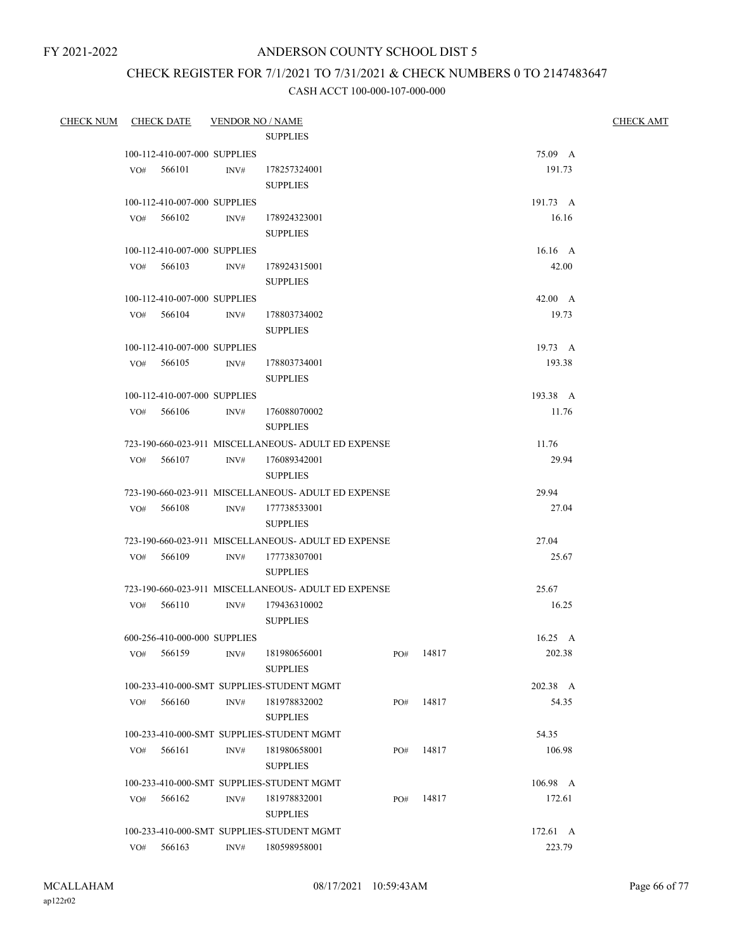## ANDERSON COUNTY SCHOOL DIST 5

# CHECK REGISTER FOR 7/1/2021 TO 7/31/2021 & CHECK NUMBERS 0 TO 2147483647

| CHECK NUM CHECK DATE VENDOR NO / NAME |     |            |                              |                                                     |     |           |                | <b>CHECK AMT</b> |
|---------------------------------------|-----|------------|------------------------------|-----------------------------------------------------|-----|-----------|----------------|------------------|
|                                       |     |            |                              | <b>SUPPLIES</b>                                     |     |           |                |                  |
|                                       |     |            | 100-112-410-007-000 SUPPLIES |                                                     |     |           | 75.09 A        |                  |
|                                       |     | VO# 566101 | INV#                         | 178257324001                                        |     |           | 191.73         |                  |
|                                       |     |            |                              | <b>SUPPLIES</b>                                     |     |           |                |                  |
|                                       |     |            | 100-112-410-007-000 SUPPLIES |                                                     |     |           | 191.73 A       |                  |
|                                       |     | VO# 566102 | INV#                         | 178924323001                                        |     |           | 16.16          |                  |
|                                       |     |            |                              | <b>SUPPLIES</b>                                     |     |           |                |                  |
|                                       |     |            | 100-112-410-007-000 SUPPLIES |                                                     |     |           | 16.16 A        |                  |
|                                       |     | VO# 566103 | INV#                         | 178924315001                                        |     |           | 42.00          |                  |
|                                       |     |            |                              | <b>SUPPLIES</b>                                     |     |           |                |                  |
|                                       |     |            | 100-112-410-007-000 SUPPLIES |                                                     |     |           | $42.00\quad A$ |                  |
|                                       |     | VO# 566104 | INV#                         | 178803734002                                        |     |           | 19.73          |                  |
|                                       |     |            |                              | <b>SUPPLIES</b>                                     |     |           |                |                  |
|                                       |     |            | 100-112-410-007-000 SUPPLIES |                                                     |     |           | 19.73 A        |                  |
|                                       |     | VO# 566105 | INV#                         | 178803734001                                        |     |           | 193.38         |                  |
|                                       |     |            |                              | <b>SUPPLIES</b>                                     |     |           |                |                  |
|                                       |     |            | 100-112-410-007-000 SUPPLIES |                                                     |     |           | 193.38 A       |                  |
|                                       |     | VO# 566106 | INV#                         | 176088070002                                        |     |           | 11.76          |                  |
|                                       |     |            |                              | <b>SUPPLIES</b>                                     |     |           |                |                  |
|                                       |     |            |                              | 723-190-660-023-911 MISCELLANEOUS- ADULT ED EXPENSE |     |           | 11.76          |                  |
|                                       |     | VO# 566107 |                              | INV# 176089342001                                   |     |           | 29.94          |                  |
|                                       |     |            |                              | <b>SUPPLIES</b>                                     |     |           |                |                  |
|                                       |     |            |                              | 723-190-660-023-911 MISCELLANEOUS- ADULT ED EXPENSE |     |           | 29.94          |                  |
|                                       |     | VO# 566108 |                              | INV# 177738533001                                   |     |           | 27.04          |                  |
|                                       |     |            |                              | <b>SUPPLIES</b>                                     |     |           |                |                  |
|                                       |     |            |                              | 723-190-660-023-911 MISCELLANEOUS- ADULT ED EXPENSE |     |           | 27.04          |                  |
|                                       |     | VO# 566109 | INV#                         | 177738307001                                        |     |           | 25.67          |                  |
|                                       |     |            |                              | <b>SUPPLIES</b>                                     |     |           |                |                  |
|                                       |     |            |                              | 723-190-660-023-911 MISCELLANEOUS- ADULT ED EXPENSE |     |           | 25.67          |                  |
|                                       |     | VO# 566110 | INV#                         | 179436310002                                        |     |           | 16.25          |                  |
|                                       |     |            |                              | <b>SUPPLIES</b>                                     |     |           |                |                  |
|                                       |     |            | 600-256-410-000-000 SUPPLIES |                                                     |     |           | $16.25\quad A$ |                  |
|                                       | VO# | 566159     |                              | INV# 181980656001<br><b>SUPPLIES</b>                |     | PO# 14817 | 202.38         |                  |
|                                       |     |            |                              | 100-233-410-000-SMT SUPPLIES-STUDENT MGMT           |     |           | 202.38 A       |                  |
|                                       | VO# | 566160     | INV#                         | 181978832002                                        | PO# | 14817     | 54.35          |                  |
|                                       |     |            |                              | <b>SUPPLIES</b>                                     |     |           |                |                  |
|                                       |     |            |                              | 100-233-410-000-SMT SUPPLIES-STUDENT MGMT           |     |           | 54.35          |                  |
|                                       | VO# | 566161     | INV#                         | 181980658001                                        | PO# | 14817     | 106.98         |                  |
|                                       |     |            |                              | <b>SUPPLIES</b>                                     |     |           |                |                  |
|                                       |     |            |                              | 100-233-410-000-SMT SUPPLIES-STUDENT MGMT           |     |           | 106.98 A       |                  |
|                                       | VO# | 566162     | INV#                         | 181978832001                                        | PO# | 14817     | 172.61         |                  |
|                                       |     |            |                              | <b>SUPPLIES</b>                                     |     |           |                |                  |
|                                       |     |            |                              | 100-233-410-000-SMT SUPPLIES-STUDENT MGMT           |     |           | 172.61 A       |                  |
|                                       | VO# | 566163     | INV#                         | 180598958001                                        |     |           | 223.79         |                  |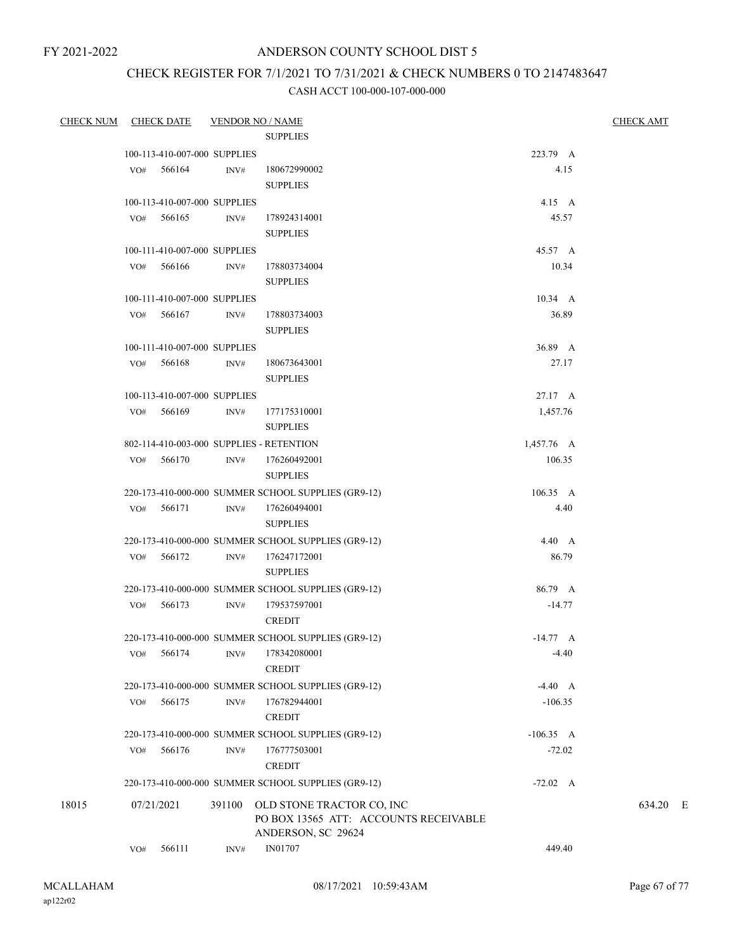## ANDERSON COUNTY SCHOOL DIST 5

## CHECK REGISTER FOR 7/1/2021 TO 7/31/2021 & CHECK NUMBERS 0 TO 2147483647

| <b>CHECK NUM</b> | <b>CHECK DATE</b>            |        |                | <b>VENDOR NO / NAME</b>                                                                  |                  | <b>CHECK AMT</b> |
|------------------|------------------------------|--------|----------------|------------------------------------------------------------------------------------------|------------------|------------------|
|                  |                              |        |                | <b>SUPPLIES</b>                                                                          |                  |                  |
|                  | 100-113-410-007-000 SUPPLIES |        |                |                                                                                          | 223.79 A         |                  |
|                  | VO# 566164                   |        | INV#           | 180672990002                                                                             | 4.15             |                  |
|                  |                              |        |                | <b>SUPPLIES</b>                                                                          |                  |                  |
|                  | 100-113-410-007-000 SUPPLIES |        |                |                                                                                          | $4.15\quad A$    |                  |
|                  | VO# 566165                   |        | INV#           | 178924314001                                                                             | 45.57            |                  |
|                  |                              |        |                | <b>SUPPLIES</b>                                                                          |                  |                  |
|                  | 100-111-410-007-000 SUPPLIES |        |                |                                                                                          | 45.57 A          |                  |
|                  | VO#                          | 566166 | INV#           | 178803734004                                                                             | 10.34            |                  |
|                  |                              |        |                | <b>SUPPLIES</b>                                                                          |                  |                  |
|                  | 100-111-410-007-000 SUPPLIES |        |                |                                                                                          | $10.34 \quad A$  |                  |
|                  | VO#                          | 566167 | INV#           | 178803734003                                                                             | 36.89            |                  |
|                  |                              |        |                | <b>SUPPLIES</b>                                                                          |                  |                  |
|                  | 100-111-410-007-000 SUPPLIES |        |                |                                                                                          | 36.89 A          |                  |
|                  | $VO#$ 566168                 |        | INV#           | 180673643001                                                                             | 27.17            |                  |
|                  |                              |        |                | <b>SUPPLIES</b>                                                                          |                  |                  |
|                  | 100-113-410-007-000 SUPPLIES |        |                |                                                                                          | 27.17 A          |                  |
|                  | VO# 566169                   |        | INV#           | 177175310001                                                                             | 1,457.76         |                  |
|                  |                              |        |                | <b>SUPPLIES</b>                                                                          |                  |                  |
|                  |                              |        |                | 802-114-410-003-000 SUPPLIES - RETENTION                                                 | 1,457.76 A       |                  |
|                  | VO#                          | 566170 | INV#           | 176260492001                                                                             | 106.35           |                  |
|                  |                              |        |                | <b>SUPPLIES</b>                                                                          |                  |                  |
|                  |                              |        |                | 220-173-410-000-000 SUMMER SCHOOL SUPPLIES (GR9-12)                                      | $106.35 \quad A$ |                  |
|                  | VO# 566171                   |        | INV#           | 176260494001                                                                             | 4.40             |                  |
|                  |                              |        |                | <b>SUPPLIES</b>                                                                          |                  |                  |
|                  |                              |        |                | 220-173-410-000-000 SUMMER SCHOOL SUPPLIES (GR9-12)                                      | $4.40\quad A$    |                  |
|                  | VO# 566172                   |        | INV#           | 176247172001                                                                             | 86.79            |                  |
|                  |                              |        |                | <b>SUPPLIES</b>                                                                          |                  |                  |
|                  |                              |        |                | 220-173-410-000-000 SUMMER SCHOOL SUPPLIES (GR9-12)                                      | 86.79 A          |                  |
|                  | VO#                          | 566173 | INV#           | 179537597001                                                                             | $-14.77$         |                  |
|                  |                              |        |                | <b>CREDIT</b>                                                                            |                  |                  |
|                  |                              |        |                | 220-173-410-000-000 SUMMER SCHOOL SUPPLIES (GR9-12)                                      | $-14.77 A$       |                  |
|                  | VO#                          | 566174 |                | INV# 178342080001                                                                        | $-4.40$          |                  |
|                  |                              |        |                | <b>CREDIT</b>                                                                            |                  |                  |
|                  |                              |        |                | 220-173-410-000-000 SUMMER SCHOOL SUPPLIES (GR9-12)                                      | $-4.40 A$        |                  |
|                  | VO#                          | 566175 | $\text{INV}\#$ | 176782944001                                                                             | $-106.35$        |                  |
|                  |                              |        |                | <b>CREDIT</b>                                                                            |                  |                  |
|                  |                              |        |                | 220-173-410-000-000 SUMMER SCHOOL SUPPLIES (GR9-12)                                      | $-106.35$ A      |                  |
|                  | VO#                          | 566176 | $\text{INV}\#$ | 176777503001                                                                             | $-72.02$         |                  |
|                  |                              |        |                | <b>CREDIT</b>                                                                            |                  |                  |
|                  |                              |        |                | 220-173-410-000-000 SUMMER SCHOOL SUPPLIES (GR9-12)                                      | $-72.02 \quad A$ |                  |
| 18015            | 07/21/2021                   |        | 391100         | OLD STONE TRACTOR CO, INC<br>PO BOX 13565 ATT: ACCOUNTS RECEIVABLE<br>ANDERSON, SC 29624 |                  | 634.20 E         |
|                  | VO#                          | 566111 | INV#           | IN01707                                                                                  | 449.40           |                  |
|                  |                              |        |                |                                                                                          |                  |                  |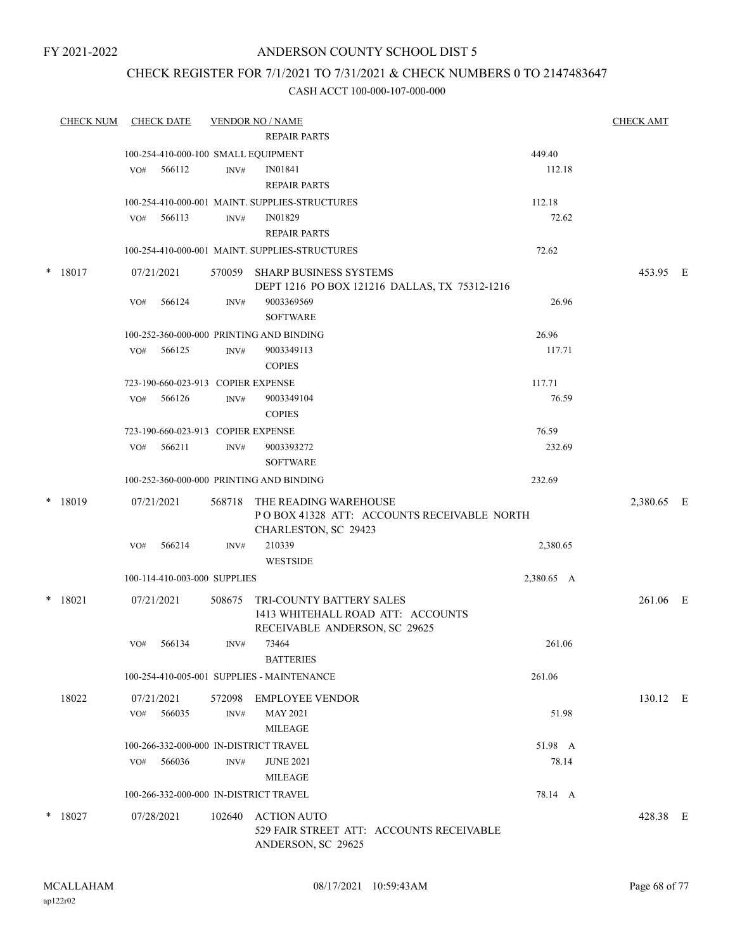## CHECK REGISTER FOR 7/1/2021 TO 7/31/2021 & CHECK NUMBERS 0 TO 2147483647

|        | <b>CHECK NUM</b> | <b>CHECK DATE</b>            |        | <b>VENDOR NO / NAME</b><br><b>REPAIR PARTS</b>            |                                                                                                       |            | <b>CHECK AMT</b> |  |
|--------|------------------|------------------------------|--------|-----------------------------------------------------------|-------------------------------------------------------------------------------------------------------|------------|------------------|--|
|        |                  |                              |        | 100-254-410-000-100 SMALL EQUIPMENT                       |                                                                                                       | 449.40     |                  |  |
|        |                  | 566112<br>VO#                |        | INV#<br>IN01841                                           |                                                                                                       | 112.18     |                  |  |
|        |                  |                              |        | <b>REPAIR PARTS</b>                                       |                                                                                                       |            |                  |  |
|        |                  |                              |        |                                                           |                                                                                                       |            |                  |  |
|        |                  |                              |        | 100-254-410-000-001 MAINT. SUPPLIES-STRUCTURES<br>IN01829 |                                                                                                       | 112.18     |                  |  |
|        |                  | 566113<br>VO#                |        | INV#<br><b>REPAIR PARTS</b>                               |                                                                                                       | 72.62      |                  |  |
|        |                  |                              |        | 100-254-410-000-001 MAINT. SUPPLIES-STRUCTURES            |                                                                                                       | 72.62      |                  |  |
| $\ast$ | 18017            | 07/21/2021                   |        | 570059 SHARP BUSINESS SYSTEMS                             | DEPT 1216 PO BOX 121216 DALLAS, TX 75312-1216                                                         |            | 453.95 E         |  |
|        |                  | 566124<br>VO#                |        | INV#<br>9003369569<br><b>SOFTWARE</b>                     |                                                                                                       | 26.96      |                  |  |
|        |                  |                              |        | 100-252-360-000-000 PRINTING AND BINDING                  |                                                                                                       | 26.96      |                  |  |
|        |                  | 566125<br>VO#                |        | 9003349113<br>INV#                                        |                                                                                                       | 117.71     |                  |  |
|        |                  |                              |        | <b>COPIES</b>                                             |                                                                                                       |            |                  |  |
|        |                  |                              |        | 723-190-660-023-913 COPIER EXPENSE                        |                                                                                                       | 117.71     |                  |  |
|        |                  | 566126<br>VO#                |        | INV#<br>9003349104                                        |                                                                                                       | 76.59      |                  |  |
|        |                  |                              |        | <b>COPIES</b>                                             |                                                                                                       |            |                  |  |
|        |                  |                              |        | 723-190-660-023-913 COPIER EXPENSE                        |                                                                                                       | 76.59      |                  |  |
|        |                  | 566211<br>VO#                |        | 9003393272<br>INV#                                        |                                                                                                       | 232.69     |                  |  |
|        |                  |                              |        | <b>SOFTWARE</b>                                           |                                                                                                       |            |                  |  |
|        |                  |                              |        | 100-252-360-000-000 PRINTING AND BINDING                  |                                                                                                       | 232.69     |                  |  |
|        | $*$ 18019        | 07/21/2021                   | 568718 | CHARLESTON, SC 29423                                      | THE READING WAREHOUSE<br>PO BOX 41328 ATT: ACCOUNTS RECEIVABLE NORTH                                  |            | 2,380.65 E       |  |
|        |                  | 566214<br>VO#                |        | 210339<br>INV#<br><b>WESTSIDE</b>                         |                                                                                                       | 2,380.65   |                  |  |
|        |                  | 100-114-410-003-000 SUPPLIES |        |                                                           |                                                                                                       | 2,380.65 A |                  |  |
|        | $*$ 18021        | 07/21/2021                   | 508675 |                                                           | <b>TRI-COUNTY BATTERY SALES</b><br>1413 WHITEHALL ROAD ATT: ACCOUNTS<br>RECEIVABLE ANDERSON, SC 29625 |            | 261.06 E         |  |
|        |                  | 566134<br>VO#                |        | 73464<br>INV#<br><b>BATTERIES</b>                         |                                                                                                       | 261.06     |                  |  |
|        |                  |                              |        | 100-254-410-005-001 SUPPLIES - MAINTENANCE                |                                                                                                       | 261.06     |                  |  |
|        | 18022            | 07/21/2021                   | 572098 | <b>EMPLOYEE VENDOR</b>                                    |                                                                                                       |            | 130.12 E         |  |
|        |                  | 566035<br>VO#                |        | <b>MAY 2021</b><br>INV#<br><b>MILEAGE</b>                 |                                                                                                       | 51.98      |                  |  |
|        |                  |                              |        | 100-266-332-000-000 IN-DISTRICT TRAVEL                    |                                                                                                       | 51.98 A    |                  |  |
|        |                  | 566036<br>VO#                |        | INV#<br><b>JUNE 2021</b>                                  |                                                                                                       | 78.14      |                  |  |
|        |                  |                              |        | <b>MILEAGE</b>                                            |                                                                                                       |            |                  |  |
|        |                  |                              |        | 100-266-332-000-000 IN-DISTRICT TRAVEL                    |                                                                                                       | 78.14 A    |                  |  |
|        | $*$ 18027        | 07/28/2021                   | 102640 | <b>ACTION AUTO</b><br>ANDERSON, SC 29625                  | 529 FAIR STREET ATT: ACCOUNTS RECEIVABLE                                                              |            | 428.38 E         |  |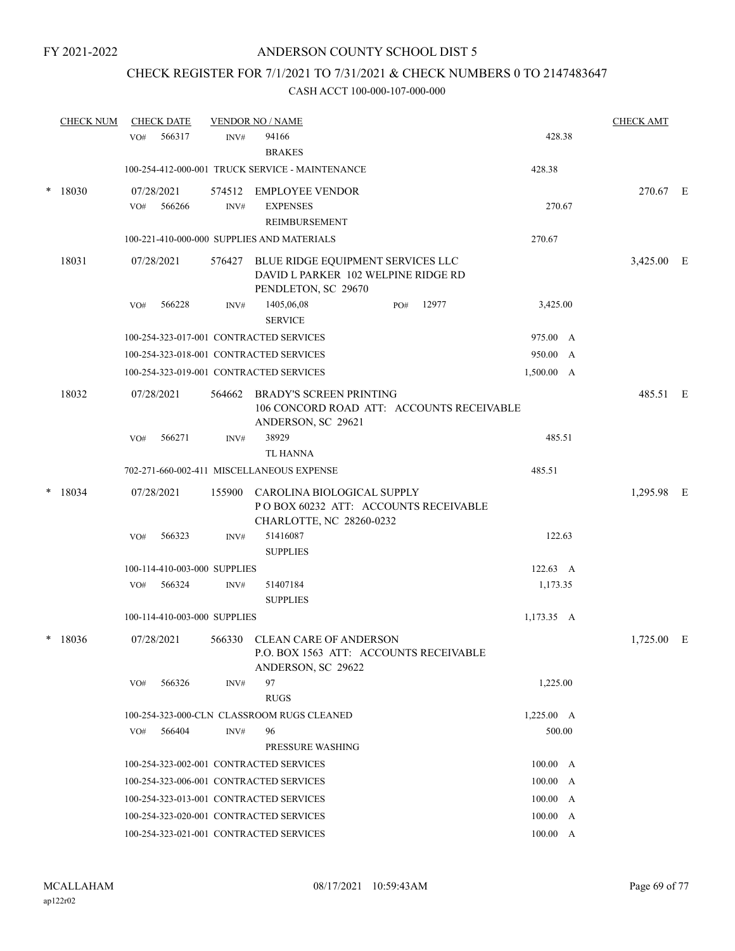## CHECK REGISTER FOR 7/1/2021 TO 7/31/2021 & CHECK NUMBERS 0 TO 2147483647

|        | <b>CHECK NUM</b> |     | <b>CHECK DATE</b>            |        | <b>VENDOR NO / NAME</b>                                                                                |     |       |                  | <b>CHECK AMT</b> |  |
|--------|------------------|-----|------------------------------|--------|--------------------------------------------------------------------------------------------------------|-----|-------|------------------|------------------|--|
|        |                  | VO# | 566317                       | INV#   | 94166<br><b>BRAKES</b>                                                                                 |     |       | 428.38           |                  |  |
|        |                  |     |                              |        | 100-254-412-000-001 TRUCK SERVICE - MAINTENANCE                                                        |     |       | 428.38           |                  |  |
| $\ast$ | 18030            | VO# | 07/28/2021<br>566266         | INV#   | 574512 EMPLOYEE VENDOR<br><b>EXPENSES</b><br>REIMBURSEMENT                                             |     |       | 270.67           | 270.67 E         |  |
|        |                  |     |                              |        | 100-221-410-000-000 SUPPLIES AND MATERIALS                                                             |     |       | 270.67           |                  |  |
|        | 18031            |     | 07/28/2021                   |        | 576427 BLUE RIDGE EQUIPMENT SERVICES LLC<br>DAVID L PARKER 102 WELPINE RIDGE RD<br>PENDLETON, SC 29670 |     |       |                  | 3,425.00 E       |  |
|        |                  | VO# | 566228                       | INV#   | 1405,06,08<br><b>SERVICE</b>                                                                           | PO# | 12977 | 3,425.00         |                  |  |
|        |                  |     |                              |        | 100-254-323-017-001 CONTRACTED SERVICES                                                                |     |       | 975.00 A         |                  |  |
|        |                  |     |                              |        | 100-254-323-018-001 CONTRACTED SERVICES                                                                |     |       | 950.00 A         |                  |  |
|        |                  |     |                              |        | 100-254-323-019-001 CONTRACTED SERVICES                                                                |     |       | 1,500.00 A       |                  |  |
|        | 18032            |     | 07/28/2021                   | 564662 | <b>BRADY'S SCREEN PRINTING</b><br>106 CONCORD ROAD ATT: ACCOUNTS RECEIVABLE<br>ANDERSON, SC 29621      |     |       |                  | 485.51 E         |  |
|        |                  | VO# | 566271                       | INV#   | 38929<br><b>TL HANNA</b>                                                                               |     |       | 485.51           |                  |  |
|        |                  |     |                              |        | 702-271-660-002-411 MISCELLANEOUS EXPENSE                                                              |     |       | 485.51           |                  |  |
| $\ast$ | 18034            |     | 07/28/2021                   | 155900 | CAROLINA BIOLOGICAL SUPPLY<br>POBOX 60232 ATT: ACCOUNTS RECEIVABLE<br>CHARLOTTE, NC 28260-0232         |     |       |                  | 1,295.98 E       |  |
|        |                  | VO# | 566323                       | INV#   | 51416087<br><b>SUPPLIES</b>                                                                            |     |       | 122.63           |                  |  |
|        |                  |     | 100-114-410-003-000 SUPPLIES |        |                                                                                                        |     |       | $122.63 \quad A$ |                  |  |
|        |                  | VO# | 566324                       | INV#   | 51407184<br><b>SUPPLIES</b>                                                                            |     |       | 1,173.35         |                  |  |
|        |                  |     | 100-114-410-003-000 SUPPLIES |        |                                                                                                        |     |       | 1,173.35 A       |                  |  |
| $\ast$ | 18036            |     | 07/28/2021                   | 566330 | <b>CLEAN CARE OF ANDERSON</b><br>P.O. BOX 1563 ATT: ACCOUNTS RECEIVABLE<br>ANDERSON, SC 29622          |     |       |                  | $1,725.00$ E     |  |
|        |                  | VO# | 566326                       | INV#   | 97<br><b>RUGS</b>                                                                                      |     |       | 1,225.00         |                  |  |
|        |                  |     |                              |        | 100-254-323-000-CLN CLASSROOM RUGS CLEANED                                                             |     |       | $1,225.00$ A     |                  |  |
|        |                  | VO# | 566404                       | INV#   | 96                                                                                                     |     |       | 500.00           |                  |  |
|        |                  |     |                              |        | PRESSURE WASHING                                                                                       |     |       |                  |                  |  |
|        |                  |     |                              |        | 100-254-323-002-001 CONTRACTED SERVICES                                                                |     |       | 100.00 A         |                  |  |
|        |                  |     |                              |        | 100-254-323-006-001 CONTRACTED SERVICES                                                                |     |       | 100.00 A         |                  |  |
|        |                  |     |                              |        | 100-254-323-013-001 CONTRACTED SERVICES                                                                |     |       | 100.00 A         |                  |  |
|        |                  |     |                              |        | 100-254-323-020-001 CONTRACTED SERVICES                                                                |     |       | 100.00 A         |                  |  |
|        |                  |     |                              |        | 100-254-323-021-001 CONTRACTED SERVICES                                                                |     |       | 100.00 A         |                  |  |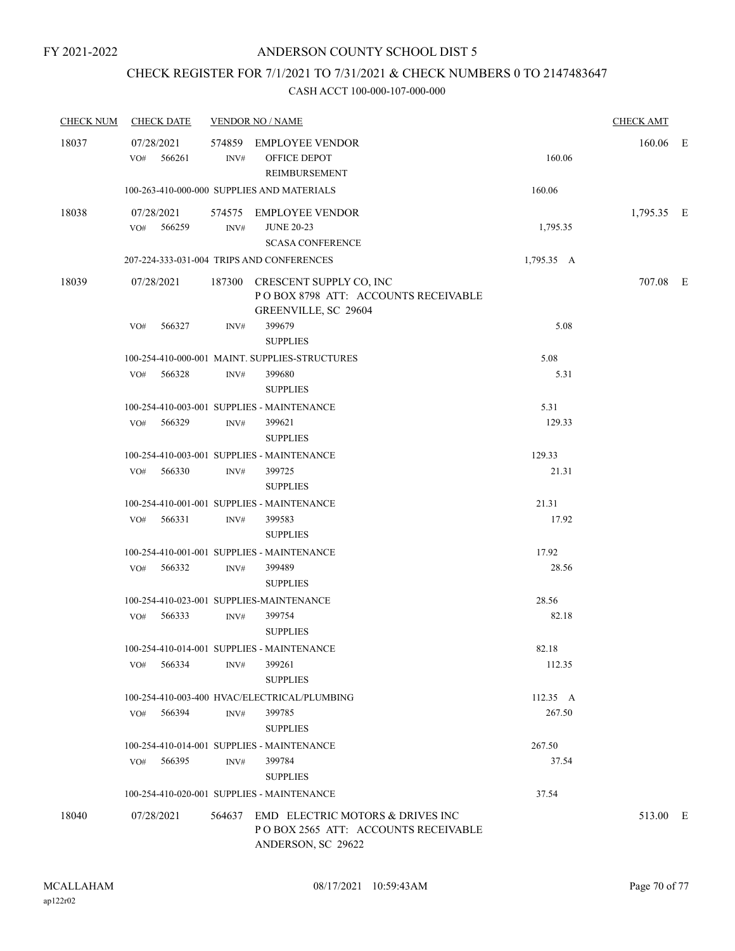## CHECK REGISTER FOR 7/1/2021 TO 7/31/2021 & CHECK NUMBERS 0 TO 2147483647

| <b>CHECK NUM</b> | <b>CHECK DATE</b>           |                | <b>VENDOR NO / NAME</b>                                                                              |            | <b>CHECK AMT</b> |  |
|------------------|-----------------------------|----------------|------------------------------------------------------------------------------------------------------|------------|------------------|--|
| 18037            | 07/28/2021<br>566261<br>VO# | INV#           | 574859 EMPLOYEE VENDOR<br>OFFICE DEPOT<br>REIMBURSEMENT                                              | 160.06     | 160.06 E         |  |
|                  |                             |                | 100-263-410-000-000 SUPPLIES AND MATERIALS                                                           | 160.06     |                  |  |
| 18038            | 07/28/2021<br>VO# 566259    | INV#           | 574575 EMPLOYEE VENDOR<br><b>JUNE 20-23</b><br><b>SCASA CONFERENCE</b>                               | 1,795.35   | 1,795.35 E       |  |
|                  |                             |                | 207-224-333-031-004 TRIPS AND CONFERENCES                                                            | 1,795.35 A |                  |  |
| 18039            | 07/28/2021                  |                | 187300 CRESCENT SUPPLY CO, INC<br>POBOX 8798 ATT: ACCOUNTS RECEIVABLE<br>GREENVILLE, SC 29604        |            | 707.08 E         |  |
|                  | VO#<br>566327               | INV#           | 399679<br><b>SUPPLIES</b>                                                                            | 5.08       |                  |  |
|                  |                             |                | 100-254-410-000-001 MAINT. SUPPLIES-STRUCTURES                                                       | 5.08       |                  |  |
|                  | 566328<br>VO#               | INV#           | 399680<br><b>SUPPLIES</b>                                                                            | 5.31       |                  |  |
|                  |                             |                | 100-254-410-003-001 SUPPLIES - MAINTENANCE                                                           | 5.31       |                  |  |
|                  | VO# 566329                  | INV#           | 399621<br><b>SUPPLIES</b>                                                                            | 129.33     |                  |  |
|                  |                             |                | 100-254-410-003-001 SUPPLIES - MAINTENANCE                                                           | 129.33     |                  |  |
|                  | 566330<br>VO#               | INV#           | 399725<br><b>SUPPLIES</b>                                                                            | 21.31      |                  |  |
|                  |                             |                | 100-254-410-001-001 SUPPLIES - MAINTENANCE                                                           | 21.31      |                  |  |
|                  | 566331<br>VO#               | INV#           | 399583<br><b>SUPPLIES</b>                                                                            | 17.92      |                  |  |
|                  |                             |                | 100-254-410-001-001 SUPPLIES - MAINTENANCE                                                           | 17.92      |                  |  |
|                  | 566332<br>VO#               | INV#           | 399489<br><b>SUPPLIES</b>                                                                            | 28.56      |                  |  |
|                  |                             |                | 100-254-410-023-001 SUPPLIES-MAINTENANCE                                                             | 28.56      |                  |  |
|                  | VO# 566333                  | $\text{INV}\#$ | 399754<br><b>SUPPLIES</b>                                                                            | 82.18      |                  |  |
|                  |                             |                | 100-254-410-014-001 SUPPLIES - MAINTENANCE                                                           | 82.18      |                  |  |
|                  | 566334<br>VO#               | INV#           | 399261<br><b>SUPPLIES</b>                                                                            | 112.35     |                  |  |
|                  |                             |                | 100-254-410-003-400 HVAC/ELECTRICAL/PLUMBING                                                         | 112.35 A   |                  |  |
|                  | VO#<br>566394               | INV#           | 399785<br><b>SUPPLIES</b>                                                                            | 267.50     |                  |  |
|                  |                             |                | 100-254-410-014-001 SUPPLIES - MAINTENANCE                                                           | 267.50     |                  |  |
|                  | 566395<br>VO#               | INV#           | 399784<br><b>SUPPLIES</b>                                                                            | 37.54      |                  |  |
|                  |                             |                | 100-254-410-020-001 SUPPLIES - MAINTENANCE                                                           | 37.54      |                  |  |
| 18040            | 07/28/2021                  |                | 564637 EMD ELECTRIC MOTORS & DRIVES INC<br>POBOX 2565 ATT: ACCOUNTS RECEIVABLE<br>ANDERSON, SC 29622 |            | 513.00 E         |  |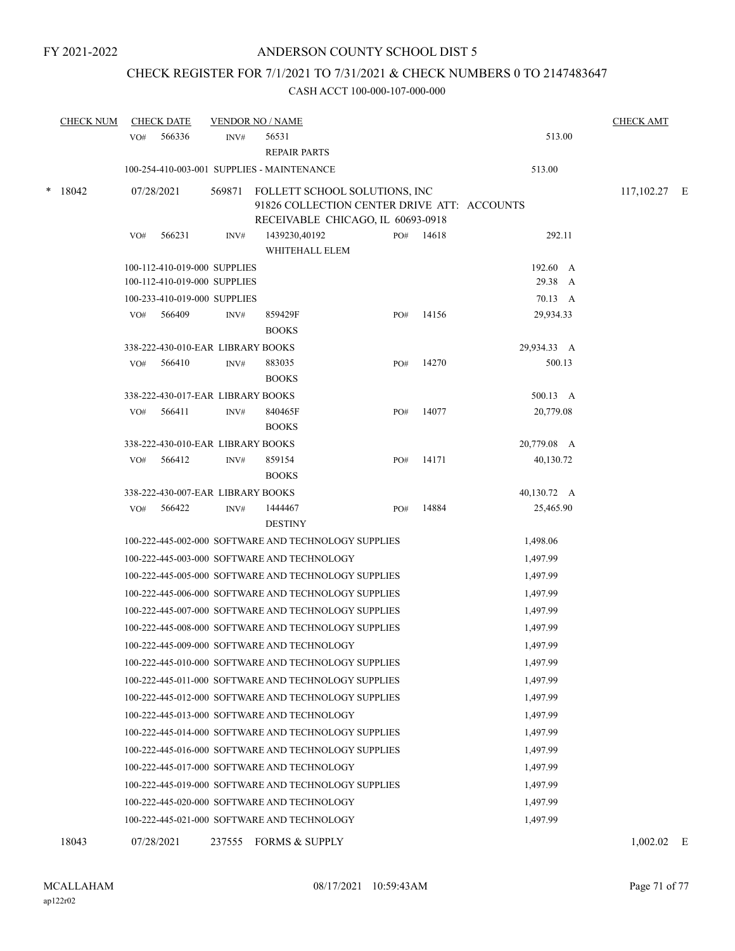## CHECK REGISTER FOR 7/1/2021 TO 7/31/2021 & CHECK NUMBERS 0 TO 2147483647

|   | <b>CHECK NUM</b> |     | <b>CHECK DATE</b>                                            |        | <b>VENDOR NO / NAME</b>                                                                                           |     |       |                     | <b>CHECK AMT</b> |  |
|---|------------------|-----|--------------------------------------------------------------|--------|-------------------------------------------------------------------------------------------------------------------|-----|-------|---------------------|------------------|--|
|   |                  | VO# | 566336                                                       | INV#   | 56531<br><b>REPAIR PARTS</b>                                                                                      |     |       | 513.00              |                  |  |
|   |                  |     |                                                              |        | 100-254-410-003-001 SUPPLIES - MAINTENANCE                                                                        |     |       | 513.00              |                  |  |
| * | 18042            |     | 07/28/2021                                                   | 569871 | FOLLETT SCHOOL SOLUTIONS, INC<br>91826 COLLECTION CENTER DRIVE ATT: ACCOUNTS<br>RECEIVABLE CHICAGO, IL 60693-0918 |     |       |                     | $117,102.27$ E   |  |
|   |                  | VO# | 566231                                                       | INV#   | 1439230,40192<br>WHITEHALL ELEM                                                                                   | PO# | 14618 | 292.11              |                  |  |
|   |                  |     | 100-112-410-019-000 SUPPLIES<br>100-112-410-019-000 SUPPLIES |        |                                                                                                                   |     |       | 192.60 A<br>29.38 A |                  |  |
|   |                  |     | 100-233-410-019-000 SUPPLIES                                 |        |                                                                                                                   |     |       | 70.13 A             |                  |  |
|   |                  | VO# | 566409                                                       | INV#   | 859429F<br><b>BOOKS</b>                                                                                           | PO# | 14156 | 29,934.33           |                  |  |
|   |                  |     | 338-222-430-010-EAR LIBRARY BOOKS                            |        |                                                                                                                   |     |       | 29,934.33 A         |                  |  |
|   |                  | VO# | 566410                                                       | INV#   | 883035<br><b>BOOKS</b>                                                                                            | PO# | 14270 | 500.13              |                  |  |
|   |                  |     | 338-222-430-017-EAR LIBRARY BOOKS                            |        |                                                                                                                   |     |       | 500.13 A            |                  |  |
|   |                  | VO# | 566411                                                       | INV#   | 840465F<br><b>BOOKS</b>                                                                                           | PO# | 14077 | 20,779.08           |                  |  |
|   |                  |     | 338-222-430-010-EAR LIBRARY BOOKS                            |        |                                                                                                                   |     |       | 20,779.08 A         |                  |  |
|   |                  | VO# | 566412                                                       | INV#   | 859154<br><b>BOOKS</b>                                                                                            | PO# | 14171 | 40,130.72           |                  |  |
|   |                  |     | 338-222-430-007-EAR LIBRARY BOOKS                            |        |                                                                                                                   |     |       | 40,130.72 A         |                  |  |
|   |                  | VO# | 566422                                                       | INV#   | 1444467<br><b>DESTINY</b>                                                                                         | PO# | 14884 | 25,465.90           |                  |  |
|   |                  |     |                                                              |        | 100-222-445-002-000 SOFTWARE AND TECHNOLOGY SUPPLIES                                                              |     |       | 1,498.06            |                  |  |
|   |                  |     |                                                              |        | 100-222-445-003-000 SOFTWARE AND TECHNOLOGY                                                                       |     |       | 1,497.99            |                  |  |
|   |                  |     |                                                              |        | 100-222-445-005-000 SOFTWARE AND TECHNOLOGY SUPPLIES                                                              |     |       | 1,497.99            |                  |  |
|   |                  |     |                                                              |        | 100-222-445-006-000 SOFTWARE AND TECHNOLOGY SUPPLIES                                                              |     |       | 1,497.99            |                  |  |
|   |                  |     |                                                              |        | 100-222-445-007-000 SOFTWARE AND TECHNOLOGY SUPPLIES                                                              |     |       | 1,497.99            |                  |  |
|   |                  |     |                                                              |        | 100-222-445-008-000 SOFTWARE AND TECHNOLOGY SUPPLIES                                                              |     |       | 1,497.99            |                  |  |
|   |                  |     |                                                              |        | 100-222-445-009-000 SOFTWARE AND TECHNOLOGY                                                                       |     |       | 1,497.99            |                  |  |
|   |                  |     |                                                              |        | 100-222-445-010-000 SOFTWARE AND TECHNOLOGY SUPPLIES                                                              |     |       | 1,497.99            |                  |  |
|   |                  |     |                                                              |        | 100-222-445-011-000 SOFTWARE AND TECHNOLOGY SUPPLIES                                                              |     |       | 1,497.99            |                  |  |
|   |                  |     |                                                              |        | 100-222-445-012-000 SOFTWARE AND TECHNOLOGY SUPPLIES                                                              |     |       | 1,497.99            |                  |  |
|   |                  |     |                                                              |        | 100-222-445-013-000 SOFTWARE AND TECHNOLOGY                                                                       |     |       | 1,497.99            |                  |  |
|   |                  |     |                                                              |        | 100-222-445-014-000 SOFTWARE AND TECHNOLOGY SUPPLIES                                                              |     |       | 1,497.99            |                  |  |
|   |                  |     |                                                              |        | 100-222-445-016-000 SOFTWARE AND TECHNOLOGY SUPPLIES                                                              |     |       | 1,497.99            |                  |  |
|   |                  |     |                                                              |        | 100-222-445-017-000 SOFTWARE AND TECHNOLOGY                                                                       |     |       | 1,497.99            |                  |  |
|   |                  |     |                                                              |        | 100-222-445-019-000 SOFTWARE AND TECHNOLOGY SUPPLIES                                                              |     |       | 1,497.99            |                  |  |
|   |                  |     |                                                              |        | 100-222-445-020-000 SOFTWARE AND TECHNOLOGY                                                                       |     |       | 1,497.99            |                  |  |
|   |                  |     |                                                              |        | 100-222-445-021-000 SOFTWARE AND TECHNOLOGY                                                                       |     |       | 1,497.99            |                  |  |
|   | 18043            |     | 07/28/2021                                                   |        | 237555 FORMS & SUPPLY                                                                                             |     |       |                     | $1,002.02$ E     |  |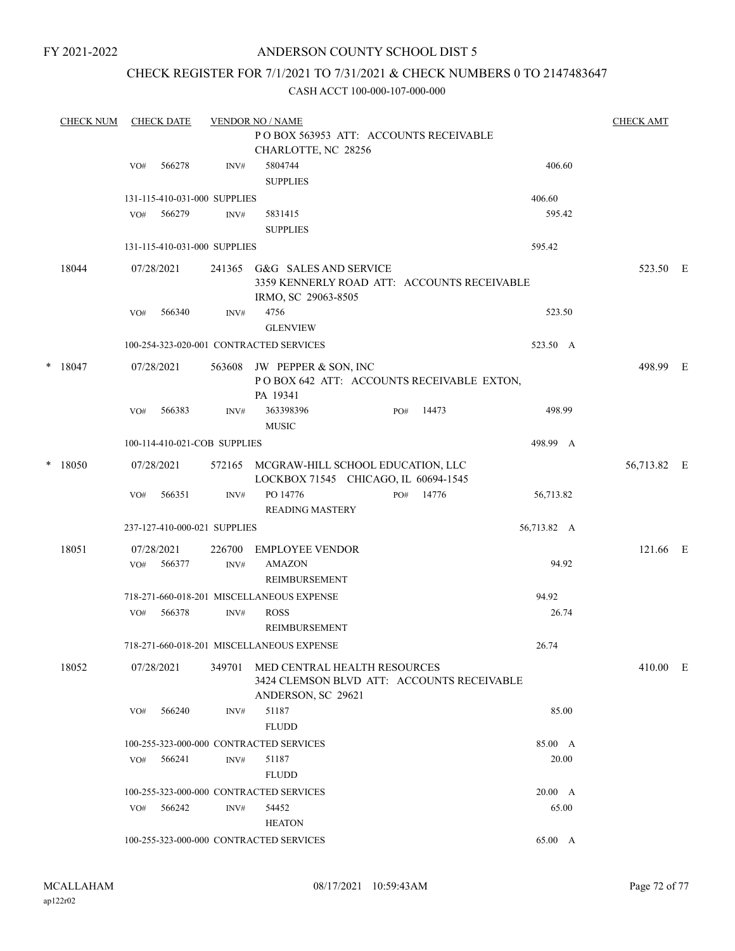## ANDERSON COUNTY SCHOOL DIST 5

## CHECK REGISTER FOR 7/1/2021 TO 7/31/2021 & CHECK NUMBERS 0 TO 2147483647

|   | <b>CHECK NUM</b> |     | <b>CHECK DATE</b>    |                              | <b>VENDOR NO / NAME</b>                                                                          |     |       |             | <b>CHECK AMT</b> |  |
|---|------------------|-----|----------------------|------------------------------|--------------------------------------------------------------------------------------------------|-----|-------|-------------|------------------|--|
|   |                  |     |                      |                              | PO BOX 563953 ATT: ACCOUNTS RECEIVABLE                                                           |     |       |             |                  |  |
|   |                  |     |                      |                              | CHARLOTTE, NC 28256                                                                              |     |       |             |                  |  |
|   |                  | VO# | 566278               | INV#                         | 5804744<br><b>SUPPLIES</b>                                                                       |     |       | 406.60      |                  |  |
|   |                  |     |                      | 131-115-410-031-000 SUPPLIES |                                                                                                  |     |       | 406.60      |                  |  |
|   |                  | VO# | 566279               | INV#                         | 5831415<br><b>SUPPLIES</b>                                                                       |     |       | 595.42      |                  |  |
|   |                  |     |                      | 131-115-410-031-000 SUPPLIES |                                                                                                  |     |       | 595.42      |                  |  |
|   | 18044            |     | 07/28/2021           | 241365                       | G&G SALES AND SERVICE<br>3359 KENNERLY ROAD ATT: ACCOUNTS RECEIVABLE<br>IRMO, SC 29063-8505      |     |       |             | 523.50 E         |  |
|   |                  | VO# | 566340               | INV#                         | 4756<br><b>GLENVIEW</b>                                                                          |     |       | 523.50      |                  |  |
|   |                  |     |                      |                              |                                                                                                  |     |       |             |                  |  |
|   |                  |     |                      |                              | 100-254-323-020-001 CONTRACTED SERVICES                                                          |     |       | 523.50 A    |                  |  |
|   | $*$ 18047        |     | 07/28/2021           | 563608                       | JW PEPPER & SON, INC<br>POBOX 642 ATT: ACCOUNTS RECEIVABLE EXTON,<br>PA 19341                    |     |       |             | 498.99 E         |  |
|   |                  | VO# | 566383               | INV#                         | 363398396<br><b>MUSIC</b>                                                                        | PO# | 14473 | 498.99      |                  |  |
|   |                  |     |                      | 100-114-410-021-COB SUPPLIES |                                                                                                  |     |       | 498.99 A    |                  |  |
| * | 18050            |     | 07/28/2021           |                              | 572165 MCGRAW-HILL SCHOOL EDUCATION, LLC<br>LOCKBOX 71545 CHICAGO, IL 60694-1545                 |     |       |             | 56,713.82 E      |  |
|   |                  | VO# | 566351               | INV#                         | PO 14776<br><b>READING MASTERY</b>                                                               | PO# | 14776 | 56,713.82   |                  |  |
|   |                  |     |                      | 237-127-410-000-021 SUPPLIES |                                                                                                  |     |       | 56,713.82 A |                  |  |
|   |                  |     |                      |                              |                                                                                                  |     |       |             |                  |  |
|   | 18051            | VO# | 07/28/2021<br>566377 | 226700<br>INV#               | <b>EMPLOYEE VENDOR</b><br><b>AMAZON</b><br>REIMBURSEMENT                                         |     |       | 94.92       | 121.66 E         |  |
|   |                  |     |                      |                              | 718-271-660-018-201 MISCELLANEOUS EXPENSE                                                        |     |       | 94.92       |                  |  |
|   |                  | VO# | 566378               | INV#                         | <b>ROSS</b><br><b>REIMBURSEMENT</b>                                                              |     |       | 26.74       |                  |  |
|   |                  |     |                      |                              | 718-271-660-018-201 MISCELLANEOUS EXPENSE                                                        |     |       | 26.74       |                  |  |
|   | 18052            |     | 07/28/2021           | 349701                       | MED CENTRAL HEALTH RESOURCES<br>3424 CLEMSON BLVD ATT: ACCOUNTS RECEIVABLE<br>ANDERSON, SC 29621 |     |       |             | 410.00 E         |  |
|   |                  | VO# | 566240               | INV#                         | 51187<br><b>FLUDD</b>                                                                            |     |       | 85.00       |                  |  |
|   |                  |     |                      |                              | 100-255-323-000-000 CONTRACTED SERVICES                                                          |     |       | 85.00 A     |                  |  |
|   |                  | VO# | 566241               | INV#                         | 51187                                                                                            |     |       | 20.00       |                  |  |
|   |                  |     |                      |                              | <b>FLUDD</b>                                                                                     |     |       |             |                  |  |
|   |                  |     |                      |                              | 100-255-323-000-000 CONTRACTED SERVICES                                                          |     |       | 20.00 A     |                  |  |
|   |                  | VO# | 566242               | INV#                         | 54452                                                                                            |     |       | 65.00       |                  |  |
|   |                  |     |                      |                              | <b>HEATON</b>                                                                                    |     |       |             |                  |  |
|   |                  |     |                      |                              | 100-255-323-000-000 CONTRACTED SERVICES                                                          |     |       | 65.00 A     |                  |  |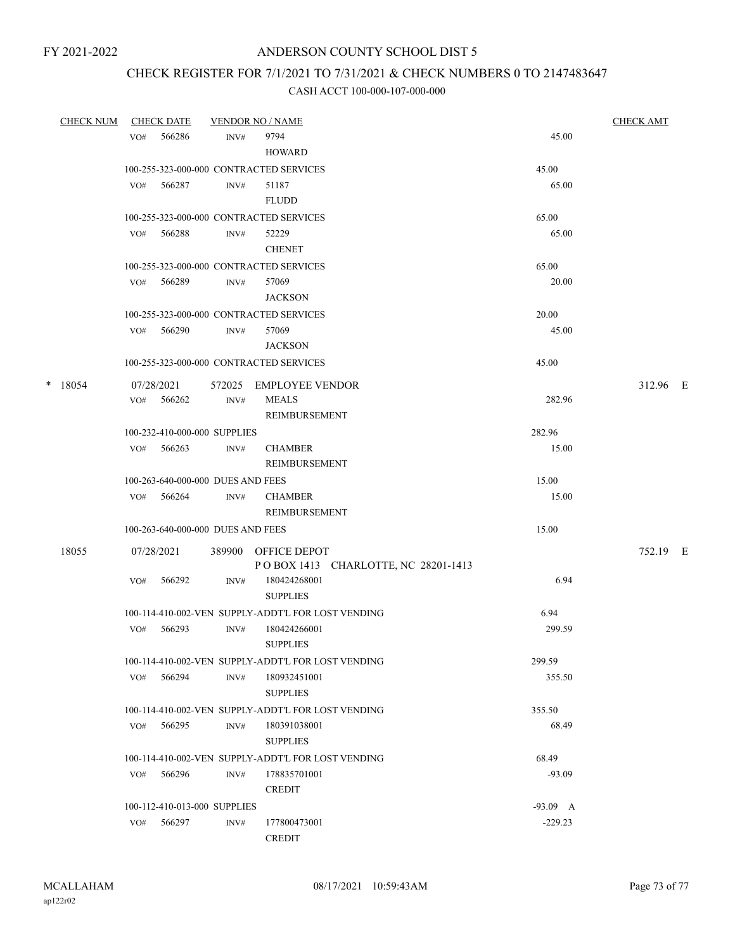# CHECK REGISTER FOR 7/1/2021 TO 7/31/2021 & CHECK NUMBERS 0 TO 2147483647

| <b>CHECK NUM</b> | <b>CHECK DATE</b> |                                   | <b>VENDOR NO / NAME</b>                                    |            | <b>CHECK AMT</b> |  |
|------------------|-------------------|-----------------------------------|------------------------------------------------------------|------------|------------------|--|
|                  | 566286<br>VO#     | INV#                              | 9794<br><b>HOWARD</b>                                      | 45.00      |                  |  |
|                  |                   |                                   | 100-255-323-000-000 CONTRACTED SERVICES                    | 45.00      |                  |  |
|                  | 566287<br>VO#     | INV#                              | 51187<br><b>FLUDD</b>                                      | 65.00      |                  |  |
|                  |                   |                                   | 100-255-323-000-000 CONTRACTED SERVICES                    | 65.00      |                  |  |
|                  | VO# 566288        | INV#                              | 52229<br><b>CHENET</b>                                     | 65.00      |                  |  |
|                  |                   |                                   | 100-255-323-000-000 CONTRACTED SERVICES                    | 65.00      |                  |  |
|                  | VO# 566289        | INV#                              | 57069<br><b>JACKSON</b>                                    | 20.00      |                  |  |
|                  |                   |                                   | 100-255-323-000-000 CONTRACTED SERVICES                    | 20.00      |                  |  |
|                  | VO# 566290        | INV#                              | 57069<br><b>JACKSON</b>                                    | 45.00      |                  |  |
|                  |                   |                                   | 100-255-323-000-000 CONTRACTED SERVICES                    | 45.00      |                  |  |
| $*$ 18054        | 07/28/2021        |                                   | 572025 EMPLOYEE VENDOR                                     |            | 312.96 E         |  |
|                  | VO# 566262        | INV#                              | <b>MEALS</b><br>REIMBURSEMENT                              | 282.96     |                  |  |
|                  |                   | 100-232-410-000-000 SUPPLIES      |                                                            | 282.96     |                  |  |
|                  | VO# 566263        | INV#                              | <b>CHAMBER</b><br>REIMBURSEMENT                            | 15.00      |                  |  |
|                  |                   | 100-263-640-000-000 DUES AND FEES |                                                            | 15.00      |                  |  |
|                  | VO# 566264        | INV#                              | <b>CHAMBER</b><br>REIMBURSEMENT                            | 15.00      |                  |  |
|                  |                   | 100-263-640-000-000 DUES AND FEES |                                                            | 15.00      |                  |  |
| 18055            | 07/28/2021        |                                   | 389900 OFFICE DEPOT<br>POBOX 1413 CHARLOTTE, NC 28201-1413 |            | 752.19 E         |  |
|                  | VO#<br>566292     | INV#                              | 180424268001<br><b>SUPPLIES</b>                            | 6.94       |                  |  |
|                  |                   |                                   | 100-114-410-002-VEN SUPPLY-ADDT'L FOR LOST VENDING         | 6.94       |                  |  |
|                  | 566293<br>VO#     | INV#                              | 180424266001<br><b>SUPPLIES</b>                            | 299.59     |                  |  |
|                  |                   |                                   | 100-114-410-002-VEN SUPPLY-ADDT'L FOR LOST VENDING         | 299.59     |                  |  |
|                  | VO#<br>566294     | INV#                              | 180932451001<br><b>SUPPLIES</b>                            | 355.50     |                  |  |
|                  |                   |                                   | 100-114-410-002-VEN SUPPLY-ADDT'L FOR LOST VENDING         | 355.50     |                  |  |
|                  | 566295<br>VO#     | INV#                              | 180391038001<br><b>SUPPLIES</b>                            | 68.49      |                  |  |
|                  |                   |                                   | 100-114-410-002-VEN SUPPLY-ADDT'L FOR LOST VENDING         | 68.49      |                  |  |
|                  | VO# 566296        | INV#                              | 178835701001<br><b>CREDIT</b>                              | $-93.09$   |                  |  |
|                  |                   | 100-112-410-013-000 SUPPLIES      |                                                            | $-93.09$ A |                  |  |
|                  | 566297<br>VO#     | INV#                              | 177800473001<br><b>CREDIT</b>                              | $-229.23$  |                  |  |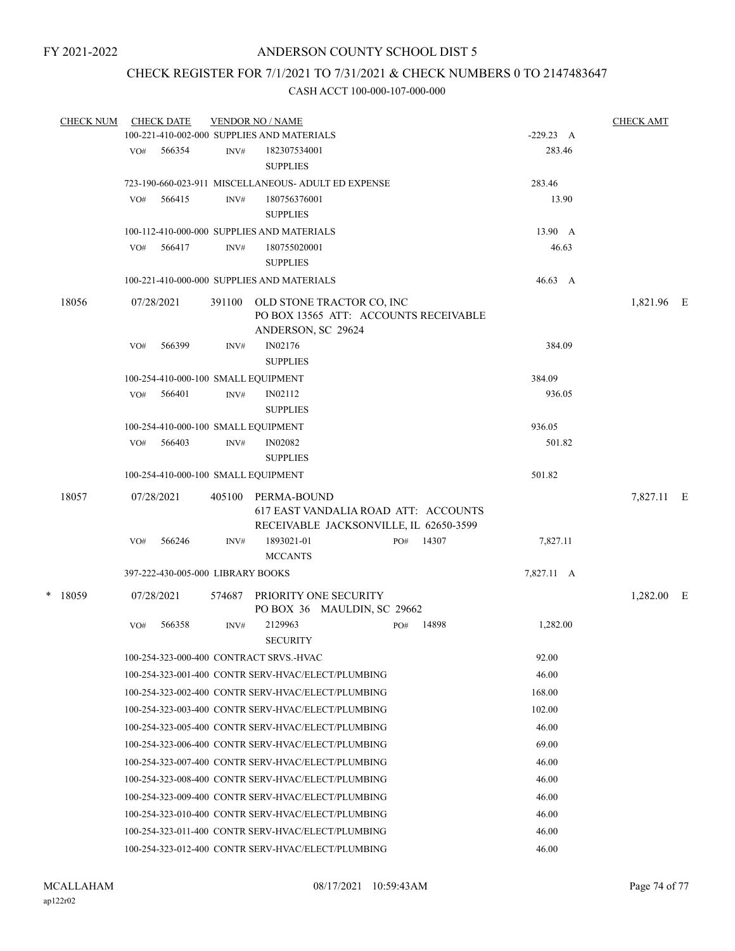## CHECK REGISTER FOR 7/1/2021 TO 7/31/2021 & CHECK NUMBERS 0 TO 2147483647

| <b>CHECK NUM</b> |     | <b>CHECK DATE</b>                 |        | <b>VENDOR NO / NAME</b><br>100-221-410-002-000 SUPPLIES AND MATERIALS |                                                                                |     |       | $-229.23$ A | <b>CHECK AMT</b> |  |
|------------------|-----|-----------------------------------|--------|-----------------------------------------------------------------------|--------------------------------------------------------------------------------|-----|-------|-------------|------------------|--|
|                  |     |                                   |        |                                                                       |                                                                                |     |       |             |                  |  |
|                  | VO# | 566354                            | INV#   | 182307534001<br><b>SUPPLIES</b>                                       |                                                                                |     |       | 283.46      |                  |  |
|                  |     |                                   |        |                                                                       | 723-190-660-023-911 MISCELLANEOUS- ADULT ED EXPENSE                            |     |       | 283.46      |                  |  |
|                  | VO# | 566415                            | INV#   | 180756376001<br><b>SUPPLIES</b>                                       |                                                                                |     |       | 13.90       |                  |  |
|                  |     |                                   |        | 100-112-410-000-000 SUPPLIES AND MATERIALS                            |                                                                                |     |       | 13.90 A     |                  |  |
|                  | VO# | 566417                            | INV#   | 180755020001                                                          |                                                                                |     |       | 46.63       |                  |  |
|                  |     |                                   |        | <b>SUPPLIES</b>                                                       |                                                                                |     |       |             |                  |  |
|                  |     |                                   |        | 100-221-410-000-000 SUPPLIES AND MATERIALS                            |                                                                                |     |       | 46.63 A     |                  |  |
| 18056            |     | 07/28/2021                        | 391100 | ANDERSON, SC 29624                                                    | OLD STONE TRACTOR CO, INC<br>PO BOX 13565 ATT: ACCOUNTS RECEIVABLE             |     |       |             | 1,821.96 E       |  |
|                  | VO# | 566399                            | INV#   | IN02176                                                               |                                                                                |     |       | 384.09      |                  |  |
|                  |     |                                   |        | <b>SUPPLIES</b>                                                       |                                                                                |     |       |             |                  |  |
|                  |     |                                   |        | 100-254-410-000-100 SMALL EQUIPMENT                                   |                                                                                |     |       | 384.09      |                  |  |
|                  | VO# | 566401                            | INV#   | IN02112                                                               |                                                                                |     |       | 936.05      |                  |  |
|                  |     |                                   |        | <b>SUPPLIES</b>                                                       |                                                                                |     |       |             |                  |  |
|                  |     |                                   |        | 100-254-410-000-100 SMALL EQUIPMENT                                   |                                                                                |     |       | 936.05      |                  |  |
|                  | VO# | 566403                            | INV#   | <b>IN02082</b>                                                        |                                                                                |     |       | 501.82      |                  |  |
|                  |     |                                   |        | <b>SUPPLIES</b>                                                       |                                                                                |     |       |             |                  |  |
|                  |     |                                   |        | 100-254-410-000-100 SMALL EQUIPMENT                                   |                                                                                |     |       | 501.82      |                  |  |
| 18057            |     | 07/28/2021                        | 405100 | PERMA-BOUND                                                           | 617 EAST VANDALIA ROAD ATT: ACCOUNTS<br>RECEIVABLE JACKSONVILLE, IL 62650-3599 |     |       |             | 7,827.11 E       |  |
|                  | VO# | 566246                            | INV#   | 1893021-01<br><b>MCCANTS</b>                                          |                                                                                | PO# | 14307 | 7,827.11    |                  |  |
|                  |     | 397-222-430-005-000 LIBRARY BOOKS |        |                                                                       |                                                                                |     |       | 7,827.11 A  |                  |  |
| * 18059          |     | 07/28/2021                        | 574687 |                                                                       | PRIORITY ONE SECURITY<br>PO BOX 36 MAULDIN, SC 29662                           |     |       |             | 1,282.00 E       |  |
|                  | VO# | 566358                            | INV#   | 2129963<br><b>SECURITY</b>                                            |                                                                                | PO# | 14898 | 1,282.00    |                  |  |
|                  |     |                                   |        | 100-254-323-000-400 CONTRACT SRVS.-HVAC                               |                                                                                |     |       | 92.00       |                  |  |
|                  |     |                                   |        |                                                                       | 100-254-323-001-400 CONTR SERV-HVAC/ELECT/PLUMBING                             |     |       | 46.00       |                  |  |
|                  |     |                                   |        |                                                                       | 100-254-323-002-400 CONTR SERV-HVAC/ELECT/PLUMBING                             |     |       | 168.00      |                  |  |
|                  |     |                                   |        |                                                                       | 100-254-323-003-400 CONTR SERV-HVAC/ELECT/PLUMBING                             |     |       | 102.00      |                  |  |
|                  |     |                                   |        |                                                                       | 100-254-323-005-400 CONTR SERV-HVAC/ELECT/PLUMBING                             |     |       | 46.00       |                  |  |
|                  |     |                                   |        |                                                                       | 100-254-323-006-400 CONTR SERV-HVAC/ELECT/PLUMBING                             |     |       | 69.00       |                  |  |
|                  |     |                                   |        |                                                                       | 100-254-323-007-400 CONTR SERV-HVAC/ELECT/PLUMBING                             |     |       | 46.00       |                  |  |
|                  |     |                                   |        |                                                                       | 100-254-323-008-400 CONTR SERV-HVAC/ELECT/PLUMBING                             |     |       | 46.00       |                  |  |
|                  |     |                                   |        |                                                                       | 100-254-323-009-400 CONTR SERV-HVAC/ELECT/PLUMBING                             |     |       | 46.00       |                  |  |
|                  |     |                                   |        |                                                                       | 100-254-323-010-400 CONTR SERV-HVAC/ELECT/PLUMBING                             |     |       | 46.00       |                  |  |
|                  |     |                                   |        |                                                                       | 100-254-323-011-400 CONTR SERV-HVAC/ELECT/PLUMBING                             |     |       | 46.00       |                  |  |
|                  |     |                                   |        |                                                                       | 100-254-323-012-400 CONTR SERV-HVAC/ELECT/PLUMBING                             |     |       | 46.00       |                  |  |
|                  |     |                                   |        |                                                                       |                                                                                |     |       |             |                  |  |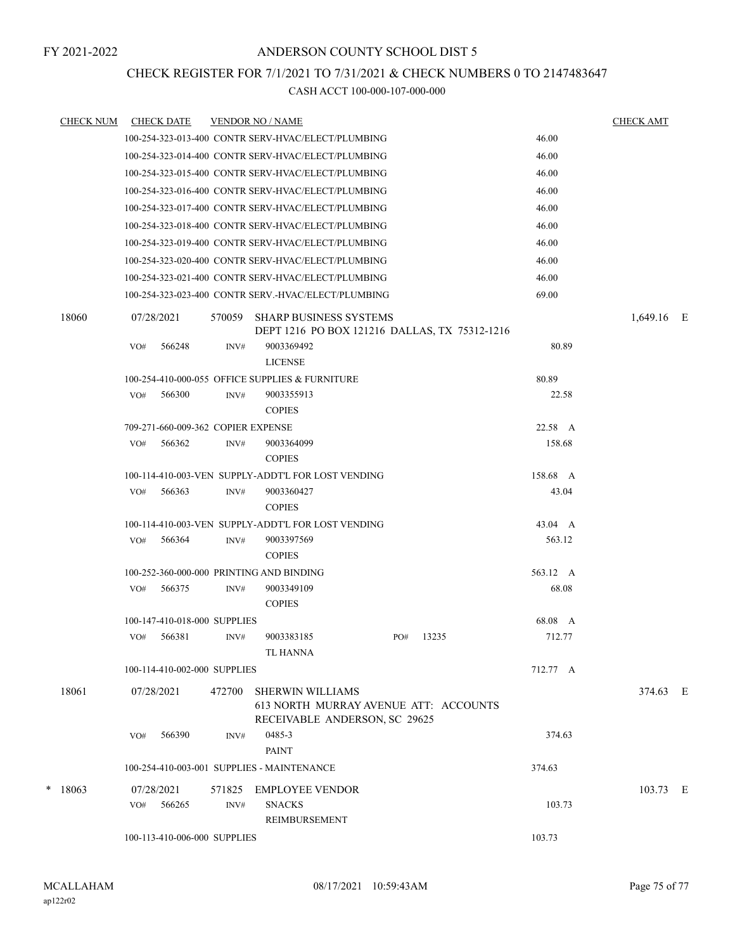## CHECK REGISTER FOR 7/1/2021 TO 7/31/2021 & CHECK NUMBERS 0 TO 2147483647

| <b>CHECK NUM</b> | <b>CHECK DATE</b> |                                              |        | <b>VENDOR NO / NAME</b>                                                                           |     |       |                   | <b>CHECK AMT</b> |  |
|------------------|-------------------|----------------------------------------------|--------|---------------------------------------------------------------------------------------------------|-----|-------|-------------------|------------------|--|
|                  |                   |                                              |        | 100-254-323-013-400 CONTR SERV-HVAC/ELECT/PLUMBING                                                |     |       | 46.00             |                  |  |
|                  |                   |                                              |        | 100-254-323-014-400 CONTR SERV-HVAC/ELECT/PLUMBING                                                |     |       | 46.00             |                  |  |
|                  |                   |                                              |        | 100-254-323-015-400 CONTR SERV-HVAC/ELECT/PLUMBING                                                |     |       | 46.00             |                  |  |
|                  |                   |                                              |        | 100-254-323-016-400 CONTR SERV-HVAC/ELECT/PLUMBING                                                |     |       | 46.00             |                  |  |
|                  |                   |                                              |        | 100-254-323-017-400 CONTR SERV-HVAC/ELECT/PLUMBING                                                |     |       | 46.00             |                  |  |
|                  |                   |                                              |        | 100-254-323-018-400 CONTR SERV-HVAC/ELECT/PLUMBING                                                |     |       | 46.00             |                  |  |
|                  |                   |                                              |        | 100-254-323-019-400 CONTR SERV-HVAC/ELECT/PLUMBING                                                |     |       | 46.00             |                  |  |
|                  |                   |                                              |        | 100-254-323-020-400 CONTR SERV-HVAC/ELECT/PLUMBING                                                |     |       | 46.00             |                  |  |
|                  |                   |                                              |        | 100-254-323-021-400 CONTR SERV-HVAC/ELECT/PLUMBING                                                |     |       | 46.00             |                  |  |
|                  |                   |                                              |        | 100-254-323-023-400 CONTR SERV.-HVAC/ELECT/PLUMBING                                               |     |       | 69.00             |                  |  |
| 18060            | 07/28/2021        |                                              | 570059 | <b>SHARP BUSINESS SYSTEMS</b><br>DEPT 1216 PO BOX 121216 DALLAS, TX 75312-1216                    |     |       |                   | 1,649.16 E       |  |
|                  | VO#               | 566248                                       | INV#   | 9003369492                                                                                        |     |       | 80.89             |                  |  |
|                  |                   |                                              |        | <b>LICENSE</b>                                                                                    |     |       |                   |                  |  |
|                  |                   |                                              |        | 100-254-410-000-055 OFFICE SUPPLIES & FURNITURE                                                   |     |       | 80.89             |                  |  |
|                  | VO#               | 566300                                       | INV#   | 9003355913                                                                                        |     |       | 22.58             |                  |  |
|                  |                   |                                              |        | <b>COPIES</b>                                                                                     |     |       |                   |                  |  |
|                  | VO#               | 709-271-660-009-362 COPIER EXPENSE<br>566362 | INV#   | 9003364099                                                                                        |     |       | 22.58 A<br>158.68 |                  |  |
|                  |                   |                                              |        | <b>COPIES</b>                                                                                     |     |       |                   |                  |  |
|                  |                   |                                              |        | 100-114-410-003-VEN SUPPLY-ADDT'L FOR LOST VENDING                                                |     |       | 158.68 A          |                  |  |
|                  | VO#               | 566363                                       | INV#   | 9003360427                                                                                        |     |       | 43.04             |                  |  |
|                  |                   |                                              |        | <b>COPIES</b>                                                                                     |     |       |                   |                  |  |
|                  |                   |                                              |        | 100-114-410-003-VEN SUPPLY-ADDT'L FOR LOST VENDING                                                |     |       | 43.04 A           |                  |  |
|                  | VO#               | 566364                                       | INV#   | 9003397569<br><b>COPIES</b>                                                                       |     |       | 563.12            |                  |  |
|                  |                   |                                              |        | 100-252-360-000-000 PRINTING AND BINDING                                                          |     |       | 563.12 A          |                  |  |
|                  | VO#               | 566375                                       | INV#   | 9003349109<br><b>COPIES</b>                                                                       |     |       | 68.08             |                  |  |
|                  |                   | 100-147-410-018-000 SUPPLIES                 |        |                                                                                                   |     |       | 68.08 A           |                  |  |
|                  | VO#               | 566381                                       | INV#   | 9003383185<br>TL HANNA                                                                            | PO# | 13235 | 712.77            |                  |  |
|                  |                   | 100-114-410-002-000 SUPPLIES                 |        |                                                                                                   |     |       | 712.77 A          |                  |  |
| 18061            | 07/28/2021        |                                              | 472700 | <b>SHERWIN WILLIAMS</b><br>613 NORTH MURRAY AVENUE ATT: ACCOUNTS<br>RECEIVABLE ANDERSON, SC 29625 |     |       |                   | 374.63 E         |  |
|                  | VO#               | 566390                                       | INV#   | 0485-3<br><b>PAINT</b>                                                                            |     |       | 374.63            |                  |  |
|                  |                   |                                              |        | 100-254-410-003-001 SUPPLIES - MAINTENANCE                                                        |     |       | 374.63            |                  |  |
| $*$ 18063        | 07/28/2021        |                                              | 571825 | EMPLOYEE VENDOR                                                                                   |     |       |                   | 103.73 E         |  |
|                  | VO#               | 566265                                       | INV#   | <b>SNACKS</b>                                                                                     |     |       | 103.73            |                  |  |
|                  |                   |                                              |        | REIMBURSEMENT                                                                                     |     |       |                   |                  |  |
|                  |                   | 100-113-410-006-000 SUPPLIES                 |        |                                                                                                   |     |       | 103.73            |                  |  |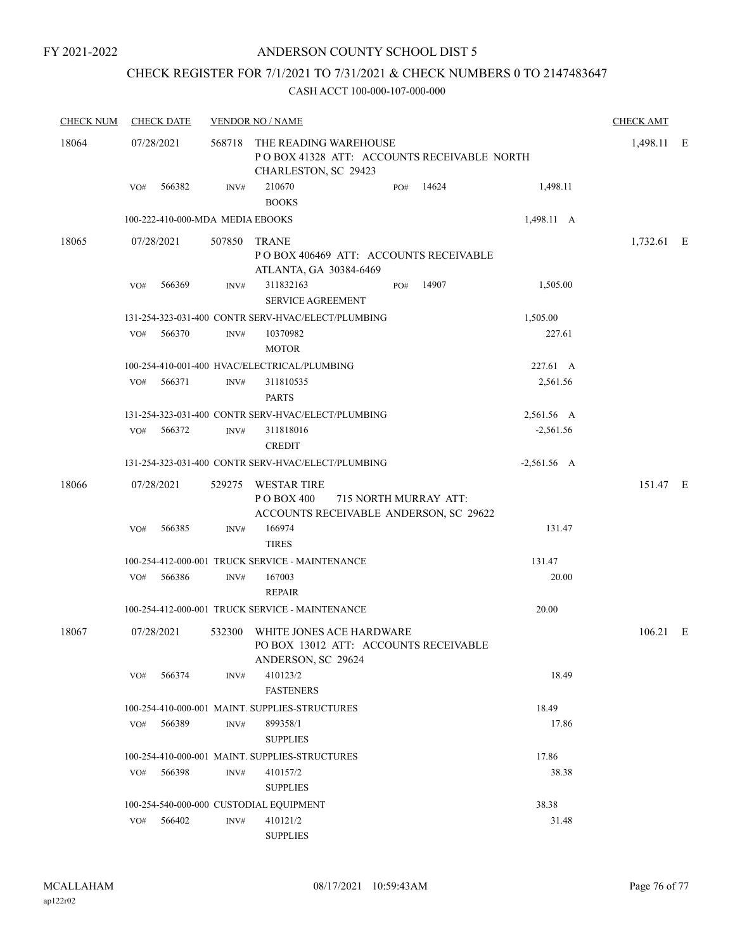## CHECK REGISTER FOR 7/1/2021 TO 7/31/2021 & CHECK NUMBERS 0 TO 2147483647

| <b>CHECK NUM</b> | <b>CHECK DATE</b>                |        | <b>VENDOR NO / NAME</b>                                                                            |                       |       |               | <b>CHECK AMT</b> |   |
|------------------|----------------------------------|--------|----------------------------------------------------------------------------------------------------|-----------------------|-------|---------------|------------------|---|
| 18064            | 07/28/2021                       |        | 568718 THE READING WAREHOUSE<br>POBOX 41328 ATT: ACCOUNTS RECEIVABLE NORTH<br>CHARLESTON, SC 29423 |                       |       |               | 1,498.11         | E |
|                  | 566382<br>VO#                    | INV#   | 210670<br><b>BOOKS</b>                                                                             | PO#                   | 14624 | 1,498.11      |                  |   |
|                  | 100-222-410-000-MDA MEDIA EBOOKS |        |                                                                                                    |                       |       | 1,498.11 A    |                  |   |
| 18065            | 07/28/2021                       |        | 507850 TRANE<br>POBOX 406469 ATT: ACCOUNTS RECEIVABLE<br>ATLANTA, GA 30384-6469                    |                       |       |               | 1,732.61 E       |   |
|                  | 566369<br>VO#                    | INV#   | 311832163<br><b>SERVICE AGREEMENT</b>                                                              | PO#                   | 14907 | 1,505.00      |                  |   |
|                  |                                  |        | 131-254-323-031-400 CONTR SERV-HVAC/ELECT/PLUMBING                                                 |                       |       | 1,505.00      |                  |   |
|                  | 566370<br>VO#                    | INV#   | 10370982<br><b>MOTOR</b>                                                                           |                       |       | 227.61        |                  |   |
|                  |                                  |        | 100-254-410-001-400 HVAC/ELECTRICAL/PLUMBING                                                       |                       |       | 227.61 A      |                  |   |
|                  | 566371<br>VO#                    | INV#   | 311810535<br><b>PARTS</b>                                                                          |                       |       | 2,561.56      |                  |   |
|                  |                                  |        | 131-254-323-031-400 CONTR SERV-HVAC/ELECT/PLUMBING                                                 |                       |       | 2,561.56 A    |                  |   |
|                  | 566372<br>VO#                    | INV#   | 311818016<br><b>CREDIT</b>                                                                         |                       |       | $-2,561.56$   |                  |   |
|                  |                                  |        | 131-254-323-031-400 CONTR SERV-HVAC/ELECT/PLUMBING                                                 |                       |       | $-2,561.56$ A |                  |   |
| 18066            | 07/28/2021                       |        | 529275 WESTAR TIRE<br>P O BOX 400<br>ACCOUNTS RECEIVABLE ANDERSON, SC 29622                        | 715 NORTH MURRAY ATT: |       |               | 151.47 E         |   |
|                  | 566385<br>VO#                    | INV#   | 166974<br><b>TIRES</b>                                                                             |                       |       | 131.47        |                  |   |
|                  |                                  |        | 100-254-412-000-001 TRUCK SERVICE - MAINTENANCE                                                    |                       |       | 131.47        |                  |   |
|                  | 566386<br>VO#                    | INV#   | 167003<br><b>REPAIR</b>                                                                            |                       |       | 20.00         |                  |   |
|                  |                                  |        | 100-254-412-000-001 TRUCK SERVICE - MAINTENANCE                                                    |                       |       | 20.00         |                  |   |
| 18067            | 07/28/2021                       | 532300 | WHITE JONES ACE HARDWARE<br>PO BOX 13012 ATT: ACCOUNTS RECEIVABLE<br>ANDERSON, SC 29624            |                       |       |               | $106.21$ E       |   |
|                  | 566374<br>VO#                    | INV#   | 410123/2<br><b>FASTENERS</b>                                                                       |                       |       | 18.49         |                  |   |
|                  |                                  |        | 100-254-410-000-001 MAINT. SUPPLIES-STRUCTURES                                                     |                       |       | 18.49         |                  |   |
|                  | 566389<br>VO#                    | INV#   | 899358/1<br><b>SUPPLIES</b>                                                                        |                       |       | 17.86         |                  |   |
|                  |                                  |        | 100-254-410-000-001 MAINT. SUPPLIES-STRUCTURES                                                     |                       |       | 17.86         |                  |   |
|                  | 566398<br>VO#                    | INV#   | 410157/2<br><b>SUPPLIES</b>                                                                        |                       |       | 38.38         |                  |   |
|                  |                                  |        | 100-254-540-000-000 CUSTODIAL EQUIPMENT                                                            |                       |       | 38.38         |                  |   |
|                  | 566402<br>VO#                    | INV#   | 410121/2<br><b>SUPPLIES</b>                                                                        |                       |       | 31.48         |                  |   |